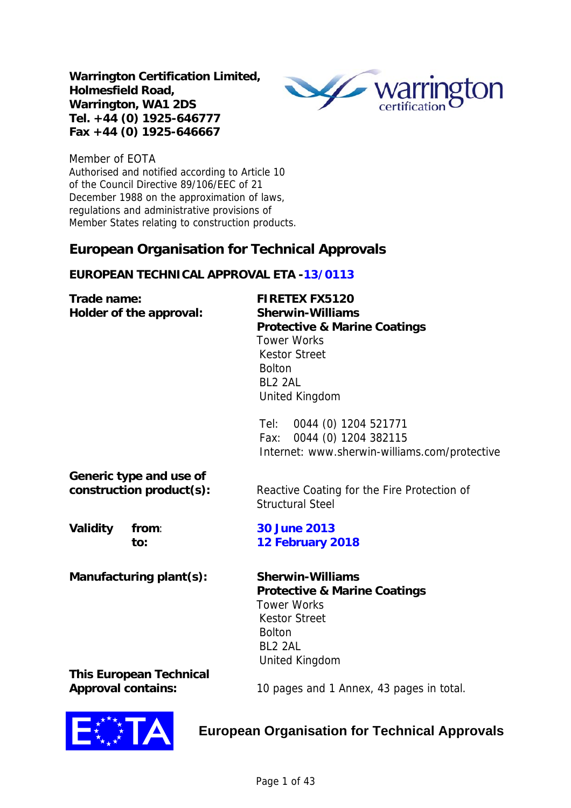**Warrington Certification Limited, Holmesfield Road, Warrington, WA1 2DS Tel. +44 (0) 1925-646777 Fax +44 (0) 1925-646667** 



Member of EOTA Authorised and notified according to Article 10 of the Council Directive 89/106/EEC of 21 December 1988 on the approximation of laws, regulations and administrative provisions of Member States relating to construction products.

# **European Organisation for Technical Approvals**

# **EUROPEAN TECHNICAL APPROVAL ETA -13/0113**

| Trade name:<br>Holder of the approval:              | <b>FIRETEX FX5120</b><br><b>Sherwin-Williams</b><br><b>Protective &amp; Marine Coatings</b><br><b>Tower Works</b><br><b>Kestor Street</b><br><b>Bolton</b><br>BL <sub>2</sub> 2AL<br>United Kingdom |  |  |  |  |  |
|-----------------------------------------------------|-----------------------------------------------------------------------------------------------------------------------------------------------------------------------------------------------------|--|--|--|--|--|
|                                                     | Tel: 0044 (0) 1204 521771<br>Fax: 0044 (0) 1204 382115<br>Internet: www.sherwin-williams.com/protective                                                                                             |  |  |  |  |  |
| Generic type and use of<br>construction product(s): | Reactive Coating for the Fire Protection of<br><b>Structural Steel</b>                                                                                                                              |  |  |  |  |  |
| Validity<br>from:<br>to:                            | <b>30 June 2013</b><br>12 February 2018                                                                                                                                                             |  |  |  |  |  |
| Manufacturing plant(s):                             | <b>Sherwin-Williams</b><br><b>Protective &amp; Marine Coatings</b><br><b>Tower Works</b><br><b>Kestor Street</b><br><b>Bolton</b><br>BL2 2AL<br>United Kingdom                                      |  |  |  |  |  |
| <b>This European Technical</b>                      |                                                                                                                                                                                                     |  |  |  |  |  |

**Approval contains:** 10 pages and 1 Annex, 43 pages in total.



# **European Organisation for Technical Approvals**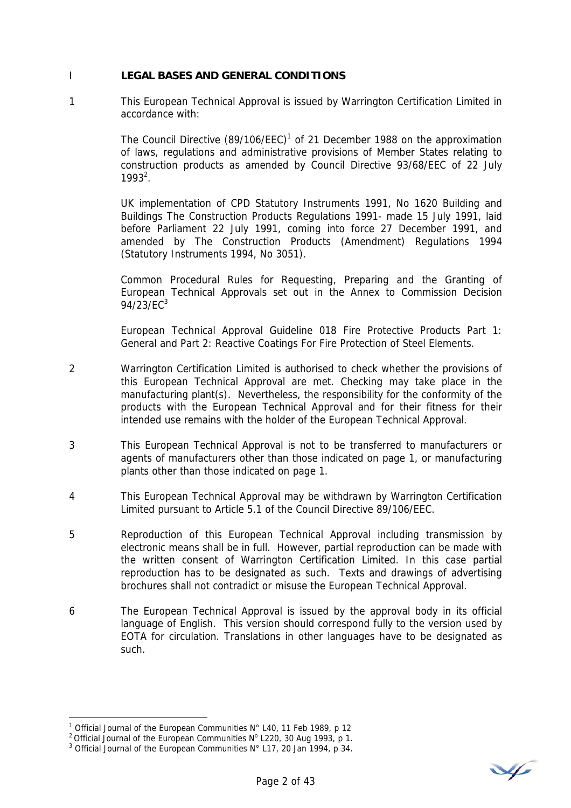### I **LEGAL BASES AND GENERAL CONDITIONS**

1 This European Technical Approval is issued by Warrington Certification Limited in accordance with:

> The Council Directive  $(89/106/EEC)^1$  of 21 December 1988 on the approximation of laws, regulations and administrative provisions of Member States relating to construction products as amended by Council Directive 93/68/EEC of 22 July  $1993^2$ .

> UK implementation of CPD Statutory Instruments 1991, No 1620 Building and Buildings The Construction Products Regulations 1991- made 15 July 1991, laid before Parliament 22 July 1991, coming into force 27 December 1991, and amended by The Construction Products (Amendment) Regulations 1994 (Statutory Instruments 1994, No 3051).

> Common Procedural Rules for Requesting, Preparing and the Granting of European Technical Approvals set out in the Annex to Commission Decision 94/23/EC $^{3}$

> European Technical Approval Guideline 018 Fire Protective Products Part 1: General and Part 2: Reactive Coatings For Fire Protection of Steel Elements.

- 2 Warrington Certification Limited is authorised to check whether the provisions of this European Technical Approval are met. Checking may take place in the manufacturing plant(s). Nevertheless, the responsibility for the conformity of the products with the European Technical Approval and for their fitness for their intended use remains with the holder of the European Technical Approval.
- 3 This European Technical Approval is not to be transferred to manufacturers or agents of manufacturers other than those indicated on page 1, or manufacturing plants other than those indicated on page 1.
- 4 This European Technical Approval may be withdrawn by Warrington Certification Limited pursuant to Article 5.1 of the Council Directive 89/106/EEC.
- 5 Reproduction of this European Technical Approval including transmission by electronic means shall be in full. However, partial reproduction can be made with the written consent of Warrington Certification Limited. In this case partial reproduction has to be designated as such. Texts and drawings of advertising brochures shall not contradict or misuse the European Technical Approval.
- 6 The European Technical Approval is issued by the approval body in its official language of English. This version should correspond fully to the version used by EOTA for circulation. Translations in other languages have to be designated as such.

 $\overline{a}$ 

V

<sup>&</sup>lt;sup>1</sup> Official Journal of the European Communities N° L40, 11 Feb 1989, p 12

<sup>&</sup>lt;sup>1</sup> Official Journal of the European Communities N° L40, 11 Feb 1989, p 12<br><sup>2</sup> Official Journal of the European Communities N° L220, 30 Aug 1993, p 1.<br><sup>3</sup> Official Journal of the European Communities N° L17, 20 Jan 1994,

 $3$  Official Journal of the European Communities N° L17, 20 Jan 1994, p 34.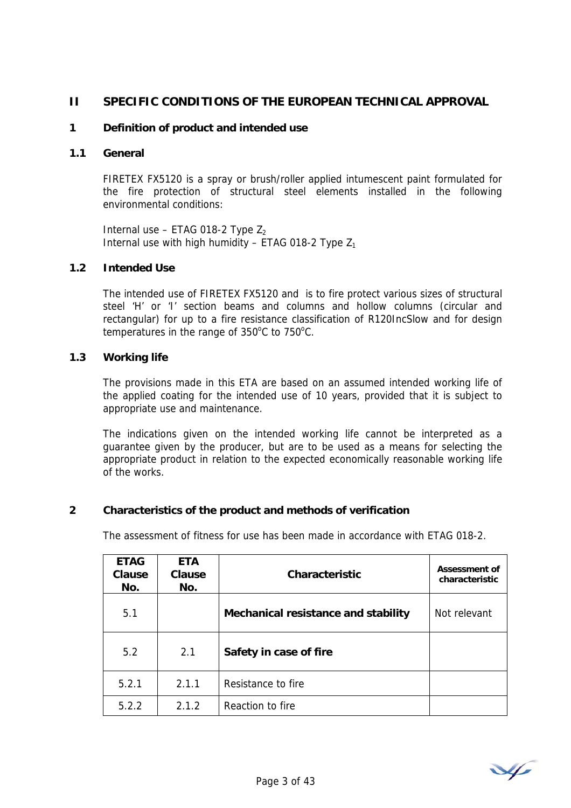# **II SPECIFIC CONDITIONS OF THE EUROPEAN TECHNICAL APPROVAL**

### **1 Definition of product and intended use**

### **1.1 General**

FIRETEX FX5120 is a spray or brush/roller applied intumescent paint formulated for the fire protection of structural steel elements installed in the following environmental conditions:

Internal use – ETAG 018-2 Type  $Z_2$ Internal use with high humidity – ETAG 018-2 Type  $Z_1$ 

#### **1.2 Intended Use**

The intended use of FIRETEX FX5120 and is to fire protect various sizes of structural steel 'H' or 'I' section beams and columns and hollow columns (circular and rectangular) for up to a fire resistance classification of R120IncSlow and for design temperatures in the range of  $350^{\circ}$ C to  $750^{\circ}$ C.

#### **1.3 Working life**

The provisions made in this ETA are based on an assumed intended working life of the applied coating for the intended use of 10 years, provided that it is subject to appropriate use and maintenance.

The indications given on the intended working life cannot be interpreted as a guarantee given by the producer, but are to be used as a means for selecting the appropriate product in relation to the expected economically reasonable working life of the works.

#### **2 Characteristics of the product and methods of verification**

The assessment of fitness for use has been made in accordance with ETAG 018-2.

| <b>ETAG</b><br><b>Clause</b><br>No. | <b>ETA</b><br>Clause<br>No. | <b>Characteristic</b>               | <b>Assessment of</b><br>characteristic |
|-------------------------------------|-----------------------------|-------------------------------------|----------------------------------------|
| 5.1                                 |                             | Mechanical resistance and stability | Not relevant                           |
| 5.2                                 | 2.1                         | Safety in case of fire              |                                        |
| 5.2.1                               | 2.1.1                       | Resistance to fire                  |                                        |
| 5.2.2                               | 2.1.2                       | Reaction to fire                    |                                        |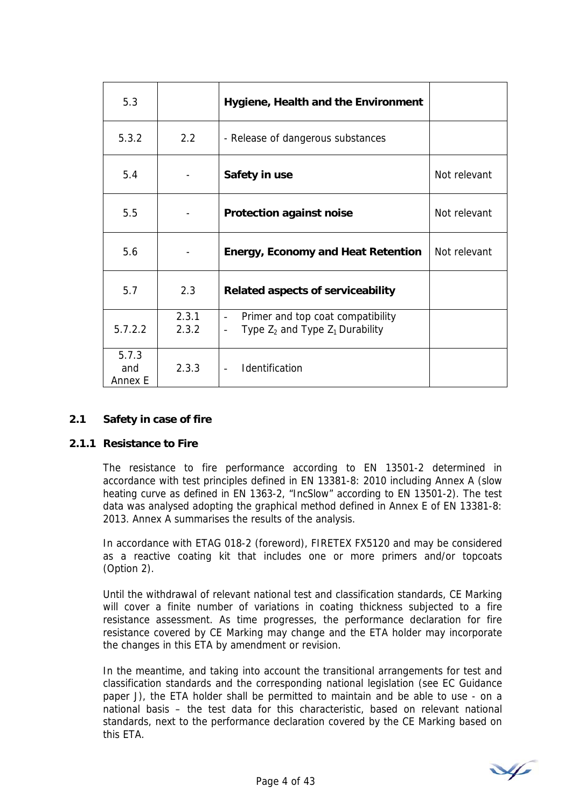| 5.3                     |                | Hygiene, Health and the Environment                                                                   |              |
|-------------------------|----------------|-------------------------------------------------------------------------------------------------------|--------------|
| 5.3.2                   | 2.2            | - Release of dangerous substances                                                                     |              |
| 5.4                     |                | Safety in use                                                                                         | Not relevant |
| 5.5                     |                | <b>Protection against noise</b>                                                                       | Not relevant |
| 5.6                     |                | <b>Energy, Economy and Heat Retention</b>                                                             | Not relevant |
| 5.7                     | 2.3            | <b>Related aspects of serviceability</b>                                                              |              |
| 5.7.2.2                 | 2.3.1<br>2.3.2 | Primer and top coat compatibility<br>$\overline{\phantom{0}}$<br>Type $Z_2$ and Type $Z_1$ Durability |              |
| 5.7.3<br>and<br>Annex E | 2.3.3          | Identification                                                                                        |              |

#### **2.1 Safety in case of fire**

#### **2.1.1 Resistance to Fire**

The resistance to fire performance according to EN 13501-2 determined in accordance with test principles defined in EN 13381-8: 2010 including Annex A (slow heating curve as defined in EN 1363-2, "IncSlow" according to EN 13501-2). The test data was analysed adopting the graphical method defined in Annex E of EN 13381-8: 2013. Annex A summarises the results of the analysis.

In accordance with ETAG 018-2 (foreword), FIRETEX FX5120 and may be considered as a reactive coating kit that includes one or more primers and/or topcoats (Option 2).

Until the withdrawal of relevant national test and classification standards, CE Marking will cover a finite number of variations in coating thickness subjected to a fire resistance assessment. As time progresses, the performance declaration for fire resistance covered by CE Marking may change and the ETA holder may incorporate the changes in this ETA by amendment or revision.

In the meantime, and taking into account the transitional arrangements for test and classification standards and the corresponding national legislation (see EC Guidance paper J), the ETA holder shall be permitted to maintain and be able to use - on a national basis – the test data for this characteristic, based on relevant national standards, next to the performance declaration covered by the CE Marking based on this ETA.

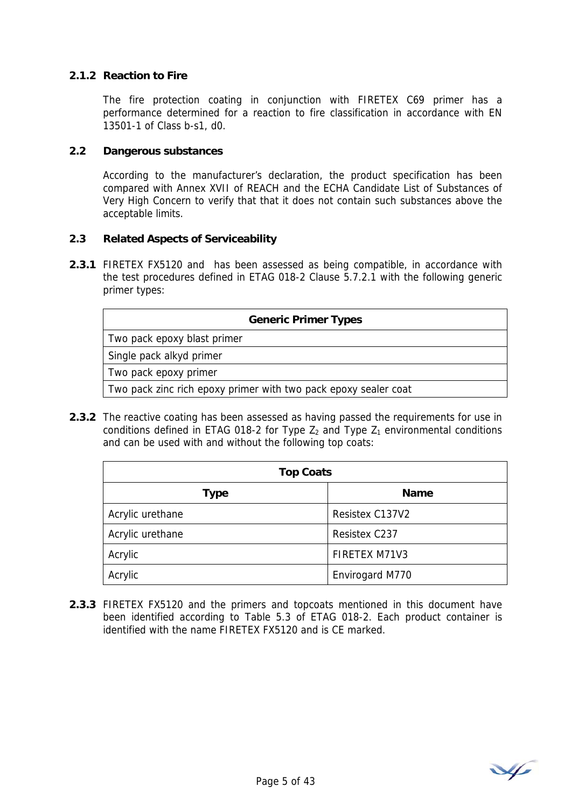## **2.1.2 Reaction to Fire**

The fire protection coating in conjunction with FIRETEX C69 primer has a performance determined for a reaction to fire classification in accordance with EN 13501-1 of Class b-s1, d0.

#### **2.2 Dangerous substances**

According to the manufacturer's declaration, the product specification has been compared with Annex XVII of REACH and the ECHA Candidate List of Substances of Very High Concern to verify that that it does not contain such substances above the acceptable limits.

#### **2.3 Related Aspects of Serviceability**

**2.3.1** FIRETEX FX5120 and has been assessed as being compatible, in accordance with the test procedures defined in ETAG 018-2 Clause 5.7.2.1 with the following generic primer types:

| <b>Generic Primer Types</b>                                     |  |  |  |  |  |
|-----------------------------------------------------------------|--|--|--|--|--|
| Two pack epoxy blast primer                                     |  |  |  |  |  |
| Single pack alkyd primer                                        |  |  |  |  |  |
| Two pack epoxy primer                                           |  |  |  |  |  |
| Two pack zinc rich epoxy primer with two pack epoxy sealer coat |  |  |  |  |  |

**2.3.2** The reactive coating has been assessed as having passed the requirements for use in conditions defined in ETAG 018-2 for Type  $Z_2$  and Type  $Z_1$  environmental conditions and can be used with and without the following top coats:

| <b>Top Coats</b> |                 |  |  |  |  |
|------------------|-----------------|--|--|--|--|
| Type             | <b>Name</b>     |  |  |  |  |
| Acrylic urethane | Resistex C137V2 |  |  |  |  |
| Acrylic urethane | Resistex C237   |  |  |  |  |
| Acrylic          | FIRETEX M71V3   |  |  |  |  |
| Acrylic          | Envirogard M770 |  |  |  |  |

**2.3.3** FIRETEX FX5120 and the primers and topcoats mentioned in this document have been identified according to Table 5.3 of ETAG 018-2. Each product container is identified with the name FIRETEX FX5120 and is CE marked.

V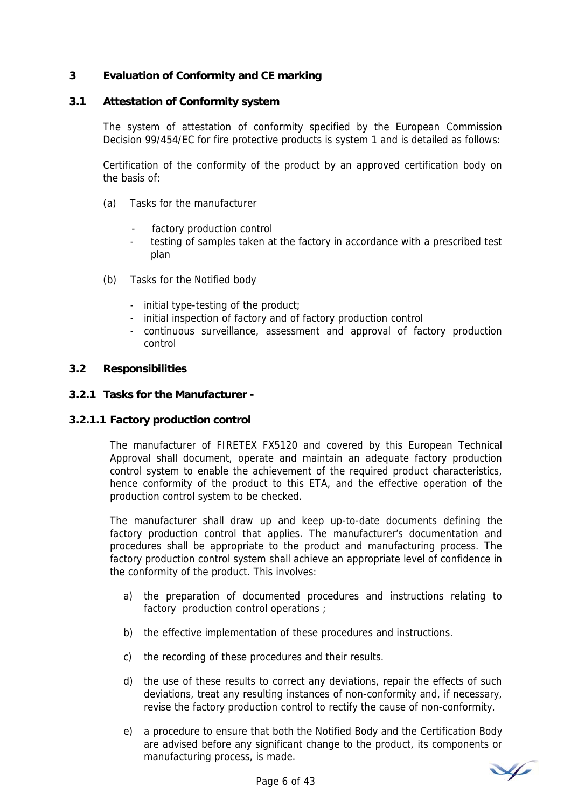## **3 Evaluation of Conformity and CE marking**

#### **3.1 Attestation of Conformity system**

The system of attestation of conformity specified by the European Commission Decision 99/454/EC for fire protective products is system 1 and is detailed as follows:

Certification of the conformity of the product by an approved certification body on the basis of:

- (a) Tasks for the manufacturer
	- factory production control
	- testing of samples taken at the factory in accordance with a prescribed test plan
- (b) Tasks for the Notified body
	- initial type-testing of the product;
	- initial inspection of factory and of factory production control
	- continuous surveillance, assessment and approval of factory production control

#### **3.2 Responsibilities**

#### **3.2.1 Tasks for the Manufacturer -**

#### **3.2.1.1 Factory production control**

The manufacturer of FIRETEX FX5120 and covered by this European Technical Approval shall document, operate and maintain an adequate factory production control system to enable the achievement of the required product characteristics, hence conformity of the product to this ETA, and the effective operation of the production control system to be checked.

The manufacturer shall draw up and keep up-to-date documents defining the factory production control that applies. The manufacturer's documentation and procedures shall be appropriate to the product and manufacturing process. The factory production control system shall achieve an appropriate level of confidence in the conformity of the product. This involves:

- a) the preparation of documented procedures and instructions relating to factory production control operations ;
- b) the effective implementation of these procedures and instructions.
- c) the recording of these procedures and their results.
- d) the use of these results to correct any deviations, repair the effects of such deviations, treat any resulting instances of non-conformity and, if necessary, revise the factory production control to rectify the cause of non-conformity.
- e) a procedure to ensure that both the Notified Body and the Certification Body are advised before any significant change to the product, its components or manufacturing process, is made.

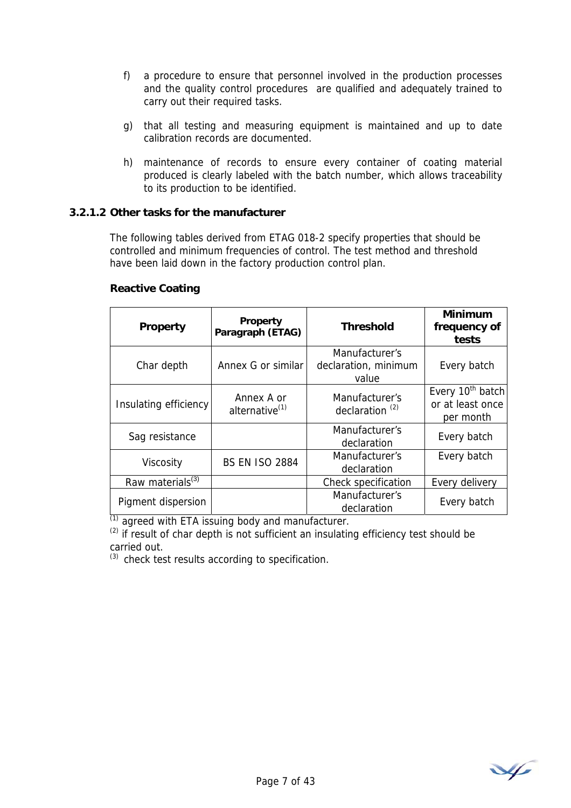- f) a procedure to ensure that personnel involved in the production processes and the quality control procedures are qualified and adequately trained to carry out their required tasks.
- g) that all testing and measuring equipment is maintained and up to date calibration records are documented.
- h) maintenance of records to ensure every container of coating material produced is clearly labeled with the batch number, which allows traceability to its production to be identified.

#### **3.2.1.2 Other tasks for the manufacturer**

The following tables derived from ETAG 018-2 specify properties that should be controlled and minimum frequencies of control. The test method and threshold have been laid down in the factory production control plan.

| Property<br><b>Property</b><br>Paragraph (ETAG) |                                                        | <b>Threshold</b>                                | <b>Minimum</b><br>frequency of<br>tests                       |
|-------------------------------------------------|--------------------------------------------------------|-------------------------------------------------|---------------------------------------------------------------|
| Char depth                                      | Annex G or similar                                     | Manufacturer's<br>declaration, minimum<br>value | Every batch                                                   |
| Insulating efficiency                           | Annex A or<br>alternative <sup>(1)</sup>               | Manufacturer's<br>declaration <sup>(2)</sup>    | Every 10 <sup>th</sup> batch<br>or at least once<br>per month |
| Sag resistance                                  |                                                        | Manufacturer's<br>declaration                   | Every batch                                                   |
| Viscosity                                       | Manufacturer's<br><b>BS EN ISO 2884</b><br>declaration |                                                 | Every batch                                                   |
| Raw materials <sup>(3)</sup>                    |                                                        | Check specification                             | Every delivery                                                |
| Pigment dispersion                              |                                                        | Manufacturer's<br>declaration                   | Every batch                                                   |

#### **Reactive Coating**

 $\overline{^{(1)}}$  agreed with ETA issuing body and manufacturer.

 $(2)$  if result of char depth is not sufficient an insulating efficiency test should be carried out.

 $(3)$  check test results according to specification.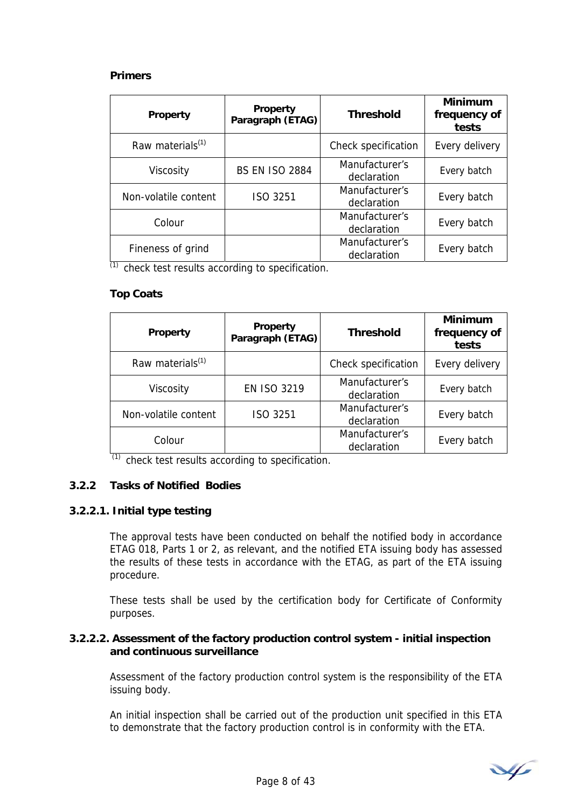## **Primers**

| Property             | <b>Property</b><br>Paragraph (ETAG) | <b>Threshold</b>              | <b>Minimum</b><br>frequency of<br>tests |
|----------------------|-------------------------------------|-------------------------------|-----------------------------------------|
| Raw materials $(1)$  |                                     | Check specification           | Every delivery                          |
| Viscosity            | <b>BS EN ISO 2884</b>               | Manufacturer's<br>declaration | Every batch                             |
| Non-volatile content | ISO 3251                            | Manufacturer's<br>declaration | Every batch                             |
| Colour               |                                     | Manufacturer's<br>declaration | Every batch                             |
| Fineness of grind    |                                     | Manufacturer's<br>declaration | Every batch                             |

 $\overline{^{(1)}}$  check test results according to specification.

# **Top Coats**

| <b>Property</b>              | <b>Property</b><br>Paragraph (ETAG) | <b>Threshold</b>              | <b>Minimum</b><br>frequency of<br>tests |
|------------------------------|-------------------------------------|-------------------------------|-----------------------------------------|
| Raw materials <sup>(1)</sup> |                                     | Check specification           | Every delivery                          |
| Viscosity                    | <b>EN ISO 3219</b>                  | Manufacturer's<br>declaration | Every batch                             |
| Non-volatile content         | ISO 3251                            | Manufacturer's<br>declaration | Every batch                             |
| Colour                       |                                     | Manufacturer's<br>declaration | Every batch                             |

 $\frac{1}{10}$  check test results according to specification.

# **3.2.2 Tasks of Notified Bodies**

# **3.2.2.1. Initial type testing**

The approval tests have been conducted on behalf the notified body in accordance ETAG 018, Parts 1 or 2, as relevant, and the notified ETA issuing body has assessed the results of these tests in accordance with the ETAG, as part of the ETA issuing procedure.

These tests shall be used by the certification body for Certificate of Conformity purposes.

#### **3.2.2.2. Assessment of the factory production control system - initial inspection and continuous surveillance**

Assessment of the factory production control system is the responsibility of the ETA issuing body.

An initial inspection shall be carried out of the production unit specified in this ETA to demonstrate that the factory production control is in conformity with the ETA.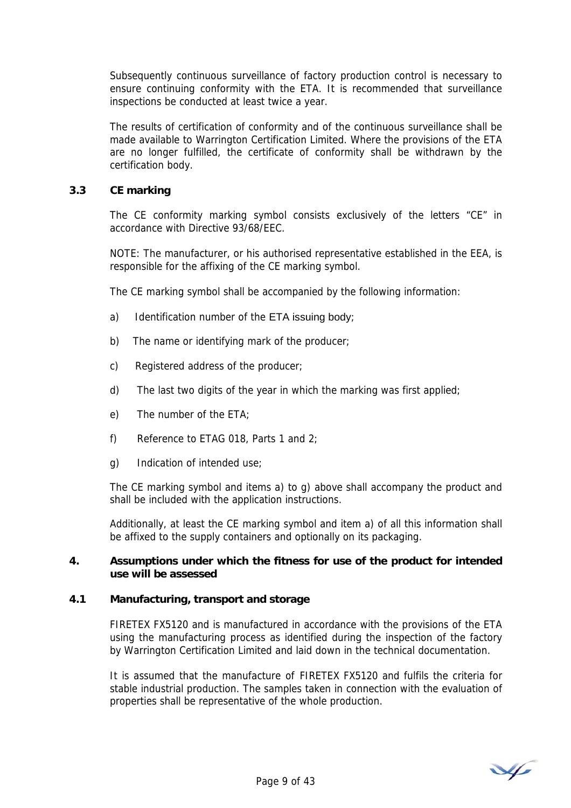Subsequently continuous surveillance of factory production control is necessary to ensure continuing conformity with the ETA. It is recommended that surveillance inspections be conducted at least twice a year.

The results of certification of conformity and of the continuous surveillance shall be made available to Warrington Certification Limited. Where the provisions of the ETA are no longer fulfilled, the certificate of conformity shall be withdrawn by the certification body.

## **3.3 CE marking**

The CE conformity marking symbol consists exclusively of the letters "CE" in accordance with Directive 93/68/EEC.

NOTE: The manufacturer, or his authorised representative established in the EEA, is responsible for the affixing of the CE marking symbol.

The CE marking symbol shall be accompanied by the following information:

- a) Identification number of the ETA issuing body;
- b) The name or identifying mark of the producer;
- c) Registered address of the producer;
- d) The last two digits of the year in which the marking was first applied;
- e) The number of the ETA;
- f) Reference to ETAG 018, Parts 1 and 2;
- g) Indication of intended use;

The CE marking symbol and items a) to g) above shall accompany the product and shall be included with the application instructions.

Additionally, at least the CE marking symbol and item a) of all this information shall be affixed to the supply containers and optionally on its packaging.

### **4. Assumptions under which the fitness for use of the product for intended use will be assessed**

#### **4.1 Manufacturing, transport and storage**

 FIRETEX FX5120 and is manufactured in accordance with the provisions of the ETA using the manufacturing process as identified during the inspection of the factory by Warrington Certification Limited and laid down in the technical documentation.

It is assumed that the manufacture of FIRETEX FX5120 and fulfils the criteria for stable industrial production. The samples taken in connection with the evaluation of properties shall be representative of the whole production.

V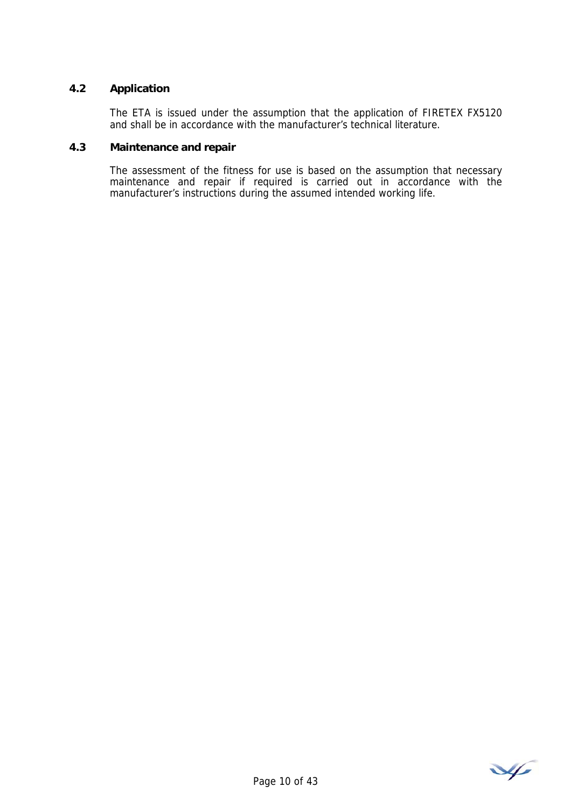## **4.2 Application**

 The ETA is issued under the assumption that the application of FIRETEX FX5120 and shall be in accordance with the manufacturer's technical literature.

#### **4.3 Maintenance and repair**

 The assessment of the fitness for use is based on the assumption that necessary maintenance and repair if required is carried out in accordance with the manufacturer's instructions during the assumed intended working life.

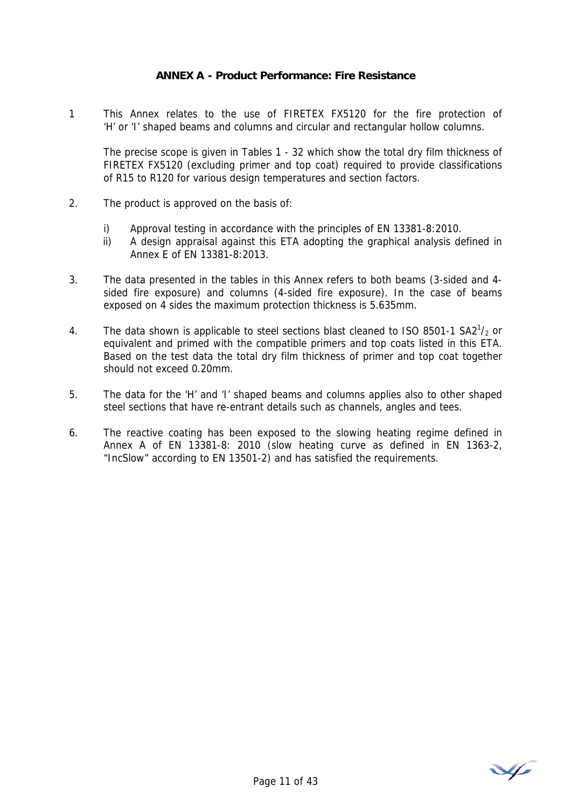## **ANNEX A - Product Performance: Fire Resistance**

1 This Annex relates to the use of FIRETEX FX5120 for the fire protection of 'H' or 'I' shaped beams and columns and circular and rectangular hollow columns.

The precise scope is given in Tables 1 - 32 which show the total dry film thickness of FIRETEX FX5120 (excluding primer and top coat) required to provide classifications of R15 to R120 for various design temperatures and section factors.

- 2. The product is approved on the basis of:
	- i) Approval testing in accordance with the principles of EN 13381-8:2010.
	- ii) A design appraisal against this ETA adopting the graphical analysis defined in Annex E of EN 13381-8:2013.
- 3. The data presented in the tables in this Annex refers to both beams (3-sided and 4 sided fire exposure) and columns (4-sided fire exposure). In the case of beams exposed on 4 sides the maximum protection thickness is 5.635mm.
- 4. The data shown is applicable to steel sections blast cleaned to ISO 8501-1 SA2 $1/2$  or equivalent and primed with the compatible primers and top coats listed in this ETA. Based on the test data the total dry film thickness of primer and top coat together should not exceed 0.20mm.
- 5. The data for the 'H' and 'I' shaped beams and columns applies also to other shaped steel sections that have re-entrant details such as channels, angles and tees.
- 6. The reactive coating has been exposed to the slowing heating regime defined in Annex A of EN 13381-8: 2010 (slow heating curve as defined in EN 1363-2, "IncSlow" according to EN 13501-2) and has satisfied the requirements.

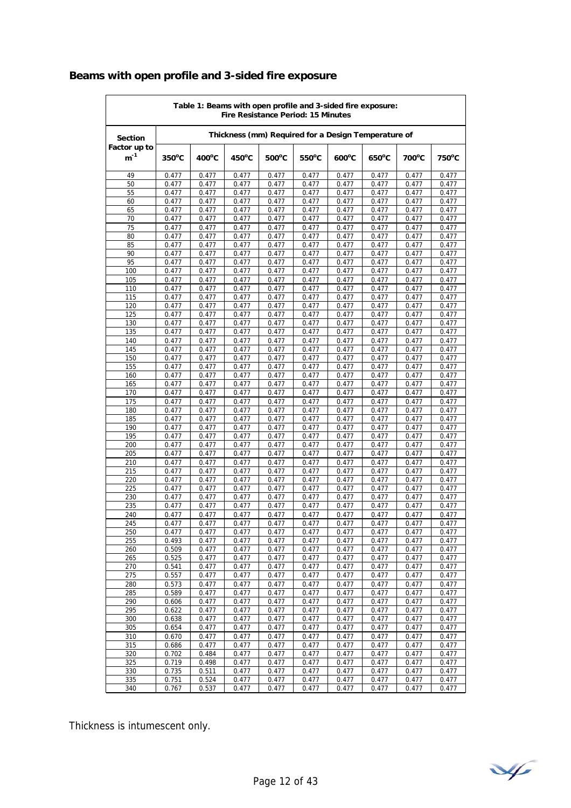# **Beams with open profile and 3-sided fire exposure**

| Thickness (mm) Required for a Design Temperature of<br><b>Section</b><br>Factor up to<br>$m^{-1}$<br>$350^{\circ}$ C<br>$400^{\circ}$ C<br>$450^{\circ}$ C<br>$500^{\circ}$ C<br>$550^{\circ}$ C<br>$600^{\circ}$ C<br>$650^{\circ}$ C<br>700°C<br>$750^{\circ}$ C<br>49<br>0.477<br>0.477<br>0.477<br>0.477<br>0.477<br>0.477<br>0.477<br>0.477<br>0.477<br>50<br>0.477<br>0.477<br>0.477<br>0.477<br>0.477<br>0.477<br>0.477<br>0.477<br>0.477<br>55<br>0.477<br>0.477<br>0.477<br>0.477<br>0.477<br>0.477<br>0.477<br>0.477<br>0.477<br>0.477<br>0.477<br>0.477<br>0.477<br>0.477<br>0.477<br>0.477<br>60<br>0.477<br>0.477<br>65<br>0.477<br>0.477<br>0.477<br>0.477<br>0.477<br>0.477<br>0.477<br>0.477<br>0.477<br>70<br>0.477<br>0.477<br>0.477<br>0.477<br>0.477<br>0.477<br>0.477<br>0.477<br>0.477<br>75<br>0.477<br>0.477<br>0.477<br>0.477<br>0.477<br>0.477<br>0.477<br>0.477<br>0.477<br>0.477<br>80<br>0.477<br>0.477<br>0.477<br>0.477<br>0.477<br>0.477<br>0.477<br>0.477<br>85<br>0.477<br>0.477<br>0.477<br>0.477<br>0.477<br>0.477<br>0.477<br>0.477<br>0.477<br>90<br>0.477<br>0.477<br>0.477<br>0.477<br>0.477<br>0.477<br>0.477<br>0.477<br>0.477<br>95<br>0.477<br>0.477<br>0.477<br>0.477<br>0.477<br>0.477<br>0.477<br>0.477<br>0.477<br>100<br>0.477<br>0.477<br>0.477<br>0.477<br>0.477<br>0.477<br>0.477<br>0.477<br>0.477<br>105<br>0.477<br>0.477<br>0.477<br>0.477<br>0.477<br>0.477<br>0.477<br>0.477<br>0.477<br>110<br>0.477<br>0.477<br>0.477<br>0.477<br>0.477<br>0.477<br>0.477<br>0.477<br>0.477<br>115<br>0.477<br>0.477<br>0.477<br>0.477<br>0.477<br>0.477<br>0.477<br>0.477<br>0.477<br>120<br>0.477<br>0.477<br>0.477<br>0.477<br>0.477<br>0.477<br>0.477<br>0.477<br>0.477<br>125<br>0.477<br>0.477<br>0.477<br>0.477<br>0.477<br>0.477<br>0.477<br>0.477<br>0.477<br>130<br>0.477<br>0.477<br>0.477<br>0.477<br>0.477<br>0.477<br>0.477<br>0.477<br>0.477<br>135<br>0.477<br>0.477<br>0.477<br>0.477<br>0.477<br>0.477<br>0.477<br>0.477<br>0.477<br>140<br>0.477<br>0.477<br>0.477<br>0.477<br>0.477<br>0.477<br>0.477<br>0.477<br>0.477<br>145<br>0.477<br>0.477<br>0.477<br>0.477<br>0.477<br>0.477<br>0.477<br>0.477<br>0.477<br>150<br>0.477<br>0.477<br>0.477<br>0.477<br>0.477<br>0.477<br>0.477<br>0.477<br>0.477<br>155<br>0.477<br>0.477<br>0.477<br>0.477<br>0.477<br>0.477<br>0.477<br>0.477<br>0.477<br>160<br>0.477<br>0.477<br>0.477<br>0.477<br>0.477<br>0.477<br>0.477<br>0.477<br>0.477<br>165<br>0.477<br>0.477<br>0.477<br>0.477<br>0.477<br>0.477<br>0.477<br>0.477<br>0.477<br>170<br>0.477<br>0.477<br>0.477<br>0.477<br>0.477<br>0.477<br>0.477<br>0.477<br>0.477<br>175<br>0.477<br>0.477<br>0.477<br>0.477<br>0.477<br>0.477<br>0.477<br>0.477<br>0.477<br>180<br>0.477<br>0.477<br>0.477<br>0.477<br>0.477<br>0.477<br>0.477<br>0.477<br>0.477<br>185<br>0.477<br>0.477<br>0.477<br>0.477<br>0.477<br>0.477<br>0.477<br>0.477<br>0.477<br>190<br>0.477<br>0.477<br>0.477<br>0.477<br>0.477<br>0.477<br>0.477<br>0.477<br>0.477<br>0.477<br>0.477<br>195<br>0.477<br>0.477<br>0.477<br>0.477<br>0.477<br>0.477<br>0.477<br>0.477<br>200<br>0.477<br>0.477<br>0.477<br>0.477<br>0.477<br>0.477<br>0.477<br>0.477<br>0.477<br>205<br>0.477<br>0.477<br>0.477<br>0.477<br>0.477<br>0.477<br>0.477<br>0.477<br>210<br>0.477<br>0.477<br>0.477<br>0.477<br>0.477<br>0.477<br>0.477<br>0.477<br>0.477<br>215<br>0.477<br>0.477<br>0.477<br>0.477<br>0.477<br>0.477<br>0.477<br>0.477<br>0.477<br>220<br>0.477<br>0.477<br>0.477<br>0.477<br>0.477<br>0.477<br>0.477<br>0.477<br>0.477<br>225<br>0.477<br>0.477<br>0.477<br>0.477<br>0.477<br>0.477<br>0.477<br>0.477<br>0.477<br>230<br>0.477<br>0.477<br>0.477<br>0.477<br>0.477<br>0.477<br>0.477<br>0.477<br>0.477<br>235<br>0.477<br>0.477<br>0.477<br>0.477<br>0.477<br>0.477<br>0.477<br>0.477<br>0.477<br>240<br>0.477<br>0.477<br>0.477<br>0.477<br>0.477<br>0.477<br>0.477<br>0.477<br>0.477<br>245<br>0.477<br>0.477<br>0.477<br>0.477<br>0.477<br>0.477<br>0.477<br>0.477<br>0.477<br>0.477<br>0.477<br>250<br>0.477<br>0.477<br>0.477<br>0.477<br>0.477<br>0.477<br>0.477<br>255<br>0.477<br>0.477<br>0.477<br>0.477<br>0.477<br>0.493<br>0.477<br>0.477<br>0.477<br>260<br>0.509<br>0.477<br>0.477<br>0.477<br>0.477<br>0.477<br>0.477<br>0.477<br>0.477<br>265<br>0.525<br>0.477<br>0.477<br>0.477<br>0.477<br>0.477<br>0.477<br>0.477<br>0.477<br>270<br>0.541<br>0.477<br>0.477<br>0.477<br>0.477<br>0.477<br>0.477<br>0.477<br>0.477<br>275<br>0.477<br>0.477<br>0.557<br>0.477<br>0.477<br>0.477<br>0.477<br>0.477<br>0.477<br>280<br>0.573<br>0.477<br>0.477<br>0.477<br>0.477<br>0.477<br>0.477<br>0.477<br>0.477<br>285<br>0.589<br>0.477<br>0.477<br>0.477<br>0.477<br>0.477<br>0.477<br>0.477<br>0.477<br>290<br>0.606<br>0.477<br>0.477<br>0.477<br>0.477<br>0.477<br>0.477<br>0.477<br>0.477<br>295<br>0.622<br>0.477<br>0.477<br>0.477<br>0.477<br>0.477<br>0.477<br>0.477<br>0.477<br>300<br>0.638<br>0.477<br>0.477<br>0.477<br>0.477<br>0.477<br>0.477<br>0.477<br>0.477<br>0.477<br>0.477<br>0.477<br>0.477<br>0.477<br>305<br>0.654<br>0.477<br>0.477<br>0.477<br>310<br>0.477<br>0.670<br>0.477<br>0.477<br>0.477<br>0.477<br>0.477<br>0.477<br>0.477<br>315<br>0.477<br>0.477<br>0.477<br>0.477<br>0.477<br>0.477<br>0.477<br>0.477<br>0.686<br>320<br>0.702<br>0.484<br>0.477<br>0.477<br>0.477<br>0.477<br>0.477<br>0.477<br>0.477<br>325<br>0.719<br>0.498<br>0.477<br>0.477<br>0.477<br>0.477<br>0.477<br>0.477<br>0.477<br>330<br>0.735<br>0.511<br>0.477<br>0.477<br>0.477<br>0.477<br>0.477<br>0.477<br>0.477<br>335<br>0.524<br>0.751<br>0.477<br>0.477<br>0.477<br>0.477<br>0.477<br>0.477<br>0.477<br>340<br>0.767<br>0.537<br>0.477<br>0.477<br>0.477<br>0.477<br>0.477<br>0.477<br>0.477 | Table 1: Beams with open profile and 3-sided fire exposure:<br><b>Fire Resistance Period: 15 Minutes</b> |  |  |  |  |  |  |  |  |  |
|---------------------------------------------------------------------------------------------------------------------------------------------------------------------------------------------------------------------------------------------------------------------------------------------------------------------------------------------------------------------------------------------------------------------------------------------------------------------------------------------------------------------------------------------------------------------------------------------------------------------------------------------------------------------------------------------------------------------------------------------------------------------------------------------------------------------------------------------------------------------------------------------------------------------------------------------------------------------------------------------------------------------------------------------------------------------------------------------------------------------------------------------------------------------------------------------------------------------------------------------------------------------------------------------------------------------------------------------------------------------------------------------------------------------------------------------------------------------------------------------------------------------------------------------------------------------------------------------------------------------------------------------------------------------------------------------------------------------------------------------------------------------------------------------------------------------------------------------------------------------------------------------------------------------------------------------------------------------------------------------------------------------------------------------------------------------------------------------------------------------------------------------------------------------------------------------------------------------------------------------------------------------------------------------------------------------------------------------------------------------------------------------------------------------------------------------------------------------------------------------------------------------------------------------------------------------------------------------------------------------------------------------------------------------------------------------------------------------------------------------------------------------------------------------------------------------------------------------------------------------------------------------------------------------------------------------------------------------------------------------------------------------------------------------------------------------------------------------------------------------------------------------------------------------------------------------------------------------------------------------------------------------------------------------------------------------------------------------------------------------------------------------------------------------------------------------------------------------------------------------------------------------------------------------------------------------------------------------------------------------------------------------------------------------------------------------------------------------------------------------------------------------------------------------------------------------------------------------------------------------------------------------------------------------------------------------------------------------------------------------------------------------------------------------------------------------------------------------------------------------------------------------------------------------------------------------------------------------------------------------------------------------------------------------------------------------------------------------------------------------------------------------------------------------------------------------------------------------------------------------------------------------------------------------------------------------------------------------------------------------------------------------------------------------------------------------------------------------------------------------------------------------------------------------------------------------------------------------------------------------------------------------------------------------------------------------------------------------------------------------------------------------------------------------------------------------------------------------------------------------------------------------------------------------------------------------------------------------------------------------------------------------------------------------------------------------------------------------------------------------------------------------------------------------------------------------------------------------------------------------------------------------------------------------------------------------------------------------------------------------------------------------------------------------------------------------------------------------------------------------------------|----------------------------------------------------------------------------------------------------------|--|--|--|--|--|--|--|--|--|
|                                                                                                                                                                                                                                                                                                                                                                                                                                                                                                                                                                                                                                                                                                                                                                                                                                                                                                                                                                                                                                                                                                                                                                                                                                                                                                                                                                                                                                                                                                                                                                                                                                                                                                                                                                                                                                                                                                                                                                                                                                                                                                                                                                                                                                                                                                                                                                                                                                                                                                                                                                                                                                                                                                                                                                                                                                                                                                                                                                                                                                                                                                                                                                                                                                                                                                                                                                                                                                                                                                                                                                                                                                                                                                                                                                                                                                                                                                                                                                                                                                                                                                                                                                                                                                                                                                                                                                                                                                                                                                                                                                                                                                                                                                                                                                                                                                                                                                                                                                                                                                                                                                                                                                                                                                                                                                                                                                                                                                                                                                                                                                                                                                                                                                                                                         |                                                                                                          |  |  |  |  |  |  |  |  |  |
|                                                                                                                                                                                                                                                                                                                                                                                                                                                                                                                                                                                                                                                                                                                                                                                                                                                                                                                                                                                                                                                                                                                                                                                                                                                                                                                                                                                                                                                                                                                                                                                                                                                                                                                                                                                                                                                                                                                                                                                                                                                                                                                                                                                                                                                                                                                                                                                                                                                                                                                                                                                                                                                                                                                                                                                                                                                                                                                                                                                                                                                                                                                                                                                                                                                                                                                                                                                                                                                                                                                                                                                                                                                                                                                                                                                                                                                                                                                                                                                                                                                                                                                                                                                                                                                                                                                                                                                                                                                                                                                                                                                                                                                                                                                                                                                                                                                                                                                                                                                                                                                                                                                                                                                                                                                                                                                                                                                                                                                                                                                                                                                                                                                                                                                                                         |                                                                                                          |  |  |  |  |  |  |  |  |  |
|                                                                                                                                                                                                                                                                                                                                                                                                                                                                                                                                                                                                                                                                                                                                                                                                                                                                                                                                                                                                                                                                                                                                                                                                                                                                                                                                                                                                                                                                                                                                                                                                                                                                                                                                                                                                                                                                                                                                                                                                                                                                                                                                                                                                                                                                                                                                                                                                                                                                                                                                                                                                                                                                                                                                                                                                                                                                                                                                                                                                                                                                                                                                                                                                                                                                                                                                                                                                                                                                                                                                                                                                                                                                                                                                                                                                                                                                                                                                                                                                                                                                                                                                                                                                                                                                                                                                                                                                                                                                                                                                                                                                                                                                                                                                                                                                                                                                                                                                                                                                                                                                                                                                                                                                                                                                                                                                                                                                                                                                                                                                                                                                                                                                                                                                                         |                                                                                                          |  |  |  |  |  |  |  |  |  |
|                                                                                                                                                                                                                                                                                                                                                                                                                                                                                                                                                                                                                                                                                                                                                                                                                                                                                                                                                                                                                                                                                                                                                                                                                                                                                                                                                                                                                                                                                                                                                                                                                                                                                                                                                                                                                                                                                                                                                                                                                                                                                                                                                                                                                                                                                                                                                                                                                                                                                                                                                                                                                                                                                                                                                                                                                                                                                                                                                                                                                                                                                                                                                                                                                                                                                                                                                                                                                                                                                                                                                                                                                                                                                                                                                                                                                                                                                                                                                                                                                                                                                                                                                                                                                                                                                                                                                                                                                                                                                                                                                                                                                                                                                                                                                                                                                                                                                                                                                                                                                                                                                                                                                                                                                                                                                                                                                                                                                                                                                                                                                                                                                                                                                                                                                         |                                                                                                          |  |  |  |  |  |  |  |  |  |
|                                                                                                                                                                                                                                                                                                                                                                                                                                                                                                                                                                                                                                                                                                                                                                                                                                                                                                                                                                                                                                                                                                                                                                                                                                                                                                                                                                                                                                                                                                                                                                                                                                                                                                                                                                                                                                                                                                                                                                                                                                                                                                                                                                                                                                                                                                                                                                                                                                                                                                                                                                                                                                                                                                                                                                                                                                                                                                                                                                                                                                                                                                                                                                                                                                                                                                                                                                                                                                                                                                                                                                                                                                                                                                                                                                                                                                                                                                                                                                                                                                                                                                                                                                                                                                                                                                                                                                                                                                                                                                                                                                                                                                                                                                                                                                                                                                                                                                                                                                                                                                                                                                                                                                                                                                                                                                                                                                                                                                                                                                                                                                                                                                                                                                                                                         |                                                                                                          |  |  |  |  |  |  |  |  |  |
|                                                                                                                                                                                                                                                                                                                                                                                                                                                                                                                                                                                                                                                                                                                                                                                                                                                                                                                                                                                                                                                                                                                                                                                                                                                                                                                                                                                                                                                                                                                                                                                                                                                                                                                                                                                                                                                                                                                                                                                                                                                                                                                                                                                                                                                                                                                                                                                                                                                                                                                                                                                                                                                                                                                                                                                                                                                                                                                                                                                                                                                                                                                                                                                                                                                                                                                                                                                                                                                                                                                                                                                                                                                                                                                                                                                                                                                                                                                                                                                                                                                                                                                                                                                                                                                                                                                                                                                                                                                                                                                                                                                                                                                                                                                                                                                                                                                                                                                                                                                                                                                                                                                                                                                                                                                                                                                                                                                                                                                                                                                                                                                                                                                                                                                                                         |                                                                                                          |  |  |  |  |  |  |  |  |  |
|                                                                                                                                                                                                                                                                                                                                                                                                                                                                                                                                                                                                                                                                                                                                                                                                                                                                                                                                                                                                                                                                                                                                                                                                                                                                                                                                                                                                                                                                                                                                                                                                                                                                                                                                                                                                                                                                                                                                                                                                                                                                                                                                                                                                                                                                                                                                                                                                                                                                                                                                                                                                                                                                                                                                                                                                                                                                                                                                                                                                                                                                                                                                                                                                                                                                                                                                                                                                                                                                                                                                                                                                                                                                                                                                                                                                                                                                                                                                                                                                                                                                                                                                                                                                                                                                                                                                                                                                                                                                                                                                                                                                                                                                                                                                                                                                                                                                                                                                                                                                                                                                                                                                                                                                                                                                                                                                                                                                                                                                                                                                                                                                                                                                                                                                                         |                                                                                                          |  |  |  |  |  |  |  |  |  |
|                                                                                                                                                                                                                                                                                                                                                                                                                                                                                                                                                                                                                                                                                                                                                                                                                                                                                                                                                                                                                                                                                                                                                                                                                                                                                                                                                                                                                                                                                                                                                                                                                                                                                                                                                                                                                                                                                                                                                                                                                                                                                                                                                                                                                                                                                                                                                                                                                                                                                                                                                                                                                                                                                                                                                                                                                                                                                                                                                                                                                                                                                                                                                                                                                                                                                                                                                                                                                                                                                                                                                                                                                                                                                                                                                                                                                                                                                                                                                                                                                                                                                                                                                                                                                                                                                                                                                                                                                                                                                                                                                                                                                                                                                                                                                                                                                                                                                                                                                                                                                                                                                                                                                                                                                                                                                                                                                                                                                                                                                                                                                                                                                                                                                                                                                         |                                                                                                          |  |  |  |  |  |  |  |  |  |
|                                                                                                                                                                                                                                                                                                                                                                                                                                                                                                                                                                                                                                                                                                                                                                                                                                                                                                                                                                                                                                                                                                                                                                                                                                                                                                                                                                                                                                                                                                                                                                                                                                                                                                                                                                                                                                                                                                                                                                                                                                                                                                                                                                                                                                                                                                                                                                                                                                                                                                                                                                                                                                                                                                                                                                                                                                                                                                                                                                                                                                                                                                                                                                                                                                                                                                                                                                                                                                                                                                                                                                                                                                                                                                                                                                                                                                                                                                                                                                                                                                                                                                                                                                                                                                                                                                                                                                                                                                                                                                                                                                                                                                                                                                                                                                                                                                                                                                                                                                                                                                                                                                                                                                                                                                                                                                                                                                                                                                                                                                                                                                                                                                                                                                                                                         |                                                                                                          |  |  |  |  |  |  |  |  |  |
|                                                                                                                                                                                                                                                                                                                                                                                                                                                                                                                                                                                                                                                                                                                                                                                                                                                                                                                                                                                                                                                                                                                                                                                                                                                                                                                                                                                                                                                                                                                                                                                                                                                                                                                                                                                                                                                                                                                                                                                                                                                                                                                                                                                                                                                                                                                                                                                                                                                                                                                                                                                                                                                                                                                                                                                                                                                                                                                                                                                                                                                                                                                                                                                                                                                                                                                                                                                                                                                                                                                                                                                                                                                                                                                                                                                                                                                                                                                                                                                                                                                                                                                                                                                                                                                                                                                                                                                                                                                                                                                                                                                                                                                                                                                                                                                                                                                                                                                                                                                                                                                                                                                                                                                                                                                                                                                                                                                                                                                                                                                                                                                                                                                                                                                                                         |                                                                                                          |  |  |  |  |  |  |  |  |  |
|                                                                                                                                                                                                                                                                                                                                                                                                                                                                                                                                                                                                                                                                                                                                                                                                                                                                                                                                                                                                                                                                                                                                                                                                                                                                                                                                                                                                                                                                                                                                                                                                                                                                                                                                                                                                                                                                                                                                                                                                                                                                                                                                                                                                                                                                                                                                                                                                                                                                                                                                                                                                                                                                                                                                                                                                                                                                                                                                                                                                                                                                                                                                                                                                                                                                                                                                                                                                                                                                                                                                                                                                                                                                                                                                                                                                                                                                                                                                                                                                                                                                                                                                                                                                                                                                                                                                                                                                                                                                                                                                                                                                                                                                                                                                                                                                                                                                                                                                                                                                                                                                                                                                                                                                                                                                                                                                                                                                                                                                                                                                                                                                                                                                                                                                                         |                                                                                                          |  |  |  |  |  |  |  |  |  |
|                                                                                                                                                                                                                                                                                                                                                                                                                                                                                                                                                                                                                                                                                                                                                                                                                                                                                                                                                                                                                                                                                                                                                                                                                                                                                                                                                                                                                                                                                                                                                                                                                                                                                                                                                                                                                                                                                                                                                                                                                                                                                                                                                                                                                                                                                                                                                                                                                                                                                                                                                                                                                                                                                                                                                                                                                                                                                                                                                                                                                                                                                                                                                                                                                                                                                                                                                                                                                                                                                                                                                                                                                                                                                                                                                                                                                                                                                                                                                                                                                                                                                                                                                                                                                                                                                                                                                                                                                                                                                                                                                                                                                                                                                                                                                                                                                                                                                                                                                                                                                                                                                                                                                                                                                                                                                                                                                                                                                                                                                                                                                                                                                                                                                                                                                         |                                                                                                          |  |  |  |  |  |  |  |  |  |
|                                                                                                                                                                                                                                                                                                                                                                                                                                                                                                                                                                                                                                                                                                                                                                                                                                                                                                                                                                                                                                                                                                                                                                                                                                                                                                                                                                                                                                                                                                                                                                                                                                                                                                                                                                                                                                                                                                                                                                                                                                                                                                                                                                                                                                                                                                                                                                                                                                                                                                                                                                                                                                                                                                                                                                                                                                                                                                                                                                                                                                                                                                                                                                                                                                                                                                                                                                                                                                                                                                                                                                                                                                                                                                                                                                                                                                                                                                                                                                                                                                                                                                                                                                                                                                                                                                                                                                                                                                                                                                                                                                                                                                                                                                                                                                                                                                                                                                                                                                                                                                                                                                                                                                                                                                                                                                                                                                                                                                                                                                                                                                                                                                                                                                                                                         |                                                                                                          |  |  |  |  |  |  |  |  |  |
|                                                                                                                                                                                                                                                                                                                                                                                                                                                                                                                                                                                                                                                                                                                                                                                                                                                                                                                                                                                                                                                                                                                                                                                                                                                                                                                                                                                                                                                                                                                                                                                                                                                                                                                                                                                                                                                                                                                                                                                                                                                                                                                                                                                                                                                                                                                                                                                                                                                                                                                                                                                                                                                                                                                                                                                                                                                                                                                                                                                                                                                                                                                                                                                                                                                                                                                                                                                                                                                                                                                                                                                                                                                                                                                                                                                                                                                                                                                                                                                                                                                                                                                                                                                                                                                                                                                                                                                                                                                                                                                                                                                                                                                                                                                                                                                                                                                                                                                                                                                                                                                                                                                                                                                                                                                                                                                                                                                                                                                                                                                                                                                                                                                                                                                                                         |                                                                                                          |  |  |  |  |  |  |  |  |  |
|                                                                                                                                                                                                                                                                                                                                                                                                                                                                                                                                                                                                                                                                                                                                                                                                                                                                                                                                                                                                                                                                                                                                                                                                                                                                                                                                                                                                                                                                                                                                                                                                                                                                                                                                                                                                                                                                                                                                                                                                                                                                                                                                                                                                                                                                                                                                                                                                                                                                                                                                                                                                                                                                                                                                                                                                                                                                                                                                                                                                                                                                                                                                                                                                                                                                                                                                                                                                                                                                                                                                                                                                                                                                                                                                                                                                                                                                                                                                                                                                                                                                                                                                                                                                                                                                                                                                                                                                                                                                                                                                                                                                                                                                                                                                                                                                                                                                                                                                                                                                                                                                                                                                                                                                                                                                                                                                                                                                                                                                                                                                                                                                                                                                                                                                                         |                                                                                                          |  |  |  |  |  |  |  |  |  |
|                                                                                                                                                                                                                                                                                                                                                                                                                                                                                                                                                                                                                                                                                                                                                                                                                                                                                                                                                                                                                                                                                                                                                                                                                                                                                                                                                                                                                                                                                                                                                                                                                                                                                                                                                                                                                                                                                                                                                                                                                                                                                                                                                                                                                                                                                                                                                                                                                                                                                                                                                                                                                                                                                                                                                                                                                                                                                                                                                                                                                                                                                                                                                                                                                                                                                                                                                                                                                                                                                                                                                                                                                                                                                                                                                                                                                                                                                                                                                                                                                                                                                                                                                                                                                                                                                                                                                                                                                                                                                                                                                                                                                                                                                                                                                                                                                                                                                                                                                                                                                                                                                                                                                                                                                                                                                                                                                                                                                                                                                                                                                                                                                                                                                                                                                         |                                                                                                          |  |  |  |  |  |  |  |  |  |
|                                                                                                                                                                                                                                                                                                                                                                                                                                                                                                                                                                                                                                                                                                                                                                                                                                                                                                                                                                                                                                                                                                                                                                                                                                                                                                                                                                                                                                                                                                                                                                                                                                                                                                                                                                                                                                                                                                                                                                                                                                                                                                                                                                                                                                                                                                                                                                                                                                                                                                                                                                                                                                                                                                                                                                                                                                                                                                                                                                                                                                                                                                                                                                                                                                                                                                                                                                                                                                                                                                                                                                                                                                                                                                                                                                                                                                                                                                                                                                                                                                                                                                                                                                                                                                                                                                                                                                                                                                                                                                                                                                                                                                                                                                                                                                                                                                                                                                                                                                                                                                                                                                                                                                                                                                                                                                                                                                                                                                                                                                                                                                                                                                                                                                                                                         |                                                                                                          |  |  |  |  |  |  |  |  |  |
|                                                                                                                                                                                                                                                                                                                                                                                                                                                                                                                                                                                                                                                                                                                                                                                                                                                                                                                                                                                                                                                                                                                                                                                                                                                                                                                                                                                                                                                                                                                                                                                                                                                                                                                                                                                                                                                                                                                                                                                                                                                                                                                                                                                                                                                                                                                                                                                                                                                                                                                                                                                                                                                                                                                                                                                                                                                                                                                                                                                                                                                                                                                                                                                                                                                                                                                                                                                                                                                                                                                                                                                                                                                                                                                                                                                                                                                                                                                                                                                                                                                                                                                                                                                                                                                                                                                                                                                                                                                                                                                                                                                                                                                                                                                                                                                                                                                                                                                                                                                                                                                                                                                                                                                                                                                                                                                                                                                                                                                                                                                                                                                                                                                                                                                                                         |                                                                                                          |  |  |  |  |  |  |  |  |  |
|                                                                                                                                                                                                                                                                                                                                                                                                                                                                                                                                                                                                                                                                                                                                                                                                                                                                                                                                                                                                                                                                                                                                                                                                                                                                                                                                                                                                                                                                                                                                                                                                                                                                                                                                                                                                                                                                                                                                                                                                                                                                                                                                                                                                                                                                                                                                                                                                                                                                                                                                                                                                                                                                                                                                                                                                                                                                                                                                                                                                                                                                                                                                                                                                                                                                                                                                                                                                                                                                                                                                                                                                                                                                                                                                                                                                                                                                                                                                                                                                                                                                                                                                                                                                                                                                                                                                                                                                                                                                                                                                                                                                                                                                                                                                                                                                                                                                                                                                                                                                                                                                                                                                                                                                                                                                                                                                                                                                                                                                                                                                                                                                                                                                                                                                                         |                                                                                                          |  |  |  |  |  |  |  |  |  |
|                                                                                                                                                                                                                                                                                                                                                                                                                                                                                                                                                                                                                                                                                                                                                                                                                                                                                                                                                                                                                                                                                                                                                                                                                                                                                                                                                                                                                                                                                                                                                                                                                                                                                                                                                                                                                                                                                                                                                                                                                                                                                                                                                                                                                                                                                                                                                                                                                                                                                                                                                                                                                                                                                                                                                                                                                                                                                                                                                                                                                                                                                                                                                                                                                                                                                                                                                                                                                                                                                                                                                                                                                                                                                                                                                                                                                                                                                                                                                                                                                                                                                                                                                                                                                                                                                                                                                                                                                                                                                                                                                                                                                                                                                                                                                                                                                                                                                                                                                                                                                                                                                                                                                                                                                                                                                                                                                                                                                                                                                                                                                                                                                                                                                                                                                         |                                                                                                          |  |  |  |  |  |  |  |  |  |
|                                                                                                                                                                                                                                                                                                                                                                                                                                                                                                                                                                                                                                                                                                                                                                                                                                                                                                                                                                                                                                                                                                                                                                                                                                                                                                                                                                                                                                                                                                                                                                                                                                                                                                                                                                                                                                                                                                                                                                                                                                                                                                                                                                                                                                                                                                                                                                                                                                                                                                                                                                                                                                                                                                                                                                                                                                                                                                                                                                                                                                                                                                                                                                                                                                                                                                                                                                                                                                                                                                                                                                                                                                                                                                                                                                                                                                                                                                                                                                                                                                                                                                                                                                                                                                                                                                                                                                                                                                                                                                                                                                                                                                                                                                                                                                                                                                                                                                                                                                                                                                                                                                                                                                                                                                                                                                                                                                                                                                                                                                                                                                                                                                                                                                                                                         |                                                                                                          |  |  |  |  |  |  |  |  |  |
|                                                                                                                                                                                                                                                                                                                                                                                                                                                                                                                                                                                                                                                                                                                                                                                                                                                                                                                                                                                                                                                                                                                                                                                                                                                                                                                                                                                                                                                                                                                                                                                                                                                                                                                                                                                                                                                                                                                                                                                                                                                                                                                                                                                                                                                                                                                                                                                                                                                                                                                                                                                                                                                                                                                                                                                                                                                                                                                                                                                                                                                                                                                                                                                                                                                                                                                                                                                                                                                                                                                                                                                                                                                                                                                                                                                                                                                                                                                                                                                                                                                                                                                                                                                                                                                                                                                                                                                                                                                                                                                                                                                                                                                                                                                                                                                                                                                                                                                                                                                                                                                                                                                                                                                                                                                                                                                                                                                                                                                                                                                                                                                                                                                                                                                                                         |                                                                                                          |  |  |  |  |  |  |  |  |  |
|                                                                                                                                                                                                                                                                                                                                                                                                                                                                                                                                                                                                                                                                                                                                                                                                                                                                                                                                                                                                                                                                                                                                                                                                                                                                                                                                                                                                                                                                                                                                                                                                                                                                                                                                                                                                                                                                                                                                                                                                                                                                                                                                                                                                                                                                                                                                                                                                                                                                                                                                                                                                                                                                                                                                                                                                                                                                                                                                                                                                                                                                                                                                                                                                                                                                                                                                                                                                                                                                                                                                                                                                                                                                                                                                                                                                                                                                                                                                                                                                                                                                                                                                                                                                                                                                                                                                                                                                                                                                                                                                                                                                                                                                                                                                                                                                                                                                                                                                                                                                                                                                                                                                                                                                                                                                                                                                                                                                                                                                                                                                                                                                                                                                                                                                                         |                                                                                                          |  |  |  |  |  |  |  |  |  |
|                                                                                                                                                                                                                                                                                                                                                                                                                                                                                                                                                                                                                                                                                                                                                                                                                                                                                                                                                                                                                                                                                                                                                                                                                                                                                                                                                                                                                                                                                                                                                                                                                                                                                                                                                                                                                                                                                                                                                                                                                                                                                                                                                                                                                                                                                                                                                                                                                                                                                                                                                                                                                                                                                                                                                                                                                                                                                                                                                                                                                                                                                                                                                                                                                                                                                                                                                                                                                                                                                                                                                                                                                                                                                                                                                                                                                                                                                                                                                                                                                                                                                                                                                                                                                                                                                                                                                                                                                                                                                                                                                                                                                                                                                                                                                                                                                                                                                                                                                                                                                                                                                                                                                                                                                                                                                                                                                                                                                                                                                                                                                                                                                                                                                                                                                         |                                                                                                          |  |  |  |  |  |  |  |  |  |
|                                                                                                                                                                                                                                                                                                                                                                                                                                                                                                                                                                                                                                                                                                                                                                                                                                                                                                                                                                                                                                                                                                                                                                                                                                                                                                                                                                                                                                                                                                                                                                                                                                                                                                                                                                                                                                                                                                                                                                                                                                                                                                                                                                                                                                                                                                                                                                                                                                                                                                                                                                                                                                                                                                                                                                                                                                                                                                                                                                                                                                                                                                                                                                                                                                                                                                                                                                                                                                                                                                                                                                                                                                                                                                                                                                                                                                                                                                                                                                                                                                                                                                                                                                                                                                                                                                                                                                                                                                                                                                                                                                                                                                                                                                                                                                                                                                                                                                                                                                                                                                                                                                                                                                                                                                                                                                                                                                                                                                                                                                                                                                                                                                                                                                                                                         |                                                                                                          |  |  |  |  |  |  |  |  |  |
|                                                                                                                                                                                                                                                                                                                                                                                                                                                                                                                                                                                                                                                                                                                                                                                                                                                                                                                                                                                                                                                                                                                                                                                                                                                                                                                                                                                                                                                                                                                                                                                                                                                                                                                                                                                                                                                                                                                                                                                                                                                                                                                                                                                                                                                                                                                                                                                                                                                                                                                                                                                                                                                                                                                                                                                                                                                                                                                                                                                                                                                                                                                                                                                                                                                                                                                                                                                                                                                                                                                                                                                                                                                                                                                                                                                                                                                                                                                                                                                                                                                                                                                                                                                                                                                                                                                                                                                                                                                                                                                                                                                                                                                                                                                                                                                                                                                                                                                                                                                                                                                                                                                                                                                                                                                                                                                                                                                                                                                                                                                                                                                                                                                                                                                                                         |                                                                                                          |  |  |  |  |  |  |  |  |  |
|                                                                                                                                                                                                                                                                                                                                                                                                                                                                                                                                                                                                                                                                                                                                                                                                                                                                                                                                                                                                                                                                                                                                                                                                                                                                                                                                                                                                                                                                                                                                                                                                                                                                                                                                                                                                                                                                                                                                                                                                                                                                                                                                                                                                                                                                                                                                                                                                                                                                                                                                                                                                                                                                                                                                                                                                                                                                                                                                                                                                                                                                                                                                                                                                                                                                                                                                                                                                                                                                                                                                                                                                                                                                                                                                                                                                                                                                                                                                                                                                                                                                                                                                                                                                                                                                                                                                                                                                                                                                                                                                                                                                                                                                                                                                                                                                                                                                                                                                                                                                                                                                                                                                                                                                                                                                                                                                                                                                                                                                                                                                                                                                                                                                                                                                                         |                                                                                                          |  |  |  |  |  |  |  |  |  |
|                                                                                                                                                                                                                                                                                                                                                                                                                                                                                                                                                                                                                                                                                                                                                                                                                                                                                                                                                                                                                                                                                                                                                                                                                                                                                                                                                                                                                                                                                                                                                                                                                                                                                                                                                                                                                                                                                                                                                                                                                                                                                                                                                                                                                                                                                                                                                                                                                                                                                                                                                                                                                                                                                                                                                                                                                                                                                                                                                                                                                                                                                                                                                                                                                                                                                                                                                                                                                                                                                                                                                                                                                                                                                                                                                                                                                                                                                                                                                                                                                                                                                                                                                                                                                                                                                                                                                                                                                                                                                                                                                                                                                                                                                                                                                                                                                                                                                                                                                                                                                                                                                                                                                                                                                                                                                                                                                                                                                                                                                                                                                                                                                                                                                                                                                         |                                                                                                          |  |  |  |  |  |  |  |  |  |
|                                                                                                                                                                                                                                                                                                                                                                                                                                                                                                                                                                                                                                                                                                                                                                                                                                                                                                                                                                                                                                                                                                                                                                                                                                                                                                                                                                                                                                                                                                                                                                                                                                                                                                                                                                                                                                                                                                                                                                                                                                                                                                                                                                                                                                                                                                                                                                                                                                                                                                                                                                                                                                                                                                                                                                                                                                                                                                                                                                                                                                                                                                                                                                                                                                                                                                                                                                                                                                                                                                                                                                                                                                                                                                                                                                                                                                                                                                                                                                                                                                                                                                                                                                                                                                                                                                                                                                                                                                                                                                                                                                                                                                                                                                                                                                                                                                                                                                                                                                                                                                                                                                                                                                                                                                                                                                                                                                                                                                                                                                                                                                                                                                                                                                                                                         |                                                                                                          |  |  |  |  |  |  |  |  |  |
|                                                                                                                                                                                                                                                                                                                                                                                                                                                                                                                                                                                                                                                                                                                                                                                                                                                                                                                                                                                                                                                                                                                                                                                                                                                                                                                                                                                                                                                                                                                                                                                                                                                                                                                                                                                                                                                                                                                                                                                                                                                                                                                                                                                                                                                                                                                                                                                                                                                                                                                                                                                                                                                                                                                                                                                                                                                                                                                                                                                                                                                                                                                                                                                                                                                                                                                                                                                                                                                                                                                                                                                                                                                                                                                                                                                                                                                                                                                                                                                                                                                                                                                                                                                                                                                                                                                                                                                                                                                                                                                                                                                                                                                                                                                                                                                                                                                                                                                                                                                                                                                                                                                                                                                                                                                                                                                                                                                                                                                                                                                                                                                                                                                                                                                                                         |                                                                                                          |  |  |  |  |  |  |  |  |  |
|                                                                                                                                                                                                                                                                                                                                                                                                                                                                                                                                                                                                                                                                                                                                                                                                                                                                                                                                                                                                                                                                                                                                                                                                                                                                                                                                                                                                                                                                                                                                                                                                                                                                                                                                                                                                                                                                                                                                                                                                                                                                                                                                                                                                                                                                                                                                                                                                                                                                                                                                                                                                                                                                                                                                                                                                                                                                                                                                                                                                                                                                                                                                                                                                                                                                                                                                                                                                                                                                                                                                                                                                                                                                                                                                                                                                                                                                                                                                                                                                                                                                                                                                                                                                                                                                                                                                                                                                                                                                                                                                                                                                                                                                                                                                                                                                                                                                                                                                                                                                                                                                                                                                                                                                                                                                                                                                                                                                                                                                                                                                                                                                                                                                                                                                                         |                                                                                                          |  |  |  |  |  |  |  |  |  |
|                                                                                                                                                                                                                                                                                                                                                                                                                                                                                                                                                                                                                                                                                                                                                                                                                                                                                                                                                                                                                                                                                                                                                                                                                                                                                                                                                                                                                                                                                                                                                                                                                                                                                                                                                                                                                                                                                                                                                                                                                                                                                                                                                                                                                                                                                                                                                                                                                                                                                                                                                                                                                                                                                                                                                                                                                                                                                                                                                                                                                                                                                                                                                                                                                                                                                                                                                                                                                                                                                                                                                                                                                                                                                                                                                                                                                                                                                                                                                                                                                                                                                                                                                                                                                                                                                                                                                                                                                                                                                                                                                                                                                                                                                                                                                                                                                                                                                                                                                                                                                                                                                                                                                                                                                                                                                                                                                                                                                                                                                                                                                                                                                                                                                                                                                         |                                                                                                          |  |  |  |  |  |  |  |  |  |
|                                                                                                                                                                                                                                                                                                                                                                                                                                                                                                                                                                                                                                                                                                                                                                                                                                                                                                                                                                                                                                                                                                                                                                                                                                                                                                                                                                                                                                                                                                                                                                                                                                                                                                                                                                                                                                                                                                                                                                                                                                                                                                                                                                                                                                                                                                                                                                                                                                                                                                                                                                                                                                                                                                                                                                                                                                                                                                                                                                                                                                                                                                                                                                                                                                                                                                                                                                                                                                                                                                                                                                                                                                                                                                                                                                                                                                                                                                                                                                                                                                                                                                                                                                                                                                                                                                                                                                                                                                                                                                                                                                                                                                                                                                                                                                                                                                                                                                                                                                                                                                                                                                                                                                                                                                                                                                                                                                                                                                                                                                                                                                                                                                                                                                                                                         |                                                                                                          |  |  |  |  |  |  |  |  |  |
|                                                                                                                                                                                                                                                                                                                                                                                                                                                                                                                                                                                                                                                                                                                                                                                                                                                                                                                                                                                                                                                                                                                                                                                                                                                                                                                                                                                                                                                                                                                                                                                                                                                                                                                                                                                                                                                                                                                                                                                                                                                                                                                                                                                                                                                                                                                                                                                                                                                                                                                                                                                                                                                                                                                                                                                                                                                                                                                                                                                                                                                                                                                                                                                                                                                                                                                                                                                                                                                                                                                                                                                                                                                                                                                                                                                                                                                                                                                                                                                                                                                                                                                                                                                                                                                                                                                                                                                                                                                                                                                                                                                                                                                                                                                                                                                                                                                                                                                                                                                                                                                                                                                                                                                                                                                                                                                                                                                                                                                                                                                                                                                                                                                                                                                                                         |                                                                                                          |  |  |  |  |  |  |  |  |  |
|                                                                                                                                                                                                                                                                                                                                                                                                                                                                                                                                                                                                                                                                                                                                                                                                                                                                                                                                                                                                                                                                                                                                                                                                                                                                                                                                                                                                                                                                                                                                                                                                                                                                                                                                                                                                                                                                                                                                                                                                                                                                                                                                                                                                                                                                                                                                                                                                                                                                                                                                                                                                                                                                                                                                                                                                                                                                                                                                                                                                                                                                                                                                                                                                                                                                                                                                                                                                                                                                                                                                                                                                                                                                                                                                                                                                                                                                                                                                                                                                                                                                                                                                                                                                                                                                                                                                                                                                                                                                                                                                                                                                                                                                                                                                                                                                                                                                                                                                                                                                                                                                                                                                                                                                                                                                                                                                                                                                                                                                                                                                                                                                                                                                                                                                                         |                                                                                                          |  |  |  |  |  |  |  |  |  |
|                                                                                                                                                                                                                                                                                                                                                                                                                                                                                                                                                                                                                                                                                                                                                                                                                                                                                                                                                                                                                                                                                                                                                                                                                                                                                                                                                                                                                                                                                                                                                                                                                                                                                                                                                                                                                                                                                                                                                                                                                                                                                                                                                                                                                                                                                                                                                                                                                                                                                                                                                                                                                                                                                                                                                                                                                                                                                                                                                                                                                                                                                                                                                                                                                                                                                                                                                                                                                                                                                                                                                                                                                                                                                                                                                                                                                                                                                                                                                                                                                                                                                                                                                                                                                                                                                                                                                                                                                                                                                                                                                                                                                                                                                                                                                                                                                                                                                                                                                                                                                                                                                                                                                                                                                                                                                                                                                                                                                                                                                                                                                                                                                                                                                                                                                         |                                                                                                          |  |  |  |  |  |  |  |  |  |
|                                                                                                                                                                                                                                                                                                                                                                                                                                                                                                                                                                                                                                                                                                                                                                                                                                                                                                                                                                                                                                                                                                                                                                                                                                                                                                                                                                                                                                                                                                                                                                                                                                                                                                                                                                                                                                                                                                                                                                                                                                                                                                                                                                                                                                                                                                                                                                                                                                                                                                                                                                                                                                                                                                                                                                                                                                                                                                                                                                                                                                                                                                                                                                                                                                                                                                                                                                                                                                                                                                                                                                                                                                                                                                                                                                                                                                                                                                                                                                                                                                                                                                                                                                                                                                                                                                                                                                                                                                                                                                                                                                                                                                                                                                                                                                                                                                                                                                                                                                                                                                                                                                                                                                                                                                                                                                                                                                                                                                                                                                                                                                                                                                                                                                                                                         |                                                                                                          |  |  |  |  |  |  |  |  |  |
|                                                                                                                                                                                                                                                                                                                                                                                                                                                                                                                                                                                                                                                                                                                                                                                                                                                                                                                                                                                                                                                                                                                                                                                                                                                                                                                                                                                                                                                                                                                                                                                                                                                                                                                                                                                                                                                                                                                                                                                                                                                                                                                                                                                                                                                                                                                                                                                                                                                                                                                                                                                                                                                                                                                                                                                                                                                                                                                                                                                                                                                                                                                                                                                                                                                                                                                                                                                                                                                                                                                                                                                                                                                                                                                                                                                                                                                                                                                                                                                                                                                                                                                                                                                                                                                                                                                                                                                                                                                                                                                                                                                                                                                                                                                                                                                                                                                                                                                                                                                                                                                                                                                                                                                                                                                                                                                                                                                                                                                                                                                                                                                                                                                                                                                                                         |                                                                                                          |  |  |  |  |  |  |  |  |  |
|                                                                                                                                                                                                                                                                                                                                                                                                                                                                                                                                                                                                                                                                                                                                                                                                                                                                                                                                                                                                                                                                                                                                                                                                                                                                                                                                                                                                                                                                                                                                                                                                                                                                                                                                                                                                                                                                                                                                                                                                                                                                                                                                                                                                                                                                                                                                                                                                                                                                                                                                                                                                                                                                                                                                                                                                                                                                                                                                                                                                                                                                                                                                                                                                                                                                                                                                                                                                                                                                                                                                                                                                                                                                                                                                                                                                                                                                                                                                                                                                                                                                                                                                                                                                                                                                                                                                                                                                                                                                                                                                                                                                                                                                                                                                                                                                                                                                                                                                                                                                                                                                                                                                                                                                                                                                                                                                                                                                                                                                                                                                                                                                                                                                                                                                                         |                                                                                                          |  |  |  |  |  |  |  |  |  |
|                                                                                                                                                                                                                                                                                                                                                                                                                                                                                                                                                                                                                                                                                                                                                                                                                                                                                                                                                                                                                                                                                                                                                                                                                                                                                                                                                                                                                                                                                                                                                                                                                                                                                                                                                                                                                                                                                                                                                                                                                                                                                                                                                                                                                                                                                                                                                                                                                                                                                                                                                                                                                                                                                                                                                                                                                                                                                                                                                                                                                                                                                                                                                                                                                                                                                                                                                                                                                                                                                                                                                                                                                                                                                                                                                                                                                                                                                                                                                                                                                                                                                                                                                                                                                                                                                                                                                                                                                                                                                                                                                                                                                                                                                                                                                                                                                                                                                                                                                                                                                                                                                                                                                                                                                                                                                                                                                                                                                                                                                                                                                                                                                                                                                                                                                         |                                                                                                          |  |  |  |  |  |  |  |  |  |
|                                                                                                                                                                                                                                                                                                                                                                                                                                                                                                                                                                                                                                                                                                                                                                                                                                                                                                                                                                                                                                                                                                                                                                                                                                                                                                                                                                                                                                                                                                                                                                                                                                                                                                                                                                                                                                                                                                                                                                                                                                                                                                                                                                                                                                                                                                                                                                                                                                                                                                                                                                                                                                                                                                                                                                                                                                                                                                                                                                                                                                                                                                                                                                                                                                                                                                                                                                                                                                                                                                                                                                                                                                                                                                                                                                                                                                                                                                                                                                                                                                                                                                                                                                                                                                                                                                                                                                                                                                                                                                                                                                                                                                                                                                                                                                                                                                                                                                                                                                                                                                                                                                                                                                                                                                                                                                                                                                                                                                                                                                                                                                                                                                                                                                                                                         |                                                                                                          |  |  |  |  |  |  |  |  |  |
|                                                                                                                                                                                                                                                                                                                                                                                                                                                                                                                                                                                                                                                                                                                                                                                                                                                                                                                                                                                                                                                                                                                                                                                                                                                                                                                                                                                                                                                                                                                                                                                                                                                                                                                                                                                                                                                                                                                                                                                                                                                                                                                                                                                                                                                                                                                                                                                                                                                                                                                                                                                                                                                                                                                                                                                                                                                                                                                                                                                                                                                                                                                                                                                                                                                                                                                                                                                                                                                                                                                                                                                                                                                                                                                                                                                                                                                                                                                                                                                                                                                                                                                                                                                                                                                                                                                                                                                                                                                                                                                                                                                                                                                                                                                                                                                                                                                                                                                                                                                                                                                                                                                                                                                                                                                                                                                                                                                                                                                                                                                                                                                                                                                                                                                                                         |                                                                                                          |  |  |  |  |  |  |  |  |  |
|                                                                                                                                                                                                                                                                                                                                                                                                                                                                                                                                                                                                                                                                                                                                                                                                                                                                                                                                                                                                                                                                                                                                                                                                                                                                                                                                                                                                                                                                                                                                                                                                                                                                                                                                                                                                                                                                                                                                                                                                                                                                                                                                                                                                                                                                                                                                                                                                                                                                                                                                                                                                                                                                                                                                                                                                                                                                                                                                                                                                                                                                                                                                                                                                                                                                                                                                                                                                                                                                                                                                                                                                                                                                                                                                                                                                                                                                                                                                                                                                                                                                                                                                                                                                                                                                                                                                                                                                                                                                                                                                                                                                                                                                                                                                                                                                                                                                                                                                                                                                                                                                                                                                                                                                                                                                                                                                                                                                                                                                                                                                                                                                                                                                                                                                                         |                                                                                                          |  |  |  |  |  |  |  |  |  |
|                                                                                                                                                                                                                                                                                                                                                                                                                                                                                                                                                                                                                                                                                                                                                                                                                                                                                                                                                                                                                                                                                                                                                                                                                                                                                                                                                                                                                                                                                                                                                                                                                                                                                                                                                                                                                                                                                                                                                                                                                                                                                                                                                                                                                                                                                                                                                                                                                                                                                                                                                                                                                                                                                                                                                                                                                                                                                                                                                                                                                                                                                                                                                                                                                                                                                                                                                                                                                                                                                                                                                                                                                                                                                                                                                                                                                                                                                                                                                                                                                                                                                                                                                                                                                                                                                                                                                                                                                                                                                                                                                                                                                                                                                                                                                                                                                                                                                                                                                                                                                                                                                                                                                                                                                                                                                                                                                                                                                                                                                                                                                                                                                                                                                                                                                         |                                                                                                          |  |  |  |  |  |  |  |  |  |
|                                                                                                                                                                                                                                                                                                                                                                                                                                                                                                                                                                                                                                                                                                                                                                                                                                                                                                                                                                                                                                                                                                                                                                                                                                                                                                                                                                                                                                                                                                                                                                                                                                                                                                                                                                                                                                                                                                                                                                                                                                                                                                                                                                                                                                                                                                                                                                                                                                                                                                                                                                                                                                                                                                                                                                                                                                                                                                                                                                                                                                                                                                                                                                                                                                                                                                                                                                                                                                                                                                                                                                                                                                                                                                                                                                                                                                                                                                                                                                                                                                                                                                                                                                                                                                                                                                                                                                                                                                                                                                                                                                                                                                                                                                                                                                                                                                                                                                                                                                                                                                                                                                                                                                                                                                                                                                                                                                                                                                                                                                                                                                                                                                                                                                                                                         |                                                                                                          |  |  |  |  |  |  |  |  |  |
|                                                                                                                                                                                                                                                                                                                                                                                                                                                                                                                                                                                                                                                                                                                                                                                                                                                                                                                                                                                                                                                                                                                                                                                                                                                                                                                                                                                                                                                                                                                                                                                                                                                                                                                                                                                                                                                                                                                                                                                                                                                                                                                                                                                                                                                                                                                                                                                                                                                                                                                                                                                                                                                                                                                                                                                                                                                                                                                                                                                                                                                                                                                                                                                                                                                                                                                                                                                                                                                                                                                                                                                                                                                                                                                                                                                                                                                                                                                                                                                                                                                                                                                                                                                                                                                                                                                                                                                                                                                                                                                                                                                                                                                                                                                                                                                                                                                                                                                                                                                                                                                                                                                                                                                                                                                                                                                                                                                                                                                                                                                                                                                                                                                                                                                                                         |                                                                                                          |  |  |  |  |  |  |  |  |  |
|                                                                                                                                                                                                                                                                                                                                                                                                                                                                                                                                                                                                                                                                                                                                                                                                                                                                                                                                                                                                                                                                                                                                                                                                                                                                                                                                                                                                                                                                                                                                                                                                                                                                                                                                                                                                                                                                                                                                                                                                                                                                                                                                                                                                                                                                                                                                                                                                                                                                                                                                                                                                                                                                                                                                                                                                                                                                                                                                                                                                                                                                                                                                                                                                                                                                                                                                                                                                                                                                                                                                                                                                                                                                                                                                                                                                                                                                                                                                                                                                                                                                                                                                                                                                                                                                                                                                                                                                                                                                                                                                                                                                                                                                                                                                                                                                                                                                                                                                                                                                                                                                                                                                                                                                                                                                                                                                                                                                                                                                                                                                                                                                                                                                                                                                                         |                                                                                                          |  |  |  |  |  |  |  |  |  |
|                                                                                                                                                                                                                                                                                                                                                                                                                                                                                                                                                                                                                                                                                                                                                                                                                                                                                                                                                                                                                                                                                                                                                                                                                                                                                                                                                                                                                                                                                                                                                                                                                                                                                                                                                                                                                                                                                                                                                                                                                                                                                                                                                                                                                                                                                                                                                                                                                                                                                                                                                                                                                                                                                                                                                                                                                                                                                                                                                                                                                                                                                                                                                                                                                                                                                                                                                                                                                                                                                                                                                                                                                                                                                                                                                                                                                                                                                                                                                                                                                                                                                                                                                                                                                                                                                                                                                                                                                                                                                                                                                                                                                                                                                                                                                                                                                                                                                                                                                                                                                                                                                                                                                                                                                                                                                                                                                                                                                                                                                                                                                                                                                                                                                                                                                         |                                                                                                          |  |  |  |  |  |  |  |  |  |
|                                                                                                                                                                                                                                                                                                                                                                                                                                                                                                                                                                                                                                                                                                                                                                                                                                                                                                                                                                                                                                                                                                                                                                                                                                                                                                                                                                                                                                                                                                                                                                                                                                                                                                                                                                                                                                                                                                                                                                                                                                                                                                                                                                                                                                                                                                                                                                                                                                                                                                                                                                                                                                                                                                                                                                                                                                                                                                                                                                                                                                                                                                                                                                                                                                                                                                                                                                                                                                                                                                                                                                                                                                                                                                                                                                                                                                                                                                                                                                                                                                                                                                                                                                                                                                                                                                                                                                                                                                                                                                                                                                                                                                                                                                                                                                                                                                                                                                                                                                                                                                                                                                                                                                                                                                                                                                                                                                                                                                                                                                                                                                                                                                                                                                                                                         |                                                                                                          |  |  |  |  |  |  |  |  |  |
|                                                                                                                                                                                                                                                                                                                                                                                                                                                                                                                                                                                                                                                                                                                                                                                                                                                                                                                                                                                                                                                                                                                                                                                                                                                                                                                                                                                                                                                                                                                                                                                                                                                                                                                                                                                                                                                                                                                                                                                                                                                                                                                                                                                                                                                                                                                                                                                                                                                                                                                                                                                                                                                                                                                                                                                                                                                                                                                                                                                                                                                                                                                                                                                                                                                                                                                                                                                                                                                                                                                                                                                                                                                                                                                                                                                                                                                                                                                                                                                                                                                                                                                                                                                                                                                                                                                                                                                                                                                                                                                                                                                                                                                                                                                                                                                                                                                                                                                                                                                                                                                                                                                                                                                                                                                                                                                                                                                                                                                                                                                                                                                                                                                                                                                                                         |                                                                                                          |  |  |  |  |  |  |  |  |  |
|                                                                                                                                                                                                                                                                                                                                                                                                                                                                                                                                                                                                                                                                                                                                                                                                                                                                                                                                                                                                                                                                                                                                                                                                                                                                                                                                                                                                                                                                                                                                                                                                                                                                                                                                                                                                                                                                                                                                                                                                                                                                                                                                                                                                                                                                                                                                                                                                                                                                                                                                                                                                                                                                                                                                                                                                                                                                                                                                                                                                                                                                                                                                                                                                                                                                                                                                                                                                                                                                                                                                                                                                                                                                                                                                                                                                                                                                                                                                                                                                                                                                                                                                                                                                                                                                                                                                                                                                                                                                                                                                                                                                                                                                                                                                                                                                                                                                                                                                                                                                                                                                                                                                                                                                                                                                                                                                                                                                                                                                                                                                                                                                                                                                                                                                                         |                                                                                                          |  |  |  |  |  |  |  |  |  |

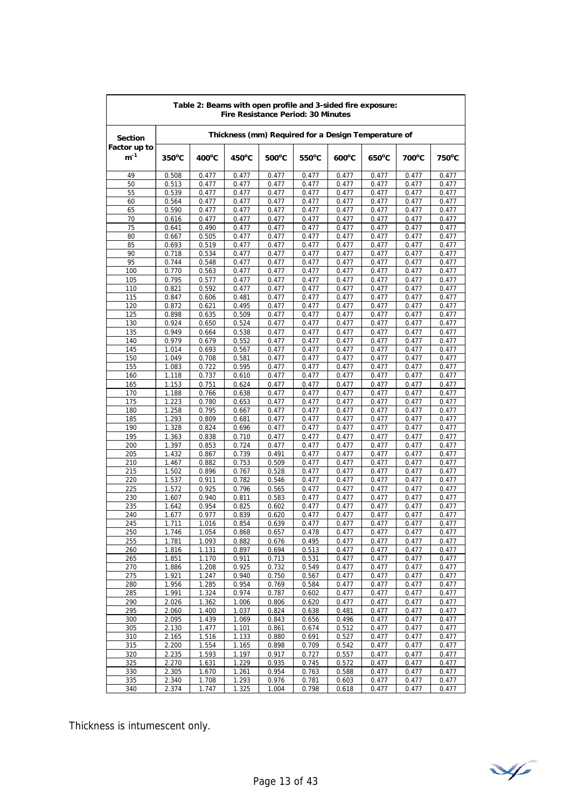|                          | Table 2: Beams with open profile and 3-sided fire exposure:<br><b>Fire Resistance Period: 30 Minutes</b> |                 |                 |                |                 |                 |                 |                 |                 |
|--------------------------|----------------------------------------------------------------------------------------------------------|-----------------|-----------------|----------------|-----------------|-----------------|-----------------|-----------------|-----------------|
| <b>Section</b>           | Thickness (mm) Required for a Design Temperature of                                                      |                 |                 |                |                 |                 |                 |                 |                 |
| Factor up to<br>$m^{-1}$ | $350^{\circ}$ C                                                                                          | $400^{\circ}$ C | $450^{\circ}$ C | 500°C          | $550^{\circ}$ C | $600^{\circ}$ C | $650^{\circ}$ C | $700^{\circ}$ C | $750^{\circ}$ C |
| 49                       | 0.508                                                                                                    | 0.477           | 0.477           | 0.477          | 0.477           | 0.477           | 0.477           | 0.477           | 0.477           |
| 50                       | 0.513                                                                                                    | 0.477           | 0.477           | 0.477          | 0.477           | 0.477           | 0.477           | 0.477           | 0.477           |
| 55                       | 0.539                                                                                                    | 0.477           | 0.477           | 0.477          | 0.477           | 0.477           | 0.477           | 0.477           | 0.477           |
| 60                       | 0.564                                                                                                    | 0.477           | 0.477           | 0.477          | 0.477           | 0.477           | 0.477           | 0.477           | 0.477           |
| 65                       | 0.590                                                                                                    | 0.477           | 0.477           | 0.477          | 0.477           | 0.477           | 0.477           | 0.477           | 0.477           |
| 70<br>75                 | 0.616                                                                                                    | 0.477<br>0.490  | 0.477<br>0.477  | 0.477<br>0.477 | 0.477<br>0.477  | 0.477<br>0.477  | 0.477<br>0.477  | 0.477<br>0.477  | 0.477<br>0.477  |
| 80                       | 0.641<br>0.667                                                                                           | 0.505           | 0.477           | 0.477          | 0.477           | 0.477           | 0.477           | 0.477           | 0.477           |
| 85                       | 0.693                                                                                                    | 0.519           | 0.477           | 0.477          | 0.477           | 0.477           | 0.477           | 0.477           | 0.477           |
| 90                       | 0.718                                                                                                    | 0.534           | 0.477           | 0.477          | 0.477           | 0.477           | 0.477           | 0.477           | 0.477           |
| 95                       | 0.744                                                                                                    | 0.548           | 0.477           | 0.477          | 0.477           | 0.477           | 0.477           | 0.477           | 0.477           |
| 100                      | 0.770                                                                                                    | 0.563           | 0.477           | 0.477          | 0.477           | 0.477           | 0.477           | 0.477           | 0.477           |
| 105                      | 0.795                                                                                                    | 0.577           | 0.477           | 0.477          | 0.477           | 0.477           | 0.477           | 0.477           | 0.477           |
| 110                      | 0.821                                                                                                    | 0.592           | 0.477           | 0.477          | 0.477           | 0.477           | 0.477           | 0.477           | 0.477           |
| 115                      | 0.847                                                                                                    | 0.606           | 0.481           | 0.477          | 0.477           | 0.477           | 0.477           | 0.477           | 0.477           |
| 120                      | 0.872                                                                                                    | 0.621           | 0.495           | 0.477          | 0.477           | 0.477           | 0.477           | 0.477           | 0.477           |
| 125                      | 0.898                                                                                                    | 0.635           | 0.509           | 0.477          | 0.477           | 0.477           | 0.477           | 0.477           | 0.477           |
| 130                      | 0.924                                                                                                    | 0.650           | 0.524           | 0.477          | 0.477           | 0.477           | 0.477           | 0.477           | 0.477           |
| 135                      | 0.949                                                                                                    | 0.664           | 0.538           | 0.477          | 0.477           | 0.477           | 0.477           | 0.477           | 0.477           |
| 140<br>145               | 0.979<br>1.014                                                                                           | 0.679<br>0.693  | 0.552<br>0.567  | 0.477<br>0.477 | 0.477<br>0.477  | 0.477<br>0.477  | 0.477<br>0.477  | 0.477<br>0.477  | 0.477<br>0.477  |
| 150                      | 1.049                                                                                                    | 0.708           | 0.581           | 0.477          | 0.477           | 0.477           | 0.477           | 0.477           | 0.477           |
| 155                      | 1.083                                                                                                    | 0.722           | 0.595           | 0.477          | 0.477           | 0.477           | 0.477           | 0.477           | 0.477           |
| 160                      | 1.118                                                                                                    | 0.737           | 0.610           | 0.477          | 0.477           | 0.477           | 0.477           | 0.477           | 0.477           |
| 165                      | 1.153                                                                                                    | 0.751           | 0.624           | 0.477          | 0.477           | 0.477           | 0.477           | 0.477           | 0.477           |
| 170                      | 1.188                                                                                                    | 0.766           | 0.638           | 0.477          | 0.477           | 0.477           | 0.477           | 0.477           | 0.477           |
| 175                      | 1.223                                                                                                    | 0.780           | 0.653           | 0.477          | 0.477           | 0.477           | 0.477           | 0.477           | 0.477           |
| 180                      | 1.258                                                                                                    | 0.795           | 0.667           | 0.477          | 0.477           | 0.477           | 0.477           | 0.477           | 0.477           |
| 185                      | 1.293                                                                                                    | 0.809           | 0.681           | 0.477          | 0.477           | 0.477           | 0.477           | 0.477           | 0.477           |
| 190                      | 1.328                                                                                                    | 0.824           | 0.696           | 0.477          | 0.477           | 0.477           | 0.477           | 0.477           | 0.477           |
| 195                      | 1.363                                                                                                    | 0.838           | 0.710           | 0.477          | 0.477           | 0.477           | 0.477           | 0.477           | 0.477           |
| 200                      | 1.397                                                                                                    | 0.853           | 0.724           | 0.477          | 0.477           | 0.477           | 0.477           | 0.477           | 0.477           |
| 205                      | 1.432                                                                                                    | 0.867           | 0.739           | 0.491          | 0.477           | 0.477           | 0.477           | 0.477           | 0.477           |
| 210<br>215               | 1.467<br>1.502                                                                                           | 0.882<br>0.896  | 0.753<br>0.767  | 0.509<br>0.528 | 0.477<br>0.477  | 0.477<br>0.477  | 0.477<br>0.477  | 0.477<br>0.477  | 0.477<br>0.477  |
| 220                      | 1.537                                                                                                    | 0.911           | 0.782           | 0.546          | 0.477           | 0.477           | 0.477           | 0.477           | 0.477           |
| 225                      | 1.572                                                                                                    | 0.925           | 0.796           | 0.565          | 0.477           | 0.477           | 0.477           | 0.477           | 0.477           |
| 230                      | 1.607                                                                                                    | 0.940           | 0.811           | 0.583          | 0.477           | 0.477           | 0.477           | 0.477           | 0.477           |
| 235                      | 1.642                                                                                                    | 0.954           | 0.825           | 0.602          | 0.477           | 0.477           | 0.477           | 0.477           | 0.477           |
| 240                      | 1.677                                                                                                    | 0.977           | 0.839           | 0.620          | 0.477           | 0.477           | 0.477           | 0.477           | 0.477           |
| 245                      | 1.711                                                                                                    | 1.016           | 0.854           | 0.639          | 0.477           | 0.477           | 0.477           | 0.477           | 0.477           |
| 250                      | 1.746                                                                                                    | 1.054           | 0.868           | 0.657          | 0.478           | 0.477           | 0.477           | 0.477           | 0.477           |
| 255                      | 1.781                                                                                                    | 1.093           | 0.882           | 0.676          | 0.495           | 0.477           | 0.477           | 0.477           | 0.477           |
| 260                      | 1.816                                                                                                    | 1.131           | 0.897           | 0.694          | 0.513           | 0.477           | 0.477           | 0.477           | 0.477           |
| 265                      | 1.851                                                                                                    | 1.170           | 0.911           | 0.713          | 0.531           | 0.477           | 0.477           | 0.477           | 0.477           |
| 270                      | 1.886                                                                                                    | 1.208           | 0.925           | 0.732          | 0.549           | 0.477           | 0.477           | 0.477           | 0.477           |
| 275<br>280               | 1.921<br>1.956                                                                                           | 1.247<br>1.285  | 0.940<br>0.954  | 0.750<br>0.769 | 0.567<br>0.584  | 0.477<br>0.477  | 0.477<br>0.477  | 0.477<br>0.477  | 0.477<br>0.477  |
| 285                      | 1.991                                                                                                    | 1.324           | 0.974           | 0.787          | 0.602           | 0.477           | 0.477           | 0.477           | 0.477           |
| 290                      | 2.026                                                                                                    | 1.362           | 1.006           | 0.806          | 0.620           | 0.477           | 0.477           | 0.477           | 0.477           |
| 295                      | 2.060                                                                                                    | 1.400           | 1.037           | 0.824          | 0.638           | 0.481           | 0.477           | 0.477           | 0.477           |
| 300                      | 2.095                                                                                                    | 1.439           | 1.069           | 0.843          | 0.656           | 0.496           | 0.477           | 0.477           | 0.477           |
| 305                      | 2.130                                                                                                    | 1.477           | 1.101           | 0.861          | 0.674           | 0.512           | 0.477           | 0.477           | 0.477           |
| 310                      | 2.165                                                                                                    | 1.516           | 1.133           | 0.880          | 0.691           | 0.527           | 0.477           | 0.477           | 0.477           |
| 315                      | 2.200                                                                                                    | 1.554           | 1.165           | 0.898          | 0.709           | 0.542           | 0.477           | 0.477           | 0.477           |
| 320                      | 2.235                                                                                                    | 1.593           | 1.197           | 0.917          | 0.727           | 0.557           | 0.477           | 0.477           | 0.477           |
| 325                      | 2.270                                                                                                    | 1.631           | 1.229           | 0.935          | 0.745           | 0.572           | 0.477           | 0.477           | 0.477           |
| 330                      | 2.305                                                                                                    | 1.670           | 1.261           | 0.954          | 0.763           | 0.588           | 0.477           | 0.477           | 0.477           |
| 335                      | 2.340                                                                                                    | 1.708           | 1.293           | 0.976          | 0.781           | 0.603           | 0.477           | 0.477           | 0.477           |
| 340                      | 2.374                                                                                                    | 1.747           | 1.325           | 1.004          | 0.798           | 0.618           | 0.477           | 0.477           | 0.477           |

$$
\mathcal{A}_{\ell}
$$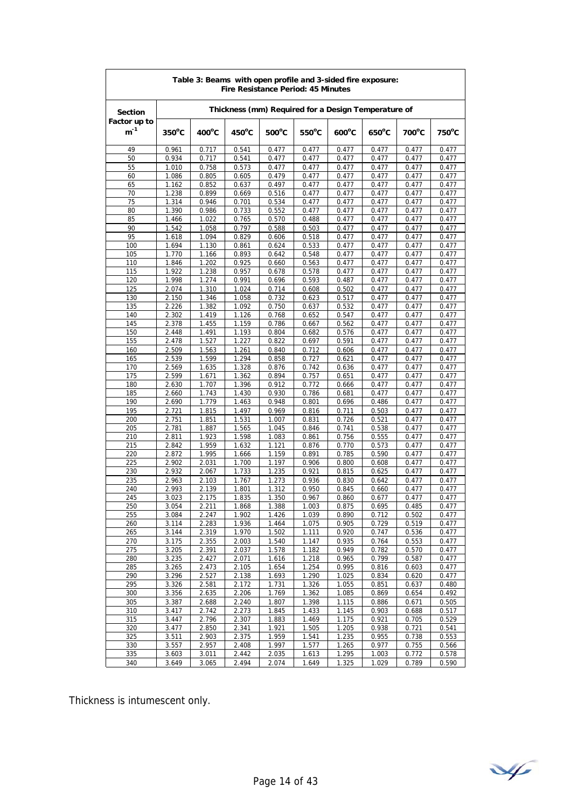| Table 3: Beams with open profile and 3-sided fire exposure:<br><b>Fire Resistance Period: 45 Minutes</b> |                 |                                                     |                |                 |                 |                 |                 |                |                 |
|----------------------------------------------------------------------------------------------------------|-----------------|-----------------------------------------------------|----------------|-----------------|-----------------|-----------------|-----------------|----------------|-----------------|
| <b>Section</b>                                                                                           |                 | Thickness (mm) Required for a Design Temperature of |                |                 |                 |                 |                 |                |                 |
| Factor up to<br>$m^{-1}$                                                                                 | $350^{\circ}$ C | $400^{\circ}$ C                                     | 450°C          | $500^{\circ}$ C | $550^{\circ}$ C | $600^{\circ}$ C | $650^{\circ}$ C | 700°C          | $750^{\circ}$ C |
| 49                                                                                                       | 0.961           | 0.717                                               | 0.541          | 0.477           | 0.477           | 0.477           | 0.477           | 0.477          | 0.477           |
| 50                                                                                                       | 0.934           | 0.717                                               | 0.541          | 0.477           | 0.477           | 0.477           | 0.477           | 0.477          | 0.477           |
| 55<br>60                                                                                                 | 1.010<br>1.086  | 0.758<br>0.805                                      | 0.573<br>0.605 | 0.477<br>0.479  | 0.477<br>0.477  | 0.477<br>0.477  | 0.477<br>0.477  | 0.477<br>0.477 | 0.477<br>0.477  |
| 65                                                                                                       | 1.162           | 0.852                                               | 0.637          | 0.497           | 0.477           | 0.477           | 0.477           | 0.477          | 0.477           |
| 70                                                                                                       | 1.238           | 0.899                                               | 0.669          | 0.516           | 0.477           | 0.477           | 0.477           | 0.477          | 0.477           |
| 75                                                                                                       | 1.314           | 0.946                                               | 0.701          | 0.534           | 0.477           | 0.477           | 0.477           | 0.477          | 0.477           |
| 80                                                                                                       | 1.390           | 0.986                                               | 0.733          | 0.552           | 0.477           | 0.477           | 0.477           | 0.477          | 0.477           |
| 85<br>90                                                                                                 | 1.466<br>1.542  | 1.022<br>1.058                                      | 0.765<br>0.797 | 0.570<br>0.588  | 0.488<br>0.503  | 0.477<br>0.477  | 0.477<br>0.477  | 0.477<br>0.477 | 0.477<br>0.477  |
| 95                                                                                                       | 1.618           | 1.094                                               | 0.829          | 0.606           | 0.518           | 0.477           | 0.477           | 0.477          | 0.477           |
| 100                                                                                                      | 1.694           | 1.130                                               | 0.861          | 0.624           | 0.533           | 0.477           | 0.477           | 0.477          | 0.477           |
| 105                                                                                                      | 1.770           | 1.166                                               | 0.893          | 0.642           | 0.548           | 0.477           | 0.477           | 0.477          | 0.477           |
| 110                                                                                                      | 1.846           | 1.202                                               | 0.925          | 0.660           | 0.563           | 0.477           | 0.477           | 0.477          | 0.477           |
| 115                                                                                                      | 1.922           | 1.238                                               | 0.957          | 0.678           | 0.578           | 0.477           | 0.477           | 0.477          | 0.477           |
| 120<br>125                                                                                               | 1.998<br>2.074  | 1.274<br>1.310                                      | 0.991<br>1.024 | 0.696<br>0.714  | 0.593<br>0.608  | 0.487<br>0.502  | 0.477<br>0.477  | 0.477<br>0.477 | 0.477<br>0.477  |
| 130                                                                                                      | 2.150           | 1.346                                               | 1.058          | 0.732           | 0.623           | 0.517           | 0.477           | 0.477          | 0.477           |
| 135                                                                                                      | 2.226           | 1.382                                               | 1.092          | 0.750           | 0.637           | 0.532           | 0.477           | 0.477          | 0.477           |
| 140                                                                                                      | 2.302           | 1.419                                               | 1.126          | 0.768           | 0.652           | 0.547           | 0.477           | 0.477          | 0.477           |
| 145                                                                                                      | 2.378           | 1.455                                               | 1.159          | 0.786           | 0.667           | 0.562           | 0.477           | 0.477          | 0.477           |
| 150                                                                                                      | 2.448           | 1.491                                               | 1.193          | 0.804           | 0.682           | 0.576           | 0.477           | 0.477          | 0.477           |
| 155                                                                                                      | 2.478           | 1.527                                               | 1.227          | 0.822           | 0.697           | 0.591           | 0.477           | 0.477          | 0.477           |
| 160<br>165                                                                                               | 2.509<br>2.539  | 1.563<br>1.599                                      | 1.261<br>1.294 | 0.840<br>0.858  | 0.712<br>0.727  | 0.606<br>0.621  | 0.477<br>0.477  | 0.477<br>0.477 | 0.477<br>0.477  |
| 170                                                                                                      | 2.569           | 1.635                                               | 1.328          | 0.876           | 0.742           | 0.636           | 0.477           | 0.477          | 0.477           |
| 175                                                                                                      | 2.599           | 1.671                                               | 1.362          | 0.894           | 0.757           | 0.651           | 0.477           | 0.477          | 0.477           |
| 180                                                                                                      | 2.630           | 1.707                                               | 1.396          | 0.912           | 0.772           | 0.666           | 0.477           | 0.477          | 0.477           |
| 185                                                                                                      | 2.660           | 1.743                                               | 1.430          | 0.930           | 0.786           | 0.681           | 0.477           | 0.477          | 0.477           |
| 190                                                                                                      | 2.690           | 1.779                                               | 1.463          | 0.948           | 0.801           | 0.696           | 0.486           | 0.477          | 0.477           |
| 195<br>200                                                                                               | 2.721<br>2.751  | 1.815<br>1.851                                      | 1.497<br>1.531 | 0.969<br>1.007  | 0.816<br>0.831  | 0.711<br>0.726  | 0.503<br>0.521  | 0.477<br>0.477 | 0.477<br>0.477  |
| 205                                                                                                      | 2.781           | 1.887                                               | 1.565          | 1.045           | 0.846           | 0.741           | 0.538           | 0.477          | 0.477           |
| 210                                                                                                      | 2.811           | 1.923                                               | 1.598          | 1.083           | 0.861           | 0.756           | 0.555           | 0.477          | 0.477           |
| 215                                                                                                      | 2.842           | 1.959                                               | 1.632          | 1.121           | 0.876           | 0.770           | 0.573           | 0.477          | 0.477           |
| 220                                                                                                      | 2.872           | 1.995                                               | 1.666          | 1.159           | 0.891           | 0.785           | 0.590           | 0.477          | 0.477           |
| 225                                                                                                      | 2.902           | 2.031                                               | 1.700          | 1.197           | 0.906           | 0.800           | 0.608           | 0.477          | 0.477           |
| 230<br>235                                                                                               | 2.932<br>2.963  | 2.067<br>2.103                                      | 1.733<br>1.767 | 1.235<br>1.273  | 0.921<br>0.936  | 0.815<br>0.830  | 0.625<br>0.642  | 0.477<br>0.477 | 0.477<br>0.477  |
| 240                                                                                                      | 2.993           | 2.139                                               | 1.801          | 1.312           | 0.950           | 0.845           | 0.660           | 0.477          | 0.477           |
| 245                                                                                                      | 3.023           | 2.175                                               | 1.835          | 1.350           | 0.967           | 0.860           | 0.677           | 0.477          | 0.477           |
| 250                                                                                                      | 3.054           | 2.211                                               | 1.868          | 1.388           | 1.003           | 0.875           | 0.695           | 0.485          | 0.477           |
| 255                                                                                                      | 3.084           | 2.247                                               | 1.902          | 1.426           | 1.039           | 0.890           | 0.712           | 0.502          | 0.477           |
| 260                                                                                                      | 3.114           | 2.283                                               | 1.936          | 1.464           | 1.075           | 0.905           | 0.729           | 0.519          | 0.477           |
| 265<br>270                                                                                               | 3.144<br>3.175  | 2.319<br>2.355                                      | 1.970<br>2.003 | 1.502<br>1.540  | 1.111<br>1.147  | 0.920<br>0.935  | 0.747<br>0.764  | 0.536<br>0.553 | 0.477<br>0.477  |
| 275                                                                                                      | 3.205           | 2.391                                               | 2.037          | 1.578           | 1.182           | 0.949           | 0.782           | 0.570          | 0.477           |
| 280                                                                                                      | 3.235           | 2.427                                               | 2.071          | 1.616           | 1.218           | 0.965           | 0.799           | 0.587          | 0.477           |
| 285                                                                                                      | 3.265           | 2.473                                               | 2.105          | 1.654           | 1.254           | 0.995           | 0.816           | 0.603          | 0.477           |
| 290                                                                                                      | 3.296           | 2.527                                               | 2.138          | 1.693           | 1.290           | 1.025           | 0.834           | 0.620          | 0.477           |
| 295                                                                                                      | 3.326           | 2.581                                               | 2.172          | 1.731           | 1.326           | 1.055           | 0.851           | 0.637          | 0.480           |
| 300<br>305                                                                                               | 3.356<br>3.387  | 2.635<br>2.688                                      | 2.206<br>2.240 | 1.769<br>1.807  | 1.362<br>1.398  | 1.085<br>1.115  | 0.869<br>0.886  | 0.654<br>0.671 | 0.492<br>0.505  |
| 310                                                                                                      | 3.417           | 2.742                                               | 2.273          | 1.845           | 1.433           | 1.145           | 0.903           | 0.688          | 0.517           |
| 315                                                                                                      | 3.447           | 2.796                                               | 2.307          | 1.883           | 1.469           | 1.175           | 0.921           | 0.705          | 0.529           |
| 320                                                                                                      | 3.477           | 2.850                                               | 2.341          | 1.921           | 1.505           | 1.205           | 0.938           | 0.721          | 0.541           |
| 325                                                                                                      | 3.511           | 2.903                                               | 2.375          | 1.959           | 1.541           | 1.235           | 0.955           | 0.738          | 0.553           |
| 330                                                                                                      | 3.557           | 2.957                                               | 2.408          | 1.997           | 1.577           | 1.265           | 0.977           | 0.755          | 0.566           |
| 335                                                                                                      | 3.603           | 3.011                                               | 2.442          | 2.035           | 1.613           | 1.295           | 1.003           | 0.772          | 0.578           |
| 340                                                                                                      | 3.649           | 3.065                                               | 2.494          | 2.074           | 1.649           | 1.325           | 1.029           | 0.789          | 0.590           |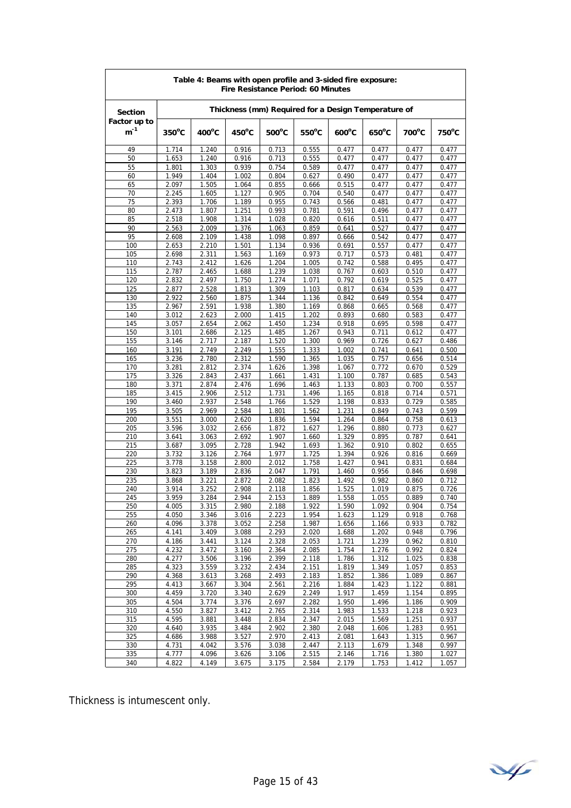| Table 4: Beams with open profile and 3-sided fire exposure:<br>Fire Resistance Period: 60 Minutes |                 |                                                     |                 |                 |                 |                 |                 |                |                |
|---------------------------------------------------------------------------------------------------|-----------------|-----------------------------------------------------|-----------------|-----------------|-----------------|-----------------|-----------------|----------------|----------------|
| <b>Section</b>                                                                                    |                 | Thickness (mm) Required for a Design Temperature of |                 |                 |                 |                 |                 |                |                |
| Factor up to<br>$m^{-1}$                                                                          | $350^{\circ}$ C | 400°C                                               | $450^{\circ}$ C | $500^{\circ}$ C | $550^{\circ}$ C | $600^{\circ}$ C | $650^{\circ}$ C | 700°C          | 750°C          |
| 49                                                                                                | 1.714           | 1.240                                               | 0.916           | 0.713           | 0.555           | 0.477           | 0.477           | 0.477          | 0.477          |
| 50                                                                                                | 1.653           | 1.240                                               | 0.916           | 0.713           | 0.555           | 0.477           | 0.477           | 0.477          | 0.477          |
| 55                                                                                                | 1.801           | 1.303                                               | 0.939           | 0.754           | 0.589           | 0.477           | 0.477           | 0.477          | 0.477          |
| 60<br>65                                                                                          | 1.949<br>2.097  | 1.404<br>1.505                                      | 1.002           | 0.804           | 0.627           | 0.490           | 0.477           | 0.477<br>0.477 | 0.477          |
| 70                                                                                                | 2.245           | 1.605                                               | 1.064<br>1.127  | 0.855<br>0.905  | 0.666<br>0.704  | 0.515<br>0.540  | 0.477<br>0.477  | 0.477          | 0.477<br>0.477 |
| 75                                                                                                | 2.393           | 1.706                                               | 1.189           | 0.955           | 0.743           | 0.566           | 0.481           | 0.477          | 0.477          |
| 80                                                                                                | 2.473           | 1.807                                               | 1.251           | 0.993           | 0.781           | 0.591           | 0.496           | 0.477          | 0.477          |
| 85                                                                                                | 2.518           | 1.908                                               | 1.314           | 1.028           | 0.820           | 0.616           | 0.511           | 0.477          | 0.477          |
| 90                                                                                                | 2.563           | 2.009                                               | 1.376           | 1.063           | 0.859           | 0.641           | 0.527           | 0.477          | 0.477          |
| 95                                                                                                | 2.608           | 2.109                                               | 1.438           | 1.098           | 0.897           | 0.666           | 0.542           | 0.477          | 0.477          |
| 100                                                                                               | 2.653           | 2.210                                               | 1.501           | 1.134           | 0.936           | 0.691           | 0.557           | 0.477          | 0.477          |
| 105<br>110                                                                                        | 2.698<br>2.743  | 2.311<br>2.412                                      | 1.563<br>1.626  | 1.169<br>1.204  | 0.973<br>1.005  | 0.717<br>0.742  | 0.573<br>0.588  | 0.481<br>0.495 | 0.477<br>0.477 |
| 115                                                                                               | 2.787           | 2.465                                               | 1.688           | 1.239           | 1.038           | 0.767           | 0.603           | 0.510          | 0.477          |
| 120                                                                                               | 2.832           | 2.497                                               | 1.750           | 1.274           | 1.071           | 0.792           | 0.619           | 0.525          | 0.477          |
| 125                                                                                               | 2.877           | 2.528                                               | 1.813           | 1.309           | 1.103           | 0.817           | 0.634           | 0.539          | 0.477          |
| 130                                                                                               | 2.922           | 2.560                                               | 1.875           | 1.344           | 1.136           | 0.842           | 0.649           | 0.554          | 0.477          |
| 135                                                                                               | 2.967           | 2.591                                               | 1.938           | 1.380           | 1.169           | 0.868           | 0.665           | 0.568          | 0.477          |
| 140                                                                                               | 3.012           | 2.623                                               | 2.000           | 1.415           | 1.202           | 0.893           | 0.680           | 0.583          | 0.477          |
| 145                                                                                               | 3.057           | 2.654                                               | 2.062           | 1.450           | 1.234           | 0.918           | 0.695           | 0.598          | 0.477          |
| 150<br>155                                                                                        | 3.101<br>3.146  | 2.686<br>2.717                                      | 2.125<br>2.187  | 1.485<br>1.520  | 1.267<br>1.300  | 0.943<br>0.969  | 0.711<br>0.726  | 0.612<br>0.627 | 0.477<br>0.486 |
| 160                                                                                               | 3.191           | 2.749                                               | 2.249           | 1.555           | 1.333           | 1.002           | 0.741           | 0.641          | 0.500          |
| 165                                                                                               | 3.236           | 2.780                                               | 2.312           | 1.590           | 1.365           | 1.035           | 0.757           | 0.656          | 0.514          |
| 170                                                                                               | 3.281           | 2.812                                               | 2.374           | 1.626           | 1.398           | 1.067           | 0.772           | 0.670          | 0.529          |
| 175                                                                                               | 3.326           | 2.843                                               | 2.437           | 1.661           | 1.431           | 1.100           | 0.787           | 0.685          | 0.543          |
| 180                                                                                               | 3.371           | 2.874                                               | 2.476           | 1.696           | 1.463           | 1.133           | 0.803           | 0.700          | 0.557          |
| 185                                                                                               | 3.415           | 2.906                                               | 2.512           | 1.731           | 1.496           | 1.165           | 0.818           | 0.714          | 0.571          |
| 190<br>195                                                                                        | 3.460<br>3.505  | 2.937                                               | 2.548<br>2.584  | 1.766<br>1.801  | 1.529<br>1.562  | 1.198           | 0.833           | 0.729          | 0.585          |
| 200                                                                                               | 3.551           | 2.969<br>3.000                                      | 2.620           | 1.836           | 1.594           | 1.231<br>1.264  | 0.849<br>0.864  | 0.743<br>0.758 | 0.599<br>0.613 |
| 205                                                                                               | 3.596           | 3.032                                               | 2.656           | 1.872           | 1.627           | 1.296           | 0.880           | 0.773          | 0.627          |
| 210                                                                                               | 3.641           | 3.063                                               | 2.692           | 1.907           | 1.660           | 1.329           | 0.895           | 0.787          | 0.641          |
| 215                                                                                               | 3.687           | 3.095                                               | 2.728           | 1.942           | 1.693           | 1.362           | 0.910           | 0.802          | 0.655          |
| 220                                                                                               | 3.732           | 3.126                                               | 2.764           | 1.977           | 1.725           | 1.394           | 0.926           | 0.816          | 0.669          |
| 225                                                                                               | 3.778           | 3.158                                               | 2.800           | 2.012           | 1.758           | 1.427           | 0.941           | 0.831          | 0.684          |
| 230                                                                                               | 3.823           | 3.189                                               | 2.836           | 2.047           | 1.791           | 1.460           | 0.956           | 0.846          | 0.698          |
| 235<br>240                                                                                        | 3.868<br>3.914  | 3.221<br>3.252                                      | 2.872<br>2.908  | 2.082<br>2.118  | 1.823<br>1.856  | 1.492<br>1.525  | 0.982<br>1.019  | 0.860<br>0.875 | 0.712<br>0.726 |
| 245                                                                                               | 3.959           | 3.284                                               | 2.944           | 2.153           | 1.889           | 1.558           | 1.055           | 0.889          | 0.740          |
| 250                                                                                               | 4.005           | 3.315                                               | 2.980           | 2.188           | 1.922           | 1.590           | 1.092           | 0.904          | 0.754          |
| 255                                                                                               | 4.050           | 3.346                                               | 3.016           | 2.223           | 1.954           | 1.623           | 1.129           | 0.918          | 0.768          |
| 260                                                                                               | 4.096           | 3.378                                               | 3.052           | 2.258           | 1.987           | 1.656           | 1.166           | 0.933          | 0.782          |
| 265                                                                                               | 4.141           | 3.409                                               | 3.088           | 2.293           | 2.020           | 1.688           | 1.202           | 0.948          | 0.796          |
| 270                                                                                               | 4.186           | 3.441                                               | 3.124           | 2.328           | 2.053           | 1.721           | 1.239           | 0.962          | 0.810          |
| 275<br>280                                                                                        | 4.232<br>4.277  | 3.472<br>3.506                                      | 3.160<br>3.196  | 2.364<br>2.399  | 2.085<br>2.118  | 1.754<br>1.786  | 1.276<br>1.312  | 0.992<br>1.025 | 0.824<br>0.838 |
| 285                                                                                               | 4.323           | 3.559                                               | 3.232           | 2.434           | 2.151           | 1.819           | 1.349           | 1.057          | 0.853          |
| 290                                                                                               | 4.368           | 3.613                                               | 3.268           | 2.493           | 2.183           | 1.852           | 1.386           | 1.089          | 0.867          |
| 295                                                                                               | 4.413           | 3.667                                               | 3.304           | 2.561           | 2.216           | 1.884           | 1.423           | 1.122          | 0.881          |
| 300                                                                                               | 4.459           | 3.720                                               | 3.340           | 2.629           | 2.249           | 1.917           | 1.459           | 1.154          | 0.895          |
| 305                                                                                               | 4.504           | 3.774                                               | 3.376           | 2.697           | 2.282           | 1.950           | 1.496           | 1.186          | 0.909          |
| 310                                                                                               | 4.550           | 3.827                                               | 3.412           | 2.765           | 2.314           | 1.983           | 1.533           | 1.218          | 0.923          |
| 315                                                                                               | 4.595           | 3.881                                               | 3.448           | 2.834           | 2.347           | 2.015           | 1.569           | 1.251          | 0.937          |
| 320<br>325                                                                                        | 4.640<br>4.686  | 3.935<br>3.988                                      | 3.484<br>3.527  | 2.902<br>2.970  | 2.380<br>2.413  | 2.048<br>2.081  | 1.606<br>1.643  | 1.283<br>1.315 | 0.951<br>0.967 |
| 330                                                                                               | 4.731           | 4.042                                               | 3.576           | 3.038           | 2.447           | 2.113           | 1.679           | 1.348          | 0.997          |
| 335                                                                                               | 4.777           | 4.096                                               | 3.626           | 3.106           | 2.515           | 2.146           | 1.716           | 1.380          | 1.027          |
| 340                                                                                               | 4.822           | 4.149                                               | 3.675           | 3.175           | 2.584           | 2.179           | 1.753           | 1.412          | 1.057          |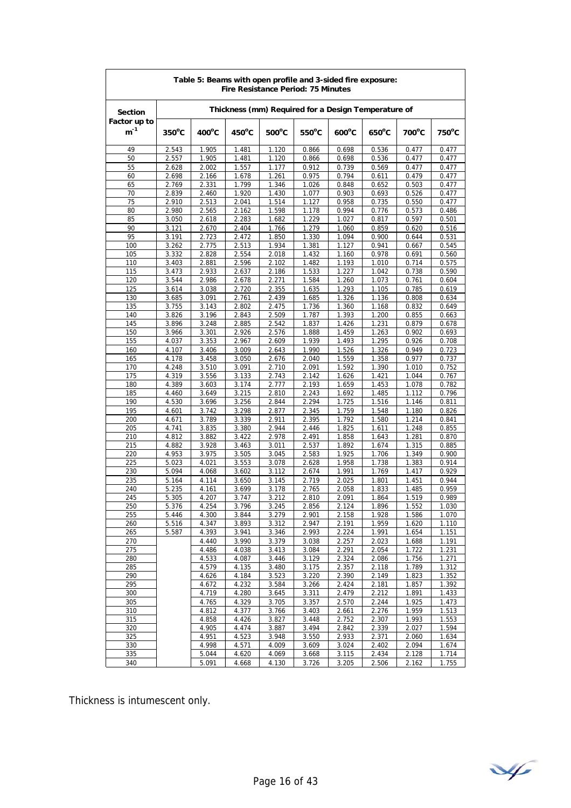| Table 5: Beams with open profile and 3-sided fire exposure:<br>Fire Resistance Period: 75 Minutes |                 |                 |                 |                 |                 |                                                     |                 |                |                |  |  |
|---------------------------------------------------------------------------------------------------|-----------------|-----------------|-----------------|-----------------|-----------------|-----------------------------------------------------|-----------------|----------------|----------------|--|--|
| <b>Section</b>                                                                                    |                 |                 |                 |                 |                 | Thickness (mm) Required for a Design Temperature of |                 |                |                |  |  |
| Factor up to<br>$m^{-1}$                                                                          | $350^{\circ}$ C | $400^{\circ}$ C | $450^{\circ}$ C | $500^{\circ}$ C | $550^{\circ}$ C | $600^{\circ}$ C                                     | $650^{\circ}$ C | 700°C          | 750°C          |  |  |
| 49                                                                                                | 2.543           | 1.905           | 1.481           | 1.120           | 0.866           | 0.698                                               | 0.536           | 0.477          | 0.477          |  |  |
| 50                                                                                                | 2.557           | 1.905           | 1.481           | 1.120           | 0.866           | 0.698                                               | 0.536           | 0.477          | 0.477          |  |  |
| 55                                                                                                | 2.628           | 2.002           | 1.557           | 1.177           | 0.912           | 0.739                                               | 0.569           | 0.477          | 0.477          |  |  |
| 60<br>65                                                                                          | 2.698<br>2.769  | 2.166<br>2.331  | 1.678<br>1.799  | 1.261<br>1.346  | 0.975<br>1.026  | 0.794<br>0.848                                      | 0.611<br>0.652  | 0.479<br>0.503 | 0.477<br>0.477 |  |  |
| 70                                                                                                | 2.839           | 2.460           | 1.920           | 1.430           | 1.077           | 0.903                                               | 0.693           | 0.526          | 0.477          |  |  |
| 75                                                                                                | 2.910           | 2.513           | 2.041           | 1.514           | 1.127           | 0.958                                               | 0.735           | 0.550          | 0.477          |  |  |
| 80                                                                                                | 2.980           | 2.565           | 2.162           | 1.598           | 1.178           | 0.994                                               | 0.776           | 0.573          | 0.486          |  |  |
| 85                                                                                                | 3.050           | 2.618           | 2.283           | 1.682           | 1.229           | 1.027                                               | 0.817           | 0.597          | 0.501          |  |  |
| 90                                                                                                | 3.121           | 2.670           | 2.404           | 1.766           | 1.279           | 1.060                                               | 0.859           | 0.620          | 0.516          |  |  |
| 95<br>100                                                                                         | 3.191<br>3.262  | 2.723<br>2.775  | 2.472<br>2.513  | 1.850<br>1.934  | 1.330<br>1.381  | 1.094<br>1.127                                      | 0.900<br>0.941  | 0.644<br>0.667 | 0.531<br>0.545 |  |  |
| 105                                                                                               | 3.332           | 2.828           | 2.554           | 2.018           | 1.432           | 1.160                                               | 0.978           | 0.691          | 0.560          |  |  |
| 110                                                                                               | 3.403           | 2.881           | 2.596           | 2.102           | 1.482           | 1.193                                               | 1.010           | 0.714          | 0.575          |  |  |
| 115                                                                                               | 3.473           | 2.933           | 2.637           | 2.186           | 1.533           | 1.227                                               | 1.042           | 0.738          | 0.590          |  |  |
| 120                                                                                               | 3.544           | 2.986           | 2.678           | 2.271           | 1.584           | 1.260                                               | 1.073           | 0.761          | 0.604          |  |  |
| 125                                                                                               | 3.614           | 3.038           | 2.720           | 2.355           | 1.635           | 1.293                                               | 1.105           | 0.785          | 0.619          |  |  |
| 130<br>135                                                                                        | 3.685           | 3.091           | 2.761           | 2.439           | 1.685           | 1.326                                               | 1.136           | 0.808          | 0.634          |  |  |
| 140                                                                                               | 3.755<br>3.826  | 3.143<br>3.196  | 2.802<br>2.843  | 2.475<br>2.509  | 1.736<br>1.787  | 1.360<br>1.393                                      | 1.168<br>1.200  | 0.832<br>0.855 | 0.649<br>0.663 |  |  |
| 145                                                                                               | 3.896           | 3.248           | 2.885           | 2.542           | 1.837           | 1.426                                               | 1.231           | 0.879          | 0.678          |  |  |
| 150                                                                                               | 3.966           | 3.301           | 2.926           | 2.576           | 1.888           | 1.459                                               | 1.263           | 0.902          | 0.693          |  |  |
| 155                                                                                               | 4.037           | 3.353           | 2.967           | 2.609           | 1.939           | 1.493                                               | 1.295           | 0.926          | 0.708          |  |  |
| 160                                                                                               | 4.107           | 3.406           | 3.009           | 2.643           | 1.990           | 1.526                                               | 1.326           | 0.949          | 0.723          |  |  |
| 165                                                                                               | 4.178           | 3.458           | 3.050           | 2.676           | 2.040           | 1.559                                               | 1.358           | 0.977          | 0.737          |  |  |
| 170                                                                                               | 4.248           | 3.510           | 3.091           | 2.710           | 2.091           | 1.592                                               | 1.390           | 1.010          | 0.752          |  |  |
| 175<br>180                                                                                        | 4.319<br>4.389  | 3.556<br>3.603  | 3.133<br>3.174  | 2.743<br>2.777  | 2.142<br>2.193  | 1.626<br>1.659                                      | 1.421<br>1.453  | 1.044<br>1.078 | 0.767<br>0.782 |  |  |
| 185                                                                                               | 4.460           | 3.649           | 3.215           | 2.810           | 2.243           | 1.692                                               | 1.485           | 1.112          | 0.796          |  |  |
| 190                                                                                               | 4.530           | 3.696           | 3.256           | 2.844           | 2.294           | 1.725                                               | 1.516           | 1.146          | 0.811          |  |  |
| 195                                                                                               | 4.601           | 3.742           | 3.298           | 2.877           | 2.345           | 1.759                                               | 1.548           | 1.180          | 0.826          |  |  |
| 200                                                                                               | 4.671           | 3.789           | 3.339           | 2.911           | 2.395           | 1.792                                               | 1.580           | 1.214          | 0.841          |  |  |
| 205                                                                                               | 4.741           | 3.835           | 3.380           | 2.944           | 2.446           | 1.825                                               | 1.611           | 1.248          | 0.855          |  |  |
| 210<br>215                                                                                        | 4.812<br>4.882  | 3.882<br>3.928  | 3.422<br>3.463  | 2.978<br>3.011  | 2.491<br>2.537  | 1.858<br>1.892                                      | 1.643<br>1.674  | 1.281<br>1.315 | 0.870<br>0.885 |  |  |
| 220                                                                                               | 4.953           | 3.975           | 3.505           | 3.045           | 2.583           | 1.925                                               | 1.706           | 1.349          | 0.900          |  |  |
| 225                                                                                               | 5.023           | 4.021           | 3.553           | 3.078           | 2.628           | 1.958                                               | 1.738           | 1.383          | 0.914          |  |  |
| 230                                                                                               | 5.094           | 4.068           | 3.602           | 3.112           | 2.674           | 1.991                                               | 1.769           | 1.417          | 0.929          |  |  |
| 235                                                                                               | 5.164           | 4.114           | 3.650           | 3.145           | 2.719           | 2.025                                               | 1.801           | 1.451          | 0.944          |  |  |
| 240                                                                                               | 5.235           | 4.161           | 3.699           | 3.178           | 2.765           | 2.058                                               | 1.833           | 1.485          | 0.959          |  |  |
| 245<br>250                                                                                        | 5.305<br>5.376  | 4.207<br>4.254  | 3.747<br>3.796  | 3.212<br>3.245  | 2.810<br>2.856  | 2.091<br>2.124                                      | 1.864<br>1.896  | 1.519<br>1.552 | 0.989<br>1.030 |  |  |
| 255                                                                                               | 5.446           | 4.300           | 3.844           | 3.279           | 2.901           | 2.158                                               | 1.928           | 1.586          | 1.070          |  |  |
| 260                                                                                               | 5.516           | 4.347           | 3.893           | 3.312           | 2.947           | 2.191                                               | 1.959           | 1.620          | 1.110          |  |  |
| 265                                                                                               | 5.587           | 4.393           | 3.941           | 3.346           | 2.993           | 2.224                                               | 1.991           | 1.654          | 1.151          |  |  |
| 270                                                                                               |                 | 4.440           | 3.990           | 3.379           | 3.038           | 2.257                                               | 2.023           | 1.688          | 1.191          |  |  |
| 275                                                                                               |                 | 4.486           | 4.038           | 3.413           | 3.084           | 2.291                                               | 2.054           | 1.722          | 1.231          |  |  |
| 280                                                                                               |                 | 4.533           | 4.087           | 3.446           | 3.129           | 2.324                                               | 2.086           | 1.756          | 1.271          |  |  |
| 285<br>290                                                                                        |                 | 4.579<br>4.626  | 4.135<br>4.184  | 3.480<br>3.523  | 3.175<br>3.220  | 2.357<br>2.390                                      | 2.118<br>2.149  | 1.789<br>1.823 | 1.312<br>1.352 |  |  |
| 295                                                                                               |                 | 4.672           | 4.232           | 3.584           | 3.266           | 2.424                                               | 2.181           | 1.857          | 1.392          |  |  |
| 300                                                                                               |                 | 4.719           | 4.280           | 3.645           | 3.311           | 2.479                                               | 2.212           | 1.891          | 1.433          |  |  |
| 305                                                                                               |                 | 4.765           | 4.329           | 3.705           | 3.357           | 2.570                                               | 2.244           | 1.925          | 1.473          |  |  |
| 310                                                                                               |                 | 4.812           | 4.377           | 3.766           | 3.403           | 2.661                                               | 2.276           | 1.959          | 1.513          |  |  |
| 315                                                                                               |                 | 4.858           | 4.426           | 3.827           | 3.448           | 2.752                                               | 2.307           | 1.993          | 1.553          |  |  |
| 320                                                                                               |                 | 4.905           | 4.474           | 3.887           | 3.494           | 2.842                                               | 2.339           | 2.027          | 1.594          |  |  |
| 325<br>330                                                                                        |                 | 4.951<br>4.998  | 4.523<br>4.571  | 3.948<br>4.009  | 3.550<br>3.609  | 2.933<br>3.024                                      | 2.371<br>2.402  | 2.060<br>2.094 | 1.634<br>1.674 |  |  |
| 335                                                                                               |                 | 5.044           | 4.620           | 4.069           | 3.668           | 3.115                                               | 2.434           | 2.128          | 1.714          |  |  |
| 340                                                                                               |                 | 5.091           | 4.668           | 4.130           | 3.726           | 3.205                                               | 2.506           | 2.162          | 1.755          |  |  |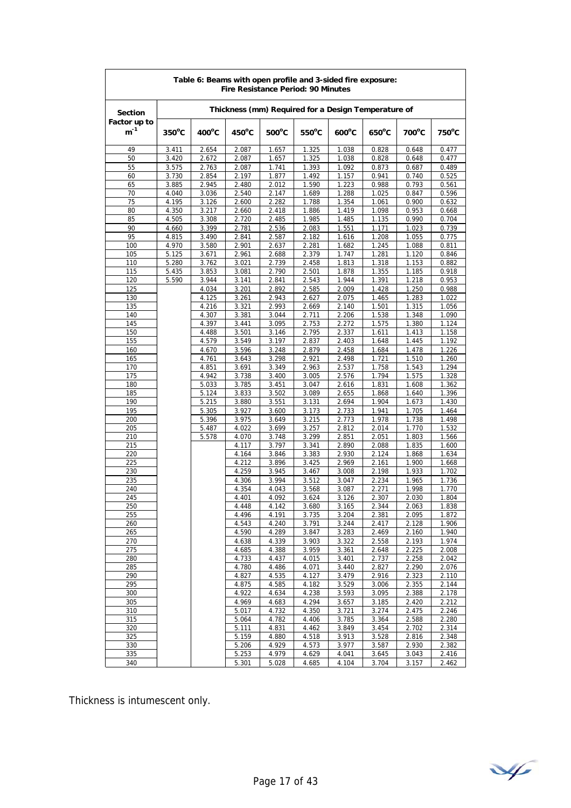| Table 6: Beams with open profile and 3-sided fire exposure:<br>Fire Resistance Period: 90 Minutes |                 |                |                 |                 |                 |                                                     |                 |                |                |  |  |
|---------------------------------------------------------------------------------------------------|-----------------|----------------|-----------------|-----------------|-----------------|-----------------------------------------------------|-----------------|----------------|----------------|--|--|
| <b>Section</b>                                                                                    |                 |                |                 |                 |                 | Thickness (mm) Required for a Design Temperature of |                 |                |                |  |  |
| Factor up to<br>$m^{-1}$                                                                          | $350^{\circ}$ C | 400°C          | $450^{\circ}$ C | $500^{\circ}$ C | $550^{\circ}$ C | $600^{\circ}$ C                                     | $650^{\circ}$ C | 700°C          | 750°C          |  |  |
| 49                                                                                                | 3.411           | 2.654          | 2.087           | 1.657           | 1.325           | 1.038                                               | 0.828           | 0.648          | 0.477          |  |  |
| 50                                                                                                | 3.420           | 2.672          | 2.087           | 1.657           | 1.325           | 1.038                                               | 0.828           | 0.648          | 0.477          |  |  |
| 55                                                                                                | 3.575           | 2.763          | 2.087           | 1.741           | 1.393           | 1.092                                               | 0.873           | 0.687          | 0.489          |  |  |
| 60                                                                                                | 3.730           | 2.854          | 2.197           | 1.877           | 1.492           | 1.157                                               | 0.941           | 0.740          | 0.525          |  |  |
| 65                                                                                                | 3.885           | 2.945          | 2.480           | 2.012           | 1.590           | 1.223                                               | 0.988           | 0.793          | 0.561          |  |  |
| 70<br>75                                                                                          | 4.040<br>4.195  | 3.036<br>3.126 | 2.540<br>2.600  | 2.147<br>2.282  | 1.689<br>1.788  | 1.288<br>1.354                                      | 1.025<br>1.061  | 0.847<br>0.900 | 0.596<br>0.632 |  |  |
| 80                                                                                                | 4.350           | 3.217          | 2.660           | 2.418           | 1.886           | 1.419                                               | 1.098           | 0.953          | 0.668          |  |  |
| 85                                                                                                | 4.505           | 3.308          | 2.720           | 2.485           | 1.985           | 1.485                                               | 1.135           | 0.990          | 0.704          |  |  |
| 90                                                                                                | 4.660           | 3.399          | 2.781           | 2.536           | 2.083           | 1.551                                               | 1.171           | 1.023          | 0.739          |  |  |
| 95                                                                                                | 4.815           | 3.490          | 2.841           | 2.587           | 2.182           | 1.616                                               | 1.208           | 1.055          | 0.775          |  |  |
| 100                                                                                               | 4.970           | 3.580          | 2.901           | 2.637           | 2.281           | 1.682                                               | 1.245           | 1.088          | 0.811          |  |  |
| 105                                                                                               | 5.125           | 3.671          | 2.961           | 2.688           | 2.379           | 1.747                                               | 1.281           | 1.120          | 0.846          |  |  |
| 110                                                                                               | 5.280           | 3.762          | 3.021           | 2.739           | 2.458           | 1.813                                               | 1.318           | 1.153          | 0.882          |  |  |
| 115                                                                                               | 5.435           | 3.853          | 3.081           | 2.790           | 2.501           | 1.878                                               | 1.355           | 1.185          | 0.918          |  |  |
| 120                                                                                               | 5.590           | 3.944          | 3.141           | 2.841           | 2.543           | 1.944                                               | 1.391           | 1.218          | 0.953          |  |  |
| 125                                                                                               |                 | 4.034          | 3.201           | 2.892           | 2.585           | 2.009                                               | 1.428           | 1.250          | 0.988          |  |  |
| 130                                                                                               |                 | 4.125          | 3.261           | 2.943           | 2.627           | 2.075                                               | 1.465           | 1.283          | 1.022          |  |  |
| 135                                                                                               |                 | 4.216          | 3.321           | 2.993           | 2.669           | 2.140                                               | 1.501           | 1.315          | 1.056          |  |  |
| 140<br>145                                                                                        |                 | 4.307<br>4.397 | 3.381<br>3.441  | 3.044<br>3.095  | 2.711<br>2.753  | 2.206<br>2.272                                      | 1.538<br>1.575  | 1.348<br>1.380 | 1.090<br>1.124 |  |  |
| 150                                                                                               |                 | 4.488          | 3.501           | 3.146           | 2.795           | 2.337                                               | 1.611           | 1.413          | 1.158          |  |  |
| 155                                                                                               |                 | 4.579          | 3.549           | 3.197           | 2.837           | 2.403                                               | 1.648           | 1.445          | 1.192          |  |  |
| 160                                                                                               |                 | 4.670          | 3.596           | 3.248           | 2.879           | 2.458                                               | 1.684           | 1.478          | 1.226          |  |  |
| 165                                                                                               |                 | 4.761          | 3.643           | 3.298           | 2.921           | 2.498                                               | 1.721           | 1.510          | 1.260          |  |  |
| 170                                                                                               |                 | 4.851          | 3.691           | 3.349           | 2.963           | 2.537                                               | 1.758           | 1.543          | 1.294          |  |  |
| 175                                                                                               |                 | 4.942          | 3.738           | 3.400           | 3.005           | 2.576                                               | 1.794           | 1.575          | 1.328          |  |  |
| 180                                                                                               |                 | 5.033          | 3.785           | 3.451           | 3.047           | 2.616                                               | 1.831           | 1.608          | 1.362          |  |  |
| 185                                                                                               |                 | 5.124          | 3.833           | 3.502           | 3.089           | 2.655                                               | 1.868           | 1.640          | 1.396          |  |  |
| 190                                                                                               |                 | 5.215          | 3.880           | 3.551           | 3.131           | 2.694                                               | 1.904           | 1.673          | 1.430          |  |  |
| 195                                                                                               |                 | 5.305          | 3.927           | 3.600           | 3.173           | 2.733                                               | 1.941           | 1.705          | 1.464          |  |  |
| 200                                                                                               |                 | 5.396          | 3.975           | 3.649           | 3.215           | 2.773                                               | 1.978           | 1.738          | 1.498          |  |  |
| 205<br>210                                                                                        |                 | 5.487<br>5.578 | 4.022<br>4.070  | 3.699<br>3.748  | 3.257<br>3.299  | 2.812<br>2.851                                      | 2.014<br>2.051  | 1.770<br>1.803 | 1.532<br>1.566 |  |  |
| 215                                                                                               |                 |                | 4.117           | 3.797           | 3.341           | 2.890                                               | 2.088           | 1.835          | 1.600          |  |  |
| 220                                                                                               |                 |                | 4.164           | 3.846           | 3.383           | 2.930                                               | 2.124           | 1.868          | 1.634          |  |  |
| 225                                                                                               |                 |                | 4.212           | 3.896           | 3.425           | 2.969                                               | 2.161           | 1.900          | 1.668          |  |  |
| 230                                                                                               |                 |                | 4.259           | 3.945           | 3.467           | 3.008                                               | 2.198           | 1.933          | 1.702          |  |  |
| 235                                                                                               |                 |                | 4.306           | 3.994           | 3.512           | 3.047                                               | 2.234           | 1.965          | 1.736          |  |  |
| 240                                                                                               |                 |                | 4.354           | 4.043           | 3.568           | 3.087                                               | 2.271           | 1.998          | 1.770          |  |  |
| 245                                                                                               |                 |                | 4.401           | 4.092           | 3.624           | 3.126                                               | 2.307           | 2.030          | 1.804          |  |  |
| 250                                                                                               |                 |                | 4.448           | 4.142           | 3.680           | 3.165                                               | 2.344           | 2.063          | 1.838          |  |  |
| 255                                                                                               |                 |                | 4.496           | 4.191           | 3.735           | 3.204                                               | 2.381           | 2.095          | 1.872          |  |  |
| 260                                                                                               |                 |                | 4.543           | 4.240           | 3.791           | 3.244                                               | 2.417           | 2.128          | 1.906          |  |  |
| 265<br>270                                                                                        |                 |                | 4.590<br>4.638  | 4.289<br>4.339  | 3.847<br>3.903  | 3.283<br>3.322                                      | 2.469<br>2.558  | 2.160<br>2.193 | 1.940<br>1.974 |  |  |
| 275                                                                                               |                 |                | 4.685           | 4.388           | 3.959           | 3.361                                               | 2.648           | 2.225          | 2.008          |  |  |
| 280                                                                                               |                 |                | 4.733           | 4.437           | 4.015           | 3.401                                               | 2.737           | 2.258          | 2.042          |  |  |
| 285                                                                                               |                 |                | 4.780           | 4.486           | 4.071           | 3.440                                               | 2.827           | 2.290          | 2.076          |  |  |
| 290                                                                                               |                 |                | 4.827           | 4.535           | 4.127           | 3.479                                               | 2.916           | 2.323          | 2.110          |  |  |
| 295                                                                                               |                 |                | 4.875           | 4.585           | 4.182           | 3.529                                               | 3.006           | 2.355          | 2.144          |  |  |
| 300                                                                                               |                 |                | 4.922           | 4.634           | 4.238           | 3.593                                               | 3.095           | 2.388          | 2.178          |  |  |
| 305                                                                                               |                 |                | 4.969           | 4.683           | 4.294           | 3.657                                               | 3.185           | 2.420          | 2.212          |  |  |
| 310                                                                                               |                 |                | 5.017           | 4.732           | 4.350           | 3.721                                               | 3.274           | 2.475          | 2.246          |  |  |
| 315                                                                                               |                 |                | 5.064           | 4.782           | 4.406           | 3.785                                               | 3.364           | 2.588          | 2.280          |  |  |
| 320                                                                                               |                 |                | 5.111           | 4.831           | 4.462           | 3.849                                               | 3.454           | 2.702          | 2.314          |  |  |
| 325                                                                                               |                 |                | 5.159           | 4.880           | 4.518           | 3.913                                               | 3.528           | 2.816          | 2.348          |  |  |
| 330<br>335                                                                                        |                 |                | 5.206<br>5.253  | 4.929<br>4.979  | 4.573<br>4.629  | 3.977                                               | 3.587<br>3.645  | 2.930          | 2.382<br>2.416 |  |  |
| 340                                                                                               |                 |                | 5.301           | 5.028           | 4.685           | 4.041<br>4.104                                      | 3.704           | 3.043<br>3.157 | 2.462          |  |  |
|                                                                                                   |                 |                |                 |                 |                 |                                                     |                 |                |                |  |  |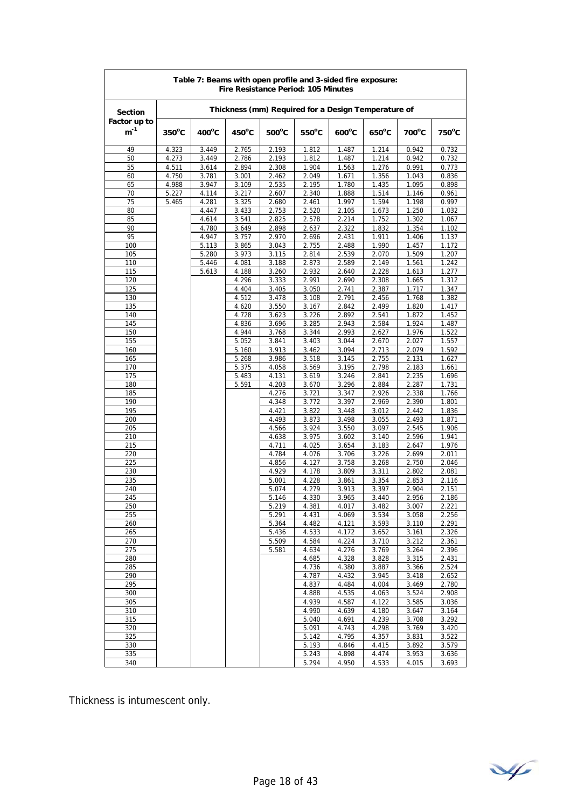| Table 7: Beams with open profile and 3-sided fire exposure:<br>Fire Resistance Period: 105 Minutes |                 |                 |                 |                 |                 |                                                     |                 |                 |                 |  |  |
|----------------------------------------------------------------------------------------------------|-----------------|-----------------|-----------------|-----------------|-----------------|-----------------------------------------------------|-----------------|-----------------|-----------------|--|--|
| <b>Section</b>                                                                                     |                 |                 |                 |                 |                 | Thickness (mm) Required for a Design Temperature of |                 |                 |                 |  |  |
| Factor up to<br>$m^{-1}$                                                                           | $350^{\circ}$ C | $400^{\circ}$ C | $450^{\circ}$ C | $500^{\circ}$ C | $550^{\circ}$ C | $600^{\circ}$ C                                     | $650^{\circ}$ C | $700^{\circ}$ C | $750^{\circ}$ C |  |  |
| 49                                                                                                 | 4.323           | 3.449           | 2.765           | 2.193           | 1.812           | 1.487                                               | 1.214           | 0.942           | 0.732           |  |  |
| 50                                                                                                 | 4.273           | 3.449           | 2.786           | 2.193           | 1.812           | 1.487                                               | 1.214           | 0.942           | 0.732           |  |  |
| 55                                                                                                 | 4.511           | 3.614           | 2.894           | 2.308           | 1.904           | 1.563                                               | 1.276           | 0.991           | 0.773           |  |  |
| 60                                                                                                 | 4.750           | 3.781           | 3.001           | 2.462           | 2.049           | 1.671                                               | 1.356           | 1.043           | 0.836           |  |  |
| 65<br>70                                                                                           | 4.988<br>5.227  | 3.947<br>4.114  | 3.109<br>3.217  | 2.535<br>2.607  | 2.195<br>2.340  | 1.780<br>1.888                                      | 1.435<br>1.514  | 1.095<br>1.146  | 0.898<br>0.961  |  |  |
| 75                                                                                                 | 5.465           | 4.281           | 3.325           | 2.680           | 2.461           | 1.997                                               | 1.594           | 1.198           | 0.997           |  |  |
| 80                                                                                                 |                 | 4.447           | 3.433           | 2.753           | 2.520           | 2.105                                               | 1.673           | 1.250           | 1.032           |  |  |
| 85                                                                                                 |                 | 4.614           | 3.541           | 2.825           | 2.578           | 2.214                                               | 1.752           | 1.302           | 1.067           |  |  |
| 90                                                                                                 |                 | 4.780           | 3.649           | 2.898           | 2.637           | 2.322                                               | 1.832           | 1.354           | 1.102           |  |  |
| 95                                                                                                 |                 | 4.947           | 3.757           | 2.970           | 2.696           | 2.431                                               | 1.911           | 1.406           | 1.137           |  |  |
| 100                                                                                                |                 | 5.113           | 3.865           | 3.043           | 2.755           | 2.488                                               | 1.990           | 1.457           | 1.172           |  |  |
| 105                                                                                                |                 | 5.280           | 3.973           | 3.115           | 2.814           | 2.539                                               | 2.070           | 1.509           | 1.207           |  |  |
| 110<br>115                                                                                         |                 | 5.446<br>5.613  | 4.081<br>4.188  | 3.188<br>3.260  | 2.873<br>2.932  | 2.589<br>2.640                                      | 2.149<br>2.228  | 1.561<br>1.613  | 1.242<br>1.277  |  |  |
| 120                                                                                                |                 |                 | 4.296           | 3.333           | 2.991           | 2.690                                               | 2.308           | 1.665           | 1.312           |  |  |
| 125                                                                                                |                 |                 | 4.404           | 3.405           | 3.050           | 2.741                                               | 2.387           | 1.717           | 1.347           |  |  |
| 130                                                                                                |                 |                 | 4.512           | 3.478           | 3.108           | 2.791                                               | 2.456           | 1.768           | 1.382           |  |  |
| 135                                                                                                |                 |                 | 4.620           | 3.550           | 3.167           | 2.842                                               | 2.499           | 1.820           | 1.417           |  |  |
| 140                                                                                                |                 |                 | 4.728           | 3.623           | 3.226           | 2.892                                               | 2.541           | 1.872           | 1.452           |  |  |
| 145                                                                                                |                 |                 | 4.836           | 3.696           | 3.285           | 2.943                                               | 2.584           | 1.924           | 1.487           |  |  |
| 150                                                                                                |                 |                 | 4.944           | 3.768           | 3.344           | 2.993                                               | 2.627           | 1.976           | 1.522           |  |  |
| 155                                                                                                |                 |                 | 5.052           | 3.841           | 3.403           | 3.044<br>3.094                                      | 2.670           | 2.027           | 1.557           |  |  |
| 160<br>165                                                                                         |                 |                 | 5.160<br>5.268  | 3.913<br>3.986  | 3.462<br>3.518  | 3.145                                               | 2.713<br>2.755  | 2.079<br>2.131  | 1.592<br>1.627  |  |  |
| 170                                                                                                |                 |                 | 5.375           | 4.058           | 3.569           | 3.195                                               | 2.798           | 2.183           | 1.661           |  |  |
| 175                                                                                                |                 |                 | 5.483           | 4.131           | 3.619           | 3.246                                               | 2.841           | 2.235           | 1.696           |  |  |
| 180                                                                                                |                 |                 | 5.591           | 4.203           | 3.670           | 3.296                                               | 2.884           | 2.287           | 1.731           |  |  |
| 185                                                                                                |                 |                 |                 | 4.276           | 3.721           | 3.347                                               | 2.926           | 2.338           | 1.766           |  |  |
| 190                                                                                                |                 |                 |                 | 4.348           | 3.772           | 3.397                                               | 2.969           | 2.390           | 1.801           |  |  |
| 195                                                                                                |                 |                 |                 | 4.421           | 3.822           | 3.448                                               | 3.012           | 2.442           | 1.836           |  |  |
| 200                                                                                                |                 |                 |                 | 4.493           | 3.873           | 3.498                                               | 3.055           | 2.493           | 1.871           |  |  |
| 205<br>210                                                                                         |                 |                 |                 | 4.566<br>4.638  | 3.924<br>3.975  | 3.550<br>3.602                                      | 3.097<br>3.140  | 2.545<br>2.596  | 1.906<br>1.941  |  |  |
| 215                                                                                                |                 |                 |                 | 4.711           | 4.025           | 3.654                                               | 3.183           | 2.647           | 1.976           |  |  |
| 220                                                                                                |                 |                 |                 | 4.784           | 4.076           | 3.706                                               | 3.226           | 2.699           | 2.011           |  |  |
| 225                                                                                                |                 |                 |                 | 4.856           | 4.127           | 3.758                                               | 3.268           | 2.750           | 2.046           |  |  |
| 230                                                                                                |                 |                 |                 | 4.929           | 4.178           | 3.809                                               | 3.311           | 2.802           | 2.081           |  |  |
| 235                                                                                                |                 |                 |                 | 5.001           | 4.228           | 3.861                                               | 3.354           | 2.853           | 2.116           |  |  |
| 240                                                                                                |                 |                 |                 | 5.074           | 4.279           | 3.913                                               | 3.397           | 2.904           | 2.151           |  |  |
| 245<br>250                                                                                         |                 |                 |                 | 5.146<br>5.219  | 4.330<br>4.381  | 3.965<br>4.017                                      | 3.440<br>3.482  | 2.956<br>3.007  | 2.186<br>2.221  |  |  |
| 255                                                                                                |                 |                 |                 | 5.291           | 4.431           | 4.069                                               | 3.534           | 3.058           | 2.256           |  |  |
| 260                                                                                                |                 |                 |                 | 5.364           | 4.482           | 4.121                                               | 3.593           | 3.110           | 2.291           |  |  |
| 265                                                                                                |                 |                 |                 | 5.436           | 4.533           | 4.172                                               | 3.652           | 3.161           | 2.326           |  |  |
| 270                                                                                                |                 |                 |                 | 5.509           | 4.584           | 4.224                                               | 3.710           | 3.212           | 2.361           |  |  |
| 275                                                                                                |                 |                 |                 | 5.581           | 4.634           | 4.276                                               | 3.769           | 3.264           | 2.396           |  |  |
| 280                                                                                                |                 |                 |                 |                 | 4.685           | 4.328                                               | 3.828           | 3.315           | 2.431           |  |  |
| 285<br>290                                                                                         |                 |                 |                 |                 | 4.736<br>4.787  | 4.380<br>4.432                                      | 3.887<br>3.945  | 3.366<br>3.418  | 2.524<br>2.652  |  |  |
| 295                                                                                                |                 |                 |                 |                 | 4.837           | 4.484                                               | 4.004           | 3.469           | 2.780           |  |  |
| 300                                                                                                |                 |                 |                 |                 | 4.888           | 4.535                                               | 4.063           | 3.524           | 2.908           |  |  |
| 305                                                                                                |                 |                 |                 |                 | 4.939           | 4.587                                               | 4.122           | 3.585           | 3.036           |  |  |
| 310                                                                                                |                 |                 |                 |                 | 4.990           | 4.639                                               | 4.180           | 3.647           | 3.164           |  |  |
| 315                                                                                                |                 |                 |                 |                 | 5.040           | 4.691                                               | 4.239           | 3.708           | 3.292           |  |  |
| 320                                                                                                |                 |                 |                 |                 | 5.091           | 4.743                                               | 4.298           | 3.769           | 3.420           |  |  |
| 325                                                                                                |                 |                 |                 |                 | 5.142           | 4.795                                               | 4.357           | 3.831           | 3.522           |  |  |
| 330<br>335                                                                                         |                 |                 |                 |                 | 5.193<br>5.243  | 4.846<br>4.898                                      | 4.415<br>4.474  | 3.892<br>3.953  | 3.579<br>3.636  |  |  |
| 340                                                                                                |                 |                 |                 |                 | 5.294           | 4.950                                               | 4.533           | 4.015           | 3.693           |  |  |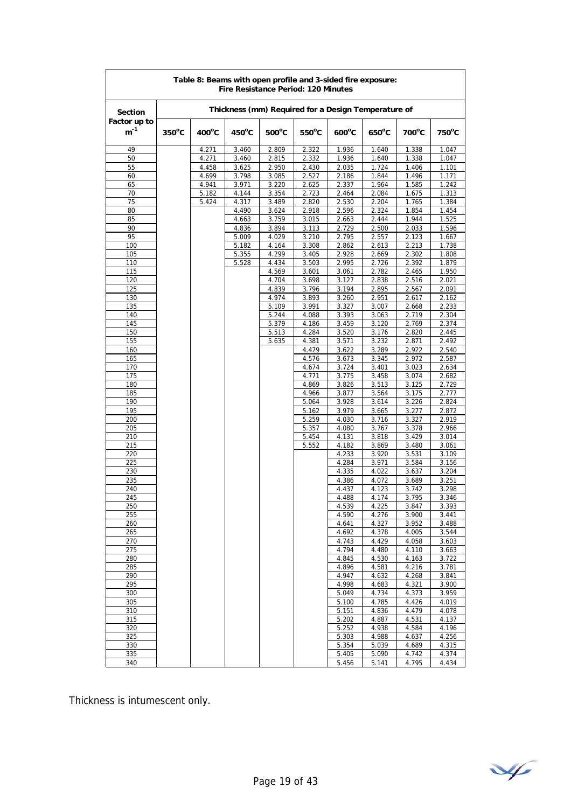| Table 8: Beams with open profile and 3-sided fire exposure:<br>Fire Resistance Period: 120 Minutes |                 |                 |                 |                 |                 |                                                     |                 |                |                |  |  |
|----------------------------------------------------------------------------------------------------|-----------------|-----------------|-----------------|-----------------|-----------------|-----------------------------------------------------|-----------------|----------------|----------------|--|--|
| <b>Section</b>                                                                                     |                 |                 |                 |                 |                 | Thickness (mm) Required for a Design Temperature of |                 |                |                |  |  |
| Factor up to<br>$m^{-1}$                                                                           | $350^{\circ}$ C | $400^{\circ}$ C | $450^{\circ}$ C | $500^{\circ}$ C | $550^{\circ}$ C | $600^{\circ}$ C                                     | $650^{\circ}$ C | 700°C          | 750°C          |  |  |
| 49                                                                                                 |                 | 4.271           | 3.460           | 2.809           | 2.322           | 1.936                                               | 1.640           | 1.338          | 1.047          |  |  |
| 50                                                                                                 |                 | 4.271           | 3.460           | 2.815           | 2.332           | 1.936                                               | 1.640           | 1.338          | 1.047          |  |  |
| 55                                                                                                 |                 | 4.458           | 3.625           | 2.950<br>3.085  | 2.430           | 2.035                                               | 1.724           | 1.406          | 1.101          |  |  |
| 60<br>65                                                                                           |                 | 4.699<br>4.941  | 3.798<br>3.971  | 3.220           | 2.527<br>2.625  | 2.186<br>2.337                                      | 1.844<br>1.964  | 1.496<br>1.585 | 1.171<br>1.242 |  |  |
| 70                                                                                                 |                 | 5.182           | 4.144           | 3.354           | 2.723           | 2.464                                               | 2.084           | 1.675          | 1.313          |  |  |
| 75                                                                                                 |                 | 5.424           | 4.317           | 3.489           | 2.820           | 2.530                                               | 2.204           | 1.765          | 1.384          |  |  |
| 80                                                                                                 |                 |                 | 4.490           | 3.624           | 2.918           | 2.596                                               | 2.324           | 1.854          | 1.454          |  |  |
| 85                                                                                                 |                 |                 | 4.663           | 3.759           | 3.015           | 2.663                                               | 2.444           | 1.944          | 1.525          |  |  |
| 90<br>95                                                                                           |                 |                 | 4.836           | 3.894<br>4.029  | 3.113<br>3.210  | 2.729<br>2.795                                      | 2.500           | 2.033          | 1.596<br>1.667 |  |  |
| 100                                                                                                |                 |                 | 5.009<br>5.182  | 4.164           | 3.308           | 2.862                                               | 2.557<br>2.613  | 2.123<br>2.213 | 1.738          |  |  |
| 105                                                                                                |                 |                 | 5.355           | 4.299           | 3.405           | 2.928                                               | 2.669           | 2.302          | 1.808          |  |  |
| 110                                                                                                |                 |                 | 5.528           | 4.434           | 3.503           | 2.995                                               | 2.726           | 2.392          | 1.879          |  |  |
| 115                                                                                                |                 |                 |                 | 4.569           | 3.601           | 3.061                                               | 2.782           | 2.465          | 1.950          |  |  |
| 120                                                                                                |                 |                 |                 | 4.704           | 3.698           | 3.127                                               | 2.838           | 2.516          | 2.021          |  |  |
| 125<br>130                                                                                         |                 |                 |                 | 4.839<br>4.974  | 3.796<br>3.893  | 3.194<br>3.260                                      | 2.895<br>2.951  | 2.567<br>2.617 | 2.091<br>2.162 |  |  |
| 135                                                                                                |                 |                 |                 | 5.109           | 3.991           | 3.327                                               | 3.007           | 2.668          | 2.233          |  |  |
| 140                                                                                                |                 |                 |                 | 5.244           | 4.088           | 3.393                                               | 3.063           | 2.719          | 2.304          |  |  |
| 145                                                                                                |                 |                 |                 | 5.379           | 4.186           | 3.459                                               | 3.120           | 2.769          | 2.374          |  |  |
| 150                                                                                                |                 |                 |                 | 5.513           | 4.284           | 3.520                                               | 3.176           | 2.820          | 2.445          |  |  |
| 155                                                                                                |                 |                 |                 | 5.635           | 4.381           | 3.571                                               | 3.232           | 2.871          | 2.492          |  |  |
| 160                                                                                                |                 |                 |                 |                 | 4.479           | 3.622                                               | 3.289           | 2.922          | 2.540          |  |  |
| 165                                                                                                |                 |                 |                 |                 | 4.576           | 3.673                                               | 3.345<br>3.401  | 2.972          | 2.587          |  |  |
| 170<br>175                                                                                         |                 |                 |                 |                 | 4.674<br>4.771  | 3.724<br>3.775                                      | 3.458           | 3.023<br>3.074 | 2.634<br>2.682 |  |  |
| 180                                                                                                |                 |                 |                 |                 | 4.869           | 3.826                                               | 3.513           | 3.125          | 2.729          |  |  |
| 185                                                                                                |                 |                 |                 |                 | 4.966           | 3.877                                               | 3.564           | 3.175          | 2.777          |  |  |
| 190                                                                                                |                 |                 |                 |                 | 5.064           | 3.928                                               | 3.614           | 3.226          | 2.824          |  |  |
| 195                                                                                                |                 |                 |                 |                 | 5.162           | 3.979                                               | 3.665           | 3.277          | 2.872          |  |  |
| 200                                                                                                |                 |                 |                 |                 | 5.259           | 4.030                                               | 3.716           | 3.327          | 2.919          |  |  |
| 205<br>210                                                                                         |                 |                 |                 |                 | 5.357<br>5.454  | 4.080<br>4.131                                      | 3.767<br>3.818  | 3.378<br>3.429 | 2.966<br>3.014 |  |  |
| 215                                                                                                |                 |                 |                 |                 | 5.552           | 4.182                                               | 3.869           | 3.480          | 3.061          |  |  |
| 220                                                                                                |                 |                 |                 |                 |                 | 4.233                                               | 3.920           | 3.531          | 3.109          |  |  |
| 225                                                                                                |                 |                 |                 |                 |                 | 4.284                                               | 3.971           | 3.584          | 3.156          |  |  |
| 230                                                                                                |                 |                 |                 |                 |                 | 4.335                                               | 4.022           | 3.637          | 3.204          |  |  |
| 235                                                                                                |                 |                 |                 |                 |                 | 4.386                                               | 4.072           | 3.689          | 3.251          |  |  |
| 240<br>245                                                                                         |                 |                 |                 |                 |                 | 4.437<br>4.488                                      | 4.123<br>4.174  | 3.742<br>3.795 | 3.298<br>3.346 |  |  |
| 250                                                                                                |                 |                 |                 |                 |                 | 4.539                                               | 4.225           | 3.847          | 3.393          |  |  |
| 255                                                                                                |                 |                 |                 |                 |                 | 4.590                                               | 4.276           | 3.900          | 3.441          |  |  |
| 260                                                                                                |                 |                 |                 |                 |                 | 4.641                                               | 4.327           | 3.952          | 3.488          |  |  |
| 265                                                                                                |                 |                 |                 |                 |                 | 4.692                                               | 4.378           | 4.005          | 3.544          |  |  |
| 270                                                                                                |                 |                 |                 |                 |                 | 4.743                                               | 4.429           | 4.058          | 3.603          |  |  |
| 275<br>280                                                                                         |                 |                 |                 |                 |                 | 4.794<br>4.845                                      | 4.480<br>4.530  | 4.110<br>4.163 | 3.663<br>3.722 |  |  |
| 285                                                                                                |                 |                 |                 |                 |                 | 4.896                                               | 4.581           | 4.216          | 3.781          |  |  |
| 290                                                                                                |                 |                 |                 |                 |                 | 4.947                                               | 4.632           | 4.268          | 3.841          |  |  |
| 295                                                                                                |                 |                 |                 |                 |                 | 4.998                                               | 4.683           | 4.321          | 3.900          |  |  |
| 300                                                                                                |                 |                 |                 |                 |                 | 5.049                                               | 4.734           | 4.373          | 3.959          |  |  |
| 305                                                                                                |                 |                 |                 |                 |                 | 5.100                                               | 4.785           | 4.426          | 4.019          |  |  |
| 310                                                                                                |                 |                 |                 |                 |                 | 5.151                                               | 4.836           | 4.479          | 4.078          |  |  |
| 315<br>320                                                                                         |                 |                 |                 |                 |                 | 5.202<br>5.252                                      | 4.887<br>4.938  | 4.531<br>4.584 | 4.137<br>4.196 |  |  |
| 325                                                                                                |                 |                 |                 |                 |                 | 5.303                                               | 4.988           | 4.637          | 4.256          |  |  |
| 330                                                                                                |                 |                 |                 |                 |                 | 5.354                                               | 5.039           | 4.689          | 4.315          |  |  |
| 335                                                                                                |                 |                 |                 |                 |                 | 5.405                                               | 5.090           | 4.742          | 4.374          |  |  |
| 340                                                                                                |                 |                 |                 |                 |                 | 5.456                                               | 5.141           | 4.795          | 4.434          |  |  |

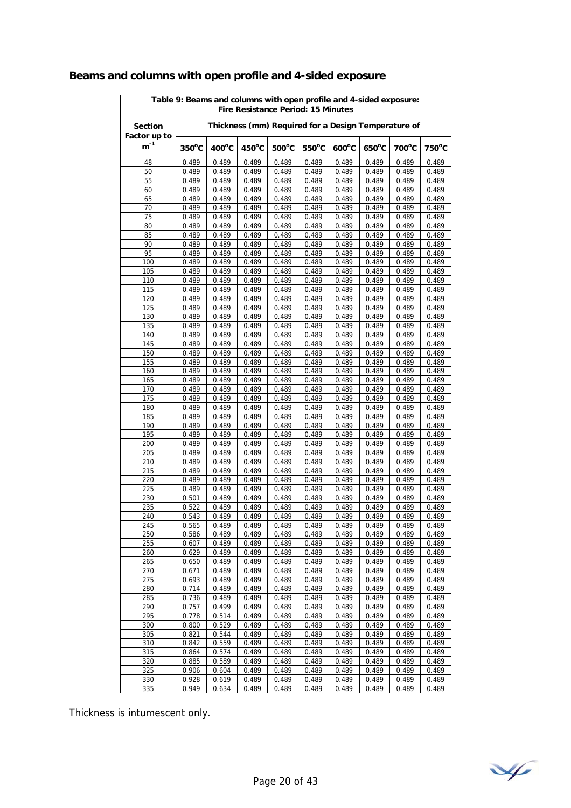| Table 9: Beams and columns with open profile and 4-sided exposure:<br>Fire Resistance Period: 15 Minutes |                 |                 |                 |                 |                                                     |                 |                 |                |                |  |
|----------------------------------------------------------------------------------------------------------|-----------------|-----------------|-----------------|-----------------|-----------------------------------------------------|-----------------|-----------------|----------------|----------------|--|
| <b>Section</b><br>Factor up to                                                                           |                 |                 |                 |                 | Thickness (mm) Required for a Design Temperature of |                 |                 |                |                |  |
| $\mathsf{m}^{\text{-}1}$                                                                                 | $350^{\circ}$ C | $400^{\circ}$ C | $450^{\circ}$ C | $500^{\circ}$ C | 550°C                                               | $600^{\circ}$ C | $650^{\circ}$ C | 700°C          | 750°C          |  |
| 48                                                                                                       | 0.489           | 0.489           | 0.489           | 0.489           | 0.489                                               | 0.489           | 0.489           | 0.489          | 0.489          |  |
| 50                                                                                                       | 0.489           | 0.489           | 0.489           | 0.489           | 0.489                                               | 0.489           | 0.489           | 0.489          | 0.489          |  |
| 55                                                                                                       | 0.489           | 0.489           | 0.489           | 0.489           | 0.489                                               | 0.489           | 0.489           | 0.489          | 0.489          |  |
| 60                                                                                                       | 0.489           | 0.489           | 0.489           | 0.489           | 0.489                                               | 0.489           | 0.489           | 0.489          | 0.489          |  |
| 65                                                                                                       | 0.489           | 0.489           | 0.489           | 0.489           | 0.489                                               | 0.489           | 0.489           | 0.489          | 0.489          |  |
| 70                                                                                                       | 0.489           | 0.489           | 0.489           | 0.489           | 0.489                                               | 0.489           | 0.489           | 0.489          | 0.489          |  |
| 75                                                                                                       | 0.489           | 0.489           | 0.489           | 0.489           | 0.489                                               | 0.489           | 0.489           | 0.489          | 0.489          |  |
| 80                                                                                                       | 0.489           | 0.489           | 0.489           | 0.489           | 0.489                                               | 0.489           | 0.489           | 0.489          | 0.489          |  |
| 85                                                                                                       | 0.489           | 0.489           | 0.489           | 0.489           | 0.489                                               | 0.489           | 0.489           | 0.489          | 0.489          |  |
| 90<br>95                                                                                                 | 0.489           | 0.489           | 0.489           | 0.489           | 0.489                                               | 0.489           | 0.489           | 0.489          | 0.489          |  |
|                                                                                                          | 0.489           | 0.489           | 0.489           | 0.489           | 0.489                                               | 0.489           | 0.489           | 0.489          | 0.489          |  |
| 100<br>105                                                                                               | 0.489<br>0.489  | 0.489           | 0.489<br>0.489  | 0.489<br>0.489  | 0.489<br>0.489                                      | 0.489<br>0.489  | 0.489           | 0.489<br>0.489 | 0.489<br>0.489 |  |
| 110                                                                                                      | 0.489           | 0.489<br>0.489  | 0.489           | 0.489           | 0.489                                               | 0.489           | 0.489<br>0.489  | 0.489          | 0.489          |  |
| 115                                                                                                      | 0.489           | 0.489           | 0.489           | 0.489           | 0.489                                               | 0.489           | 0.489           | 0.489          | 0.489          |  |
| 120                                                                                                      | 0.489           | 0.489           | 0.489           | 0.489           | 0.489                                               | 0.489           | 0.489           | 0.489          | 0.489          |  |
| 125                                                                                                      | 0.489           | 0.489           | 0.489           | 0.489           | 0.489                                               | 0.489           | 0.489           | 0.489          | 0.489          |  |
| 130                                                                                                      | 0.489           | 0.489           | 0.489           | 0.489           | 0.489                                               | 0.489           | 0.489           | 0.489          | 0.489          |  |
| 135                                                                                                      | 0.489           | 0.489           | 0.489           | 0.489           | 0.489                                               | 0.489           | 0.489           | 0.489          | 0.489          |  |
| 140                                                                                                      | 0.489           | 0.489           | 0.489           | 0.489           | 0.489                                               | 0.489           | 0.489           | 0.489          | 0.489          |  |
| 145                                                                                                      | 0.489           | 0.489           | 0.489           | 0.489           | 0.489                                               | 0.489           | 0.489           | 0.489          | 0.489          |  |
| 150                                                                                                      | 0.489           | 0.489           | 0.489           | 0.489           | 0.489                                               | 0.489           | 0.489           | 0.489          | 0.489          |  |
| 155                                                                                                      | 0.489           | 0.489           | 0.489           | 0.489           | 0.489                                               | 0.489           | 0.489           | 0.489          | 0.489          |  |
| 160                                                                                                      | 0.489           | 0.489           | 0.489           | 0.489           | 0.489                                               | 0.489           | 0.489           | 0.489          | 0.489          |  |
| 165                                                                                                      | 0.489           | 0.489           | 0.489           | 0.489           | 0.489                                               | 0.489           | 0.489           | 0.489          | 0.489          |  |
| 170                                                                                                      | 0.489           | 0.489           | 0.489           | 0.489           | 0.489                                               | 0.489           | 0.489           | 0.489          | 0.489          |  |
| 175                                                                                                      | 0.489           | 0.489           | 0.489           | 0.489           | 0.489                                               | 0.489           | 0.489           | 0.489          | 0.489          |  |
| 180                                                                                                      | 0.489           | 0.489           | 0.489           | 0.489           | 0.489                                               | 0.489           | 0.489           | 0.489          | 0.489          |  |
| 185                                                                                                      | 0.489           | 0.489           | 0.489           | 0.489           | 0.489                                               | 0.489           | 0.489           | 0.489          | 0.489          |  |
| 190                                                                                                      | 0.489           | 0.489           | 0.489           | 0.489           | 0.489                                               | 0.489           | 0.489           | 0.489          | 0.489          |  |
| 195                                                                                                      | 0.489           | 0.489           | 0.489           | 0.489           | 0.489                                               | 0.489           | 0.489           | 0.489          | 0.489          |  |
| 200                                                                                                      | 0.489           | 0.489           | 0.489           | 0.489           | 0.489                                               | 0.489           | 0.489           | 0.489          | 0.489          |  |
| 205                                                                                                      | 0.489           | 0.489           | 0.489           | 0.489           | 0.489                                               | 0.489           | 0.489           | 0.489          | 0.489          |  |
| 210                                                                                                      | 0.489           | 0.489           | 0.489           | 0.489           | 0.489                                               | 0.489           | 0.489           | 0.489          | 0.489          |  |
| 215<br>220                                                                                               | 0.489           | 0.489           | 0.489           | 0.489<br>0.489  | 0.489                                               | 0.489           | 0.489           | 0.489          | 0.489<br>0.489 |  |
| 225                                                                                                      | 0.489<br>0.489  | 0.489<br>0.489  | 0.489<br>0.489  | 0.489           | 0.489<br>0.489                                      | 0.489<br>0.489  | 0.489<br>0.489  | 0.489<br>0.489 | 0.489          |  |
| 230                                                                                                      | 0.501           | 0.489           | 0.489           | 0.489           | 0.489                                               | 0.489           | 0.489           | 0.489          | 0.489          |  |
| 235                                                                                                      | 0.522           | 0.489           | 0.489           | 0.489           | 0.489                                               | 0.489           | 0.489           | 0.489          | 0.489          |  |
| 240                                                                                                      | 0.543           | 0.489           | 0.489           | 0.489           | 0.489                                               | 0.489           | 0.489           | 0.489          | 0.489          |  |
| 245                                                                                                      | 0.565           | 0.489           | 0.489           | 0.489           | 0.489                                               | 0.489           | 0.489           | 0.489          | 0.489          |  |
| 250                                                                                                      | 0.586           | 0.489           | 0.489           | 0.489           | 0.489                                               | 0.489           | 0.489           | 0.489          | 0.489          |  |
| 255                                                                                                      | 0.607           | 0.489           | 0.489           | 0.489           | 0.489                                               | 0.489           | 0.489           | 0.489          | 0.489          |  |
| 260                                                                                                      | 0.629           | 0.489           | 0.489           | 0.489           | 0.489                                               | 0.489           | 0.489           | 0.489          | 0.489          |  |
| 265                                                                                                      | 0.650           | 0.489           | 0.489           | 0.489           | 0.489                                               | 0.489           | 0.489           | 0.489          | 0.489          |  |
| 270                                                                                                      | 0.671           | 0.489           | 0.489           | 0.489           | 0.489                                               | 0.489           | 0.489           | 0.489          | 0.489          |  |
| 275                                                                                                      | 0.693           | 0.489           | 0.489           | 0.489           | 0.489                                               | 0.489           | 0.489           | 0.489          | 0.489          |  |
| 280                                                                                                      | 0.714           | 0.489           | 0.489           | 0.489           | 0.489                                               | 0.489           | 0.489           | 0.489          | 0.489          |  |
| 285                                                                                                      | 0.736           | 0.489           | 0.489           | 0.489           | 0.489                                               | 0.489           | 0.489           | 0.489          | 0.489          |  |
| 290                                                                                                      | 0.757           | 0.499           | 0.489           | 0.489           | 0.489                                               | 0.489           | 0.489           | 0.489          | 0.489          |  |
| 295                                                                                                      | 0.778           | 0.514           | 0.489           | 0.489           | 0.489                                               | 0.489           | 0.489           | 0.489          | 0.489          |  |
| 300                                                                                                      | 0.800           | 0.529           | 0.489           | 0.489           | 0.489                                               | 0.489           | 0.489           | 0.489          | 0.489          |  |
| 305                                                                                                      | 0.821           | 0.544           | 0.489           | 0.489           | 0.489                                               | 0.489           | 0.489           | 0.489          | 0.489          |  |
| 310                                                                                                      | 0.842           | 0.559           | 0.489           | 0.489           | 0.489                                               | 0.489           | 0.489           | 0.489          | 0.489          |  |
| 315                                                                                                      | 0.864           | 0.574           | 0.489           | 0.489           | 0.489                                               | 0.489           | 0.489           | 0.489          | 0.489          |  |
| 320                                                                                                      | 0.885           | 0.589           | 0.489           | 0.489           | 0.489                                               | 0.489           | 0.489           | 0.489          | 0.489          |  |
| 325                                                                                                      | 0.906           | 0.604           | 0.489           | 0.489           | 0.489                                               | 0.489           | 0.489           | 0.489          | 0.489          |  |
| 330                                                                                                      | 0.928           | 0.619           | 0.489           | 0.489           | 0.489                                               | 0.489           | 0.489           | 0.489          | 0.489          |  |
| 335                                                                                                      | 0.949           | 0.634           | 0.489           | 0.489           | 0.489                                               | 0.489           | 0.489           | 0.489          | 0.489          |  |

# **Beams and columns with open profile and 4-sided exposure**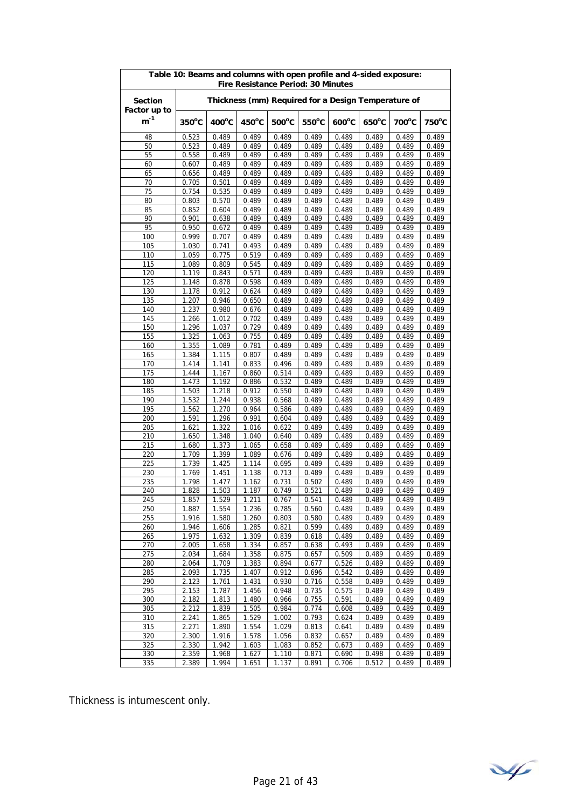| Thickness (mm) Required for a Design Temperature of<br><b>Section</b><br>Factor up to<br>$m^{-1}$<br>$350^{\circ}$ C<br>$400^{\circ}$ C<br>$450^{\circ}$ C<br>$500^{\circ}$ C<br>$550^{\circ}$ C<br>$600^{\circ}$ C<br>700°C<br>750°C<br>$650^{\circ}$ C<br>0.523<br>0.489<br>0.489<br>0.489<br>0.489<br>0.489<br>0.489<br>0.489<br>0.489<br>48<br>50<br>0.523<br>0.489<br>0.489<br>0.489<br>0.489<br>0.489<br>0.489<br>0.489<br>0.489<br>0.489<br>55<br>0.558<br>0.489<br>0.489<br>0.489<br>0.489<br>0.489<br>0.489<br>0.489<br>0.489<br>0.489<br>0.489<br>60<br>0.607<br>0.489<br>0.489<br>0.489<br>0.489<br>0.489<br>0.489<br>0.489<br>0.489<br>0.489<br>0.489<br>0.489<br>0.489<br>65<br>0.656<br>0.489<br>0.501<br>0.489<br>0.489<br>0.489<br>0.489<br>0.489<br>0.489<br>0.489<br>70<br>0.705<br>75<br>0.754<br>0.535<br>0.489<br>0.489<br>0.489<br>0.489<br>0.489<br>0.489<br>0.489<br>0.570<br>0.803<br>0.489<br>0.489<br>0.489<br>0.489<br>0.489<br>0.489<br>0.489<br>80<br>85<br>0.489<br>0.852<br>0.604<br>0.489<br>0.489<br>0.489<br>0.489<br>0.489<br>0.489<br>90<br>0.489<br>0.901<br>0.638<br>0.489<br>0.489<br>0.489<br>0.489<br>0.489<br>0.489<br>95<br>0.489<br>0.950<br>0.672<br>0.489<br>0.489<br>0.489<br>0.489<br>0.489<br>0.489<br>100<br>0.999<br>0.489<br>0.489<br>0.489<br>0.489<br>0.489<br>0.489<br>0.489<br>0.707<br>0.493<br>0.489<br>0.489<br>0.489<br>0.489<br>0.489<br>0.489<br>105<br>1.030<br>0.741<br>110<br>1.059<br>0.775<br>0.519<br>0.489<br>0.489<br>0.489<br>0.489<br>0.489<br>0.489<br>115<br>0.809<br>0.545<br>0.489<br>0.489<br>0.489<br>0.489<br>0.489<br>0.489<br>1.089<br>0.571<br>120<br>1.119<br>0.843<br>0.489<br>0.489<br>0.489<br>0.489<br>0.489<br>0.489<br>0.878<br>0.598<br>0.489<br>0.489<br>0.489<br>0.489<br>0.489<br>0.489<br>125<br>1.148<br>0.489<br>130<br>1.178<br>0.912<br>0.624<br>0.489<br>0.489<br>0.489<br>0.489<br>0.489<br>0.946<br>0.489<br>0.489<br>135<br>1.207<br>0.650<br>0.489<br>0.489<br>0.489<br>0.489<br>140<br>1.237<br>0.980<br>0.676<br>0.489<br>0.489<br>0.489<br>0.489<br>0.489<br>0.489<br>145<br>1.266<br>1.012<br>0.702<br>0.489<br>0.489<br>0.489<br>0.489<br>0.489<br>0.489<br>1.296<br>1.037<br>0.729<br>0.489<br>0.489<br>0.489<br>150<br>0.489<br>0.489<br>0.489<br>155<br>1.325<br>1.063<br>0.755<br>0.489<br>0.489<br>0.489<br>0.489<br>0.489<br>0.489<br>160<br>1.355<br>1.089<br>0.781<br>0.489<br>0.489<br>0.489<br>0.489<br>0.489<br>0.489<br>0.489<br>165<br>1.384<br>1.115<br>0.807<br>0.489<br>0.489<br>0.489<br>0.489<br>0.489<br>0.496<br>0.489<br>170<br>1.414<br>1.141<br>0.833<br>0.489<br>0.489<br>0.489<br>0.489<br>175<br>1.444<br>1.167<br>0.860<br>0.514<br>0.489<br>0.489<br>0.489<br>0.489<br>0.489<br>0.532<br>180<br>1.473<br>1.192<br>0.886<br>0.489<br>0.489<br>0.489<br>0.489<br>0.489<br>185<br>1.218<br>0.912<br>0.550<br>0.489<br>1.503<br>0.489<br>0.489<br>0.489<br>0.489<br>190<br>1.244<br>0.938<br>0.568<br>0.489<br>1.532<br>0.489<br>0.489<br>0.489<br>0.489<br>195<br>1.270<br>0.964<br>0.586<br>0.489<br>0.489<br>0.489<br>0.489<br>1.562<br>0.489<br>1.591<br>1.296<br>0.991<br>0.604<br>0.489<br>200<br>0.489<br>0.489<br>0.489<br>0.489<br>1.322<br>1.621<br>1.016<br>0.622<br>0.489<br>0.489<br>0.489<br>0.489<br>0.489<br>205<br>210<br>1.348<br>1.040<br>0.489<br>0.489<br>0.489<br>1.650<br>0.640<br>0.489<br>0.489<br>215<br>1.373<br>1.065<br>0.658<br>0.489<br>0.489<br>0.489<br>0.489<br>0.489<br>1.680<br>1.399<br>220<br>1.709<br>1.089<br>0.676<br>0.489<br>0.489<br>0.489<br>0.489<br>0.489<br>0.695<br>0.489<br>225<br>1.739<br>1.425<br>1.114<br>0.489<br>0.489<br>0.489<br>0.489<br>230<br>1.769<br>1.451<br>1.138<br>0.713<br>0.489<br>0.489<br>0.489<br>0.489<br>0.489<br>235<br>1.798<br>1.477<br>1.162<br>0.731<br>0.502<br>0.489<br>0.489<br>0.489<br>0.489<br>1.503<br>0.489<br>240<br>1.828<br>1.187<br>0.749<br>0.521<br>0.489<br>0.489<br>0.489<br>245<br>1.857<br>1.529<br>1.211<br>0.767<br>0.541<br>0.489<br>0.489<br>0.489<br>0.489<br>250<br>1.887<br>1.554<br>1.236<br>0.785<br>0.560<br>0.489<br>0.489<br>0.489<br>0.489<br>0.803<br>0.489<br>255<br>1.916<br>1.580<br>1.260<br>0.580<br>0.489<br>0.489<br>0.489<br>1.285<br>260<br>1.946<br>1.606<br>0.821<br>0.599<br>0.489<br>0.489<br>0.489<br>0.489<br>1.309<br>0.839<br>0.618<br>0.489<br>0.489<br>0.489<br>265<br>1.975<br>1.632<br>0.489<br>1.658<br>1.334<br>0.493<br>0.489<br>270<br>2.005<br>0.857<br>0.638<br>0.489<br>0.489<br>275<br>2.034<br>1.358<br>0.875<br>0.509<br>0.489<br>0.489<br>0.489<br>1.684<br>0.657<br>1.709<br>1.383<br>0.894<br>0.677<br>0.526<br>0.489<br>0.489<br>0.489<br>280<br>2.064<br>285<br>0.912<br>0.542<br>0.489<br>2.093<br>1.735<br>1.407<br>0.696<br>0.489<br>0.489<br>2.123<br>1.761<br>1.431<br>0.930<br>0.716<br>0.489<br>0.489<br>290<br>0.558<br>0.489<br>295<br>2.153<br>1.787<br>1.456<br>0.948<br>0.735<br>0.575<br>0.489<br>0.489<br>0.489<br>0.489<br>0.489<br>300<br>2.182<br>1.813<br>1.480<br>0.966<br>0.755<br>0.591<br>0.489<br>2.212<br>1.839<br>1.505<br>0.984<br>0.774<br>0.608<br>0.489<br>0.489<br>0.489<br>305<br>310<br>2.241<br>1.865<br>1.529<br>1.002<br>0.793<br>0.489<br>0.489<br>0.624<br>0.489<br>1.554<br>315<br>2.271<br>1.890<br>1.029<br>0.813<br>0.641<br>0.489<br>0.489<br>0.489<br>320<br>2.300<br>1.916<br>1.578<br>1.056<br>0.832<br>0.657<br>0.489<br>0.489<br>0.489<br>2.330<br>1.942<br>0.489<br>0.489<br>325<br>1.603<br>1.083<br>0.852<br>0.673<br>0.489<br>330<br>2.359<br>1.968<br>1.627<br>1.110<br>0.871<br>0.690<br>0.498<br>0.489<br>0.489<br>1.994<br>335<br>2.389<br>1.651<br>1.137<br>0.891<br>0.512<br>0.489<br>0.489<br>0.706 | Table 10: Beams and columns with open profile and 4-sided exposure:<br><b>Fire Resistance Period: 30 Minutes</b> |  |  |  |  |  |  |  |  |  |  |  |
|-------------------------------------------------------------------------------------------------------------------------------------------------------------------------------------------------------------------------------------------------------------------------------------------------------------------------------------------------------------------------------------------------------------------------------------------------------------------------------------------------------------------------------------------------------------------------------------------------------------------------------------------------------------------------------------------------------------------------------------------------------------------------------------------------------------------------------------------------------------------------------------------------------------------------------------------------------------------------------------------------------------------------------------------------------------------------------------------------------------------------------------------------------------------------------------------------------------------------------------------------------------------------------------------------------------------------------------------------------------------------------------------------------------------------------------------------------------------------------------------------------------------------------------------------------------------------------------------------------------------------------------------------------------------------------------------------------------------------------------------------------------------------------------------------------------------------------------------------------------------------------------------------------------------------------------------------------------------------------------------------------------------------------------------------------------------------------------------------------------------------------------------------------------------------------------------------------------------------------------------------------------------------------------------------------------------------------------------------------------------------------------------------------------------------------------------------------------------------------------------------------------------------------------------------------------------------------------------------------------------------------------------------------------------------------------------------------------------------------------------------------------------------------------------------------------------------------------------------------------------------------------------------------------------------------------------------------------------------------------------------------------------------------------------------------------------------------------------------------------------------------------------------------------------------------------------------------------------------------------------------------------------------------------------------------------------------------------------------------------------------------------------------------------------------------------------------------------------------------------------------------------------------------------------------------------------------------------------------------------------------------------------------------------------------------------------------------------------------------------------------------------------------------------------------------------------------------------------------------------------------------------------------------------------------------------------------------------------------------------------------------------------------------------------------------------------------------------------------------------------------------------------------------------------------------------------------------------------------------------------------------------------------------------------------------------------------------------------------------------------------------------------------------------------------------------------------------------------------------------------------------------------------------------------------------------------------------------------------------------------------------------------------------------------------------------------------------------------------------------------------------------------------------------------------------------------------------------------------------------------------------------------------------------------------------------------------------------------------------------------------------------------------------------------------------------------------------------------------------------------------------------------------------------------------------------------------------------------------------------------------------------------------------------------------------------------------------------------------------------------------------------------------------------------------------------------------------------------------------------------------------------------------------------------------------------------------------------------------------------------------------------------------------|------------------------------------------------------------------------------------------------------------------|--|--|--|--|--|--|--|--|--|--|--|
|                                                                                                                                                                                                                                                                                                                                                                                                                                                                                                                                                                                                                                                                                                                                                                                                                                                                                                                                                                                                                                                                                                                                                                                                                                                                                                                                                                                                                                                                                                                                                                                                                                                                                                                                                                                                                                                                                                                                                                                                                                                                                                                                                                                                                                                                                                                                                                                                                                                                                                                                                                                                                                                                                                                                                                                                                                                                                                                                                                                                                                                                                                                                                                                                                                                                                                                                                                                                                                                                                                                                                                                                                                                                                                                                                                                                                                                                                                                                                                                                                                                                                                                                                                                                                                                                                                                                                                                                                                                                                                                                                                                                                                                                                                                                                                                                                                                                                                                                                                                                                                                                                                                                                                                                                                                                                                                                                                                                                                                                                                                                                                                                                                                       |                                                                                                                  |  |  |  |  |  |  |  |  |  |  |  |
|                                                                                                                                                                                                                                                                                                                                                                                                                                                                                                                                                                                                                                                                                                                                                                                                                                                                                                                                                                                                                                                                                                                                                                                                                                                                                                                                                                                                                                                                                                                                                                                                                                                                                                                                                                                                                                                                                                                                                                                                                                                                                                                                                                                                                                                                                                                                                                                                                                                                                                                                                                                                                                                                                                                                                                                                                                                                                                                                                                                                                                                                                                                                                                                                                                                                                                                                                                                                                                                                                                                                                                                                                                                                                                                                                                                                                                                                                                                                                                                                                                                                                                                                                                                                                                                                                                                                                                                                                                                                                                                                                                                                                                                                                                                                                                                                                                                                                                                                                                                                                                                                                                                                                                                                                                                                                                                                                                                                                                                                                                                                                                                                                                                       |                                                                                                                  |  |  |  |  |  |  |  |  |  |  |  |
|                                                                                                                                                                                                                                                                                                                                                                                                                                                                                                                                                                                                                                                                                                                                                                                                                                                                                                                                                                                                                                                                                                                                                                                                                                                                                                                                                                                                                                                                                                                                                                                                                                                                                                                                                                                                                                                                                                                                                                                                                                                                                                                                                                                                                                                                                                                                                                                                                                                                                                                                                                                                                                                                                                                                                                                                                                                                                                                                                                                                                                                                                                                                                                                                                                                                                                                                                                                                                                                                                                                                                                                                                                                                                                                                                                                                                                                                                                                                                                                                                                                                                                                                                                                                                                                                                                                                                                                                                                                                                                                                                                                                                                                                                                                                                                                                                                                                                                                                                                                                                                                                                                                                                                                                                                                                                                                                                                                                                                                                                                                                                                                                                                                       |                                                                                                                  |  |  |  |  |  |  |  |  |  |  |  |
|                                                                                                                                                                                                                                                                                                                                                                                                                                                                                                                                                                                                                                                                                                                                                                                                                                                                                                                                                                                                                                                                                                                                                                                                                                                                                                                                                                                                                                                                                                                                                                                                                                                                                                                                                                                                                                                                                                                                                                                                                                                                                                                                                                                                                                                                                                                                                                                                                                                                                                                                                                                                                                                                                                                                                                                                                                                                                                                                                                                                                                                                                                                                                                                                                                                                                                                                                                                                                                                                                                                                                                                                                                                                                                                                                                                                                                                                                                                                                                                                                                                                                                                                                                                                                                                                                                                                                                                                                                                                                                                                                                                                                                                                                                                                                                                                                                                                                                                                                                                                                                                                                                                                                                                                                                                                                                                                                                                                                                                                                                                                                                                                                                                       |                                                                                                                  |  |  |  |  |  |  |  |  |  |  |  |
|                                                                                                                                                                                                                                                                                                                                                                                                                                                                                                                                                                                                                                                                                                                                                                                                                                                                                                                                                                                                                                                                                                                                                                                                                                                                                                                                                                                                                                                                                                                                                                                                                                                                                                                                                                                                                                                                                                                                                                                                                                                                                                                                                                                                                                                                                                                                                                                                                                                                                                                                                                                                                                                                                                                                                                                                                                                                                                                                                                                                                                                                                                                                                                                                                                                                                                                                                                                                                                                                                                                                                                                                                                                                                                                                                                                                                                                                                                                                                                                                                                                                                                                                                                                                                                                                                                                                                                                                                                                                                                                                                                                                                                                                                                                                                                                                                                                                                                                                                                                                                                                                                                                                                                                                                                                                                                                                                                                                                                                                                                                                                                                                                                                       |                                                                                                                  |  |  |  |  |  |  |  |  |  |  |  |
|                                                                                                                                                                                                                                                                                                                                                                                                                                                                                                                                                                                                                                                                                                                                                                                                                                                                                                                                                                                                                                                                                                                                                                                                                                                                                                                                                                                                                                                                                                                                                                                                                                                                                                                                                                                                                                                                                                                                                                                                                                                                                                                                                                                                                                                                                                                                                                                                                                                                                                                                                                                                                                                                                                                                                                                                                                                                                                                                                                                                                                                                                                                                                                                                                                                                                                                                                                                                                                                                                                                                                                                                                                                                                                                                                                                                                                                                                                                                                                                                                                                                                                                                                                                                                                                                                                                                                                                                                                                                                                                                                                                                                                                                                                                                                                                                                                                                                                                                                                                                                                                                                                                                                                                                                                                                                                                                                                                                                                                                                                                                                                                                                                                       |                                                                                                                  |  |  |  |  |  |  |  |  |  |  |  |
|                                                                                                                                                                                                                                                                                                                                                                                                                                                                                                                                                                                                                                                                                                                                                                                                                                                                                                                                                                                                                                                                                                                                                                                                                                                                                                                                                                                                                                                                                                                                                                                                                                                                                                                                                                                                                                                                                                                                                                                                                                                                                                                                                                                                                                                                                                                                                                                                                                                                                                                                                                                                                                                                                                                                                                                                                                                                                                                                                                                                                                                                                                                                                                                                                                                                                                                                                                                                                                                                                                                                                                                                                                                                                                                                                                                                                                                                                                                                                                                                                                                                                                                                                                                                                                                                                                                                                                                                                                                                                                                                                                                                                                                                                                                                                                                                                                                                                                                                                                                                                                                                                                                                                                                                                                                                                                                                                                                                                                                                                                                                                                                                                                                       |                                                                                                                  |  |  |  |  |  |  |  |  |  |  |  |
|                                                                                                                                                                                                                                                                                                                                                                                                                                                                                                                                                                                                                                                                                                                                                                                                                                                                                                                                                                                                                                                                                                                                                                                                                                                                                                                                                                                                                                                                                                                                                                                                                                                                                                                                                                                                                                                                                                                                                                                                                                                                                                                                                                                                                                                                                                                                                                                                                                                                                                                                                                                                                                                                                                                                                                                                                                                                                                                                                                                                                                                                                                                                                                                                                                                                                                                                                                                                                                                                                                                                                                                                                                                                                                                                                                                                                                                                                                                                                                                                                                                                                                                                                                                                                                                                                                                                                                                                                                                                                                                                                                                                                                                                                                                                                                                                                                                                                                                                                                                                                                                                                                                                                                                                                                                                                                                                                                                                                                                                                                                                                                                                                                                       |                                                                                                                  |  |  |  |  |  |  |  |  |  |  |  |
|                                                                                                                                                                                                                                                                                                                                                                                                                                                                                                                                                                                                                                                                                                                                                                                                                                                                                                                                                                                                                                                                                                                                                                                                                                                                                                                                                                                                                                                                                                                                                                                                                                                                                                                                                                                                                                                                                                                                                                                                                                                                                                                                                                                                                                                                                                                                                                                                                                                                                                                                                                                                                                                                                                                                                                                                                                                                                                                                                                                                                                                                                                                                                                                                                                                                                                                                                                                                                                                                                                                                                                                                                                                                                                                                                                                                                                                                                                                                                                                                                                                                                                                                                                                                                                                                                                                                                                                                                                                                                                                                                                                                                                                                                                                                                                                                                                                                                                                                                                                                                                                                                                                                                                                                                                                                                                                                                                                                                                                                                                                                                                                                                                                       |                                                                                                                  |  |  |  |  |  |  |  |  |  |  |  |
|                                                                                                                                                                                                                                                                                                                                                                                                                                                                                                                                                                                                                                                                                                                                                                                                                                                                                                                                                                                                                                                                                                                                                                                                                                                                                                                                                                                                                                                                                                                                                                                                                                                                                                                                                                                                                                                                                                                                                                                                                                                                                                                                                                                                                                                                                                                                                                                                                                                                                                                                                                                                                                                                                                                                                                                                                                                                                                                                                                                                                                                                                                                                                                                                                                                                                                                                                                                                                                                                                                                                                                                                                                                                                                                                                                                                                                                                                                                                                                                                                                                                                                                                                                                                                                                                                                                                                                                                                                                                                                                                                                                                                                                                                                                                                                                                                                                                                                                                                                                                                                                                                                                                                                                                                                                                                                                                                                                                                                                                                                                                                                                                                                                       |                                                                                                                  |  |  |  |  |  |  |  |  |  |  |  |
|                                                                                                                                                                                                                                                                                                                                                                                                                                                                                                                                                                                                                                                                                                                                                                                                                                                                                                                                                                                                                                                                                                                                                                                                                                                                                                                                                                                                                                                                                                                                                                                                                                                                                                                                                                                                                                                                                                                                                                                                                                                                                                                                                                                                                                                                                                                                                                                                                                                                                                                                                                                                                                                                                                                                                                                                                                                                                                                                                                                                                                                                                                                                                                                                                                                                                                                                                                                                                                                                                                                                                                                                                                                                                                                                                                                                                                                                                                                                                                                                                                                                                                                                                                                                                                                                                                                                                                                                                                                                                                                                                                                                                                                                                                                                                                                                                                                                                                                                                                                                                                                                                                                                                                                                                                                                                                                                                                                                                                                                                                                                                                                                                                                       |                                                                                                                  |  |  |  |  |  |  |  |  |  |  |  |
|                                                                                                                                                                                                                                                                                                                                                                                                                                                                                                                                                                                                                                                                                                                                                                                                                                                                                                                                                                                                                                                                                                                                                                                                                                                                                                                                                                                                                                                                                                                                                                                                                                                                                                                                                                                                                                                                                                                                                                                                                                                                                                                                                                                                                                                                                                                                                                                                                                                                                                                                                                                                                                                                                                                                                                                                                                                                                                                                                                                                                                                                                                                                                                                                                                                                                                                                                                                                                                                                                                                                                                                                                                                                                                                                                                                                                                                                                                                                                                                                                                                                                                                                                                                                                                                                                                                                                                                                                                                                                                                                                                                                                                                                                                                                                                                                                                                                                                                                                                                                                                                                                                                                                                                                                                                                                                                                                                                                                                                                                                                                                                                                                                                       |                                                                                                                  |  |  |  |  |  |  |  |  |  |  |  |
|                                                                                                                                                                                                                                                                                                                                                                                                                                                                                                                                                                                                                                                                                                                                                                                                                                                                                                                                                                                                                                                                                                                                                                                                                                                                                                                                                                                                                                                                                                                                                                                                                                                                                                                                                                                                                                                                                                                                                                                                                                                                                                                                                                                                                                                                                                                                                                                                                                                                                                                                                                                                                                                                                                                                                                                                                                                                                                                                                                                                                                                                                                                                                                                                                                                                                                                                                                                                                                                                                                                                                                                                                                                                                                                                                                                                                                                                                                                                                                                                                                                                                                                                                                                                                                                                                                                                                                                                                                                                                                                                                                                                                                                                                                                                                                                                                                                                                                                                                                                                                                                                                                                                                                                                                                                                                                                                                                                                                                                                                                                                                                                                                                                       |                                                                                                                  |  |  |  |  |  |  |  |  |  |  |  |
|                                                                                                                                                                                                                                                                                                                                                                                                                                                                                                                                                                                                                                                                                                                                                                                                                                                                                                                                                                                                                                                                                                                                                                                                                                                                                                                                                                                                                                                                                                                                                                                                                                                                                                                                                                                                                                                                                                                                                                                                                                                                                                                                                                                                                                                                                                                                                                                                                                                                                                                                                                                                                                                                                                                                                                                                                                                                                                                                                                                                                                                                                                                                                                                                                                                                                                                                                                                                                                                                                                                                                                                                                                                                                                                                                                                                                                                                                                                                                                                                                                                                                                                                                                                                                                                                                                                                                                                                                                                                                                                                                                                                                                                                                                                                                                                                                                                                                                                                                                                                                                                                                                                                                                                                                                                                                                                                                                                                                                                                                                                                                                                                                                                       |                                                                                                                  |  |  |  |  |  |  |  |  |  |  |  |
|                                                                                                                                                                                                                                                                                                                                                                                                                                                                                                                                                                                                                                                                                                                                                                                                                                                                                                                                                                                                                                                                                                                                                                                                                                                                                                                                                                                                                                                                                                                                                                                                                                                                                                                                                                                                                                                                                                                                                                                                                                                                                                                                                                                                                                                                                                                                                                                                                                                                                                                                                                                                                                                                                                                                                                                                                                                                                                                                                                                                                                                                                                                                                                                                                                                                                                                                                                                                                                                                                                                                                                                                                                                                                                                                                                                                                                                                                                                                                                                                                                                                                                                                                                                                                                                                                                                                                                                                                                                                                                                                                                                                                                                                                                                                                                                                                                                                                                                                                                                                                                                                                                                                                                                                                                                                                                                                                                                                                                                                                                                                                                                                                                                       |                                                                                                                  |  |  |  |  |  |  |  |  |  |  |  |
|                                                                                                                                                                                                                                                                                                                                                                                                                                                                                                                                                                                                                                                                                                                                                                                                                                                                                                                                                                                                                                                                                                                                                                                                                                                                                                                                                                                                                                                                                                                                                                                                                                                                                                                                                                                                                                                                                                                                                                                                                                                                                                                                                                                                                                                                                                                                                                                                                                                                                                                                                                                                                                                                                                                                                                                                                                                                                                                                                                                                                                                                                                                                                                                                                                                                                                                                                                                                                                                                                                                                                                                                                                                                                                                                                                                                                                                                                                                                                                                                                                                                                                                                                                                                                                                                                                                                                                                                                                                                                                                                                                                                                                                                                                                                                                                                                                                                                                                                                                                                                                                                                                                                                                                                                                                                                                                                                                                                                                                                                                                                                                                                                                                       |                                                                                                                  |  |  |  |  |  |  |  |  |  |  |  |
|                                                                                                                                                                                                                                                                                                                                                                                                                                                                                                                                                                                                                                                                                                                                                                                                                                                                                                                                                                                                                                                                                                                                                                                                                                                                                                                                                                                                                                                                                                                                                                                                                                                                                                                                                                                                                                                                                                                                                                                                                                                                                                                                                                                                                                                                                                                                                                                                                                                                                                                                                                                                                                                                                                                                                                                                                                                                                                                                                                                                                                                                                                                                                                                                                                                                                                                                                                                                                                                                                                                                                                                                                                                                                                                                                                                                                                                                                                                                                                                                                                                                                                                                                                                                                                                                                                                                                                                                                                                                                                                                                                                                                                                                                                                                                                                                                                                                                                                                                                                                                                                                                                                                                                                                                                                                                                                                                                                                                                                                                                                                                                                                                                                       |                                                                                                                  |  |  |  |  |  |  |  |  |  |  |  |
|                                                                                                                                                                                                                                                                                                                                                                                                                                                                                                                                                                                                                                                                                                                                                                                                                                                                                                                                                                                                                                                                                                                                                                                                                                                                                                                                                                                                                                                                                                                                                                                                                                                                                                                                                                                                                                                                                                                                                                                                                                                                                                                                                                                                                                                                                                                                                                                                                                                                                                                                                                                                                                                                                                                                                                                                                                                                                                                                                                                                                                                                                                                                                                                                                                                                                                                                                                                                                                                                                                                                                                                                                                                                                                                                                                                                                                                                                                                                                                                                                                                                                                                                                                                                                                                                                                                                                                                                                                                                                                                                                                                                                                                                                                                                                                                                                                                                                                                                                                                                                                                                                                                                                                                                                                                                                                                                                                                                                                                                                                                                                                                                                                                       |                                                                                                                  |  |  |  |  |  |  |  |  |  |  |  |
|                                                                                                                                                                                                                                                                                                                                                                                                                                                                                                                                                                                                                                                                                                                                                                                                                                                                                                                                                                                                                                                                                                                                                                                                                                                                                                                                                                                                                                                                                                                                                                                                                                                                                                                                                                                                                                                                                                                                                                                                                                                                                                                                                                                                                                                                                                                                                                                                                                                                                                                                                                                                                                                                                                                                                                                                                                                                                                                                                                                                                                                                                                                                                                                                                                                                                                                                                                                                                                                                                                                                                                                                                                                                                                                                                                                                                                                                                                                                                                                                                                                                                                                                                                                                                                                                                                                                                                                                                                                                                                                                                                                                                                                                                                                                                                                                                                                                                                                                                                                                                                                                                                                                                                                                                                                                                                                                                                                                                                                                                                                                                                                                                                                       |                                                                                                                  |  |  |  |  |  |  |  |  |  |  |  |
|                                                                                                                                                                                                                                                                                                                                                                                                                                                                                                                                                                                                                                                                                                                                                                                                                                                                                                                                                                                                                                                                                                                                                                                                                                                                                                                                                                                                                                                                                                                                                                                                                                                                                                                                                                                                                                                                                                                                                                                                                                                                                                                                                                                                                                                                                                                                                                                                                                                                                                                                                                                                                                                                                                                                                                                                                                                                                                                                                                                                                                                                                                                                                                                                                                                                                                                                                                                                                                                                                                                                                                                                                                                                                                                                                                                                                                                                                                                                                                                                                                                                                                                                                                                                                                                                                                                                                                                                                                                                                                                                                                                                                                                                                                                                                                                                                                                                                                                                                                                                                                                                                                                                                                                                                                                                                                                                                                                                                                                                                                                                                                                                                                                       |                                                                                                                  |  |  |  |  |  |  |  |  |  |  |  |
|                                                                                                                                                                                                                                                                                                                                                                                                                                                                                                                                                                                                                                                                                                                                                                                                                                                                                                                                                                                                                                                                                                                                                                                                                                                                                                                                                                                                                                                                                                                                                                                                                                                                                                                                                                                                                                                                                                                                                                                                                                                                                                                                                                                                                                                                                                                                                                                                                                                                                                                                                                                                                                                                                                                                                                                                                                                                                                                                                                                                                                                                                                                                                                                                                                                                                                                                                                                                                                                                                                                                                                                                                                                                                                                                                                                                                                                                                                                                                                                                                                                                                                                                                                                                                                                                                                                                                                                                                                                                                                                                                                                                                                                                                                                                                                                                                                                                                                                                                                                                                                                                                                                                                                                                                                                                                                                                                                                                                                                                                                                                                                                                                                                       |                                                                                                                  |  |  |  |  |  |  |  |  |  |  |  |
|                                                                                                                                                                                                                                                                                                                                                                                                                                                                                                                                                                                                                                                                                                                                                                                                                                                                                                                                                                                                                                                                                                                                                                                                                                                                                                                                                                                                                                                                                                                                                                                                                                                                                                                                                                                                                                                                                                                                                                                                                                                                                                                                                                                                                                                                                                                                                                                                                                                                                                                                                                                                                                                                                                                                                                                                                                                                                                                                                                                                                                                                                                                                                                                                                                                                                                                                                                                                                                                                                                                                                                                                                                                                                                                                                                                                                                                                                                                                                                                                                                                                                                                                                                                                                                                                                                                                                                                                                                                                                                                                                                                                                                                                                                                                                                                                                                                                                                                                                                                                                                                                                                                                                                                                                                                                                                                                                                                                                                                                                                                                                                                                                                                       |                                                                                                                  |  |  |  |  |  |  |  |  |  |  |  |
|                                                                                                                                                                                                                                                                                                                                                                                                                                                                                                                                                                                                                                                                                                                                                                                                                                                                                                                                                                                                                                                                                                                                                                                                                                                                                                                                                                                                                                                                                                                                                                                                                                                                                                                                                                                                                                                                                                                                                                                                                                                                                                                                                                                                                                                                                                                                                                                                                                                                                                                                                                                                                                                                                                                                                                                                                                                                                                                                                                                                                                                                                                                                                                                                                                                                                                                                                                                                                                                                                                                                                                                                                                                                                                                                                                                                                                                                                                                                                                                                                                                                                                                                                                                                                                                                                                                                                                                                                                                                                                                                                                                                                                                                                                                                                                                                                                                                                                                                                                                                                                                                                                                                                                                                                                                                                                                                                                                                                                                                                                                                                                                                                                                       |                                                                                                                  |  |  |  |  |  |  |  |  |  |  |  |
|                                                                                                                                                                                                                                                                                                                                                                                                                                                                                                                                                                                                                                                                                                                                                                                                                                                                                                                                                                                                                                                                                                                                                                                                                                                                                                                                                                                                                                                                                                                                                                                                                                                                                                                                                                                                                                                                                                                                                                                                                                                                                                                                                                                                                                                                                                                                                                                                                                                                                                                                                                                                                                                                                                                                                                                                                                                                                                                                                                                                                                                                                                                                                                                                                                                                                                                                                                                                                                                                                                                                                                                                                                                                                                                                                                                                                                                                                                                                                                                                                                                                                                                                                                                                                                                                                                                                                                                                                                                                                                                                                                                                                                                                                                                                                                                                                                                                                                                                                                                                                                                                                                                                                                                                                                                                                                                                                                                                                                                                                                                                                                                                                                                       |                                                                                                                  |  |  |  |  |  |  |  |  |  |  |  |
|                                                                                                                                                                                                                                                                                                                                                                                                                                                                                                                                                                                                                                                                                                                                                                                                                                                                                                                                                                                                                                                                                                                                                                                                                                                                                                                                                                                                                                                                                                                                                                                                                                                                                                                                                                                                                                                                                                                                                                                                                                                                                                                                                                                                                                                                                                                                                                                                                                                                                                                                                                                                                                                                                                                                                                                                                                                                                                                                                                                                                                                                                                                                                                                                                                                                                                                                                                                                                                                                                                                                                                                                                                                                                                                                                                                                                                                                                                                                                                                                                                                                                                                                                                                                                                                                                                                                                                                                                                                                                                                                                                                                                                                                                                                                                                                                                                                                                                                                                                                                                                                                                                                                                                                                                                                                                                                                                                                                                                                                                                                                                                                                                                                       |                                                                                                                  |  |  |  |  |  |  |  |  |  |  |  |
|                                                                                                                                                                                                                                                                                                                                                                                                                                                                                                                                                                                                                                                                                                                                                                                                                                                                                                                                                                                                                                                                                                                                                                                                                                                                                                                                                                                                                                                                                                                                                                                                                                                                                                                                                                                                                                                                                                                                                                                                                                                                                                                                                                                                                                                                                                                                                                                                                                                                                                                                                                                                                                                                                                                                                                                                                                                                                                                                                                                                                                                                                                                                                                                                                                                                                                                                                                                                                                                                                                                                                                                                                                                                                                                                                                                                                                                                                                                                                                                                                                                                                                                                                                                                                                                                                                                                                                                                                                                                                                                                                                                                                                                                                                                                                                                                                                                                                                                                                                                                                                                                                                                                                                                                                                                                                                                                                                                                                                                                                                                                                                                                                                                       |                                                                                                                  |  |  |  |  |  |  |  |  |  |  |  |
|                                                                                                                                                                                                                                                                                                                                                                                                                                                                                                                                                                                                                                                                                                                                                                                                                                                                                                                                                                                                                                                                                                                                                                                                                                                                                                                                                                                                                                                                                                                                                                                                                                                                                                                                                                                                                                                                                                                                                                                                                                                                                                                                                                                                                                                                                                                                                                                                                                                                                                                                                                                                                                                                                                                                                                                                                                                                                                                                                                                                                                                                                                                                                                                                                                                                                                                                                                                                                                                                                                                                                                                                                                                                                                                                                                                                                                                                                                                                                                                                                                                                                                                                                                                                                                                                                                                                                                                                                                                                                                                                                                                                                                                                                                                                                                                                                                                                                                                                                                                                                                                                                                                                                                                                                                                                                                                                                                                                                                                                                                                                                                                                                                                       |                                                                                                                  |  |  |  |  |  |  |  |  |  |  |  |
|                                                                                                                                                                                                                                                                                                                                                                                                                                                                                                                                                                                                                                                                                                                                                                                                                                                                                                                                                                                                                                                                                                                                                                                                                                                                                                                                                                                                                                                                                                                                                                                                                                                                                                                                                                                                                                                                                                                                                                                                                                                                                                                                                                                                                                                                                                                                                                                                                                                                                                                                                                                                                                                                                                                                                                                                                                                                                                                                                                                                                                                                                                                                                                                                                                                                                                                                                                                                                                                                                                                                                                                                                                                                                                                                                                                                                                                                                                                                                                                                                                                                                                                                                                                                                                                                                                                                                                                                                                                                                                                                                                                                                                                                                                                                                                                                                                                                                                                                                                                                                                                                                                                                                                                                                                                                                                                                                                                                                                                                                                                                                                                                                                                       |                                                                                                                  |  |  |  |  |  |  |  |  |  |  |  |
|                                                                                                                                                                                                                                                                                                                                                                                                                                                                                                                                                                                                                                                                                                                                                                                                                                                                                                                                                                                                                                                                                                                                                                                                                                                                                                                                                                                                                                                                                                                                                                                                                                                                                                                                                                                                                                                                                                                                                                                                                                                                                                                                                                                                                                                                                                                                                                                                                                                                                                                                                                                                                                                                                                                                                                                                                                                                                                                                                                                                                                                                                                                                                                                                                                                                                                                                                                                                                                                                                                                                                                                                                                                                                                                                                                                                                                                                                                                                                                                                                                                                                                                                                                                                                                                                                                                                                                                                                                                                                                                                                                                                                                                                                                                                                                                                                                                                                                                                                                                                                                                                                                                                                                                                                                                                                                                                                                                                                                                                                                                                                                                                                                                       |                                                                                                                  |  |  |  |  |  |  |  |  |  |  |  |
|                                                                                                                                                                                                                                                                                                                                                                                                                                                                                                                                                                                                                                                                                                                                                                                                                                                                                                                                                                                                                                                                                                                                                                                                                                                                                                                                                                                                                                                                                                                                                                                                                                                                                                                                                                                                                                                                                                                                                                                                                                                                                                                                                                                                                                                                                                                                                                                                                                                                                                                                                                                                                                                                                                                                                                                                                                                                                                                                                                                                                                                                                                                                                                                                                                                                                                                                                                                                                                                                                                                                                                                                                                                                                                                                                                                                                                                                                                                                                                                                                                                                                                                                                                                                                                                                                                                                                                                                                                                                                                                                                                                                                                                                                                                                                                                                                                                                                                                                                                                                                                                                                                                                                                                                                                                                                                                                                                                                                                                                                                                                                                                                                                                       |                                                                                                                  |  |  |  |  |  |  |  |  |  |  |  |
|                                                                                                                                                                                                                                                                                                                                                                                                                                                                                                                                                                                                                                                                                                                                                                                                                                                                                                                                                                                                                                                                                                                                                                                                                                                                                                                                                                                                                                                                                                                                                                                                                                                                                                                                                                                                                                                                                                                                                                                                                                                                                                                                                                                                                                                                                                                                                                                                                                                                                                                                                                                                                                                                                                                                                                                                                                                                                                                                                                                                                                                                                                                                                                                                                                                                                                                                                                                                                                                                                                                                                                                                                                                                                                                                                                                                                                                                                                                                                                                                                                                                                                                                                                                                                                                                                                                                                                                                                                                                                                                                                                                                                                                                                                                                                                                                                                                                                                                                                                                                                                                                                                                                                                                                                                                                                                                                                                                                                                                                                                                                                                                                                                                       |                                                                                                                  |  |  |  |  |  |  |  |  |  |  |  |
|                                                                                                                                                                                                                                                                                                                                                                                                                                                                                                                                                                                                                                                                                                                                                                                                                                                                                                                                                                                                                                                                                                                                                                                                                                                                                                                                                                                                                                                                                                                                                                                                                                                                                                                                                                                                                                                                                                                                                                                                                                                                                                                                                                                                                                                                                                                                                                                                                                                                                                                                                                                                                                                                                                                                                                                                                                                                                                                                                                                                                                                                                                                                                                                                                                                                                                                                                                                                                                                                                                                                                                                                                                                                                                                                                                                                                                                                                                                                                                                                                                                                                                                                                                                                                                                                                                                                                                                                                                                                                                                                                                                                                                                                                                                                                                                                                                                                                                                                                                                                                                                                                                                                                                                                                                                                                                                                                                                                                                                                                                                                                                                                                                                       |                                                                                                                  |  |  |  |  |  |  |  |  |  |  |  |
|                                                                                                                                                                                                                                                                                                                                                                                                                                                                                                                                                                                                                                                                                                                                                                                                                                                                                                                                                                                                                                                                                                                                                                                                                                                                                                                                                                                                                                                                                                                                                                                                                                                                                                                                                                                                                                                                                                                                                                                                                                                                                                                                                                                                                                                                                                                                                                                                                                                                                                                                                                                                                                                                                                                                                                                                                                                                                                                                                                                                                                                                                                                                                                                                                                                                                                                                                                                                                                                                                                                                                                                                                                                                                                                                                                                                                                                                                                                                                                                                                                                                                                                                                                                                                                                                                                                                                                                                                                                                                                                                                                                                                                                                                                                                                                                                                                                                                                                                                                                                                                                                                                                                                                                                                                                                                                                                                                                                                                                                                                                                                                                                                                                       |                                                                                                                  |  |  |  |  |  |  |  |  |  |  |  |
|                                                                                                                                                                                                                                                                                                                                                                                                                                                                                                                                                                                                                                                                                                                                                                                                                                                                                                                                                                                                                                                                                                                                                                                                                                                                                                                                                                                                                                                                                                                                                                                                                                                                                                                                                                                                                                                                                                                                                                                                                                                                                                                                                                                                                                                                                                                                                                                                                                                                                                                                                                                                                                                                                                                                                                                                                                                                                                                                                                                                                                                                                                                                                                                                                                                                                                                                                                                                                                                                                                                                                                                                                                                                                                                                                                                                                                                                                                                                                                                                                                                                                                                                                                                                                                                                                                                                                                                                                                                                                                                                                                                                                                                                                                                                                                                                                                                                                                                                                                                                                                                                                                                                                                                                                                                                                                                                                                                                                                                                                                                                                                                                                                                       |                                                                                                                  |  |  |  |  |  |  |  |  |  |  |  |
|                                                                                                                                                                                                                                                                                                                                                                                                                                                                                                                                                                                                                                                                                                                                                                                                                                                                                                                                                                                                                                                                                                                                                                                                                                                                                                                                                                                                                                                                                                                                                                                                                                                                                                                                                                                                                                                                                                                                                                                                                                                                                                                                                                                                                                                                                                                                                                                                                                                                                                                                                                                                                                                                                                                                                                                                                                                                                                                                                                                                                                                                                                                                                                                                                                                                                                                                                                                                                                                                                                                                                                                                                                                                                                                                                                                                                                                                                                                                                                                                                                                                                                                                                                                                                                                                                                                                                                                                                                                                                                                                                                                                                                                                                                                                                                                                                                                                                                                                                                                                                                                                                                                                                                                                                                                                                                                                                                                                                                                                                                                                                                                                                                                       |                                                                                                                  |  |  |  |  |  |  |  |  |  |  |  |
|                                                                                                                                                                                                                                                                                                                                                                                                                                                                                                                                                                                                                                                                                                                                                                                                                                                                                                                                                                                                                                                                                                                                                                                                                                                                                                                                                                                                                                                                                                                                                                                                                                                                                                                                                                                                                                                                                                                                                                                                                                                                                                                                                                                                                                                                                                                                                                                                                                                                                                                                                                                                                                                                                                                                                                                                                                                                                                                                                                                                                                                                                                                                                                                                                                                                                                                                                                                                                                                                                                                                                                                                                                                                                                                                                                                                                                                                                                                                                                                                                                                                                                                                                                                                                                                                                                                                                                                                                                                                                                                                                                                                                                                                                                                                                                                                                                                                                                                                                                                                                                                                                                                                                                                                                                                                                                                                                                                                                                                                                                                                                                                                                                                       |                                                                                                                  |  |  |  |  |  |  |  |  |  |  |  |
|                                                                                                                                                                                                                                                                                                                                                                                                                                                                                                                                                                                                                                                                                                                                                                                                                                                                                                                                                                                                                                                                                                                                                                                                                                                                                                                                                                                                                                                                                                                                                                                                                                                                                                                                                                                                                                                                                                                                                                                                                                                                                                                                                                                                                                                                                                                                                                                                                                                                                                                                                                                                                                                                                                                                                                                                                                                                                                                                                                                                                                                                                                                                                                                                                                                                                                                                                                                                                                                                                                                                                                                                                                                                                                                                                                                                                                                                                                                                                                                                                                                                                                                                                                                                                                                                                                                                                                                                                                                                                                                                                                                                                                                                                                                                                                                                                                                                                                                                                                                                                                                                                                                                                                                                                                                                                                                                                                                                                                                                                                                                                                                                                                                       |                                                                                                                  |  |  |  |  |  |  |  |  |  |  |  |
|                                                                                                                                                                                                                                                                                                                                                                                                                                                                                                                                                                                                                                                                                                                                                                                                                                                                                                                                                                                                                                                                                                                                                                                                                                                                                                                                                                                                                                                                                                                                                                                                                                                                                                                                                                                                                                                                                                                                                                                                                                                                                                                                                                                                                                                                                                                                                                                                                                                                                                                                                                                                                                                                                                                                                                                                                                                                                                                                                                                                                                                                                                                                                                                                                                                                                                                                                                                                                                                                                                                                                                                                                                                                                                                                                                                                                                                                                                                                                                                                                                                                                                                                                                                                                                                                                                                                                                                                                                                                                                                                                                                                                                                                                                                                                                                                                                                                                                                                                                                                                                                                                                                                                                                                                                                                                                                                                                                                                                                                                                                                                                                                                                                       |                                                                                                                  |  |  |  |  |  |  |  |  |  |  |  |
|                                                                                                                                                                                                                                                                                                                                                                                                                                                                                                                                                                                                                                                                                                                                                                                                                                                                                                                                                                                                                                                                                                                                                                                                                                                                                                                                                                                                                                                                                                                                                                                                                                                                                                                                                                                                                                                                                                                                                                                                                                                                                                                                                                                                                                                                                                                                                                                                                                                                                                                                                                                                                                                                                                                                                                                                                                                                                                                                                                                                                                                                                                                                                                                                                                                                                                                                                                                                                                                                                                                                                                                                                                                                                                                                                                                                                                                                                                                                                                                                                                                                                                                                                                                                                                                                                                                                                                                                                                                                                                                                                                                                                                                                                                                                                                                                                                                                                                                                                                                                                                                                                                                                                                                                                                                                                                                                                                                                                                                                                                                                                                                                                                                       |                                                                                                                  |  |  |  |  |  |  |  |  |  |  |  |
|                                                                                                                                                                                                                                                                                                                                                                                                                                                                                                                                                                                                                                                                                                                                                                                                                                                                                                                                                                                                                                                                                                                                                                                                                                                                                                                                                                                                                                                                                                                                                                                                                                                                                                                                                                                                                                                                                                                                                                                                                                                                                                                                                                                                                                                                                                                                                                                                                                                                                                                                                                                                                                                                                                                                                                                                                                                                                                                                                                                                                                                                                                                                                                                                                                                                                                                                                                                                                                                                                                                                                                                                                                                                                                                                                                                                                                                                                                                                                                                                                                                                                                                                                                                                                                                                                                                                                                                                                                                                                                                                                                                                                                                                                                                                                                                                                                                                                                                                                                                                                                                                                                                                                                                                                                                                                                                                                                                                                                                                                                                                                                                                                                                       |                                                                                                                  |  |  |  |  |  |  |  |  |  |  |  |
|                                                                                                                                                                                                                                                                                                                                                                                                                                                                                                                                                                                                                                                                                                                                                                                                                                                                                                                                                                                                                                                                                                                                                                                                                                                                                                                                                                                                                                                                                                                                                                                                                                                                                                                                                                                                                                                                                                                                                                                                                                                                                                                                                                                                                                                                                                                                                                                                                                                                                                                                                                                                                                                                                                                                                                                                                                                                                                                                                                                                                                                                                                                                                                                                                                                                                                                                                                                                                                                                                                                                                                                                                                                                                                                                                                                                                                                                                                                                                                                                                                                                                                                                                                                                                                                                                                                                                                                                                                                                                                                                                                                                                                                                                                                                                                                                                                                                                                                                                                                                                                                                                                                                                                                                                                                                                                                                                                                                                                                                                                                                                                                                                                                       |                                                                                                                  |  |  |  |  |  |  |  |  |  |  |  |
|                                                                                                                                                                                                                                                                                                                                                                                                                                                                                                                                                                                                                                                                                                                                                                                                                                                                                                                                                                                                                                                                                                                                                                                                                                                                                                                                                                                                                                                                                                                                                                                                                                                                                                                                                                                                                                                                                                                                                                                                                                                                                                                                                                                                                                                                                                                                                                                                                                                                                                                                                                                                                                                                                                                                                                                                                                                                                                                                                                                                                                                                                                                                                                                                                                                                                                                                                                                                                                                                                                                                                                                                                                                                                                                                                                                                                                                                                                                                                                                                                                                                                                                                                                                                                                                                                                                                                                                                                                                                                                                                                                                                                                                                                                                                                                                                                                                                                                                                                                                                                                                                                                                                                                                                                                                                                                                                                                                                                                                                                                                                                                                                                                                       |                                                                                                                  |  |  |  |  |  |  |  |  |  |  |  |
|                                                                                                                                                                                                                                                                                                                                                                                                                                                                                                                                                                                                                                                                                                                                                                                                                                                                                                                                                                                                                                                                                                                                                                                                                                                                                                                                                                                                                                                                                                                                                                                                                                                                                                                                                                                                                                                                                                                                                                                                                                                                                                                                                                                                                                                                                                                                                                                                                                                                                                                                                                                                                                                                                                                                                                                                                                                                                                                                                                                                                                                                                                                                                                                                                                                                                                                                                                                                                                                                                                                                                                                                                                                                                                                                                                                                                                                                                                                                                                                                                                                                                                                                                                                                                                                                                                                                                                                                                                                                                                                                                                                                                                                                                                                                                                                                                                                                                                                                                                                                                                                                                                                                                                                                                                                                                                                                                                                                                                                                                                                                                                                                                                                       |                                                                                                                  |  |  |  |  |  |  |  |  |  |  |  |
|                                                                                                                                                                                                                                                                                                                                                                                                                                                                                                                                                                                                                                                                                                                                                                                                                                                                                                                                                                                                                                                                                                                                                                                                                                                                                                                                                                                                                                                                                                                                                                                                                                                                                                                                                                                                                                                                                                                                                                                                                                                                                                                                                                                                                                                                                                                                                                                                                                                                                                                                                                                                                                                                                                                                                                                                                                                                                                                                                                                                                                                                                                                                                                                                                                                                                                                                                                                                                                                                                                                                                                                                                                                                                                                                                                                                                                                                                                                                                                                                                                                                                                                                                                                                                                                                                                                                                                                                                                                                                                                                                                                                                                                                                                                                                                                                                                                                                                                                                                                                                                                                                                                                                                                                                                                                                                                                                                                                                                                                                                                                                                                                                                                       |                                                                                                                  |  |  |  |  |  |  |  |  |  |  |  |
|                                                                                                                                                                                                                                                                                                                                                                                                                                                                                                                                                                                                                                                                                                                                                                                                                                                                                                                                                                                                                                                                                                                                                                                                                                                                                                                                                                                                                                                                                                                                                                                                                                                                                                                                                                                                                                                                                                                                                                                                                                                                                                                                                                                                                                                                                                                                                                                                                                                                                                                                                                                                                                                                                                                                                                                                                                                                                                                                                                                                                                                                                                                                                                                                                                                                                                                                                                                                                                                                                                                                                                                                                                                                                                                                                                                                                                                                                                                                                                                                                                                                                                                                                                                                                                                                                                                                                                                                                                                                                                                                                                                                                                                                                                                                                                                                                                                                                                                                                                                                                                                                                                                                                                                                                                                                                                                                                                                                                                                                                                                                                                                                                                                       |                                                                                                                  |  |  |  |  |  |  |  |  |  |  |  |
|                                                                                                                                                                                                                                                                                                                                                                                                                                                                                                                                                                                                                                                                                                                                                                                                                                                                                                                                                                                                                                                                                                                                                                                                                                                                                                                                                                                                                                                                                                                                                                                                                                                                                                                                                                                                                                                                                                                                                                                                                                                                                                                                                                                                                                                                                                                                                                                                                                                                                                                                                                                                                                                                                                                                                                                                                                                                                                                                                                                                                                                                                                                                                                                                                                                                                                                                                                                                                                                                                                                                                                                                                                                                                                                                                                                                                                                                                                                                                                                                                                                                                                                                                                                                                                                                                                                                                                                                                                                                                                                                                                                                                                                                                                                                                                                                                                                                                                                                                                                                                                                                                                                                                                                                                                                                                                                                                                                                                                                                                                                                                                                                                                                       |                                                                                                                  |  |  |  |  |  |  |  |  |  |  |  |
|                                                                                                                                                                                                                                                                                                                                                                                                                                                                                                                                                                                                                                                                                                                                                                                                                                                                                                                                                                                                                                                                                                                                                                                                                                                                                                                                                                                                                                                                                                                                                                                                                                                                                                                                                                                                                                                                                                                                                                                                                                                                                                                                                                                                                                                                                                                                                                                                                                                                                                                                                                                                                                                                                                                                                                                                                                                                                                                                                                                                                                                                                                                                                                                                                                                                                                                                                                                                                                                                                                                                                                                                                                                                                                                                                                                                                                                                                                                                                                                                                                                                                                                                                                                                                                                                                                                                                                                                                                                                                                                                                                                                                                                                                                                                                                                                                                                                                                                                                                                                                                                                                                                                                                                                                                                                                                                                                                                                                                                                                                                                                                                                                                                       |                                                                                                                  |  |  |  |  |  |  |  |  |  |  |  |
|                                                                                                                                                                                                                                                                                                                                                                                                                                                                                                                                                                                                                                                                                                                                                                                                                                                                                                                                                                                                                                                                                                                                                                                                                                                                                                                                                                                                                                                                                                                                                                                                                                                                                                                                                                                                                                                                                                                                                                                                                                                                                                                                                                                                                                                                                                                                                                                                                                                                                                                                                                                                                                                                                                                                                                                                                                                                                                                                                                                                                                                                                                                                                                                                                                                                                                                                                                                                                                                                                                                                                                                                                                                                                                                                                                                                                                                                                                                                                                                                                                                                                                                                                                                                                                                                                                                                                                                                                                                                                                                                                                                                                                                                                                                                                                                                                                                                                                                                                                                                                                                                                                                                                                                                                                                                                                                                                                                                                                                                                                                                                                                                                                                       |                                                                                                                  |  |  |  |  |  |  |  |  |  |  |  |
|                                                                                                                                                                                                                                                                                                                                                                                                                                                                                                                                                                                                                                                                                                                                                                                                                                                                                                                                                                                                                                                                                                                                                                                                                                                                                                                                                                                                                                                                                                                                                                                                                                                                                                                                                                                                                                                                                                                                                                                                                                                                                                                                                                                                                                                                                                                                                                                                                                                                                                                                                                                                                                                                                                                                                                                                                                                                                                                                                                                                                                                                                                                                                                                                                                                                                                                                                                                                                                                                                                                                                                                                                                                                                                                                                                                                                                                                                                                                                                                                                                                                                                                                                                                                                                                                                                                                                                                                                                                                                                                                                                                                                                                                                                                                                                                                                                                                                                                                                                                                                                                                                                                                                                                                                                                                                                                                                                                                                                                                                                                                                                                                                                                       |                                                                                                                  |  |  |  |  |  |  |  |  |  |  |  |
|                                                                                                                                                                                                                                                                                                                                                                                                                                                                                                                                                                                                                                                                                                                                                                                                                                                                                                                                                                                                                                                                                                                                                                                                                                                                                                                                                                                                                                                                                                                                                                                                                                                                                                                                                                                                                                                                                                                                                                                                                                                                                                                                                                                                                                                                                                                                                                                                                                                                                                                                                                                                                                                                                                                                                                                                                                                                                                                                                                                                                                                                                                                                                                                                                                                                                                                                                                                                                                                                                                                                                                                                                                                                                                                                                                                                                                                                                                                                                                                                                                                                                                                                                                                                                                                                                                                                                                                                                                                                                                                                                                                                                                                                                                                                                                                                                                                                                                                                                                                                                                                                                                                                                                                                                                                                                                                                                                                                                                                                                                                                                                                                                                                       |                                                                                                                  |  |  |  |  |  |  |  |  |  |  |  |
|                                                                                                                                                                                                                                                                                                                                                                                                                                                                                                                                                                                                                                                                                                                                                                                                                                                                                                                                                                                                                                                                                                                                                                                                                                                                                                                                                                                                                                                                                                                                                                                                                                                                                                                                                                                                                                                                                                                                                                                                                                                                                                                                                                                                                                                                                                                                                                                                                                                                                                                                                                                                                                                                                                                                                                                                                                                                                                                                                                                                                                                                                                                                                                                                                                                                                                                                                                                                                                                                                                                                                                                                                                                                                                                                                                                                                                                                                                                                                                                                                                                                                                                                                                                                                                                                                                                                                                                                                                                                                                                                                                                                                                                                                                                                                                                                                                                                                                                                                                                                                                                                                                                                                                                                                                                                                                                                                                                                                                                                                                                                                                                                                                                       |                                                                                                                  |  |  |  |  |  |  |  |  |  |  |  |
|                                                                                                                                                                                                                                                                                                                                                                                                                                                                                                                                                                                                                                                                                                                                                                                                                                                                                                                                                                                                                                                                                                                                                                                                                                                                                                                                                                                                                                                                                                                                                                                                                                                                                                                                                                                                                                                                                                                                                                                                                                                                                                                                                                                                                                                                                                                                                                                                                                                                                                                                                                                                                                                                                                                                                                                                                                                                                                                                                                                                                                                                                                                                                                                                                                                                                                                                                                                                                                                                                                                                                                                                                                                                                                                                                                                                                                                                                                                                                                                                                                                                                                                                                                                                                                                                                                                                                                                                                                                                                                                                                                                                                                                                                                                                                                                                                                                                                                                                                                                                                                                                                                                                                                                                                                                                                                                                                                                                                                                                                                                                                                                                                                                       |                                                                                                                  |  |  |  |  |  |  |  |  |  |  |  |
|                                                                                                                                                                                                                                                                                                                                                                                                                                                                                                                                                                                                                                                                                                                                                                                                                                                                                                                                                                                                                                                                                                                                                                                                                                                                                                                                                                                                                                                                                                                                                                                                                                                                                                                                                                                                                                                                                                                                                                                                                                                                                                                                                                                                                                                                                                                                                                                                                                                                                                                                                                                                                                                                                                                                                                                                                                                                                                                                                                                                                                                                                                                                                                                                                                                                                                                                                                                                                                                                                                                                                                                                                                                                                                                                                                                                                                                                                                                                                                                                                                                                                                                                                                                                                                                                                                                                                                                                                                                                                                                                                                                                                                                                                                                                                                                                                                                                                                                                                                                                                                                                                                                                                                                                                                                                                                                                                                                                                                                                                                                                                                                                                                                       |                                                                                                                  |  |  |  |  |  |  |  |  |  |  |  |
|                                                                                                                                                                                                                                                                                                                                                                                                                                                                                                                                                                                                                                                                                                                                                                                                                                                                                                                                                                                                                                                                                                                                                                                                                                                                                                                                                                                                                                                                                                                                                                                                                                                                                                                                                                                                                                                                                                                                                                                                                                                                                                                                                                                                                                                                                                                                                                                                                                                                                                                                                                                                                                                                                                                                                                                                                                                                                                                                                                                                                                                                                                                                                                                                                                                                                                                                                                                                                                                                                                                                                                                                                                                                                                                                                                                                                                                                                                                                                                                                                                                                                                                                                                                                                                                                                                                                                                                                                                                                                                                                                                                                                                                                                                                                                                                                                                                                                                                                                                                                                                                                                                                                                                                                                                                                                                                                                                                                                                                                                                                                                                                                                                                       |                                                                                                                  |  |  |  |  |  |  |  |  |  |  |  |
|                                                                                                                                                                                                                                                                                                                                                                                                                                                                                                                                                                                                                                                                                                                                                                                                                                                                                                                                                                                                                                                                                                                                                                                                                                                                                                                                                                                                                                                                                                                                                                                                                                                                                                                                                                                                                                                                                                                                                                                                                                                                                                                                                                                                                                                                                                                                                                                                                                                                                                                                                                                                                                                                                                                                                                                                                                                                                                                                                                                                                                                                                                                                                                                                                                                                                                                                                                                                                                                                                                                                                                                                                                                                                                                                                                                                                                                                                                                                                                                                                                                                                                                                                                                                                                                                                                                                                                                                                                                                                                                                                                                                                                                                                                                                                                                                                                                                                                                                                                                                                                                                                                                                                                                                                                                                                                                                                                                                                                                                                                                                                                                                                                                       |                                                                                                                  |  |  |  |  |  |  |  |  |  |  |  |
|                                                                                                                                                                                                                                                                                                                                                                                                                                                                                                                                                                                                                                                                                                                                                                                                                                                                                                                                                                                                                                                                                                                                                                                                                                                                                                                                                                                                                                                                                                                                                                                                                                                                                                                                                                                                                                                                                                                                                                                                                                                                                                                                                                                                                                                                                                                                                                                                                                                                                                                                                                                                                                                                                                                                                                                                                                                                                                                                                                                                                                                                                                                                                                                                                                                                                                                                                                                                                                                                                                                                                                                                                                                                                                                                                                                                                                                                                                                                                                                                                                                                                                                                                                                                                                                                                                                                                                                                                                                                                                                                                                                                                                                                                                                                                                                                                                                                                                                                                                                                                                                                                                                                                                                                                                                                                                                                                                                                                                                                                                                                                                                                                                                       |                                                                                                                  |  |  |  |  |  |  |  |  |  |  |  |
|                                                                                                                                                                                                                                                                                                                                                                                                                                                                                                                                                                                                                                                                                                                                                                                                                                                                                                                                                                                                                                                                                                                                                                                                                                                                                                                                                                                                                                                                                                                                                                                                                                                                                                                                                                                                                                                                                                                                                                                                                                                                                                                                                                                                                                                                                                                                                                                                                                                                                                                                                                                                                                                                                                                                                                                                                                                                                                                                                                                                                                                                                                                                                                                                                                                                                                                                                                                                                                                                                                                                                                                                                                                                                                                                                                                                                                                                                                                                                                                                                                                                                                                                                                                                                                                                                                                                                                                                                                                                                                                                                                                                                                                                                                                                                                                                                                                                                                                                                                                                                                                                                                                                                                                                                                                                                                                                                                                                                                                                                                                                                                                                                                                       |                                                                                                                  |  |  |  |  |  |  |  |  |  |  |  |
|                                                                                                                                                                                                                                                                                                                                                                                                                                                                                                                                                                                                                                                                                                                                                                                                                                                                                                                                                                                                                                                                                                                                                                                                                                                                                                                                                                                                                                                                                                                                                                                                                                                                                                                                                                                                                                                                                                                                                                                                                                                                                                                                                                                                                                                                                                                                                                                                                                                                                                                                                                                                                                                                                                                                                                                                                                                                                                                                                                                                                                                                                                                                                                                                                                                                                                                                                                                                                                                                                                                                                                                                                                                                                                                                                                                                                                                                                                                                                                                                                                                                                                                                                                                                                                                                                                                                                                                                                                                                                                                                                                                                                                                                                                                                                                                                                                                                                                                                                                                                                                                                                                                                                                                                                                                                                                                                                                                                                                                                                                                                                                                                                                                       |                                                                                                                  |  |  |  |  |  |  |  |  |  |  |  |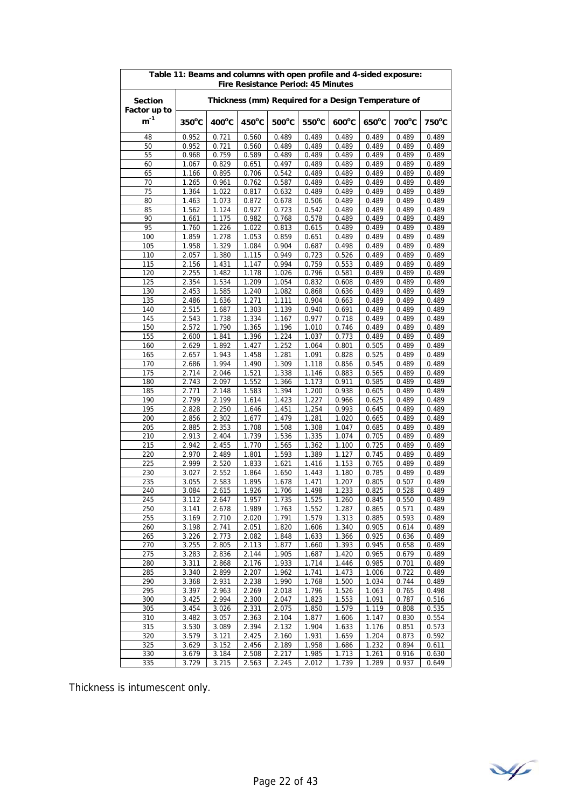| Table 11: Beams and columns with open profile and 4-sided exposure:<br><b>Fire Resistance Period: 45 Minutes</b> |                 |                 |                 |                 |                 |                                                     |                 |                |                |  |
|------------------------------------------------------------------------------------------------------------------|-----------------|-----------------|-----------------|-----------------|-----------------|-----------------------------------------------------|-----------------|----------------|----------------|--|
| <b>Section</b><br>Factor up to                                                                                   |                 |                 |                 |                 |                 | Thickness (mm) Required for a Design Temperature of |                 |                |                |  |
| $\mathsf{m}^\text{-1}$                                                                                           | $350^{\circ}$ C | $400^{\circ}$ C | $450^{\circ}$ C | $500^{\circ}$ C | $550^{\circ}$ C | $600^{\circ}$ C                                     | $650^{\circ}$ C | 700°C          | 750°C          |  |
| 48                                                                                                               | 0.952           | 0.721           | 0.560           | 0.489           | 0.489           | 0.489                                               | 0.489           | 0.489          | 0.489          |  |
| 50                                                                                                               | 0.952           | 0.721           | 0.560           | 0.489           | 0.489           | 0.489                                               | 0.489           | 0.489          | 0.489          |  |
| 55                                                                                                               | 0.968           | 0.759           | 0.589           | 0.489           | 0.489           | 0.489                                               | 0.489           | 0.489          | 0.489          |  |
| 60                                                                                                               | 1.067           | 0.829           | 0.651           | 0.497           | 0.489           | 0.489                                               | 0.489           | 0.489          | 0.489          |  |
| 65                                                                                                               | 1.166           | 0.895           | 0.706           | 0.542           | 0.489           | 0.489                                               | 0.489           | 0.489          | 0.489          |  |
| 70                                                                                                               | 1.265           | 0.961           | 0.762           | 0.587           | 0.489           | 0.489                                               | 0.489           | 0.489          | 0.489          |  |
| 75                                                                                                               | 1.364           | 1.022           | 0.817           | 0.632           | 0.489           | 0.489                                               | 0.489           | 0.489          | 0.489          |  |
| 80                                                                                                               | 1.463           | 1.073           | 0.872           | 0.678           | 0.506           | 0.489                                               | 0.489           | 0.489          | 0.489          |  |
| 85                                                                                                               | 1.562           | 1.124           | 0.927           | 0.723           | 0.542           | 0.489<br>0.489                                      | 0.489           | 0.489          | 0.489          |  |
| 90<br>95                                                                                                         | 1.661<br>1.760  | 1.175<br>1.226  | 0.982<br>1.022  | 0.768<br>0.813  | 0.578<br>0.615  | 0.489                                               | 0.489<br>0.489  | 0.489<br>0.489 | 0.489<br>0.489 |  |
| 100                                                                                                              | 1.859           | 1.278           | 1.053           | 0.859           | 0.651           | 0.489                                               | 0.489           | 0.489          | 0.489          |  |
| 105                                                                                                              | 1.958           | 1.329           | 1.084           | 0.904           | 0.687           | 0.498                                               | 0.489           | 0.489          | 0.489          |  |
| 110                                                                                                              | 2.057           | 1.380           | 1.115           | 0.949           | 0.723           | 0.526                                               | 0.489           | 0.489          | 0.489          |  |
| 115                                                                                                              | 2.156           | 1.431           | 1.147           | 0.994           | 0.759           | 0.553                                               | 0.489           | 0.489          | 0.489          |  |
| 120                                                                                                              | 2.255           | 1.482           | 1.178           | 1.026           | 0.796           | 0.581                                               | 0.489           | 0.489          | 0.489          |  |
| 125                                                                                                              | 2.354           | 1.534           | 1.209           | 1.054           | 0.832           | 0.608                                               | 0.489           | 0.489          | 0.489          |  |
| 130                                                                                                              | 2.453           | 1.585           | 1.240           | 1.082           | 0.868           | 0.636                                               | 0.489           | 0.489          | 0.489          |  |
| 135                                                                                                              | 2.486           | 1.636           | 1.271           | 1.111           | 0.904           | 0.663                                               | 0.489           | 0.489          | 0.489          |  |
| 140                                                                                                              | 2.515           | 1.687           | 1.303           | 1.139           | 0.940           | 0.691                                               | 0.489           | 0.489          | 0.489          |  |
| 145                                                                                                              | 2.543           | 1.738           | 1.334           | 1.167           | 0.977           | 0.718                                               | 0.489           | 0.489          | 0.489          |  |
| 150                                                                                                              | 2.572           | 1.790           | 1.365           | 1.196           | 1.010           | 0.746                                               | 0.489           | 0.489          | 0.489          |  |
| 155                                                                                                              | 2.600           | 1.841           | 1.396           | 1.224           | 1.037           | 0.773                                               | 0.489           | 0.489          | 0.489          |  |
| 160                                                                                                              | 2.629           | 1.892           | 1.427           | 1.252           | 1.064           | 0.801                                               | 0.505           | 0.489          | 0.489          |  |
| 165                                                                                                              | 2.657           | 1.943           | 1.458           | 1.281           | 1.091           | 0.828                                               | 0.525           | 0.489          | 0.489          |  |
| 170                                                                                                              | 2.686           | 1.994           | 1.490           | 1.309           | 1.118           | 0.856                                               | 0.545           | 0.489          | 0.489          |  |
| 175                                                                                                              | 2.714           | 2.046           | 1.521           | 1.338           | 1.146<br>1.173  | 0.883                                               | 0.565           | 0.489          | 0.489          |  |
| 180<br>185                                                                                                       | 2.743<br>2.771  | 2.097<br>2.148  | 1.552<br>1.583  | 1.366<br>1.394  | 1.200           | 0.911<br>0.938                                      | 0.585<br>0.605  | 0.489<br>0.489 | 0.489<br>0.489 |  |
| 190                                                                                                              | 2.799           | 2.199           | 1.614           | 1.423           | 1.227           | 0.966                                               | 0.625           | 0.489          | 0.489          |  |
| 195                                                                                                              | 2.828           | 2.250           | 1.646           | 1.451           | 1.254           | 0.993                                               | 0.645           | 0.489          | 0.489          |  |
| 200                                                                                                              | 2.856           | 2.302           | 1.677           | 1.479           | 1.281           | 1.020                                               | 0.665           | 0.489          | 0.489          |  |
| 205                                                                                                              | 2.885           | 2.353           | 1.708           | 1.508           | 1.308           | 1.047                                               | 0.685           | 0.489          | 0.489          |  |
| 210                                                                                                              | 2.913           | 2.404           | 1.739           | 1.536           | 1.335           | 1.074                                               | 0.705           | 0.489          | 0.489          |  |
| 215                                                                                                              | 2.942           | 2.455           | 1.770           | 1.565           | 1.362           | 1.100                                               | 0.725           | 0.489          | 0.489          |  |
| 220                                                                                                              | 2.970           | 2.489           | 1.801           | 1.593           | 1.389           | 1.127                                               | 0.745           | 0.489          | 0.489          |  |
| 225                                                                                                              | 2.999           | 2.520           | 1.833           | 1.621           | 1.416           | 1.153                                               | 0.765           | 0.489          | 0.489          |  |
| 230                                                                                                              | 3.027           | 2.552           | 1.864           | 1.650           | 1.443           | 1.180                                               | 0.785           | 0.489          | 0.489          |  |
| 235                                                                                                              | 3.055           | 2.583           | 1.895           | 1.678           | 1.471           | 1.207                                               | 0.805           | 0.507          | 0.489          |  |
| 240                                                                                                              | 3.084           | 2.615           | 1.926           | 1.706           | 1.498           | 1.233                                               | 0.825           | 0.528          | 0.489          |  |
| 245                                                                                                              | 3.112           | 2.647           | 1.957           | 1.735           | 1.525           | 1.260                                               | 0.845           | 0.550          | 0.489          |  |
| 250<br>255                                                                                                       | 3.141<br>3.169  | 2.678<br>2.710  | 1.989<br>2.020  | 1.763<br>1.791  | 1.552<br>1.579  | 1.287<br>1.313                                      | 0.865<br>0.885  | 0.571<br>0.593 | 0.489<br>0.489 |  |
| 260                                                                                                              | 3.198           | 2.741           | 2.051           | 1.820           | 1.606           | 1.340                                               | 0.905           | 0.614          | 0.489          |  |
| 265                                                                                                              | 3.226           | 2.773           | 2.082           | 1.848           | 1.633           | 1.366                                               | 0.925           | 0.636          | 0.489          |  |
| 270                                                                                                              | 3.255           | 2.805           | 2.113           | 1.877           | 1.660           | 1.393                                               | 0.945           | 0.658          | 0.489          |  |
| 275                                                                                                              | 3.283           | 2.836           | 2.144           | 1.905           | 1.687           | 1.420                                               | 0.965           | 0.679          | 0.489          |  |
| 280                                                                                                              | 3.311           | 2.868           | 2.176           | 1.933           | 1.714           | 1.446                                               | 0.985           | 0.701          | 0.489          |  |
| 285                                                                                                              | 3.340           | 2.899           | 2.207           | 1.962           | 1.741           | 1.473                                               | 1.006           | 0.722          | 0.489          |  |
| 290                                                                                                              | 3.368           | 2.931           | 2.238           | 1.990           | 1.768           | 1.500                                               | 1.034           | 0.744          | 0.489          |  |
| 295                                                                                                              | 3.397           | 2.963           | 2.269           | 2.018           | 1.796           | 1.526                                               | 1.063           | 0.765          | 0.498          |  |
| 300                                                                                                              | 3.425           | 2.994           | 2.300           | 2.047           | 1.823           | 1.553                                               | 1.091           | 0.787          | 0.516          |  |
| 305                                                                                                              | 3.454           | 3.026           | 2.331           | 2.075           | 1.850           | 1.579                                               | 1.119           | 0.808          | 0.535          |  |
| 310                                                                                                              | 3.482           | 3.057           | 2.363           | 2.104           | 1.877           | 1.606                                               | 1.147           | 0.830          | 0.554          |  |
| 315                                                                                                              | 3.530           | 3.089           | 2.394           | 2.132           | 1.904           | 1.633                                               | 1.176           | 0.851          | 0.573          |  |
| 320                                                                                                              | 3.579           | 3.121           | 2.425           | 2.160           | 1.931           | 1.659                                               | 1.204           | 0.873          | 0.592          |  |
| 325                                                                                                              | 3.629           | 3.152           | 2.456           | 2.189           | 1.958           | 1.686                                               | 1.232           | 0.894          | 0.611          |  |
| 330<br>335                                                                                                       | 3.679<br>3.729  | 3.184<br>3.215  | 2.508<br>2.563  | 2.217<br>2.245  | 1.985<br>2.012  | 1.713                                               | 1.261<br>1.289  | 0.916<br>0.937 | 0.630<br>0.649 |  |
|                                                                                                                  |                 |                 |                 |                 |                 | 1.739                                               |                 |                |                |  |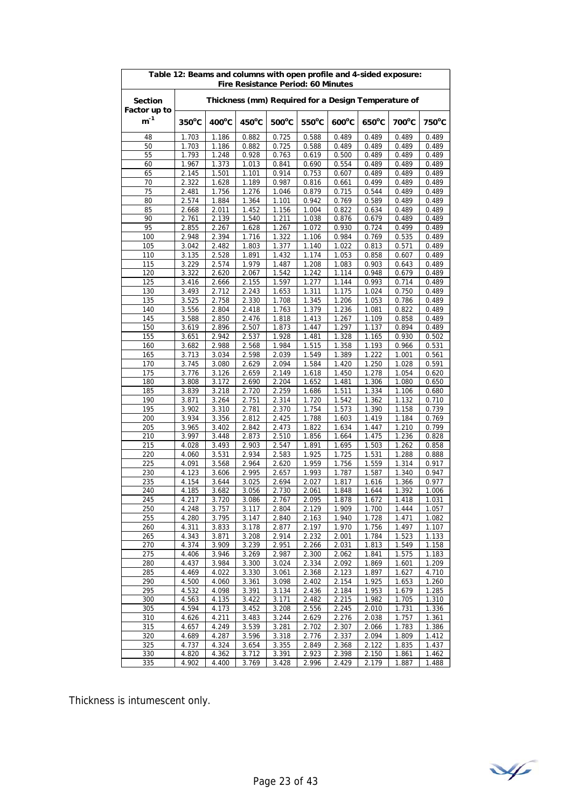| Table 12: Beams and columns with open profile and 4-sided exposure:<br><b>Fire Resistance Period: 60 Minutes</b> |                     |                 |                 |                 |                 |                                                     |                 |                |                 |  |
|------------------------------------------------------------------------------------------------------------------|---------------------|-----------------|-----------------|-----------------|-----------------|-----------------------------------------------------|-----------------|----------------|-----------------|--|
| <b>Section</b><br>Factor up to                                                                                   |                     |                 |                 |                 |                 | Thickness (mm) Required for a Design Temperature of |                 |                |                 |  |
| $m^{-1}$                                                                                                         | $350^{\circ}$ C     | $400^{\circ}$ C | $450^{\circ}$ C | $500^{\circ}$ C | $550^{\circ}$ C | $600^{\circ}$ C                                     | $650^{\circ}$ C | 700°C          | $750^{\circ}$ C |  |
| 48                                                                                                               | 1.703               | 1.186           | 0.882           | 0.725           | 0.588           | 0.489                                               | 0.489           | 0.489          | 0.489           |  |
| 50                                                                                                               | 1.703               | 1.186           | 0.882           | 0.725           | 0.588           | 0.489                                               | 0.489           | 0.489          | 0.489           |  |
| 55                                                                                                               | 1.793               | 1.248           | 0.928           | 0.763           | 0.619           | 0.500                                               | 0.489           | 0.489          | 0.489           |  |
| 60                                                                                                               | 1.967               | 1.373           | 1.013           | 0.841           | 0.690           | 0.554                                               | 0.489           | 0.489          | 0.489           |  |
| 65                                                                                                               | 2.145               | 1.501           | 1.101           | 0.914           | 0.753           | 0.607                                               | 0.489           | 0.489          | 0.489           |  |
| 70                                                                                                               | 2.322               | 1.628           | 1.189           | 0.987           | 0.816           | 0.661                                               | 0.499           | 0.489          | 0.489           |  |
| 75                                                                                                               | 2.481               | 1.756           | 1.276           | 1.046           | 0.879           | 0.715                                               | 0.544           | 0.489          | 0.489           |  |
| 80                                                                                                               | 2.574               | 1.884           | 1.364           | 1.101           | 0.942           | 0.769                                               | 0.589           | 0.489          | 0.489           |  |
| 85<br>90                                                                                                         | 2.668<br>2.761      | 2.011<br>2.139  | 1.452<br>1.540  | 1.156<br>1.211  | 1.004<br>1.038  | 0.822<br>0.876                                      | 0.634<br>0.679  | 0.489<br>0.489 | 0.489<br>0.489  |  |
| 95                                                                                                               | 2.855               | 2.267           | 1.628           | 1.267           | 1.072           | 0.930                                               | 0.724           | 0.499          | 0.489           |  |
| 100                                                                                                              | 2.948               | 2.394           | 1.716           | 1.322           | 1.106           | 0.984                                               | 0.769           | 0.535          | 0.489           |  |
| 105                                                                                                              | 3.042               | 2.482           | 1.803           | 1.377           | 1.140           | 1.022                                               | 0.813           | 0.571          | 0.489           |  |
| 110                                                                                                              | 3.135               | 2.528           | 1.891           | 1.432           | 1.174           | 1.053                                               | 0.858           | 0.607          | 0.489           |  |
| 115                                                                                                              | 3.229               | 2.574           | 1.979           | 1.487           | 1.208           | 1.083                                               | 0.903           | 0.643          | 0.489           |  |
| 120                                                                                                              | 3.322               | 2.620           | 2.067           | 1.542           | 1.242           | 1.114                                               | 0.948           | 0.679          | 0.489           |  |
| 125                                                                                                              | 3.416               | 2.666           | 2.155           | 1.597           | 1.277           | 1.144                                               | 0.993           | 0.714          | 0.489           |  |
| 130                                                                                                              | 3.493               | 2.712           | 2.243           | 1.653           | 1.311           | 1.175                                               | 1.024           | 0.750          | 0.489           |  |
| 135                                                                                                              | 3.525               | 2.758           | 2.330           | 1.708           | 1.345           | 1.206                                               | 1.053           | 0.786          | 0.489           |  |
| 140                                                                                                              | 3.556               | 2.804           | 2.418           | 1.763           | 1.379           | 1.236                                               | 1.081           | 0.822          | 0.489           |  |
| 145                                                                                                              | 3.588               | 2.850           | 2.476           | 1.818           | 1.413           | 1.267                                               | 1.109           | 0.858          | 0.489           |  |
| 150                                                                                                              | 3.619               | 2.896           | 2.507           | 1.873           | 1.447           | 1.297                                               | 1.137           | 0.894          | 0.489           |  |
| 155                                                                                                              | 3.651               | 2.942           | 2.537           | 1.928<br>1.984  | 1.481           | 1.328                                               | 1.165           | 0.930          | 0.502           |  |
| 160<br>165                                                                                                       | 3.682<br>3.713      | 2.988<br>3.034  | 2.568<br>2.598  | 2.039           | 1.515<br>1.549  | 1.358<br>1.389                                      | 1.193<br>1.222  | 0.966<br>1.001 | 0.531<br>0.561  |  |
| 170                                                                                                              | 3.745               | 3.080           | 2.629           | 2.094           | 1.584           | 1.420                                               | 1.250           | 1.028          | 0.591           |  |
| 175                                                                                                              | 3.776               | 3.126           | 2.659           | 2.149           | 1.618           | 1.450                                               | 1.278           | 1.054          | 0.620           |  |
| 180                                                                                                              | 3.808               | 3.172           | 2.690           | 2.204           | 1.652           | 1.481                                               | 1.306           | 1.080          | 0.650           |  |
| 185                                                                                                              | 3.839               | 3.218           | 2.720           | 2.259           | 1.686           | 1.511                                               | 1.334           | 1.106          | 0.680           |  |
| 190                                                                                                              | 3.871               | 3.264           | 2.751           | 2.314           | 1.720           | 1.542                                               | 1.362           | 1.132          | 0.710           |  |
| 195                                                                                                              | 3.902               | 3.310           | 2.781           | 2.370           | 1.754           | 1.573                                               | 1.390           | 1.158          | 0.739           |  |
| 200                                                                                                              | 3.934               | 3.356           | 2.812           | 2.425           | 1.788           | 1.603                                               | 1.419           | 1.184          | 0.769           |  |
| 205                                                                                                              | 3.965               | 3.402           | 2.842           | 2.473           | 1.822           | 1.634                                               | 1.447           | 1.210          | 0.799           |  |
| 210                                                                                                              | 3.997               | 3.448           | 2.873           | 2.510           | 1.856           | 1.664                                               | 1.475           | 1.236          | 0.828           |  |
| 215                                                                                                              | 4.028               | 3.493           | 2.903           | 2.547           | 1.891           | 1.695                                               | 1.503           | 1.262          | 0.858           |  |
| 220                                                                                                              | 4.060               | 3.531           | 2.934           | 2.583           | 1.925           | 1.725                                               | 1.531           | 1.288          | 0.888           |  |
| 225                                                                                                              | 4.091               | 3.568           | 2.964           | 2.620           | 1.959           | 1.756                                               | 1.559           | 1.314          | 0.917           |  |
| 230                                                                                                              | 4.123               | 3.606           | 2.995           | 2.657           | 1.993           | 1.787                                               | 1.587           | 1.340          | 0.947           |  |
| 235<br>240                                                                                                       | 4.154<br>4.185      | 3.644<br>3.682  | 3.025<br>3.056  | 2.694<br>2.730  | 2.027<br>2.061  | 1.817<br>1.848                                      | 1.616<br>1.644  | 1.366<br>1.392 | 0.977<br>1.006  |  |
| 245                                                                                                              | 4.217               | 3.720           | 3.086           | 2.767           | 2.095           | 1.878                                               | 1.672           | 1.418          | 1.031           |  |
| 250                                                                                                              | 4.248               | 3.757           | 3.117           | 2.804           | 2.129           | 1.909                                               | 1.700           | 1.444          | 1.057           |  |
| 255                                                                                                              | 4.280               | 3.795           | 3.147           | 2.840           | 2.163           | 1.940                                               | 1.728           | 1.471          | 1.082           |  |
| 260                                                                                                              | 4.311               | 3.833           | 3.178           | 2.877           | 2.197           | 1.970                                               | 1.756           | 1.497          | 1.107           |  |
| 265                                                                                                              | 4.343               | 3.871           | 3.208           | 2.914           | 2.232           | 2.001                                               | 1.784           | 1.523          | 1.133           |  |
| 270                                                                                                              | 4.374               | 3.909           | 3.239           | 2.951           | 2.266           | 2.031                                               | 1.813           | 1.549          | 1.158           |  |
| 275                                                                                                              | 4.406               | 3.946           | 3.269           | 2.987           | 2.300           | 2.062                                               | 1.841           | 1.575          | 1.183           |  |
| 280                                                                                                              | 4.437               | 3.984           | 3.300           | 3.024           | 2.334           | 2.092                                               | 1.869           | 1.601          | 1.209           |  |
| 285                                                                                                              | 4.469               | 4.022           | 3.330           | 3.061           | 2.368           | 2.123                                               | 1.897           | 1.627          | 4.710           |  |
| 290                                                                                                              | 4.500               | 4.060           | 3.361           | 3.098           | 2.402           | 2.154                                               | 1.925           | 1.653          | 1.260           |  |
| 295                                                                                                              | 4.532               | 4.098           | 3.391           | 3.134           | 2.436           | 2.184                                               | 1.953           | 1.679          | 1.285           |  |
| 300<br>305                                                                                                       | 4.563<br>4.594      | 4.135<br>4.173  | 3.422<br>3.452  | 3.171<br>3.208  | 2.482<br>2.556  | 2.215<br>2.245                                      | 1.982<br>2.010  | 1.705<br>1.731 | 1.310<br>1.336  |  |
| 310                                                                                                              | 4.626               | 4.211           | 3.483           | 3.244           | 2.629           | 2.276                                               | 2.038           | 1.757          | 1.361           |  |
| 315                                                                                                              | 4.657               | 4.249           | 3.539           | 3.281           | 2.702           | 2.307                                               | 2.066           | 1.783          | 1.386           |  |
| 320                                                                                                              | 4.689               | 4.287           | 3.596           | 3.318           | 2.776           | 2.337                                               | 2.094           | 1.809          | 1.412           |  |
| 325                                                                                                              | 4.737               | 4.324           | 3.654           | 3.355           | 2.849           | 2.368                                               | 2.122           | 1.835          | 1.437           |  |
| 330                                                                                                              | 4.820               | 4.362           | 3.712           | 3.391           | 2.923           | 2.398                                               | 2.150           | 1.861          | 1.462           |  |
| 335                                                                                                              | $\overline{4}$ .902 | 4.400           | 3.769           | 3.428           | 2.996           | 2.429                                               | 2.179           | 1.887          | 1.488           |  |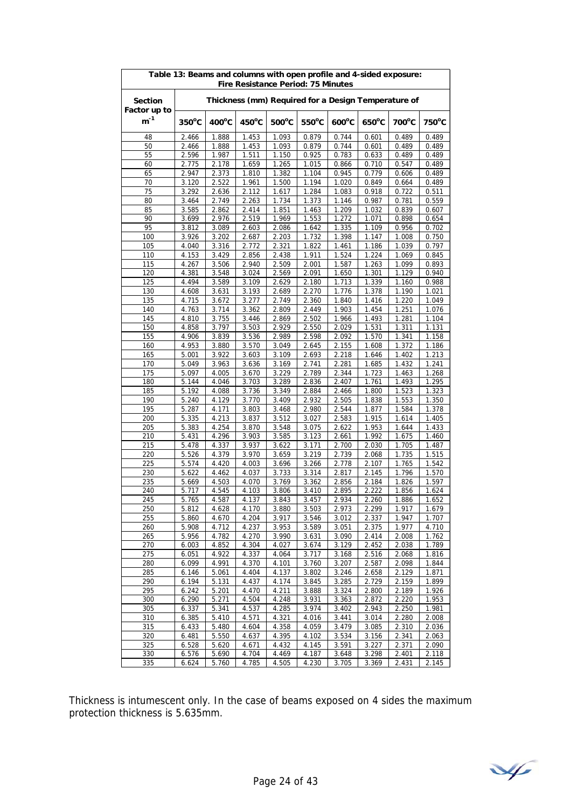| Table 13: Beams and columns with open profile and 4-sided exposure:<br><b>Fire Resistance Period: 75 Minutes</b> |                 |                    |                 |                    |                 |                 |                 |                                                     |                |
|------------------------------------------------------------------------------------------------------------------|-----------------|--------------------|-----------------|--------------------|-----------------|-----------------|-----------------|-----------------------------------------------------|----------------|
| <b>Section</b><br>Factor up to                                                                                   |                 |                    |                 |                    |                 |                 |                 | Thickness (mm) Required for a Design Temperature of |                |
| $\mathsf{m}^\text{-1}$                                                                                           | $350^{\circ}$ C | $400^{\circ}$ C    | $450^{\circ}$ C | $500^{\circ}$ C    | $550^{\circ}$ C | $600^{\circ}$ C | $650^{\circ}$ C | 700°C                                               | 750°C          |
| 48                                                                                                               | 2.466           | 1.888              | 1.453           | 1.093              | 0.879           | 0.744           | 0.601           | 0.489                                               | 0.489          |
| 50                                                                                                               | 2.466           | 1.888              | 1.453           | 1.093              | 0.879           | 0.744           | 0.601           | 0.489                                               | 0.489          |
| 55                                                                                                               | 2.596           | 1.987              | 1.511           | 1.150              | 0.925           | 0.783           | 0.633           | 0.489                                               | 0.489          |
| 60                                                                                                               | 2.775           | 2.178              | 1.659           | 1.265              | 1.015           | 0.866           | 0.710           | 0.547                                               | 0.489          |
| 65                                                                                                               | 2.947           | 2.373              | 1.810           | 1.382              | 1.104           | 0.945           | 0.779           | 0.606                                               | 0.489          |
| 70                                                                                                               | 3.120           | 2.522              | 1.961           | 1.500              | 1.194           | 1.020           | 0.849           | 0.664                                               | 0.489          |
| 75                                                                                                               | 3.292           | 2.636              | 2.112           | 1.617              | 1.284           | 1.083           | 0.918           | 0.722                                               | 0.511          |
| 80                                                                                                               | 3.464           | 2.749              | 2.263           | 1.734              | 1.373           | 1.146           | 0.987           | 0.781                                               | 0.559          |
| 85                                                                                                               | 3.585           | 2.862              | 2.414           | 1.851              | 1.463           | 1.209           | 1.032           | 0.839                                               | 0.607          |
| 90<br>95                                                                                                         | 3.699<br>3.812  | 2.976<br>3.089     | 2.519<br>2.603  | 1.969              | 1.553           | 1.272<br>1.335  | 1.071           | 0.898                                               | 0.654<br>0.702 |
| 100                                                                                                              | 3.926           | 3.202              | 2.687           | 2.086              | 1.642<br>1.732  | 1.398           | 1.109<br>1.147  | 0.956<br>1.008                                      |                |
| 105                                                                                                              | 4.040           | 3.316              | 2.772           | 2.203<br>2.321     | 1.822           | 1.461           | 1.186           | 1.039                                               | 0.750<br>0.797 |
| 110                                                                                                              | 4.153           | 3.429              | 2.856           | 2.438              | 1.911           | 1.524           | 1.224           | 1.069                                               | 0.845          |
| 115                                                                                                              | 4.267           | 3.506              | 2.940           | 2.509              | 2.001           | 1.587           | 1.263           | 1.099                                               | 0.893          |
| 120                                                                                                              | 4.381           | 3.548              | 3.024           | 2.569              | 2.091           | 1.650           | 1.301           | 1.129                                               | 0.940          |
| 125                                                                                                              | 4.494           | 3.589              | 3.109           | 2.629              | 2.180           | 1.713           | 1.339           | 1.160                                               | 0.988          |
| 130                                                                                                              | 4.608           | 3.631              | 3.193           | 2.689              | 2.270           | 1.776           | 1.378           | 1.190                                               | 1.021          |
| 135                                                                                                              | 4.715           | 3.672              | 3.277           | 2.749              | 2.360           | 1.840           | 1.416           | 1.220                                               | 1.049          |
| 140                                                                                                              | 4.763           | 3.714              | 3.362           | 2.809              | 2.449           | 1.903           | 1.454           | 1.251                                               | 1.076          |
| 145                                                                                                              | 4.810           | 3.755              | 3.446           | 2.869              | 2.502           | 1.966           | 1.493           | 1.281                                               | 1.104          |
| 150                                                                                                              | 4.858           | 3.797              | 3.503           | 2.929              | 2.550           | 2.029           | 1.531           | 1.311                                               | 1.131          |
| 155                                                                                                              | 4.906           | 3.839              | 3.536           | 2.989              | 2.598           | 2.092           | 1.570           | 1.341                                               | 1.158          |
| 160                                                                                                              | 4.953           | 3.880              | 3.570           | 3.049              | 2.645           | 2.155           | 1.608           | 1.372                                               | 1.186          |
| 165                                                                                                              | 5.001           | 3.922              | 3.603           | 3.109              | 2.693           | 2.218           | 1.646           | 1.402                                               | 1.213          |
| 170                                                                                                              | 5.049           | 3.963              | 3.636           | 3.169              | 2.741           | 2.281           | 1.685           | 1.432                                               | 1.241          |
| 175                                                                                                              | 5.097           | 4.005              | 3.670           | 3.229              | 2.789           | 2.344           | 1.723           | 1.463                                               | 1.268          |
| 180                                                                                                              | 5.144           | 4.046              | 3.703           | 3.289              | 2.836           | 2.407           | 1.761           | 1.493                                               | 1.295          |
| 185                                                                                                              | 5.192           | 4.088              | 3.736           | 3.349              | 2.884           | 2.466           | 1.800           | 1.523                                               | 1.323          |
| 190<br>195                                                                                                       | 5.240<br>5.287  | 4.129<br>4.171     | 3.770<br>3.803  | 3.409<br>3.468     | 2.932<br>2.980  | 2.505<br>2.544  | 1.838<br>1.877  | 1.553<br>1.584                                      | 1.350<br>1.378 |
| 200                                                                                                              | 5.335           | 4.213              | 3.837           | 3.512              | 3.027           | 2.583           | 1.915           | 1.614                                               | 1.405          |
| 205                                                                                                              | 5.383           | 4.254              | 3.870           | 3.548              | 3.075           | 2.622           | 1.953           | 1.644                                               | 1.433          |
| 210                                                                                                              | 5.431           | 4.296              | 3.903           | 3.585              | 3.123           | 2.661           | 1.992           | 1.675                                               | 1.460          |
| 215                                                                                                              | 5.478           | 4.337              | 3.937           | 3.622              | 3.171           | 2.700           | 2.030           | 1.705                                               | 1.487          |
| 220                                                                                                              | 5.526           | 4.379              | 3.970           | 3.659              | 3.219           | 2.739           | 2.068           | 1.735                                               | 1.515          |
| 225                                                                                                              | 5.574           | 4.420              | 4.003           | 3.696              | 3.266           | 2.778           | 2.107           | 1.765                                               | 1.542          |
| 230                                                                                                              | 5.622           | 4.462              | 4.037           | 3.733              | 3.314           | 2.817           | 2.145           | 1.796                                               | 1.570          |
| 235                                                                                                              | 5.669           | 4.503              | 4.070           | 3.769              | 3.362           | 2.856           | 2.184           | 1.826                                               | 1.597          |
| 240                                                                                                              | 5.717           | 4.545              | 4.103           | 3.806              | 3.410           | 2.895           | 2.222           | 1.856                                               | 1.624          |
| 245                                                                                                              | 5.765           | 4.587              | 4.137           | 3.843              | 3.457           | 2.934           | 2.260           | 1.886                                               | 1.652          |
| 250                                                                                                              | 5.812           | 4.628              | 4.170           | 3.880              | 3.503           | 2.973           | 2.299           | 1.917                                               | 1.679          |
| 255                                                                                                              | 5.860           | 4.670              | 4.204           | 3.917              | 3.546           | 3.012           | 2.337           | 1.947                                               | 1.707          |
| 260                                                                                                              | 5.908           | $\overline{4.712}$ | 4.237           | 3.953              | 3.589           | 3.051           | 2.375           | 1.977                                               | 4.710          |
| 265                                                                                                              | 5.956           | 4.782              | 4.270           | 3.990              | 3.631           | 3.090           | 2.414           | 2.008                                               | 1.762          |
| 270                                                                                                              | 6.003           | 4.852              | 4.304           | 4.027              | 3.674           | 3.129           | 2.452           | 2.038                                               | 1.789          |
| 275<br>280                                                                                                       | 6.051<br>6.099  | 4.922<br>4.991     | 4.337<br>4.370  | 4.064<br>4.101     | 3.717<br>3.760  | 3.168<br>3.207  | 2.516<br>2.587  | 2.068<br>2.098                                      | 1.816<br>1.844 |
| 285                                                                                                              | 6.146           | 5.061              | 4.404           | 4.137              | 3.802           | 3.246           | 2.658           | 2.129                                               | 1.871          |
| 290                                                                                                              | 6.194           | 5.131              | 4.437           | $\overline{4.174}$ | 3.845           | 3.285           | 2.729           | 2.159                                               | 1.899          |
| 295                                                                                                              | 6.242           | 5.201              | 4.470           | 4.211              | 3.888           | 3.324           | 2.800           | 2.189                                               | 1.926          |
| 300                                                                                                              | 6.290           | 5.271              | 4.504           | 4.248              | 3.931           | 3.363           | 2.872           | 2.220                                               | 1.953          |
| 305                                                                                                              | 6.337           | 5.341              | 4.537           | 4.285              | 3.974           | 3.402           | 2.943           | 2.250                                               | 1.981          |
| 310                                                                                                              | 6.385           | 5.410              | 4.571           | 4.321              | 4.016           | 3.441           | 3.014           | 2.280                                               | 2.008          |
| 315                                                                                                              | 6.433           | 5.480              | 4.604           | 4.358              | 4.059           | 3.479           | 3.085           | 2.310                                               | 2.036          |
| 320                                                                                                              | 6.481           | 5.550              | 4.637           | 4.395              | 4.102           | 3.534           | 3.156           | 2.341                                               | 2.063          |
| 325                                                                                                              | 6.528           | 5.620              | 4.671           | 4.432              | 4.145           | 3.591           | 3.227           | 2.371                                               | 2.090          |
| 330                                                                                                              | 6.576           | 5.690              | 4.704           | 4.469              | 4.187           | 3.648           | 3.298           | 2.401                                               | 2.118          |
| 335                                                                                                              | 6.624           | 5.760              | 4.785           | 4.505              | 4.230           | 3.705           | 3.369           | 2.431                                               | 2.145          |

Thickness is intumescent only. In the case of beams exposed on 4 sides the maximum protection thickness is 5.635mm.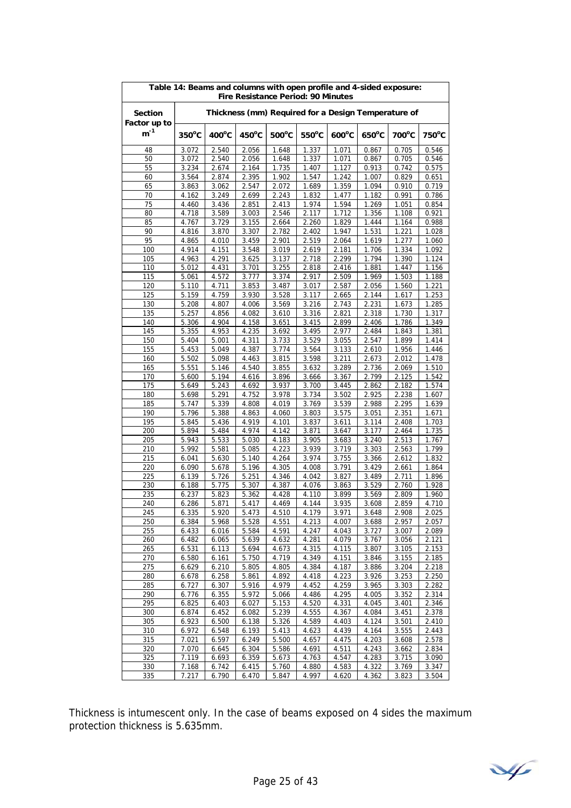| Table 14: Beams and columns with open profile and 4-sided exposure:<br>Fire Resistance Period: 90 Minutes |                 |                |                 |                |                 |                                                     |                |                |                |
|-----------------------------------------------------------------------------------------------------------|-----------------|----------------|-----------------|----------------|-----------------|-----------------------------------------------------|----------------|----------------|----------------|
| <b>Section</b><br>Factor up to                                                                            |                 |                |                 |                |                 | Thickness (mm) Required for a Design Temperature of |                |                |                |
| $m^{-1}$                                                                                                  | $350^{\circ}$ C | 400°C          | $450^{\circ}$ C | 500°C          | $550^{\circ}$ C | $600^{\circ}$ C                                     | 650°C          | 700°C          | 750°C          |
| 48                                                                                                        | 3.072           | 2.540          | 2.056           | 1.648          | 1.337           | 1.071                                               | 0.867          | 0.705          | 0.546          |
| 50                                                                                                        | 3.072           | 2.540          | 2.056           | 1.648          | 1.337           | 1.071                                               | 0.867          | 0.705          | 0.546          |
| 55                                                                                                        | 3.234           | 2.674          | 2.164           | 1.735          | 1.407           | 1.127                                               | 0.913          | 0.742          | 0.575          |
| 60                                                                                                        | 3.564           | 2.874          | 2.395           | 1.902          | 1.547           | 1.242                                               | 1.007          | 0.829          | 0.651          |
| 65                                                                                                        | 3.863           | 3.062          | 2.547           | 2.072          | 1.689           | 1.359                                               | 1.094          | 0.910          | 0.719          |
| 70<br>75                                                                                                  | 4.162<br>4.460  | 3.249<br>3.436 | 2.699<br>2.851  | 2.243<br>2.413 | 1.832<br>1.974  | 1.477<br>1.594                                      | 1.182<br>1.269 | 0.991<br>1.051 | 0.786<br>0.854 |
| 80                                                                                                        | 4.718           | 3.589          | 3.003           | 2.546          | 2.117           | 1.712                                               | 1.356          | 1.108          | 0.921          |
| 85                                                                                                        | 4.767           | 3.729          | 3.155           | 2.664          | 2.260           | 1.829                                               | 1.444          | 1.164          | 0.988          |
| 90                                                                                                        | 4.816           | 3.870          | 3.307           | 2.782          | 2.402           | 1.947                                               | 1.531          | 1.221          | 1.028          |
| 95                                                                                                        | 4.865           | 4.010          | 3.459           | 2.901          | 2.519           | 2.064                                               | 1.619          | 1.277          | 1.060          |
| 100                                                                                                       | 4.914           | 4.151          | 3.548           | 3.019          | 2.619           | 2.181                                               | 1.706          | 1.334          | 1.092          |
| 105                                                                                                       | 4.963           | 4.291          | 3.625           | 3.137          | 2.718           | 2.299                                               | 1.794          | 1.390          | 1.124          |
| 110                                                                                                       | 5.012           | 4.431          | 3.701           | 3.255          | 2.818           | 2.416                                               | 1.881          | 1.447          | 1.156          |
| 115                                                                                                       | 5.061           | 4.572          | 3.777           | 3.374          | 2.917           | 2.509                                               | 1.969          | 1.503          | 1.188          |
| 120<br>125                                                                                                | 5.110<br>5.159  | 4.711<br>4.759 | 3.853<br>3.930  | 3.487<br>3.528 | 3.017<br>3.117  | 2.587<br>2.665                                      | 2.056<br>2.144 | 1.560<br>1.617 | 1.221<br>1.253 |
| 130                                                                                                       | 5.208           | 4.807          | 4.006           | 3.569          | 3.216           | 2.743                                               | 2.231          | 1.673          | 1.285          |
| 135                                                                                                       | 5.257           | 4.856          | 4.082           | 3.610          | 3.316           | 2.821                                               | 2.318          | 1.730          | 1.317          |
| 140                                                                                                       | 5.306           | 4.904          | 4.158           | 3.651          | 3.415           | 2.899                                               | 2.406          | 1.786          | 1.349          |
| 145                                                                                                       | 5.355           | 4.953          | 4.235           | 3.692          | 3.495           | 2.977                                               | 2.484          | 1.843          | 1.381          |
| 150                                                                                                       | 5.404           | 5.001          | 4.311           | 3.733          | 3.529           | 3.055                                               | 2.547          | 1.899          | 1.414          |
| 155                                                                                                       | 5.453           | 5.049          | 4.387           | 3.774          | 3.564           | 3.133                                               | 2.610          | 1.956          | 1.446          |
| 160                                                                                                       | 5.502           | 5.098          | 4.463           | 3.815          | 3.598           | 3.211                                               | 2.673          | 2.012          | 1.478          |
| 165                                                                                                       | 5.551           | 5.146          | 4.540           | 3.855          | 3.632           | 3.289                                               | 2.736          | 2.069          | 1.510          |
| 170                                                                                                       | 5.600           | 5.194          | 4.616           | 3.896          | 3.666           | 3.367                                               | 2.799          | 2.125          | 1.542          |
| 175<br>180                                                                                                | 5.649<br>5.698  | 5.243<br>5.291 | 4.692<br>4.752  | 3.937<br>3.978 | 3.700<br>3.734  | 3.445<br>3.502                                      | 2.862<br>2.925 | 2.182<br>2.238 | 1.574<br>1.607 |
| 185                                                                                                       | 5.747           | 5.339          | 4.808           | 4.019          | 3.769           | 3.539                                               | 2.988          | 2.295          | 1.639          |
| 190                                                                                                       | 5.796           | 5.388          | 4.863           | 4.060          | 3.803           | 3.575                                               | 3.051          | 2.351          | 1.671          |
| 195                                                                                                       | 5.845           | 5.436          | 4.919           | 4.101          | 3.837           | 3.611                                               | 3.114          | 2.408          | 1.703          |
| 200                                                                                                       | 5.894           | 5.484          | 4.974           | 4.142          | 3.871           | 3.647                                               | 3.177          | 2.464          | 1.735          |
| 205                                                                                                       | 5.943           | 5.533          | 5.030           | 4.183          | 3.905           | 3.683                                               | 3.240          | 2.513          | 1.767          |
| 210                                                                                                       | 5.992           | 5.581          | 5.085           | 4.223          | 3.939           | 3.719                                               | 3.303          | 2.563          | 1.799          |
| 215                                                                                                       | 6.041           | 5.630          | 5.140           | 4.264          | 3.974           | 3.755                                               | 3.366          | 2.612          | 1.832          |
| 220<br>225                                                                                                | 6.090<br>6.139  | 5.678<br>5.726 | 5.196<br>5.251  | 4.305<br>4.346 | 4.008<br>4.042  | 3.791<br>3.827                                      | 3.429<br>3.489 | 2.661<br>2.711 | 1.864<br>1.896 |
| 230                                                                                                       | 6.188           | 5.775          | 5.307           | 4.387          | 4.076           | 3.863                                               | 3.529          | 2.760          | 1.928          |
| 235                                                                                                       | 6.237           | 5.823          | 5.362           | 4.428          | 4.110           | 3.899                                               | 3.569          | 2.809          | 1.960          |
| 240                                                                                                       | 6.286           | 5.871          | 5.417           | 4.469          | 4.144           | 3.935                                               | 3.608          | 2.859          | 4.710          |
| 245                                                                                                       | 6.335           | 5.920          | 5.4/3           | 4.510          | 4.179           | 3.971                                               | 3.648          | 2.908          | 2.025          |
| 250                                                                                                       | 6.384           | 5.968          | 5.528           | 4.551          | 4.213           | 4.007                                               | 3.688          | 2.957          | 2.057          |
| 255                                                                                                       | 6.433           | 6.016          | 5.584           | 4.591          | 4.247           | 4.043                                               | 3.727          | 3.007          | 2.089          |
| 260                                                                                                       | 6.482           | 6.065          | 5.639           | 4.632          | 4.281           | 4.079                                               | 3.767          | 3.056          | 2.121          |
| 265<br>270                                                                                                | 6.531<br>6.580  | 6.113<br>6.161 | 5.694<br>5.750  | 4.673<br>4.719 | 4.315<br>4.349  | 4.115<br>4.151                                      | 3.807<br>3.846 | 3.105<br>3.155 | 2.153<br>2.185 |
| 275                                                                                                       | 6.629           | 6.210          | 5.805           | 4.805          | 4.384           | 4.187                                               | 3.886          | 3.204          | 2.218          |
| 280                                                                                                       | 6.678           | 6.258          | 5.861           | 4.892          | 4.418           | 4.223                                               | 3.926          | 3.253          | 2.250          |
| 285                                                                                                       | 6.727           | 6.307          | 5.916           | 4.979          | 4.452           | 4.259                                               | 3.965          | 3.303          | 2.282          |
| 290                                                                                                       | 6.776           | 6.355          | 5.972           | 5.066          | 4.486           | 4.295                                               | 4.005          | 3.352          | 2.314          |
| 295                                                                                                       | 6.825           | 6.403          | 6.027           | 5.153          | 4.520           | 4.331                                               | 4.045          | 3.401          | 2.346          |
| 300                                                                                                       | 6.874           | 6.452          | 6.082           | 5.239          | 4.555           | 4.367                                               | 4.084          | 3.451          | 2.378          |
| 305                                                                                                       | 6.923           | 6.500          | 6.138           | 5.326          | 4.589           | 4.403                                               | 4.124          | 3.501          | 2.410          |
| 310                                                                                                       | 6.972           | 6.548          | 6.193           | 5.413          | 4.623           | 4.439                                               | 4.164          | 3.555          | 2.443          |
| 315                                                                                                       | 7.021           | 6.597          | 6.249           | 5.500          | 4.657           | 4.475                                               | 4.203          | 3.608          | 2.578          |
| 320<br>325                                                                                                | 7.070<br>7.119  | 6.645<br>6.693 | 6.304<br>6.359  | 5.586<br>5.673 | 4.691<br>4.763  | 4.511<br>4.547                                      | 4.243<br>4.283 | 3.662<br>3.715 | 2.834<br>3.090 |
| 330                                                                                                       | 7.168           | 6.742          | 6.415           | 5.760          | 4.880           | 4.583                                               | 4.322          | 3.769          | 3.347          |
| 335                                                                                                       | 7.217           | 6.790          | 6.470           | 5.847          | 4.997           | 4.620                                               | 4.362          | 3.823          | 3.504          |

Thickness is intumescent only. In the case of beams exposed on 4 sides the maximum protection thickness is 5.635mm.

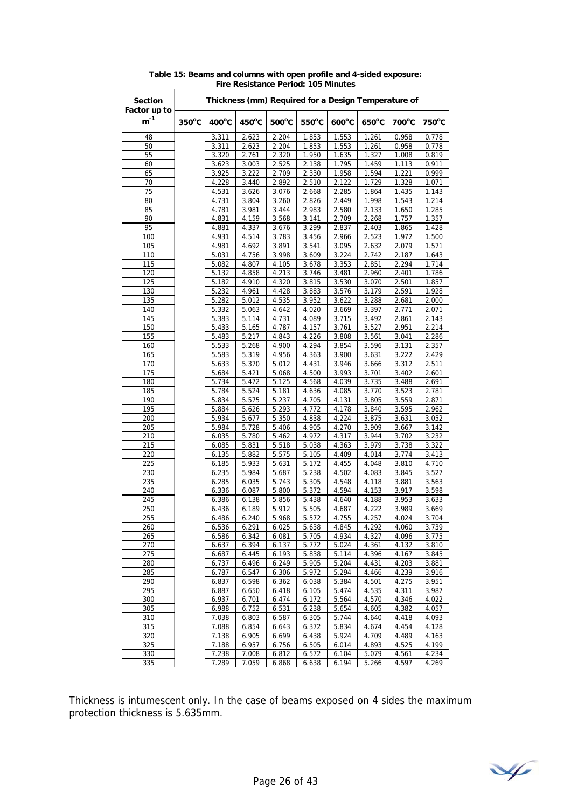| Table 15: Beams and columns with open profile and 4-sided exposure:<br>Fire Resistance Period: 105 Minutes |                 |                 |                 |                 |                 |                                                     |                 |                |                |
|------------------------------------------------------------------------------------------------------------|-----------------|-----------------|-----------------|-----------------|-----------------|-----------------------------------------------------|-----------------|----------------|----------------|
| <b>Section</b><br>Factor up to                                                                             |                 |                 |                 |                 |                 | Thickness (mm) Required for a Design Temperature of |                 |                |                |
| $m^{-1}$                                                                                                   | $350^{\circ}$ C | $400^{\circ}$ C | $450^{\circ}$ C | $500^{\circ}$ C | $550^{\circ}$ C | $600^{\circ}$ C                                     | $650^{\circ}$ C | 700°C          | 750°C          |
| 48                                                                                                         |                 | 3.311           | 2.623           | 2.204           | 1.853           | 1.553                                               | 1.261           | 0.958          | 0.778          |
| 50                                                                                                         |                 | 3.311           | 2.623           | 2.204           | 1.853           | 1.553                                               | 1.261           | 0.958          | 0.778          |
| 55                                                                                                         |                 | 3.320           | 2.761           | 2.320           | 1.950           | 1.635                                               | 1.327           | 1.008          | 0.819          |
| 60                                                                                                         |                 | 3.623           | 3.003           | 2.525           | 2.138           | 1.795                                               | 1.459           | 1.113          | 0.911          |
| 65<br>70                                                                                                   |                 | 3.925<br>4.228  | 3.222<br>3.440  | 2.709<br>2.892  | 2.330<br>2.510  | 1.958<br>2.122                                      | 1.594<br>1.729  | 1.221<br>1.328 | 0.999<br>1.071 |
| 75                                                                                                         |                 | 4.531           | 3.626           | 3.076           | 2.668           | 2.285                                               | 1.864           | 1.435          | 1.143          |
| 80                                                                                                         |                 | 4.731           | 3.804           | 3.260           | 2.826           | 2.449                                               | 1.998           | 1.543          | 1.214          |
| 85                                                                                                         |                 | 4.781           | 3.981           | 3.444           | 2.983           | 2.580                                               | 2.133           | 1.650          | 1.285          |
| 90                                                                                                         |                 | 4.831           | 4.159           | 3.568           | 3.141           | 2.709                                               | 2.268           | 1.757          | 1.357          |
| 95                                                                                                         |                 | 4.881           | 4.337           | 3.676           | 3.299           | 2.837                                               | 2.403           | 1.865          | 1.428          |
| 100                                                                                                        |                 | 4.931           | 4.514           | 3.783           | 3.456           | 2.966                                               | 2.523           | 1.972          | 1.500          |
| 105                                                                                                        |                 | 4.981           | 4.692           | 3.891           | 3.541           | 3.095                                               | 2.632           | 2.079          | 1.571          |
| 110                                                                                                        |                 | 5.031           | 4.756           | 3.998           | 3.609           | 3.224                                               | 2.742           | 2.187          | 1.643          |
| 115<br>120                                                                                                 |                 | 5.082           | 4.807           | 4.105           | 3.678           | 3.353                                               | 2.851           | 2.294<br>2.401 | 1.714          |
| 125                                                                                                        |                 | 5.132<br>5.182  | 4.858<br>4.910  | 4.213<br>4.320  | 3.746<br>3.815  | 3.481<br>3.530                                      | 2.960<br>3.070  | 2.501          | 1.786<br>1.857 |
| 130                                                                                                        |                 | 5.232           | 4.961           | 4.428           | 3.883           | 3.576                                               | 3.179           | 2.591          | 1.928          |
| 135                                                                                                        |                 | 5.282           | 5.012           | 4.535           | 3.952           | 3.622                                               | 3.288           | 2.681          | 2.000          |
| 140                                                                                                        |                 | 5.332           | 5.063           | 4.642           | 4.020           | 3.669                                               | 3.397           | 2.771          | 2.071          |
| 145                                                                                                        |                 | 5.383           | 5.114           | 4.731           | 4.089           | 3.715                                               | 3.492           | 2.861          | 2.143          |
| 150                                                                                                        |                 | 5.433           | 5.165           | 4.787           | 4.157           | 3.761                                               | 3.527           | 2.951          | 2.214          |
| 155                                                                                                        |                 | 5.483           | 5.217           | 4.843           | 4.226           | 3.808                                               | 3.561           | 3.041          | 2.286          |
| 160                                                                                                        |                 | 5.533           | 5.268           | 4.900           | 4.294           | 3.854                                               | 3.596           | 3.131          | 2.357          |
| 165                                                                                                        |                 | 5.583           | 5.319           | 4.956           | 4.363           | 3.900                                               | 3.631           | 3.222          | 2.429          |
| 170<br>175                                                                                                 |                 | 5.633<br>5.684  | 5.370<br>5.421  | 5.012           | 4.431<br>4.500  | 3.946<br>3.993                                      | 3.666<br>3.701  | 3.312<br>3.402 | 2.511<br>2.601 |
| 180                                                                                                        |                 | 5.734           | 5.472           | 5.068<br>5.125  | 4.568           | 4.039                                               | 3.735           | 3.488          | 2.691          |
| 185                                                                                                        |                 | 5.784           | 5.524           | 5.181           | 4.636           | 4.085                                               | 3.770           | 3.523          | 2.781          |
| 190                                                                                                        |                 | 5.834           | 5.575           | 5.237           | 4.705           | 4.131                                               | 3.805           | 3.559          | 2.871          |
| 195                                                                                                        |                 | 5.884           | 5.626           | 5.293           | 4.772           | 4.178                                               | 3.840           | 3.595          | 2.962          |
| 200                                                                                                        |                 | 5.934           | 5.677           | 5.350           | 4.838           | 4.224                                               | 3.875           | 3.631          | 3.052          |
| 205                                                                                                        |                 | 5.984           | 5.728           | 5.406           | 4.905           | 4.270                                               | 3.909           | 3.667          | 3.142          |
| 210                                                                                                        |                 | 6.035           | 5.780           | 5.462           | 4.972           | 4.317                                               | 3.944           | 3.702          | 3.232          |
| 215                                                                                                        |                 | 6.085           | 5.831           | 5.518           | 5.038           | 4.363                                               | 3.979           | 3.738          | 3.322          |
| 220                                                                                                        |                 | 6.135           | 5.882           | 5.575           | 5.105           | 4.409                                               | 4.014           | 3.774          | 3.413          |
| 225<br>230                                                                                                 |                 | 6.185<br>6.235  | 5.933<br>5.984  | 5.631<br>5.687  | 5.172<br>5.238  | 4.455<br>4.502                                      | 4.048<br>4.083  | 3.810<br>3.845 | 4.710<br>3.527 |
| 235                                                                                                        |                 | 6.285           | 6.035           | 5.743           | 5.305           | 4.548                                               | 4.118           | 3.881          | 3.563          |
| 240                                                                                                        |                 | 6.336           | 6.087           | 5.800           | 5.372           | 4.594                                               | 4.153           | 3.917          | 3.598          |
| 245                                                                                                        |                 | 6.386           | 6.138           | 5.856           | 5.438           | 4.640                                               | 4.188           | 3.953          | 3.633          |
| 250                                                                                                        |                 | 6.436           | 6.189           | 5.912           | 5.505           | 4.687                                               | 4.222           | 3.989          | 3.669          |
| 255                                                                                                        |                 | 6.486           | 6.240           | 5.968           | 5.572           | 4.755                                               | 4.257           | 4.024          | 3.704          |
| 260                                                                                                        |                 | 6.536           | 6.291           | 6.025           | 5.638           | 4.845                                               | 4.292           | 4.060          | 3.739          |
| 265                                                                                                        |                 | 6.586           | 6.342           | 6.081           | 5.705           | 4.934                                               | 4.327           | 4.096          | 3.775          |
| 270                                                                                                        |                 | 6.637           | 6.394           | 6.137           | 5.772           | 5.024                                               | 4.361           | 4.132          | 3.810          |
| 275<br>280                                                                                                 |                 | 6.687<br>6.737  | 6.445<br>6.496  | 6.193<br>6.249  | 5.838<br>5.905  | 5.114<br>5.204                                      | 4.396<br>4.431  | 4.167<br>4.203 | 3.845<br>3.881 |
| 285                                                                                                        |                 | 6.787           | 6.547           | 6.306           | 5.972           | 5.294                                               | 4.466           | 4.239          | 3.916          |
| 290                                                                                                        |                 | 6.837           | 6.598           | 6.362           | 6.038           | 5.384                                               | 4.501           | 4.275          | 3.951          |
| 295                                                                                                        |                 | 6.887           | 6.650           | 6.418           | 6.105           | 5.474                                               | 4.535           | 4.311          | 3.987          |
| 300                                                                                                        |                 | 6.937           | 6.701           | 6.474           | 6.172           | 5.564                                               | 4.570           | 4.346          | 4.022          |
| 305                                                                                                        |                 | 6.988           | 6.752           | 6.531           | 6.238           | 5.654                                               | 4.605           | 4.382          | 4.057          |
| 310                                                                                                        |                 | 7.038           | 6.803           | 6.587           | 6.305           | 5.744                                               | 4.640           | 4.418          | 4.093          |
| 315                                                                                                        |                 | 7.088           | 6.854           | 6.643           | 6.372           | 5.834                                               | 4.674           | 4.454          | 4.128          |
| 320                                                                                                        |                 | 7.138           | 6.905           | 6.699           | 6.438           | 5.924                                               | 4.709           | 4.489          | 4.163          |
| 325                                                                                                        |                 | 7.188           | 6.957           | 6.756           | 6.505           | 6.014                                               | 4.893           | 4.525          | 4.199          |
| 330<br>335                                                                                                 |                 | 7.238<br>7.289  | 7.008<br>7.059  | 6.812<br>6.868  | 6.572<br>6.638  | 6.104<br>6.194                                      | 5.079<br>5.266  | 4.561<br>4.597 | 4.234<br>4.269 |

Thickness is intumescent only. In the case of beams exposed on 4 sides the maximum protection thickness is 5.635mm.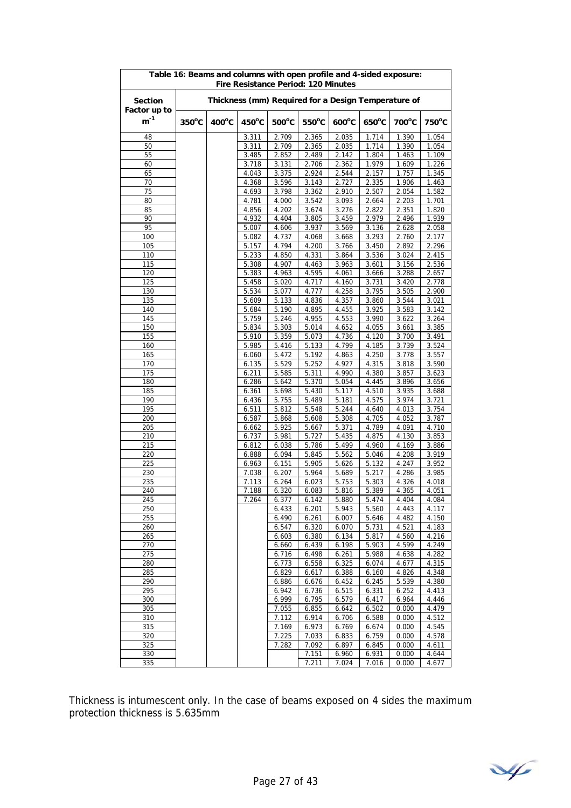| Table 16: Beams and columns with open profile and 4-sided exposure:<br>Fire Resistance Period: 120 Minutes |                 |                 |                 |                 |                |                                                     |                 |                |                |  |
|------------------------------------------------------------------------------------------------------------|-----------------|-----------------|-----------------|-----------------|----------------|-----------------------------------------------------|-----------------|----------------|----------------|--|
| <b>Section</b><br>Factor up to                                                                             |                 |                 |                 |                 |                | Thickness (mm) Required for a Design Temperature of |                 |                |                |  |
| $m^{-1}$                                                                                                   | $350^{\circ}$ C | $400^{\circ}$ C | $450^{\circ}$ C | $500^{\circ}$ C | 550°C          | $600^{\circ}$ C                                     | $650^{\circ}$ C | 700°C          | 750°C          |  |
| 48                                                                                                         |                 |                 | 3.311           | 2.709           | 2.365          | 2.035                                               | 1.714           | 1.390          | 1.054          |  |
| 50                                                                                                         |                 |                 | 3.311           | 2.709           | 2.365          | 2.035                                               | 1.714           | 1.390          | 1.054          |  |
| 55                                                                                                         |                 |                 | 3.485           | 2.852           | 2.489          | 2.142                                               | 1.804           | 1.463          | 1.109          |  |
| 60                                                                                                         |                 |                 | 3.718           | 3.131           | 2.706          | 2.362                                               | 1.979           | 1.609          | 1.226          |  |
| 65<br>70                                                                                                   |                 |                 | 4.043           | 3.375<br>3.596  | 2.924<br>3.143 | 2.544                                               | 2.157<br>2.335  | 1.757<br>1.906 | 1.345          |  |
| 75                                                                                                         |                 |                 | 4.368<br>4.693  | 3.798           | 3.362          | 2.727<br>2.910                                      | 2.507           | 2.054          | 1.463<br>1.582 |  |
| 80                                                                                                         |                 |                 | 4.781           | 4.000           | 3.542          | 3.093                                               | 2.664           | 2.203          | 1.701          |  |
| 85                                                                                                         |                 |                 | 4.856           | 4.202           | 3.674          | 3.276                                               | 2.822           | 2.351          | 1.820          |  |
| 90                                                                                                         |                 |                 | 4.932           | 4.404           | 3.805          | 3.459                                               | 2.979           | 2.496          | 1.939          |  |
| 95                                                                                                         |                 |                 | 5.007           | 4.606           | 3.937          | 3.569                                               | 3.136           | 2.628          | 2.058          |  |
| 100                                                                                                        |                 |                 | 5.082           | 4.737           | 4.068          | 3.668                                               | 3.293           | 2.760          | 2.177          |  |
| 105                                                                                                        |                 |                 | 5.157           | 4.794           | 4.200          | 3.766                                               | 3.450           | 2.892          | 2.296          |  |
| 110                                                                                                        |                 |                 | 5.233           | 4.850           | 4.331<br>4.463 | 3.864<br>3.963                                      | 3.536           | 3.024          | 2.415          |  |
| 115<br>120                                                                                                 |                 |                 | 5.308<br>5.383  | 4.907<br>4.963  | 4.595          | 4.061                                               | 3.601<br>3.666  | 3.156<br>3.288 | 2.536<br>2.657 |  |
| 125                                                                                                        |                 |                 | 5.458           | 5.020           | 4.717          | 4.160                                               | 3.731           | 3.420          | 2.778          |  |
| 130                                                                                                        |                 |                 | 5.534           | 5.077           | 4.777          | 4.258                                               | 3.795           | 3.505          | 2.900          |  |
| 135                                                                                                        |                 |                 | 5.609           | 5.133           | 4.836          | 4.357                                               | 3.860           | 3.544          | 3.021          |  |
| 140                                                                                                        |                 |                 | 5.684           | 5.190           | 4.895          | 4.455                                               | 3.925           | 3.583          | 3.142          |  |
| 145                                                                                                        |                 |                 | 5.759           | 5.246           | 4.955          | 4.553                                               | 3.990           | 3.622          | 3.264          |  |
| 150                                                                                                        |                 |                 | 5.834           | 5.303           | 5.014          | 4.652                                               | 4.055           | 3.661          | 3.385          |  |
| 155                                                                                                        |                 |                 | 5.910           | 5.359           | 5.073          | 4.736                                               | 4.120           | 3.700          | 3.491          |  |
| 160                                                                                                        |                 |                 | 5.985           | 5.416           | 5.133          | 4.799                                               | 4.185           | 3.739          | 3.524          |  |
| 165                                                                                                        |                 |                 | 6.060           | 5.472           | 5.192          | 4.863                                               | 4.250           | 3.778          | 3.557          |  |
| 170<br>175                                                                                                 |                 |                 | 6.135<br>6.211  | 5.529<br>5.585  | 5.252<br>5.311 | 4.927<br>4.990                                      | 4.315<br>4.380  | 3.818<br>3.857 | 3.590<br>3.623 |  |
| 180                                                                                                        |                 |                 | 6.286           | 5.642           | 5.370          | 5.054                                               | 4.445           | 3.896          | 3.656          |  |
| 185                                                                                                        |                 |                 | 6.361           | 5.698           | 5.430          | 5.117                                               | 4.510           | 3.935          | 3.688          |  |
| 190                                                                                                        |                 |                 | 6.436           | 5.755           | 5.489          | 5.181                                               | 4.575           | 3.974          | 3.721          |  |
| 195                                                                                                        |                 |                 | 6.511           | 5.812           | 5.548          | 5.244                                               | 4.640           | 4.013          | 3.754          |  |
| 200                                                                                                        |                 |                 | 6.587           | 5.868           | 5.608          | 5.308                                               | 4.705           | 4.052          | 3.787          |  |
| 205                                                                                                        |                 |                 | 6.662           | 5.925           | 5.667          | 5.371                                               | 4.789           | 4.091          | 4.710          |  |
| 210                                                                                                        |                 |                 | 6.737           | 5.981           | 5.727          | 5.435                                               | 4.875           | 4.130          | 3.853          |  |
| 215                                                                                                        |                 |                 | 6.812           | 6.038           | 5.786          | 5.499                                               | 4.960           | 4.169          | 3.886          |  |
| 220<br>225                                                                                                 |                 |                 | 6.888<br>6.963  | 6.094           | 5.845<br>5.905 | 5.562<br>5.626                                      | 5.046<br>5.132  | 4.208<br>4.247 | 3.919<br>3.952 |  |
| 230                                                                                                        |                 |                 | 7.038           | 6.151<br>6.207  | 5.964          | 5.689                                               | 5.217           | 4.286          | 3.985          |  |
| 235                                                                                                        |                 |                 | 7.113           | 6.264           | 6.023          | 5.753                                               | 5.303           | 4.326          | 4.018          |  |
| 240                                                                                                        |                 |                 | 7.188           | 6.320           | 6.083          | 5.816                                               | 5.389           | 4.365          | 4.051          |  |
| 245                                                                                                        |                 |                 | 7.264           | 6.377           | 6.142          | 5.880                                               | 5.474           | 4.404          | 4.084          |  |
| 250                                                                                                        |                 |                 |                 | 6.433           | 6.201          | 5.943                                               | 5.560           | 4.443          | 4.117          |  |
| 255                                                                                                        |                 |                 |                 | 6.490           | 6.261          | 6.007                                               | 5.646           | 4.482          | 4.150          |  |
| 260                                                                                                        |                 |                 |                 | 6.547           | 6.320          | 6.070                                               | 5.731           | 4.521          | 4.183          |  |
| 265                                                                                                        |                 |                 |                 | 6.603           | 6.380          | 6.134                                               | 5.817           | 4.560          | 4.216          |  |
| 270                                                                                                        |                 |                 |                 | 6.660           | 6.439          | 6.198                                               | 5.903           | 4.599          | 4.249          |  |
| 275<br>280                                                                                                 |                 |                 |                 | 6.716<br>6.773  | 6.498<br>6.558 | 6.261<br>6.325                                      | 5.988<br>6.074  | 4.638<br>4.677 | 4.282<br>4.315 |  |
| 285                                                                                                        |                 |                 |                 | 6.829           | 6.617          | 6.388                                               | 6.160           | 4.826          | 4.348          |  |
| 290                                                                                                        |                 |                 |                 | 6.886           | 6.676          | 6.452                                               | 6.245           | 5.539          | 4.380          |  |
| 295                                                                                                        |                 |                 |                 | 6.942           | 6.736          | 6.515                                               | 6.331           | 6.252          | 4.413          |  |
| 300                                                                                                        |                 |                 |                 | 6.999           | 6.795          | 6.579                                               | 6.417           | 6.964          | 4.446          |  |
| 305                                                                                                        |                 |                 |                 | 7.055           | 6.855          | 6.642                                               | 6.502           | 0.000          | 4.479          |  |
| 310                                                                                                        |                 |                 |                 | 7.112           | 6.914          | 6.706                                               | 6.588           | 0.000          | 4.512          |  |
| 315                                                                                                        |                 |                 |                 | 7.169           | 6.973          | 6.769                                               | 6.674           | 0.000          | 4.545          |  |
| 320                                                                                                        |                 |                 |                 | 7.225           | 7.033          | 6.833                                               | 6.759           | 0.000          | 4.578          |  |
| 325<br>330                                                                                                 |                 |                 |                 | 7.282           | 7.092<br>7.151 | 6.897<br>6.960                                      | 6.845<br>6.931  | 0.000<br>0.000 | 4.611<br>4.644 |  |
| 335                                                                                                        |                 |                 |                 |                 | 7.211          | 7.024                                               | 7.016           | 0.000          | 4.677          |  |

Thickness is intumescent only. In the case of beams exposed on 4 sides the maximum protection thickness is 5.635mm

¥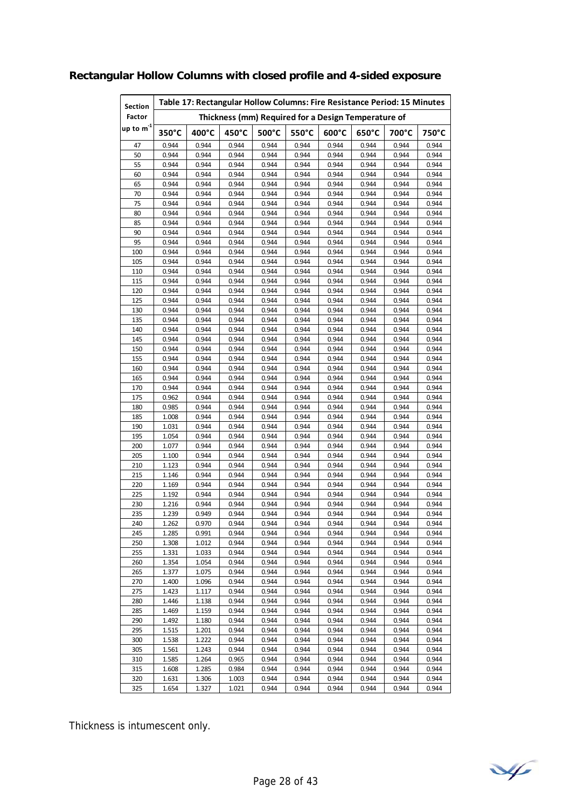| <b>Section</b> |       | Table 17: Rectangular Hollow Columns: Fire Resistance Period: 15 Minutes |       |       |       |       |       |       |       |  |  |  |  |
|----------------|-------|--------------------------------------------------------------------------|-------|-------|-------|-------|-------|-------|-------|--|--|--|--|
| Factor         |       | Thickness (mm) Required for a Design Temperature of                      |       |       |       |       |       |       |       |  |  |  |  |
| up to $m^{-1}$ | 350°C | 400°C                                                                    | 450°C | 500°C | 550°C | 600°C | 650°C | 700°C | 750°C |  |  |  |  |
| 47             | 0.944 | 0.944                                                                    | 0.944 | 0.944 | 0.944 | 0.944 | 0.944 | 0.944 | 0.944 |  |  |  |  |
| 50             | 0.944 | 0.944                                                                    | 0.944 | 0.944 | 0.944 | 0.944 | 0.944 | 0.944 | 0.944 |  |  |  |  |
| 55             | 0.944 | 0.944                                                                    | 0.944 | 0.944 | 0.944 | 0.944 | 0.944 | 0.944 | 0.944 |  |  |  |  |
| 60             | 0.944 | 0.944                                                                    | 0.944 | 0.944 | 0.944 | 0.944 | 0.944 | 0.944 | 0.944 |  |  |  |  |
| 65             | 0.944 | 0.944                                                                    | 0.944 | 0.944 | 0.944 | 0.944 | 0.944 | 0.944 | 0.944 |  |  |  |  |
| 70             | 0.944 | 0.944                                                                    | 0.944 | 0.944 | 0.944 | 0.944 | 0.944 | 0.944 | 0.944 |  |  |  |  |
| 75             | 0.944 | 0.944                                                                    | 0.944 | 0.944 | 0.944 | 0.944 | 0.944 | 0.944 | 0.944 |  |  |  |  |
| 80             | 0.944 | 0.944                                                                    | 0.944 | 0.944 | 0.944 | 0.944 | 0.944 | 0.944 | 0.944 |  |  |  |  |
| 85             | 0.944 | 0.944                                                                    | 0.944 | 0.944 | 0.944 | 0.944 | 0.944 | 0.944 | 0.944 |  |  |  |  |
| 90             | 0.944 | 0.944                                                                    | 0.944 | 0.944 | 0.944 | 0.944 | 0.944 | 0.944 | 0.944 |  |  |  |  |
| 95             | 0.944 | 0.944                                                                    | 0.944 | 0.944 | 0.944 | 0.944 | 0.944 | 0.944 | 0.944 |  |  |  |  |
| 100            | 0.944 | 0.944                                                                    | 0.944 | 0.944 | 0.944 | 0.944 | 0.944 | 0.944 | 0.944 |  |  |  |  |
| 105            | 0.944 | 0.944                                                                    | 0.944 | 0.944 | 0.944 | 0.944 | 0.944 | 0.944 | 0.944 |  |  |  |  |
| 110            | 0.944 | 0.944                                                                    | 0.944 | 0.944 | 0.944 | 0.944 | 0.944 | 0.944 | 0.944 |  |  |  |  |
| 115            | 0.944 | 0.944                                                                    | 0.944 | 0.944 | 0.944 | 0.944 | 0.944 | 0.944 | 0.944 |  |  |  |  |
| 120            | 0.944 | 0.944                                                                    | 0.944 | 0.944 | 0.944 | 0.944 | 0.944 | 0.944 | 0.944 |  |  |  |  |
| 125            | 0.944 | 0.944                                                                    | 0.944 | 0.944 | 0.944 | 0.944 | 0.944 | 0.944 | 0.944 |  |  |  |  |
| 130            | 0.944 | 0.944                                                                    | 0.944 | 0.944 | 0.944 | 0.944 | 0.944 | 0.944 | 0.944 |  |  |  |  |
| 135            | 0.944 | 0.944                                                                    | 0.944 | 0.944 | 0.944 | 0.944 | 0.944 | 0.944 | 0.944 |  |  |  |  |
| 140            | 0.944 | 0.944                                                                    | 0.944 | 0.944 | 0.944 | 0.944 | 0.944 | 0.944 | 0.944 |  |  |  |  |
| 145            | 0.944 | 0.944                                                                    | 0.944 | 0.944 | 0.944 | 0.944 | 0.944 | 0.944 | 0.944 |  |  |  |  |
| 150            | 0.944 | 0.944                                                                    | 0.944 | 0.944 | 0.944 | 0.944 | 0.944 | 0.944 | 0.944 |  |  |  |  |
| 155            | 0.944 | 0.944                                                                    | 0.944 | 0.944 | 0.944 | 0.944 | 0.944 | 0.944 | 0.944 |  |  |  |  |
| 160            | 0.944 | 0.944                                                                    | 0.944 | 0.944 | 0.944 | 0.944 | 0.944 | 0.944 | 0.944 |  |  |  |  |
| 165            | 0.944 | 0.944                                                                    | 0.944 | 0.944 | 0.944 | 0.944 | 0.944 | 0.944 | 0.944 |  |  |  |  |
| 170            | 0.944 | 0.944                                                                    | 0.944 | 0.944 | 0.944 | 0.944 | 0.944 | 0.944 | 0.944 |  |  |  |  |
| 175            | 0.962 | 0.944                                                                    | 0.944 | 0.944 | 0.944 | 0.944 | 0.944 | 0.944 | 0.944 |  |  |  |  |
| 180            | 0.985 | 0.944                                                                    | 0.944 | 0.944 | 0.944 | 0.944 | 0.944 | 0.944 | 0.944 |  |  |  |  |
| 185            | 1.008 | 0.944                                                                    | 0.944 | 0.944 | 0.944 | 0.944 | 0.944 | 0.944 | 0.944 |  |  |  |  |
| 190            | 1.031 | 0.944                                                                    | 0.944 | 0.944 | 0.944 | 0.944 | 0.944 | 0.944 | 0.944 |  |  |  |  |
| 195            | 1.054 | 0.944                                                                    | 0.944 | 0.944 | 0.944 | 0.944 | 0.944 | 0.944 | 0.944 |  |  |  |  |
| 200            | 1.077 | 0.944                                                                    | 0.944 | 0.944 | 0.944 | 0.944 | 0.944 | 0.944 | 0.944 |  |  |  |  |
| 205            | 1.100 | 0.944                                                                    | 0.944 | 0.944 | 0.944 | 0.944 | 0.944 | 0.944 | 0.944 |  |  |  |  |
| 210            | 1.123 | 0.944                                                                    | 0.944 | 0.944 | 0.944 | 0.944 | 0.944 | 0.944 | 0.944 |  |  |  |  |
| 215            | 1.146 | 0.944                                                                    | 0.944 | 0.944 | 0.944 | 0.944 | 0.944 | 0.944 | 0.944 |  |  |  |  |
| 220            | 1.169 | 0.944                                                                    | 0.944 | 0.944 | 0.944 | 0.944 | 0.944 | 0.944 | 0.944 |  |  |  |  |
| 225            | 1.192 | 0.944                                                                    | 0.944 | 0.944 | 0.944 | 0.944 | 0.944 | 0.944 | 0.944 |  |  |  |  |
| 230            | 1.216 | 0.944                                                                    | 0.944 | 0.944 | 0.944 | 0.944 | 0.944 | 0.944 | 0.944 |  |  |  |  |
| 235            | 1.239 | 0.949                                                                    | 0.944 | 0.944 | 0.944 | 0.944 | 0.944 | 0.944 | 0.944 |  |  |  |  |
| 240            | 1.262 | 0.970                                                                    | 0.944 | 0.944 | 0.944 | 0.944 | 0.944 | 0.944 | 0.944 |  |  |  |  |
| 245            | 1.285 | 0.991                                                                    | 0.944 | 0.944 | 0.944 | 0.944 | 0.944 | 0.944 | 0.944 |  |  |  |  |
| 250            | 1.308 | 1.012                                                                    | 0.944 | 0.944 | 0.944 | 0.944 | 0.944 | 0.944 | 0.944 |  |  |  |  |
| 255            | 1.331 | 1.033                                                                    | 0.944 | 0.944 | 0.944 | 0.944 | 0.944 | 0.944 | 0.944 |  |  |  |  |
| 260            | 1.354 | 1.054                                                                    | 0.944 | 0.944 | 0.944 | 0.944 | 0.944 | 0.944 | 0.944 |  |  |  |  |
| 265            | 1.377 | 1.075                                                                    | 0.944 | 0.944 | 0.944 | 0.944 | 0.944 | 0.944 | 0.944 |  |  |  |  |
| 270            | 1.400 | 1.096                                                                    | 0.944 | 0.944 | 0.944 | 0.944 | 0.944 | 0.944 | 0.944 |  |  |  |  |
| 275            | 1.423 | 1.117                                                                    | 0.944 | 0.944 | 0.944 | 0.944 | 0.944 | 0.944 | 0.944 |  |  |  |  |
| 280            | 1.446 | 1.138                                                                    | 0.944 | 0.944 | 0.944 | 0.944 | 0.944 | 0.944 | 0.944 |  |  |  |  |
| 285            | 1.469 | 1.159                                                                    | 0.944 | 0.944 | 0.944 | 0.944 | 0.944 | 0.944 | 0.944 |  |  |  |  |
| 290            | 1.492 | 1.180                                                                    | 0.944 | 0.944 | 0.944 | 0.944 | 0.944 | 0.944 | 0.944 |  |  |  |  |
| 295            | 1.515 | 1.201                                                                    | 0.944 | 0.944 | 0.944 | 0.944 | 0.944 | 0.944 | 0.944 |  |  |  |  |
| 300            | 1.538 | 1.222                                                                    | 0.944 | 0.944 | 0.944 | 0.944 | 0.944 | 0.944 | 0.944 |  |  |  |  |
| 305            | 1.561 | 1.243                                                                    | 0.944 | 0.944 | 0.944 | 0.944 | 0.944 | 0.944 | 0.944 |  |  |  |  |
| 310            | 1.585 | 1.264                                                                    | 0.965 | 0.944 | 0.944 | 0.944 | 0.944 | 0.944 | 0.944 |  |  |  |  |
| 315            | 1.608 | 1.285                                                                    | 0.984 | 0.944 | 0.944 | 0.944 | 0.944 | 0.944 | 0.944 |  |  |  |  |
| 320            | 1.631 | 1.306                                                                    | 1.003 | 0.944 | 0.944 | 0.944 | 0.944 | 0.944 | 0.944 |  |  |  |  |
| 325            | 1.654 | 1.327                                                                    | 1.021 | 0.944 | 0.944 | 0.944 | 0.944 | 0.944 | 0.944 |  |  |  |  |

# **Rectangular Hollow Columns with closed profile and 4-sided exposure**

$$
\mathscr{A}
$$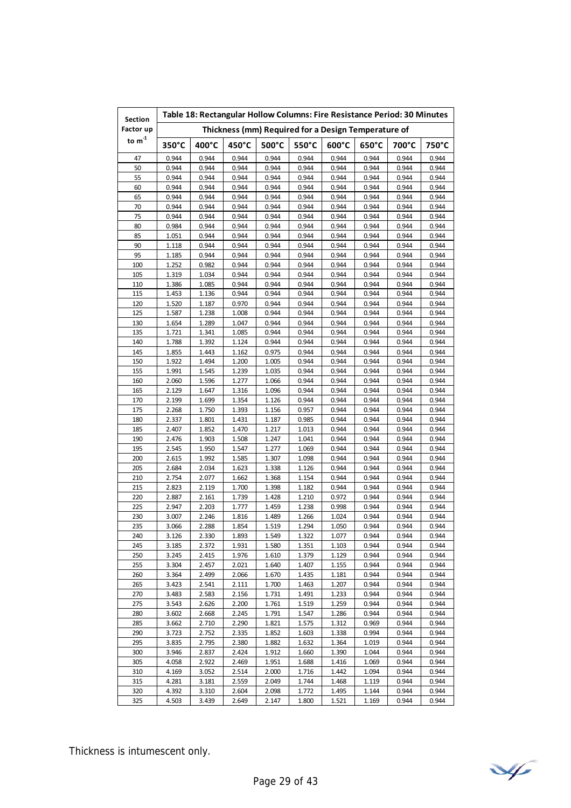| <b>Section</b> | Table 18: Rectangular Hollow Columns: Fire Resistance Period: 30 Minutes |                |                |                |                |                                                     |                |                |                |  |  |
|----------------|--------------------------------------------------------------------------|----------------|----------------|----------------|----------------|-----------------------------------------------------|----------------|----------------|----------------|--|--|
| Factor up      |                                                                          |                |                |                |                | Thickness (mm) Required for a Design Temperature of |                |                |                |  |  |
| to $m^{-1}$    | $350^{\circ}$ C                                                          | 400°C          | 450°C          | 500°C          | 550°C          | 600°C                                               | 650°C          | 700°C          | 750°C          |  |  |
| 47             | 0.944                                                                    | 0.944          | 0.944          | 0.944          | 0.944          | 0.944                                               | 0.944          | 0.944          | 0.944          |  |  |
| 50             | 0.944                                                                    | 0.944          | 0.944          | 0.944          | 0.944          | 0.944                                               | 0.944          | 0.944          | 0.944          |  |  |
| 55             | 0.944                                                                    | 0.944          | 0.944          | 0.944          | 0.944          | 0.944                                               | 0.944          | 0.944          | 0.944          |  |  |
| 60             | 0.944                                                                    | 0.944          | 0.944          | 0.944          | 0.944          | 0.944                                               | 0.944          | 0.944          | 0.944          |  |  |
| 65             | 0.944                                                                    | 0.944          | 0.944          | 0.944          | 0.944          | 0.944                                               | 0.944          | 0.944          | 0.944          |  |  |
| 70             | 0.944                                                                    | 0.944          | 0.944          | 0.944          | 0.944          | 0.944                                               | 0.944          | 0.944          | 0.944          |  |  |
| 75             | 0.944                                                                    | 0.944          | 0.944          | 0.944          | 0.944          | 0.944                                               | 0.944          | 0.944          | 0.944          |  |  |
| 80             | 0.984                                                                    | 0.944          | 0.944          | 0.944          | 0.944          | 0.944                                               | 0.944          | 0.944          | 0.944          |  |  |
| 85             | 1.051                                                                    | 0.944          | 0.944          | 0.944          | 0.944          | 0.944                                               | 0.944          | 0.944          | 0.944          |  |  |
| 90             | 1.118                                                                    | 0.944          | 0.944          | 0.944          | 0.944          | 0.944                                               | 0.944          | 0.944          | 0.944          |  |  |
| 95             | 1.185                                                                    | 0.944          | 0.944          | 0.944          | 0.944          | 0.944                                               | 0.944          | 0.944          | 0.944          |  |  |
| 100            | 1.252                                                                    | 0.982          | 0.944          | 0.944          | 0.944          | 0.944                                               | 0.944          | 0.944          | 0.944          |  |  |
| 105            | 1.319                                                                    | 1.034          | 0.944          | 0.944          | 0.944          | 0.944                                               | 0.944          | 0.944          | 0.944          |  |  |
| 110            | 1.386                                                                    | 1.085          | 0.944          | 0.944          | 0.944          | 0.944                                               | 0.944          | 0.944          | 0.944          |  |  |
| 115            | 1.453                                                                    | 1.136          | 0.944          | 0.944          | 0.944          | 0.944                                               | 0.944          | 0.944          | 0.944          |  |  |
| 120            | 1.520                                                                    | 1.187          | 0.970          | 0.944          | 0.944          | 0.944                                               | 0.944          | 0.944          | 0.944          |  |  |
| 125            | 1.587                                                                    | 1.238          | 1.008          | 0.944          | 0.944          | 0.944                                               | 0.944          | 0.944          | 0.944          |  |  |
| 130            | 1.654                                                                    | 1.289          | 1.047          | 0.944          | 0.944          | 0.944                                               | 0.944          | 0.944          | 0.944          |  |  |
| 135            | 1.721                                                                    | 1.341          | 1.085          | 0.944          | 0.944          | 0.944                                               | 0.944          | 0.944          | 0.944          |  |  |
| 140            | 1.788                                                                    | 1.392          | 1.124          | 0.944          | 0.944          | 0.944                                               | 0.944          | 0.944          | 0.944          |  |  |
| 145            | 1.855                                                                    | 1.443          | 1.162          | 0.975          | 0.944          | 0.944                                               | 0.944          | 0.944          | 0.944          |  |  |
| 150            | 1.922                                                                    | 1.494          | 1.200          | 1.005          | 0.944          | 0.944                                               | 0.944          | 0.944          | 0.944          |  |  |
| 155            | 1.991                                                                    | 1.545          | 1.239          | 1.035          | 0.944          | 0.944                                               | 0.944          | 0.944          | 0.944          |  |  |
| 160            | 2.060                                                                    | 1.596          | 1.277          | 1.066          | 0.944          | 0.944                                               | 0.944          | 0.944          | 0.944          |  |  |
| 165            | 2.129                                                                    | 1.647          | 1.316          | 1.096          | 0.944          | 0.944                                               | 0.944          | 0.944          | 0.944          |  |  |
| 170            | 2.199                                                                    | 1.699          | 1.354          | 1.126          | 0.944          | 0.944                                               | 0.944          | 0.944          | 0.944          |  |  |
| 175            | 2.268                                                                    | 1.750          | 1.393          | 1.156          | 0.957          | 0.944                                               | 0.944          | 0.944          | 0.944          |  |  |
| 180            | 2.337                                                                    | 1.801          | 1.431          | 1.187          | 0.985          | 0.944                                               | 0.944          | 0.944          | 0.944          |  |  |
| 185            | 2.407                                                                    | 1.852          | 1.470          | 1.217          | 1.013          | 0.944                                               | 0.944          | 0.944          | 0.944          |  |  |
| 190            | 2.476                                                                    | 1.903          | 1.508          | 1.247          | 1.041          | 0.944                                               | 0.944          | 0.944          | 0.944          |  |  |
| 195            | 2.545                                                                    | 1.950          | 1.547          | 1.277          | 1.069          | 0.944                                               | 0.944          | 0.944          | 0.944          |  |  |
| 200            | 2.615                                                                    | 1.992          | 1.585          | 1.307          | 1.098          | 0.944                                               | 0.944          | 0.944          | 0.944          |  |  |
| 205<br>210     | 2.684                                                                    | 2.034          | 1.623          | 1.338          | 1.126          | 0.944                                               | 0.944          | 0.944<br>0.944 | 0.944          |  |  |
| 215            | 2.754<br>2.823                                                           | 2.077<br>2.119 | 1.662<br>1.700 | 1.368<br>1.398 | 1.154<br>1.182 | 0.944<br>0.944                                      | 0.944<br>0.944 | 0.944          | 0.944<br>0.944 |  |  |
|                | 2.887                                                                    |                |                | 1.428          |                | 0.972                                               |                |                |                |  |  |
| 220<br>225     | 2.947                                                                    | 2.161<br>2.203 | 1.739<br>1.777 | 1.459          | 1.210<br>1.238 | 0.998                                               | 0.944<br>0.944 | 0.944<br>0.944 | 0.944<br>0.944 |  |  |
| 230            | 3.007                                                                    | 2.246          | 1.816          | 1.489          | 1.266          | 1.024                                               | 0.944          | 0.944          | 0.944          |  |  |
| 235            | 3.066                                                                    | 2.288          | 1.854          | 1.519          | 1.294          | 1.050                                               | 0.944          | 0.944          | 0.944          |  |  |
| 240            | 3.126                                                                    | 2.330          | 1.893          | 1.549          | 1.322          | 1.077                                               | 0.944          | 0.944          | 0.944          |  |  |
| 245            | 3.185                                                                    | 2.372          | 1.931          | 1.580          | 1.351          | 1.103                                               | 0.944          | 0.944          | 0.944          |  |  |
| 250            | 3.245                                                                    | 2.415          | 1.976          | 1.610          | 1.379          | 1.129                                               | 0.944          | 0.944          | 0.944          |  |  |
| 255            | 3.304                                                                    | 2.457          | 2.021          | 1.640          | 1.407          | 1.155                                               | 0.944          | 0.944          | 0.944          |  |  |
| 260            | 3.364                                                                    | 2.499          | 2.066          | 1.670          | 1.435          | 1.181                                               | 0.944          | 0.944          | 0.944          |  |  |
| 265            | 3.423                                                                    | 2.541          | 2.111          | 1.700          | 1.463          | 1.207                                               | 0.944          | 0.944          | 0.944          |  |  |
| 270            | 3.483                                                                    | 2.583          | 2.156          | 1.731          | 1.491          | 1.233                                               | 0.944          | 0.944          | 0.944          |  |  |
| 275            | 3.543                                                                    | 2.626          | 2.200          | 1.761          | 1.519          | 1.259                                               | 0.944          | 0.944          | 0.944          |  |  |
| 280            | 3.602                                                                    | 2.668          | 2.245          | 1.791          | 1.547          | 1.286                                               | 0.944          | 0.944          | 0.944          |  |  |
| 285            | 3.662                                                                    | 2.710          | 2.290          | 1.821          | 1.575          | 1.312                                               | 0.969          | 0.944          | 0.944          |  |  |
| 290            | 3.723                                                                    | 2.752          | 2.335          | 1.852          | 1.603          | 1.338                                               | 0.994          | 0.944          | 0.944          |  |  |
| 295            | 3.835                                                                    | 2.795          | 2.380          | 1.882          | 1.632          | 1.364                                               | 1.019          | 0.944          | 0.944          |  |  |
| 300            | 3.946                                                                    | 2.837          | 2.424          | 1.912          | 1.660          | 1.390                                               | 1.044          | 0.944          | 0.944          |  |  |
| 305            | 4.058                                                                    | 2.922          | 2.469          | 1.951          | 1.688          | 1.416                                               | 1.069          | 0.944          | 0.944          |  |  |
| 310            | 4.169                                                                    | 3.052          | 2.514          | 2.000          | 1.716          | 1.442                                               | 1.094          | 0.944          | 0.944          |  |  |
| 315            | 4.281                                                                    | 3.181          | 2.559          | 2.049          | 1.744          | 1.468                                               | 1.119          | 0.944          | 0.944          |  |  |
| 320            | 4.392                                                                    | 3.310          | 2.604          | 2.098          | 1.772          | 1.495                                               | 1.144          | 0.944          | 0.944          |  |  |
| 325            | 4.503                                                                    | 3.439          | 2.649          | 2.147          | 1.800          | 1.521                                               | 1.169          | 0.944          | 0.944          |  |  |

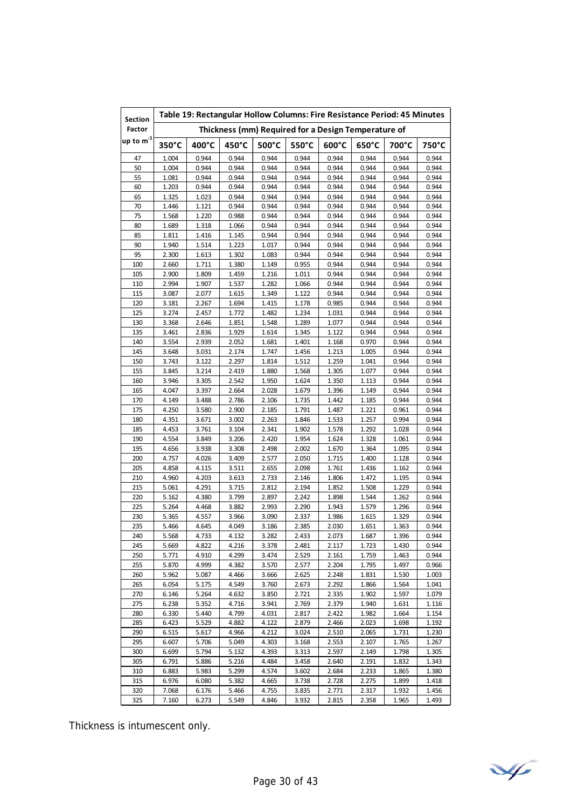| Section                      | Table 19: Rectangular Hollow Columns: Fire Resistance Period: 45 Minutes |                |                |                |                                                     |                 |                 |                |                |  |  |
|------------------------------|--------------------------------------------------------------------------|----------------|----------------|----------------|-----------------------------------------------------|-----------------|-----------------|----------------|----------------|--|--|
| Factor                       |                                                                          |                |                |                | Thickness (mm) Required for a Design Temperature of |                 |                 |                |                |  |  |
| up to $\mathsf{m}^\text{-1}$ | 350°C                                                                    | 400°C          | 450°C          | 500°C          | 550°C                                               | $600^{\circ}$ C | $650^{\circ}$ C | 700°C          | 750°C          |  |  |
| 47                           | 1.004                                                                    | 0.944          | 0.944          | 0.944          | 0.944                                               | 0.944           | 0.944           | 0.944          | 0.944          |  |  |
| 50                           | 1.004                                                                    | 0.944          | 0.944          | 0.944          | 0.944                                               | 0.944           | 0.944           | 0.944          | 0.944          |  |  |
| 55                           | 1.081                                                                    | 0.944          | 0.944          | 0.944          | 0.944                                               | 0.944           | 0.944           | 0.944          | 0.944          |  |  |
| 60                           | 1.203                                                                    | 0.944          | 0.944          | 0.944          | 0.944                                               | 0.944           | 0.944           | 0.944          | 0.944          |  |  |
| 65                           | 1.325                                                                    | 1.023          | 0.944          | 0.944          | 0.944                                               | 0.944           | 0.944           | 0.944          | 0.944          |  |  |
| 70                           | 1.446                                                                    | 1.121          | 0.944          | 0.944          | 0.944                                               | 0.944           | 0.944           | 0.944          | 0.944          |  |  |
| 75                           | 1.568                                                                    | 1.220          | 0.988          | 0.944          | 0.944                                               | 0.944           | 0.944           | 0.944          | 0.944          |  |  |
| 80                           | 1.689                                                                    | 1.318          | 1.066          | 0.944          | 0.944                                               | 0.944           | 0.944           | 0.944          | 0.944          |  |  |
| 85                           | 1.811                                                                    | 1.416          | 1.145          | 0.944          | 0.944                                               | 0.944           | 0.944           | 0.944          | 0.944          |  |  |
| 90                           | 1.940                                                                    | 1.514          | 1.223          | 1.017          | 0.944                                               | 0.944           | 0.944           | 0.944          | 0.944          |  |  |
| 95                           | 2.300                                                                    | 1.613          | 1.302          | 1.083          | 0.944                                               | 0.944           | 0.944           | 0.944          | 0.944          |  |  |
| 100                          | 2.660                                                                    | 1.711          | 1.380          | 1.149          | 0.955                                               | 0.944           | 0.944           | 0.944          | 0.944          |  |  |
| 105                          | 2.900                                                                    | 1.809          | 1.459          | 1.216          | 1.011                                               | 0.944           | 0.944           | 0.944          | 0.944          |  |  |
| 110                          | 2.994                                                                    | 1.907          | 1.537          | 1.282          | 1.066                                               | 0.944           | 0.944           | 0.944          | 0.944          |  |  |
| 115                          | 3.087                                                                    | 2.077          | 1.615          | 1.349          | 1.122                                               | 0.944           | 0.944           | 0.944          | 0.944          |  |  |
| 120                          | 3.181                                                                    | 2.267<br>2.457 | 1.694          | 1.415          | 1.178                                               | 0.985           | 0.944           | 0.944          | 0.944          |  |  |
| 125<br>130                   | 3.274<br>3.368                                                           | 2.646          | 1.772<br>1.851 | 1.482<br>1.548 | 1.234<br>1.289                                      | 1.031<br>1.077  | 0.944<br>0.944  | 0.944<br>0.944 | 0.944<br>0.944 |  |  |
| 135                          | 3.461                                                                    | 2.836          | 1.929          | 1.614          | 1.345                                               | 1.122           | 0.944           | 0.944          | 0.944          |  |  |
| 140                          | 3.554                                                                    | 2.939          | 2.052          | 1.681          | 1.401                                               | 1.168           | 0.970           | 0.944          | 0.944          |  |  |
| 145                          | 3.648                                                                    | 3.031          | 2.174          | 1.747          | 1.456                                               | 1.213           | 1.005           | 0.944          | 0.944          |  |  |
| 150                          | 3.743                                                                    | 3.122          | 2.297          | 1.814          | 1.512                                               | 1.259           | 1.041           | 0.944          | 0.944          |  |  |
| 155                          | 3.845                                                                    | 3.214          | 2.419          | 1.880          | 1.568                                               | 1.305           | 1.077           | 0.944          | 0.944          |  |  |
| 160                          | 3.946                                                                    | 3.305          | 2.542          | 1.950          | 1.624                                               | 1.350           | 1.113           | 0.944          | 0.944          |  |  |
| 165                          | 4.047                                                                    | 3.397          | 2.664          | 2.028          | 1.679                                               | 1.396           | 1.149           | 0.944          | 0.944          |  |  |
| 170                          | 4.149                                                                    | 3.488          | 2.786          | 2.106          | 1.735                                               | 1.442           | 1.185           | 0.944          | 0.944          |  |  |
| 175                          | 4.250                                                                    | 3.580          | 2.900          | 2.185          | 1.791                                               | 1.487           | 1.221           | 0.961          | 0.944          |  |  |
| 180                          | 4.351                                                                    | 3.671          | 3.002          | 2.263          | 1.846                                               | 1.533           | 1.257           | 0.994          | 0.944          |  |  |
| 185                          | 4.453                                                                    | 3.761          | 3.104          | 2.341          | 1.902                                               | 1.578           | 1.292           | 1.028          | 0.944          |  |  |
| 190                          | 4.554                                                                    | 3.849          | 3.206          | 2.420          | 1.954                                               | 1.624           | 1.328           | 1.061          | 0.944          |  |  |
| 195                          | 4.656                                                                    | 3.938          | 3.308          | 2.498          | 2.002                                               | 1.670           | 1.364           | 1.095          | 0.944          |  |  |
| 200                          | 4.757                                                                    | 4.026          | 3.409          | 2.577          | 2.050                                               | 1.715           | 1.400           | 1.128          | 0.944          |  |  |
| 205                          | 4.858                                                                    | 4.115          | 3.511          | 2.655          | 2.098                                               | 1.761           | 1.436           | 1.162          | 0.944          |  |  |
| 210                          | 4.960                                                                    | 4.203          | 3.613          | 2.733          | 2.146                                               | 1.806           | 1.472           | 1.195          | 0.944          |  |  |
| 215                          | 5.061                                                                    | 4.291          | 3.715          | 2.812          | 2.194                                               | 1.852           | 1.508           | 1.229          | 0.944          |  |  |
| 220                          | 5.162                                                                    | 4.380          | 3.799          | 2.897          | 2.242                                               | 1.898           | 1.544           | 1.262          | 0.944          |  |  |
| 225                          | 5.264                                                                    | 4.468          | 3.882          | 2.993          | 2.290                                               | 1.943           | 1.579           | 1.296          | 0.944          |  |  |
| 230                          | 5.365                                                                    | 4.557          | 3.966          | 3.090          | 2.337                                               | 1.986           | 1.615           | 1.329          | 0.944          |  |  |
| 235                          | 5.466                                                                    | 4.645          | 4.049          | 3.186          | 2.385                                               | 2.030           | 1.651           | 1.363          | 0.944          |  |  |
| 240                          | 5.568                                                                    | 4.733          | 4.132          | 3.282          | 2.433                                               | 2.073           | 1.687           | 1.396          | 0.944          |  |  |
| 245                          | 5.669                                                                    | 4.822          | 4.216          | 3.378          | 2.481                                               | 2.117           | 1.723           | 1.430          | 0.944          |  |  |
| 250                          | 5.771                                                                    | 4.910          | 4.299          | 3.474          | 2.529                                               | 2.161           | 1.759           | 1.463          | 0.944          |  |  |
| 255                          | 5.870                                                                    | 4.999          | 4.382          | 3.570          | 2.577                                               | 2.204           | 1.795           | 1.497          | 0.966          |  |  |
| 260                          | 5.962                                                                    | 5.087          | 4.466          | 3.666          | 2.625                                               | 2.248           | 1.831           | 1.530          | 1.003          |  |  |
| 265                          | 6.054                                                                    | 5.175          | 4.549          | 3.760          | 2.673                                               | 2.292           | 1.866           | 1.564          | 1.041          |  |  |
| 270                          | 6.146                                                                    | 5.264          | 4.632          | 3.850          | 2.721                                               | 2.335           | 1.902           | 1.597          | 1.079          |  |  |
| 275                          | 6.238<br>6.330                                                           | 5.352<br>5.440 | 4.716          | 3.941          | 2.769                                               | 2.379           | 1.940           | 1.631          | 1.116          |  |  |
| 280<br>285                   | 6.423                                                                    | 5.529          | 4.799<br>4.882 | 4.031<br>4.122 | 2.817<br>2.879                                      | 2.422<br>2.466  | 1.982<br>2.023  | 1.664<br>1.698 | 1.154<br>1.192 |  |  |
| 290                          | 6.515                                                                    | 5.617          | 4.966          | 4.212          | 3.024                                               | 2.510           | 2.065           | 1.731          | 1.230          |  |  |
| 295                          | 6.607                                                                    | 5.706          | 5.049          | 4.303          | 3.168                                               | 2.553           | 2.107           | 1.765          | 1.267          |  |  |
| 300                          | 6.699                                                                    | 5.794          | 5.132          | 4.393          | 3.313                                               | 2.597           | 2.149           | 1.798          | 1.305          |  |  |
| 305                          | 6.791                                                                    | 5.886          | 5.216          | 4.484          | 3.458                                               | 2.640           | 2.191           | 1.832          | 1.343          |  |  |
| 310                          | 6.883                                                                    | 5.983          | 5.299          | 4.574          | 3.602                                               | 2.684           | 2.233           | 1.865          | 1.380          |  |  |
| 315                          | 6.976                                                                    | 6.080          | 5.382          | 4.665          | 3.738                                               | 2.728           | 2.275           | 1.899          | 1.418          |  |  |
| 320                          | 7.068                                                                    | 6.176          | 5.466          | 4.755          | 3.835                                               | 2.771           | 2.317           | 1.932          | 1.456          |  |  |
| 325                          | 7.160                                                                    | 6.273          | 5.549          | 4.846          | 3.932                                               | 2.815           | 2.358           | 1.965          | 1.493          |  |  |

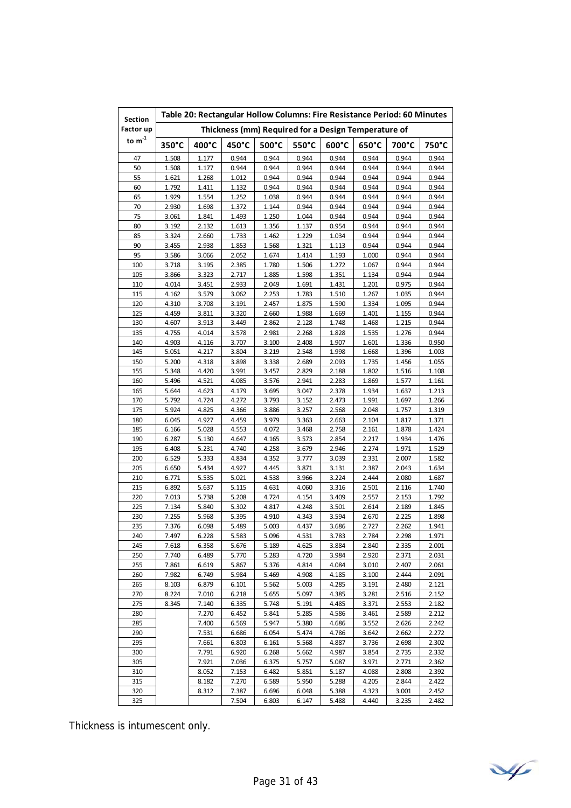| <b>Section</b>              | Table 20: Rectangular Hollow Columns: Fire Resistance Period: 60 Minutes |                |                                                     |                |                 |                 |                |                |                |  |
|-----------------------------|--------------------------------------------------------------------------|----------------|-----------------------------------------------------|----------------|-----------------|-----------------|----------------|----------------|----------------|--|
| Factor up                   |                                                                          |                | Thickness (mm) Required for a Design Temperature of |                |                 |                 |                |                |                |  |
| to $\mathsf{m}^{\text{-}1}$ | 350°C                                                                    | 400°C          | 450°C                                               | 500°C          | $550^{\circ}$ C | $600^{\circ}$ C | 650°C          | 700°C          | 750°C          |  |
| 47                          | 1.508                                                                    | 1.177          | 0.944                                               | 0.944          | 0.944           | 0.944           | 0.944          | 0.944          | 0.944          |  |
| 50                          | 1.508                                                                    | 1.177          | 0.944                                               | 0.944          | 0.944           | 0.944           | 0.944          | 0.944          | 0.944          |  |
| 55                          | 1.621                                                                    | 1.268          | 1.012                                               | 0.944          | 0.944           | 0.944           | 0.944          | 0.944          | 0.944          |  |
| 60                          | 1.792                                                                    | 1.411          | 1.132                                               | 0.944          | 0.944           | 0.944           | 0.944          | 0.944          | 0.944          |  |
| 65                          | 1.929                                                                    | 1.554          | 1.252                                               | 1.038          | 0.944           | 0.944           | 0.944          | 0.944          | 0.944          |  |
| 70                          | 2.930                                                                    | 1.698          | 1.372                                               | 1.144          | 0.944           | 0.944           | 0.944          | 0.944          | 0.944          |  |
| 75                          | 3.061                                                                    | 1.841          | 1.493                                               | 1.250          | 1.044           | 0.944           | 0.944          | 0.944          | 0.944          |  |
| 80                          | 3.192                                                                    | 2.132          | 1.613                                               | 1.356          | 1.137           | 0.954           | 0.944          | 0.944          | 0.944          |  |
| 85                          | 3.324                                                                    | 2.660          | 1.733                                               | 1.462          | 1.229           | 1.034           | 0.944          | 0.944          | 0.944          |  |
| 90                          | 3.455                                                                    | 2.938          | 1.853                                               | 1.568          | 1.321           | 1.113           | 0.944          | 0.944          | 0.944          |  |
| 95                          | 3.586                                                                    | 3.066          | 2.052                                               | 1.674          | 1.414           | 1.193           | 1.000          | 0.944          | 0.944          |  |
| 100                         | 3.718                                                                    | 3.195          | 2.385                                               | 1.780          | 1.506           | 1.272           | 1.067          | 0.944          | 0.944          |  |
| 105                         | 3.866                                                                    | 3.323          | 2.717                                               | 1.885          | 1.598           | 1.351           | 1.134          | 0.944          | 0.944          |  |
| 110                         | 4.014                                                                    | 3.451          | 2.933                                               | 2.049          | 1.691           | 1.431           | 1.201          | 0.975          | 0.944          |  |
| 115                         | 4.162                                                                    | 3.579          | 3.062                                               | 2.253          | 1.783           | 1.510<br>1.590  | 1.267          | 1.035          | 0.944          |  |
| 120<br>125                  | 4.310                                                                    | 3.708          | 3.191<br>3.320                                      | 2.457          | 1.875           |                 | 1.334          | 1.095          | 0.944          |  |
| 130                         | 4.459<br>4.607                                                           | 3.811<br>3.913 | 3.449                                               | 2.660<br>2.862 | 1.988<br>2.128  | 1.669<br>1.748  | 1.401<br>1.468 | 1.155<br>1.215 | 0.944<br>0.944 |  |
| 135                         | 4.755                                                                    | 4.014          | 3.578                                               | 2.981          | 2.268           | 1.828           | 1.535          | 1.276          | 0.944          |  |
| 140                         | 4.903                                                                    | 4.116          | 3.707                                               | 3.100          | 2.408           | 1.907           | 1.601          | 1.336          | 0.950          |  |
| 145                         | 5.051                                                                    | 4.217          | 3.804                                               | 3.219          | 2.548           | 1.998           | 1.668          | 1.396          | 1.003          |  |
| 150                         | 5.200                                                                    | 4.318          | 3.898                                               | 3.338          | 2.689           | 2.093           | 1.735          | 1.456          | 1.055          |  |
| 155                         | 5.348                                                                    | 4.420          | 3.991                                               | 3.457          | 2.829           | 2.188           | 1.802          | 1.516          | 1.108          |  |
| 160                         | 5.496                                                                    | 4.521          | 4.085                                               | 3.576          | 2.941           | 2.283           | 1.869          | 1.577          | 1.161          |  |
| 165                         | 5.644                                                                    | 4.623          | 4.179                                               | 3.695          | 3.047           | 2.378           | 1.934          | 1.637          | 1.213          |  |
| 170                         | 5.792                                                                    | 4.724          | 4.272                                               | 3.793          | 3.152           | 2.473           | 1.991          | 1.697          | 1.266          |  |
| 175                         | 5.924                                                                    | 4.825          | 4.366                                               | 3.886          | 3.257           | 2.568           | 2.048          | 1.757          | 1.319          |  |
| 180                         | 6.045                                                                    | 4.927          | 4.459                                               | 3.979          | 3.363           | 2.663           | 2.104          | 1.817          | 1.371          |  |
| 185                         | 6.166                                                                    | 5.028          | 4.553                                               | 4.072          | 3.468           | 2.758           | 2.161          | 1.878          | 1.424          |  |
| 190                         | 6.287                                                                    | 5.130          | 4.647                                               | 4.165          | 3.573           | 2.854           | 2.217          | 1.934          | 1.476          |  |
| 195                         | 6.408                                                                    | 5.231          | 4.740                                               | 4.258          | 3.679           | 2.946           | 2.274          | 1.971          | 1.529          |  |
| 200                         | 6.529                                                                    | 5.333          | 4.834                                               | 4.352          | 3.777           | 3.039           | 2.331          | 2.007          | 1.582          |  |
| 205                         | 6.650                                                                    | 5.434          | 4.927                                               | 4.445          | 3.871           | 3.131           | 2.387          | 2.043          | 1.634          |  |
| 210                         | 6.771                                                                    | 5.535          | 5.021                                               | 4.538          | 3.966           | 3.224           | 2.444          | 2.080          | 1.687          |  |
| 215                         | 6.892                                                                    | 5.637          | 5.115                                               | 4.631          | 4.060           | 3.316           | 2.501          | 2.116          | 1.740          |  |
| 220                         | 7.013                                                                    | 5.738          | 5.208                                               | 4.724          | 4.154           | 3.409           | 2.557          | 2.153          | 1.792          |  |
| 225                         | 7.134                                                                    | 5.840          | 5.302                                               | 4.817          | 4.248           | 3.501           | 2.614          | 2.189          | 1.845          |  |
| 230                         | 7.255                                                                    | 5.968          | 5.395                                               | 4.910          | 4.343           | 3.594           | 2.670          | 2.225          | 1.898          |  |
| 235                         | 7.376                                                                    | 6.098          | 5.489                                               | 5.003          | 4.437           | 3.686           | 2.727          | 2.262          | 1.941          |  |
| 240                         | 7.497                                                                    | 6.228          | 5.583                                               | 5.096          | 4.531           | 3.783           | 2.784          | 2.298          | 1.971          |  |
| 245                         | 7.618                                                                    | 6.358          | 5.676                                               | 5.189          | 4.625           | 3.884           | 2.840          | 2.335          | 2.001          |  |
| 250                         | 7.740                                                                    | 6.489          | 5.770                                               | 5.283          | 4.720           | 3.984           | 2.920          | 2.371          | 2.031          |  |
| 255                         | 7.861                                                                    | 6.619          | 5.867                                               | 5.376          | 4.814           | 4.084           | 3.010          | 2.407          | 2.061          |  |
| 260                         | 7.982                                                                    | 6.749<br>6.879 | 5.984                                               | 5.469          | 4.908<br>5.003  | 4.185           | 3.100          | 2.444          | 2.091          |  |
| 265                         | 8.103                                                                    |                | 6.101                                               | 5.562          |                 | 4.285           | 3.191          | 2.480          | 2.121          |  |
| 270<br>275                  | 8.224<br>8.345                                                           | 7.010<br>7.140 | 6.218<br>6.335                                      | 5.655<br>5.748 | 5.097<br>5.191  | 4.385<br>4.485  | 3.281<br>3.371 | 2.516<br>2.553 | 2.152<br>2.182 |  |
| 280                         |                                                                          | 7.270          | 6.452                                               | 5.841          | 5.285           | 4.586           | 3.461          | 2.589          | 2.212          |  |
| 285                         |                                                                          | 7.400          | 6.569                                               | 5.947          | 5.380           | 4.686           | 3.552          | 2.626          | 2.242          |  |
| 290                         |                                                                          | 7.531          | 6.686                                               | 6.054          | 5.474           | 4.786           | 3.642          | 2.662          | 2.272          |  |
| 295                         |                                                                          | 7.661          | 6.803                                               | 6.161          | 5.568           | 4.887           | 3.736          | 2.698          | 2.302          |  |
| 300                         |                                                                          | 7.791          | 6.920                                               | 6.268          | 5.662           | 4.987           | 3.854          | 2.735          | 2.332          |  |
| 305                         |                                                                          | 7.921          | 7.036                                               | 6.375          | 5.757           | 5.087           | 3.971          | 2.771          | 2.362          |  |
| 310                         |                                                                          | 8.052          | 7.153                                               | 6.482          | 5.851           | 5.187           | 4.088          | 2.808          | 2.392          |  |
| 315                         |                                                                          | 8.182          | 7.270                                               | 6.589          | 5.950           | 5.288           | 4.205          | 2.844          | 2.422          |  |
| 320                         |                                                                          | 8.312          | 7.387                                               | 6.696          | 6.048           | 5.388           | 4.323          | 3.001          | 2.452          |  |
| 325                         |                                                                          |                | 7.504                                               | 6.803          | 6.147           | 5.488           | 4.440          | 3.235          | 2.482          |  |

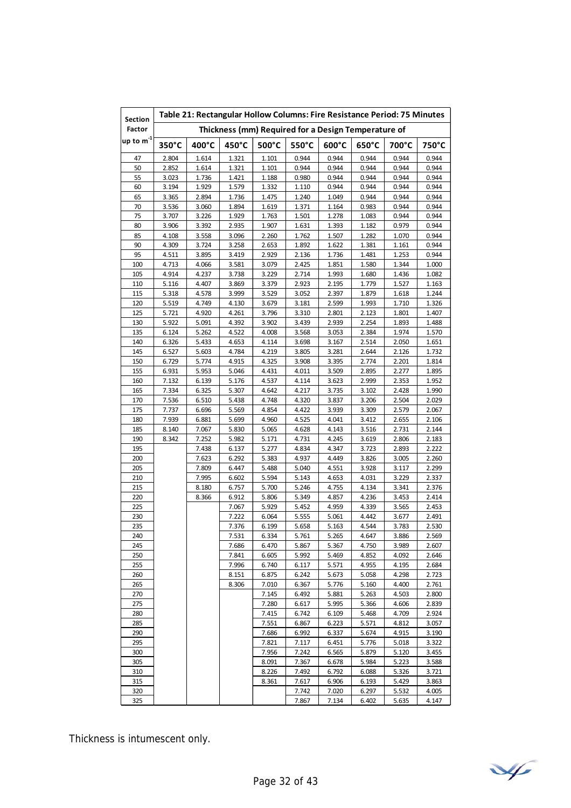| Section                      | Table 21: Rectangular Hollow Columns: Fire Resistance Period: 75 Minutes |                |                |                |                                                     |                 |                |                |                |  |  |
|------------------------------|--------------------------------------------------------------------------|----------------|----------------|----------------|-----------------------------------------------------|-----------------|----------------|----------------|----------------|--|--|
| Factor                       |                                                                          |                |                |                | Thickness (mm) Required for a Design Temperature of |                 |                |                |                |  |  |
| up to $\mathsf{m}^\text{-1}$ | 350°C                                                                    | 400°C          | 450°C          | 500°C          | 550°C                                               | $600^{\circ}$ C | 650°C          | 700°C          | 750°C          |  |  |
| 47                           | 2.804                                                                    | 1.614          | 1.321          | 1.101          | 0.944                                               | 0.944           | 0.944          | 0.944          | 0.944          |  |  |
| 50                           | 2.852                                                                    | 1.614          | 1.321          | 1.101          | 0.944                                               | 0.944           | 0.944          | 0.944          | 0.944          |  |  |
| 55                           | 3.023                                                                    | 1.736          | 1.421          | 1.188          | 0.980                                               | 0.944           | 0.944          | 0.944          | 0.944          |  |  |
| 60                           | 3.194                                                                    | 1.929          | 1.579          | 1.332          | 1.110                                               | 0.944           | 0.944          | 0.944          | 0.944          |  |  |
| 65                           | 3.365                                                                    | 2.894          | 1.736          | 1.475          | 1.240                                               | 1.049           | 0.944          | 0.944          | 0.944          |  |  |
| 70                           | 3.536                                                                    | 3.060          | 1.894          | 1.619          | 1.371                                               | 1.164           | 0.983          | 0.944          | 0.944          |  |  |
| 75                           | 3.707                                                                    | 3.226          | 1.929          | 1.763          | 1.501                                               | 1.278           | 1.083          | 0.944          | 0.944          |  |  |
| 80                           | 3.906                                                                    | 3.392          | 2.935          | 1.907          | 1.631                                               | 1.393           | 1.182          | 0.979          | 0.944          |  |  |
| 85                           | 4.108                                                                    | 3.558          | 3.096          | 2.260          | 1.762                                               | 1.507           | 1.282          | 1.070          | 0.944          |  |  |
| 90                           | 4.309                                                                    | 3.724          | 3.258          | 2.653          | 1.892                                               | 1.622           | 1.381          | 1.161          | 0.944          |  |  |
| 95                           | 4.511                                                                    | 3.895          | 3.419          | 2.929          | 2.136                                               | 1.736           | 1.481          | 1.253          | 0.944          |  |  |
| 100                          | 4.713                                                                    | 4.066          | 3.581          | 3.079          | 2.425                                               | 1.851           | 1.580          | 1.344          | 1.000          |  |  |
| 105                          | 4.914                                                                    | 4.237          | 3.738          | 3.229          | 2.714                                               | 1.993           | 1.680          | 1.436          | 1.082          |  |  |
| 110                          | 5.116                                                                    | 4.407          | 3.869<br>3.999 | 3.379          | 2.923                                               | 2.195           | 1.779          | 1.527          | 1.163          |  |  |
| 115<br>120                   | 5.318<br>5.519                                                           | 4.578<br>4.749 | 4.130          | 3.529<br>3.679 | 3.052<br>3.181                                      | 2.397<br>2.599  | 1.879<br>1.993 | 1.618<br>1.710 | 1.244<br>1.326 |  |  |
| 125                          | 5.721                                                                    | 4.920          | 4.261          | 3.796          |                                                     | 2.801           | 2.123          | 1.801          | 1.407          |  |  |
| 130                          | 5.922                                                                    | 5.091          | 4.392          | 3.902          | 3.310<br>3.439                                      | 2.939           | 2.254          | 1.893          | 1.488          |  |  |
| 135                          | 6.124                                                                    | 5.262          | 4.522          | 4.008          | 3.568                                               | 3.053           | 2.384          | 1.974          | 1.570          |  |  |
| 140                          | 6.326                                                                    | 5.433          | 4.653          | 4.114          | 3.698                                               | 3.167           | 2.514          | 2.050          | 1.651          |  |  |
| 145                          | 6.527                                                                    | 5.603          | 4.784          | 4.219          | 3.805                                               | 3.281           | 2.644          | 2.126          | 1.732          |  |  |
| 150                          | 6.729                                                                    | 5.774          | 4.915          | 4.325          | 3.908                                               | 3.395           | 2.774          | 2.201          | 1.814          |  |  |
| 155                          | 6.931                                                                    | 5.953          | 5.046          | 4.431          | 4.011                                               | 3.509           | 2.895          | 2.277          | 1.895          |  |  |
| 160                          | 7.132                                                                    | 6.139          | 5.176          | 4.537          | 4.114                                               | 3.623           | 2.999          | 2.353          | 1.952          |  |  |
| 165                          | 7.334                                                                    | 6.325          | 5.307          | 4.642          | 4.217                                               | 3.735           | 3.102          | 2.428          | 1.990          |  |  |
| 170                          | 7.536                                                                    | 6.510          | 5.438          | 4.748          | 4.320                                               | 3.837           | 3.206          | 2.504          | 2.029          |  |  |
| 175                          | 7.737                                                                    | 6.696          | 5.569          | 4.854          | 4.422                                               | 3.939           | 3.309          | 2.579          | 2.067          |  |  |
| 180                          | 7.939                                                                    | 6.881          | 5.699          | 4.960          | 4.525                                               | 4.041           | 3.412          | 2.655          | 2.106          |  |  |
| 185                          | 8.140                                                                    | 7.067          | 5.830          | 5.065          | 4.628                                               | 4.143           | 3.516          | 2.731          | 2.144          |  |  |
| 190                          | 8.342                                                                    | 7.252          | 5.982          | 5.171          | 4.731                                               | 4.245           | 3.619          | 2.806          | 2.183          |  |  |
| 195                          |                                                                          | 7.438          | 6.137          | 5.277          | 4.834                                               | 4.347           | 3.723          | 2.893          | 2.222          |  |  |
| 200                          |                                                                          | 7.623          | 6.292          | 5.383          | 4.937                                               | 4.449           | 3.826          | 3.005          | 2.260          |  |  |
| 205                          |                                                                          | 7.809          | 6.447          | 5.488          | 5.040                                               | 4.551           | 3.928          | 3.117          | 2.299          |  |  |
| 210                          |                                                                          | 7.995          | 6.602          | 5.594          | 5.143                                               | 4.653           | 4.031          | 3.229          | 2.337          |  |  |
| 215                          |                                                                          | 8.180          | 6.757          | 5.700          | 5.246                                               | 4.755           | 4.134          | 3.341          | 2.376          |  |  |
| 220                          |                                                                          | 8.366          | 6.912          | 5.806          | 5.349                                               | 4.857           | 4.236          | 3.453          | 2.414          |  |  |
| 225                          |                                                                          |                | 7.067          | 5.929          | 5.452                                               | 4.959           | 4.339          | 3.565          | 2.453          |  |  |
| 230                          |                                                                          |                | 7.222          | 6.064          | 5.555                                               | 5.061           | 4.442          | 3.677          | 2.491          |  |  |
| 235                          |                                                                          |                | 7.376          | 6.199          | 5.658                                               | 5.163           | 4.544          | 3.783          | 2.530          |  |  |
| 240                          |                                                                          |                | 7.531          | 6.334          | 5.761                                               | 5.265           | 4.647          | 3.886          | 2.569          |  |  |
| 245                          |                                                                          |                | 7.686          | 6.470          | 5.867                                               | 5.367           | 4.750          | 3.989          | 2.607          |  |  |
| 250<br>255                   |                                                                          |                | 7.841          | 6.605          | 5.992                                               | 5.469           | 4.852          | 4.092          | 2.646          |  |  |
| 260                          |                                                                          |                | 7.996<br>8.151 | 6.740<br>6.875 | 6.117<br>6.242                                      | 5.571<br>5.673  | 4.955<br>5.058 | 4.195<br>4.298 | 2.684<br>2.723 |  |  |
| 265                          |                                                                          |                | 8.306          | 7.010          | 6.367                                               | 5.776           | 5.160          | 4.400          | 2.761          |  |  |
| 270                          |                                                                          |                |                | 7.145          | 6.492                                               | 5.881           | 5.263          | 4.503          | 2.800          |  |  |
| 275                          |                                                                          |                |                | 7.280          | 6.617                                               | 5.995           | 5.366          | 4.606          | 2.839          |  |  |
| 280                          |                                                                          |                |                | 7.415          | 6.742                                               | 6.109           | 5.468          | 4.709          | 2.924          |  |  |
| 285                          |                                                                          |                |                | 7.551          | 6.867                                               | 6.223           | 5.571          | 4.812          | 3.057          |  |  |
| 290                          |                                                                          |                |                | 7.686          | 6.992                                               | 6.337           | 5.674          | 4.915          | 3.190          |  |  |
| 295                          |                                                                          |                |                | 7.821          | 7.117                                               | 6.451           | 5.776          | 5.018          | 3.322          |  |  |
| 300                          |                                                                          |                |                | 7.956          | 7.242                                               | 6.565           | 5.879          | 5.120          | 3.455          |  |  |
| 305                          |                                                                          |                |                | 8.091          | 7.367                                               | 6.678           | 5.984          | 5.223          | 3.588          |  |  |
| 310                          |                                                                          |                |                | 8.226          | 7.492                                               | 6.792           | 6.088          | 5.326          | 3.721          |  |  |
| 315                          |                                                                          |                |                | 8.361          | 7.617                                               | 6.906           | 6.193          | 5.429          | 3.863          |  |  |
| 320                          |                                                                          |                |                |                | 7.742                                               | 7.020           | 6.297          | 5.532          | 4.005          |  |  |
| 325                          |                                                                          |                |                |                | 7.867                                               | 7.134           | 6.402          | 5.635          | 4.147          |  |  |

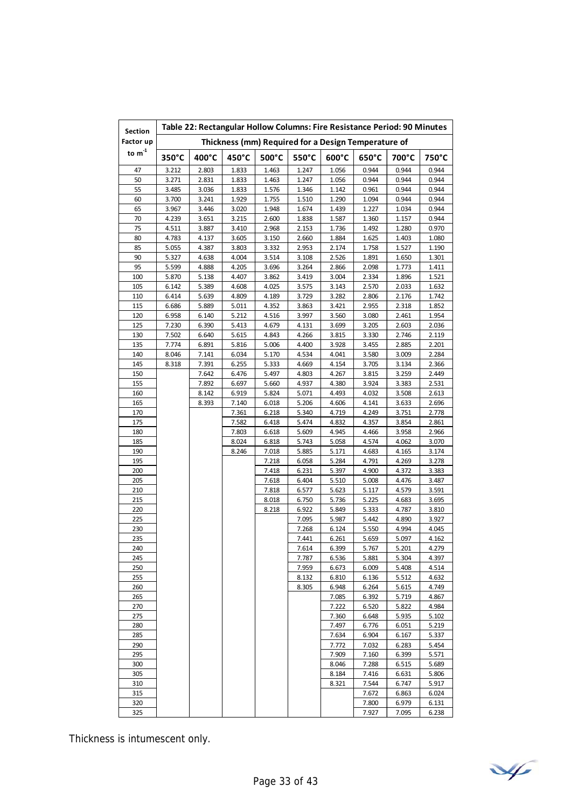| Section    | Table 22: Rectangular Hollow Columns: Fire Resistance Period: 90 Minutes |                |                |                |                |                                                     |                |                |                |
|------------|--------------------------------------------------------------------------|----------------|----------------|----------------|----------------|-----------------------------------------------------|----------------|----------------|----------------|
| Factor up  |                                                                          |                |                |                |                | Thickness (mm) Required for a Design Temperature of |                |                |                |
| to $m^4$   | 350°C                                                                    | 400°C          | 450°C          | 500°C          | 550°C          | 600°C                                               | 650°C          | 700°C          | 750°C          |
| 47         | 3.212                                                                    | 2.803          | 1.833          | 1.463          | 1.247          | 1.056                                               | 0.944          | 0.944          | 0.944          |
| 50         | 3.271                                                                    | 2.831          | 1.833          | 1.463          | 1.247          | 1.056                                               | 0.944          | 0.944          | 0.944          |
| 55         | 3.485                                                                    | 3.036          | 1.833          | 1.576          | 1.346          | 1.142                                               | 0.961          | 0.944          | 0.944          |
| 60         | 3.700                                                                    | 3.241          | 1.929          | 1.755          | 1.510          | 1.290                                               | 1.094          | 0.944          | 0.944          |
| 65         | 3.967                                                                    | 3.446          | 3.020          | 1.948          | 1.674          | 1.439                                               | 1.227          | 1.034          | 0.944          |
| 70         | 4.239                                                                    | 3.651          | 3.215          | 2.600          | 1.838          | 1.587                                               | 1.360          | 1.157          | 0.944          |
| 75         | 4.511                                                                    | 3.887          | 3.410          | 2.968          | 2.153          | 1.736                                               | 1.492          | 1.280          | 0.970          |
| 80         | 4.783                                                                    | 4.137          | 3.605          | 3.150          | 2.660          | 1.884                                               | 1.625          | 1.403          | 1.080          |
| 85         | 5.055                                                                    | 4.387          | 3.803          | 3.332          | 2.953          | 2.174                                               | 1.758          | 1.527          | 1.190          |
| 90         | 5.327                                                                    | 4.638          | 4.004          | 3.514          | 3.108          | 2.526                                               | 1.891          | 1.650          | 1.301          |
| 95<br>100  | 5.599<br>5.870                                                           | 4.888<br>5.138 | 4.205<br>4.407 | 3.696<br>3.862 | 3.264<br>3.419 | 2.866<br>3.004                                      | 2.098<br>2.334 | 1.773<br>1.896 | 1.411<br>1.521 |
| 105        | 6.142                                                                    | 5.389          | 4.608          | 4.025          | 3.575          | 3.143                                               | 2.570          | 2.033          | 1.632          |
| 110        | 6.414                                                                    | 5.639          | 4.809          | 4.189          | 3.729          | 3.282                                               | 2.806          | 2.176          | 1.742          |
| 115        | 6.686                                                                    | 5.889          | 5.011          | 4.352          | 3.863          | 3.421                                               | 2.955          | 2.318          | 1.852          |
| 120        | 6.958                                                                    | 6.140          | 5.212          | 4.516          | 3.997          | 3.560                                               | 3.080          | 2.461          | 1.954          |
| 125        | 7.230                                                                    | 6.390          | 5.413          | 4.679          | 4.131          | 3.699                                               | 3.205          | 2.603          | 2.036          |
| 130        | 7.502                                                                    | 6.640          | 5.615          | 4.843          | 4.266          | 3.815                                               | 3.330          | 2.746          | 2.119          |
| 135        | 7.774                                                                    | 6.891          | 5.816          | 5.006          | 4.400          | 3.928                                               | 3.455          | 2.885          | 2.201          |
| 140        | 8.046                                                                    | 7.141          | 6.034          | 5.170          | 4.534          | 4.041                                               | 3.580          | 3.009          | 2.284          |
| 145        | 8.318                                                                    | 7.391          | 6.255          | 5.333          | 4.669          | 4.154                                               | 3.705          | 3.134          | 2.366          |
| 150        |                                                                          | 7.642          | 6.476          | 5.497          | 4.803          | 4.267                                               | 3.815          | 3.259          | 2.449          |
| 155        |                                                                          | 7.892          | 6.697          | 5.660          | 4.937          | 4.380                                               | 3.924          | 3.383          | 2.531          |
| 160        |                                                                          | 8.142          | 6.919          | 5.824          | 5.071          | 4.493                                               | 4.032          | 3.508          | 2.613          |
| 165        |                                                                          | 8.393          | 7.140          | 6.018          | 5.206          | 4.606                                               | 4.141          | 3.633          | 2.696          |
| 170        |                                                                          |                | 7.361          | 6.218          | 5.340          | 4.719                                               | 4.249          | 3.751          | 2.778          |
| 175        |                                                                          |                | 7.582          | 6.418          | 5.474          | 4.832                                               | 4.357          | 3.854          | 2.861          |
| 180        |                                                                          |                | 7.803          | 6.618          | 5.609          | 4.945                                               | 4.466          | 3.958          | 2.966          |
| 185        |                                                                          |                | 8.024          | 6.818          | 5.743          | 5.058                                               | 4.574          | 4.062          | 3.070          |
| 190        |                                                                          |                | 8.246          | 7.018          | 5.885          | 5.171                                               | 4.683          | 4.165          | 3.174          |
| 195        |                                                                          |                |                | 7.218          | 6.058          | 5.284                                               | 4.791          | 4.269          | 3.278          |
| 200        |                                                                          |                |                | 7.418          | 6.231          | 5.397                                               | 4.900          | 4.372          | 3.383          |
| 205        |                                                                          |                |                | 7.618          | 6.404          | 5.510                                               | 5.008          | 4.476          | 3.487          |
| 210        |                                                                          |                |                | 7.818          | 6.577          | 5.623                                               | 5.117          | 4.579          | 3.591          |
| 215        |                                                                          |                |                | 8.018          | 6.750          | 5.736                                               | 5.225          | 4.683          | 3.695          |
| 220        |                                                                          |                |                | 8.218          | 6.922          | 5.849                                               | 5.333          | 4.787          | 3.810          |
| 225        |                                                                          |                |                |                | 7.095          | 5.987                                               | 5.442          | 4.890          | 3.927<br>4.045 |
| 230        |                                                                          |                |                |                | 7.268          | 6.124                                               | 5.550          | 4.994          |                |
| 235<br>240 |                                                                          |                |                |                | 7.441<br>7.614 | 6.261<br>6.399                                      | 5.659<br>5.767 | 5.097<br>5.201 | 4.162<br>4.279 |
| 245        |                                                                          |                |                |                | 7.787          | 6.536                                               | 5.881          | 5.304          | 4.397          |
| 250        |                                                                          |                |                |                | 7.959          | 6.673                                               | 6.009          | 5.408          | 4.514          |
| 255        |                                                                          |                |                |                | 8.132          | 6.810                                               | 6.136          | 5.512          | 4.632          |
| 260        |                                                                          |                |                |                | 8.305          | 6.948                                               | 6.264          | 5.615          | 4.749          |
| 265        |                                                                          |                |                |                |                | 7.085                                               | 6.392          | 5.719          | 4.867          |
| 270        |                                                                          |                |                |                |                | 7.222                                               | 6.520          | 5.822          | 4.984          |
| 275        |                                                                          |                |                |                |                | 7.360                                               | 6.648          | 5.935          | 5.102          |
| 280        |                                                                          |                |                |                |                | 7.497                                               | 6.776          | 6.051          | 5.219          |
| 285        |                                                                          |                |                |                |                | 7.634                                               | 6.904          | 6.167          | 5.337          |
| 290        |                                                                          |                |                |                |                | 7.772                                               | 7.032          | 6.283          | 5.454          |
| 295        |                                                                          |                |                |                |                | 7.909                                               | 7.160          | 6.399          | 5.571          |
| 300        |                                                                          |                |                |                |                | 8.046                                               | 7.288          | 6.515          | 5.689          |
| 305        |                                                                          |                |                |                |                | 8.184                                               | 7.416          | 6.631          | 5.806          |
| 310        |                                                                          |                |                |                |                | 8.321                                               | 7.544          | 6.747          | 5.917          |
| 315        |                                                                          |                |                |                |                |                                                     | 7.672          | 6.863          | 6.024          |
| 320        |                                                                          |                |                |                |                |                                                     | 7.800          | 6.979          | 6.131          |
| 325        |                                                                          |                |                |                |                |                                                     | 7.927          | 7.095          | 6.238          |

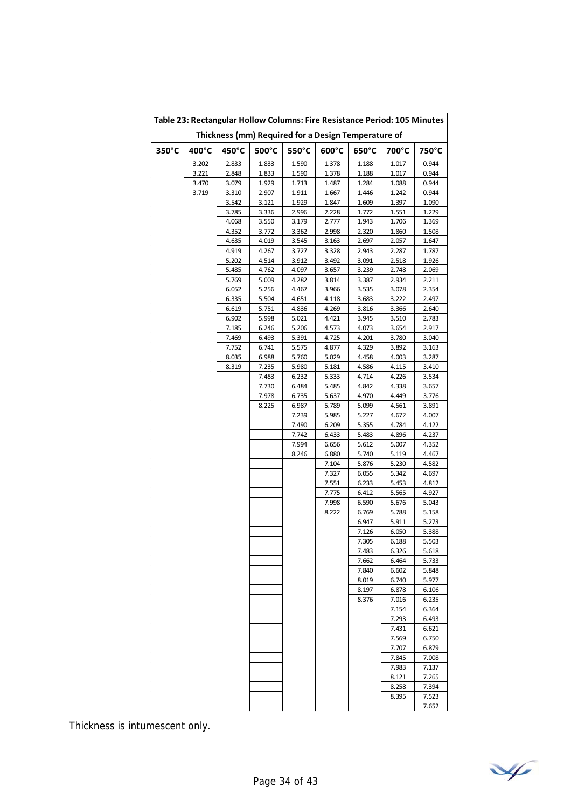|       |       | Table 23: Rectangular Hollow Columns: Fire Resistance Period: 105 Minutes |                                                     |                |                |                |                |                |
|-------|-------|---------------------------------------------------------------------------|-----------------------------------------------------|----------------|----------------|----------------|----------------|----------------|
|       |       |                                                                           | Thickness (mm) Required for a Design Temperature of |                |                |                |                |                |
| 350°C | 400°C | 450°C                                                                     | 500°C                                               | 550°C          | 600°C          | 650°C          | 700°C          | 750°C          |
|       | 3.202 | 2.833                                                                     | 1.833                                               | 1.590          | 1.378          | 1.188          | 1.017          | 0.944          |
|       | 3.221 | 2.848                                                                     | 1.833                                               | 1.590          | 1.378          | 1.188          | 1.017          | 0.944          |
|       | 3.470 | 3.079                                                                     | 1.929                                               | 1.713          | 1.487          | 1.284          | 1.088          | 0.944          |
|       | 3.719 | 3.310                                                                     | 2.907                                               | 1.911          | 1.667          | 1.446          | 1.242          | 0.944          |
|       |       | 3.542                                                                     | 3.121<br>3.336                                      | 1.929          | 1.847          | 1.609          | 1.397          | 1.090          |
|       |       | 3.785<br>4.068                                                            | 3.550                                               | 2.996<br>3.179 | 2.228<br>2.777 | 1.772<br>1.943 | 1.551<br>1.706 | 1.229<br>1.369 |
|       |       | 4.352                                                                     | 3.772                                               | 3.362          | 2.998          | 2.320          | 1.860          | 1.508          |
|       |       | 4.635                                                                     | 4.019                                               | 3.545          | 3.163          | 2.697          | 2.057          | 1.647          |
|       |       | 4.919                                                                     | 4.267                                               | 3.727          | 3.328          | 2.943          | 2.287          | 1.787          |
|       |       | 5.202                                                                     | 4.514                                               | 3.912          | 3.492          | 3.091          | 2.518          | 1.926          |
|       |       | 5.485                                                                     | 4.762                                               | 4.097          | 3.657          | 3.239          | 2.748          | 2.069          |
|       |       | 5.769                                                                     | 5.009                                               | 4.282          | 3.814          | 3.387          | 2.934          | 2.211          |
|       |       | 6.052                                                                     | 5.256                                               | 4.467          | 3.966          | 3.535          | 3.078          | 2.354          |
|       |       | 6.335                                                                     | 5.504                                               | 4.651          | 4.118          | 3.683          | 3.222          | 2.497          |
|       |       | 6.619                                                                     | 5.751                                               | 4.836          | 4.269          | 3.816          | 3.366          | 2.640          |
|       |       | 6.902                                                                     | 5.998                                               | 5.021          | 4.421          | 3.945          | 3.510          | 2.783          |
|       |       | 7.185                                                                     | 6.246                                               | 5.206          | 4.573          | 4.073          | 3.654          | 2.917          |
|       |       | 7.469                                                                     | 6.493                                               | 5.391          | 4.725          | 4.201          | 3.780          | 3.040          |
|       |       | 7.752                                                                     | 6.741                                               | 5.575          | 4.877          | 4.329          | 3.892          | 3.163          |
|       |       | 8.035                                                                     | 6.988                                               | 5.760          | 5.029          | 4.458          | 4.003          | 3.287          |
|       |       | 8.319                                                                     | 7.235                                               | 5.980          | 5.181          | 4.586          | 4.115          | 3.410          |
|       |       |                                                                           | 7.483                                               | 6.232          | 5.333          | 4.714          | 4.226          | 3.534          |
|       |       |                                                                           | 7.730                                               | 6.484          | 5.485          | 4.842          | 4.338          | 3.657          |
|       |       |                                                                           | 7.978                                               | 6.735          | 5.637          | 4.970          | 4.449          | 3.776          |
|       |       |                                                                           | 8.225                                               | 6.987          | 5.789          | 5.099          | 4.561          | 3.891          |
|       |       |                                                                           |                                                     | 7.239          | 5.985          | 5.227          | 4.672          | 4.007          |
|       |       |                                                                           |                                                     | 7.490<br>7.742 | 6.209          | 5.355          | 4.784          | 4.122          |
|       |       |                                                                           |                                                     | 7.994          | 6.433<br>6.656 | 5.483<br>5.612 | 4.896<br>5.007 | 4.237<br>4.352 |
|       |       |                                                                           |                                                     | 8.246          | 6.880          | 5.740          | 5.119          | 4.467          |
|       |       |                                                                           |                                                     |                | 7.104          | 5.876          | 5.230          | 4.582          |
|       |       |                                                                           |                                                     |                | 7.327          | 6.055          | 5.342          | 4.697          |
|       |       |                                                                           |                                                     |                | 7.551          | 6.233          | 5.453          | 4.812          |
|       |       |                                                                           |                                                     |                | 7.775          | 6.412          | 5.565          | 4.927          |
|       |       |                                                                           |                                                     |                | 7.998          | 6.590          | 5.676          | 5.043          |
|       |       |                                                                           |                                                     |                | 8.222          | 6.769          | 5.788          | 5.158          |
|       |       |                                                                           |                                                     |                |                | 6.947          | 5.911          | 5.273          |
|       |       |                                                                           |                                                     |                |                | 7.126          | 6.050          | 5.388          |
|       |       |                                                                           |                                                     |                |                | 7.305          | 6.188          | 5.503          |
|       |       |                                                                           |                                                     |                |                | 7.483          | 6.326          | 5.618          |
|       |       |                                                                           |                                                     |                |                | 7.662          | 6.464          | 5.733          |
|       |       |                                                                           |                                                     |                |                | 7.840          | 6.602          | 5.848          |
|       |       |                                                                           |                                                     |                |                | 8.019          | 6.740          | 5.977          |
|       |       |                                                                           |                                                     |                |                | 8.197          | 6.878          | 6.106          |
|       |       |                                                                           |                                                     |                |                | 8.376          | 7.016          | 6.235          |
|       |       |                                                                           |                                                     |                |                |                | 7.154          | 6.364          |
|       |       |                                                                           |                                                     |                |                |                | 7.293          | 6.493          |
|       |       |                                                                           |                                                     |                |                |                | 7.431          | 6.621          |
|       |       |                                                                           |                                                     |                |                |                | 7.569          | 6.750          |
|       |       |                                                                           |                                                     |                |                |                | 7.707          | 6.879          |
|       |       |                                                                           |                                                     |                |                |                | 7.845          | 7.008          |
|       |       |                                                                           |                                                     |                |                |                | 7.983          | 7.137          |
|       |       |                                                                           |                                                     |                |                |                | 8.121          | 7.265          |
|       |       |                                                                           |                                                     |                |                |                | 8.258          | 7.394          |
|       |       |                                                                           |                                                     |                |                |                | 8.395          | 7.523<br>7.652 |

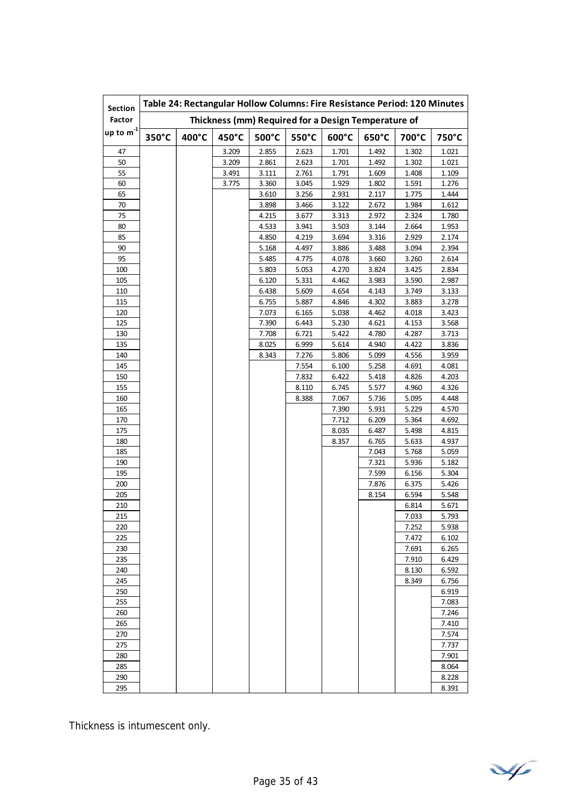| <b>Section</b> |       |       |       |       | Table 24: Rectangular Hollow Columns: Fire Resistance Period: 120 Minutes |       |       |       |       |
|----------------|-------|-------|-------|-------|---------------------------------------------------------------------------|-------|-------|-------|-------|
| Factor         |       |       |       |       | Thickness (mm) Required for a Design Temperature of                       |       |       |       |       |
| up to $m^{-1}$ | 350°C | 400°C | 450°C | 500°C | 550°C                                                                     | 600°C | 650°C | 700°C | 750°C |
| 47             |       |       | 3.209 | 2.855 | 2.623                                                                     | 1.701 | 1.492 | 1.302 | 1.021 |
| 50             |       |       | 3.209 | 2.861 | 2.623                                                                     | 1.701 | 1.492 | 1.302 | 1.021 |
| 55             |       |       | 3.491 | 3.111 | 2.761                                                                     | 1.791 | 1.609 | 1.408 | 1.109 |
| 60             |       |       | 3.775 | 3.360 | 3.045                                                                     | 1.929 | 1.802 | 1.591 | 1.276 |
| 65             |       |       |       | 3.610 | 3.256                                                                     | 2.931 | 2.117 | 1.775 | 1.444 |
| 70             |       |       |       | 3.898 | 3.466                                                                     | 3.122 | 2.672 | 1.984 | 1.612 |
| 75             |       |       |       | 4.215 | 3.677                                                                     | 3.313 | 2.972 | 2.324 | 1.780 |
| 80             |       |       |       | 4.533 | 3.941                                                                     | 3.503 | 3.144 | 2.664 | 1.953 |
| 85             |       |       |       | 4.850 | 4.219                                                                     | 3.694 | 3.316 | 2.929 | 2.174 |
| 90             |       |       |       | 5.168 | 4.497                                                                     | 3.886 | 3.488 | 3.094 | 2.394 |
| 95             |       |       |       | 5.485 | 4.775                                                                     | 4.078 | 3.660 | 3.260 | 2.614 |
| 100            |       |       |       | 5.803 | 5.053                                                                     | 4.270 | 3.824 | 3.425 | 2.834 |
| 105            |       |       |       | 6.120 | 5.331                                                                     | 4.462 | 3.983 | 3.590 | 2.987 |
| 110            |       |       |       | 6.438 | 5.609                                                                     | 4.654 | 4.143 | 3.749 | 3.133 |
| 115            |       |       |       | 6.755 | 5.887                                                                     | 4.846 | 4.302 | 3.883 | 3.278 |
| 120            |       |       |       | 7.073 | 6.165                                                                     | 5.038 | 4.462 | 4.018 | 3.423 |
| 125            |       |       |       | 7.390 | 6.443                                                                     | 5.230 | 4.621 | 4.153 | 3.568 |
| 130            |       |       |       | 7.708 | 6.721                                                                     | 5.422 | 4.780 | 4.287 | 3.713 |
| 135            |       |       |       | 8.025 | 6.999                                                                     | 5.614 | 4.940 | 4.422 | 3.836 |
| 140            |       |       |       | 8.343 | 7.276                                                                     | 5.806 | 5.099 | 4.556 | 3.959 |
| 145            |       |       |       |       | 7.554                                                                     | 6.100 | 5.258 | 4.691 | 4.081 |
| 150            |       |       |       |       | 7.832                                                                     | 6.422 | 5.418 | 4.826 | 4.203 |
| 155            |       |       |       |       | 8.110                                                                     | 6.745 | 5.577 | 4.960 | 4.326 |
| 160            |       |       |       |       | 8.388                                                                     | 7.067 | 5.736 | 5.095 | 4.448 |
| 165            |       |       |       |       |                                                                           | 7.390 | 5.931 | 5.229 | 4.570 |
| 170            |       |       |       |       |                                                                           | 7.712 | 6.209 | 5.364 | 4.692 |
| 175            |       |       |       |       |                                                                           | 8.035 | 6.487 | 5.498 | 4.815 |
| 180            |       |       |       |       |                                                                           | 8.357 | 6.765 | 5.633 | 4.937 |
| 185            |       |       |       |       |                                                                           |       | 7.043 | 5.768 | 5.059 |
| 190            |       |       |       |       |                                                                           |       | 7.321 | 5.936 | 5.182 |
| 195            |       |       |       |       |                                                                           |       | 7.599 | 6.156 | 5.304 |
| 200            |       |       |       |       |                                                                           |       | 7.876 | 6.375 | 5.426 |
| 205            |       |       |       |       |                                                                           |       | 8.154 | 6.594 | 5.548 |
| 210            |       |       |       |       |                                                                           |       |       | 6.814 | 5.671 |
| 215            |       |       |       |       |                                                                           |       |       | 7.033 | 5.793 |
| 220            |       |       |       |       |                                                                           |       |       | 7.252 | 5.938 |
| 225            |       |       |       |       |                                                                           |       |       | 7.472 | 6.102 |
| 230            |       |       |       |       |                                                                           |       |       | 7.691 | 6.265 |
| 235            |       |       |       |       |                                                                           |       |       | 7.910 | 6.429 |
| 240            |       |       |       |       |                                                                           |       |       | 8.130 | 6.592 |
| 245            |       |       |       |       |                                                                           |       |       | 8.349 | 6.756 |
| 250            |       |       |       |       |                                                                           |       |       |       | 6.919 |
| 255            |       |       |       |       |                                                                           |       |       |       | 7.083 |
| 260            |       |       |       |       |                                                                           |       |       |       | 7.246 |
| 265            |       |       |       |       |                                                                           |       |       |       | 7.410 |
| 270            |       |       |       |       |                                                                           |       |       |       | 7.574 |
| 275            |       |       |       |       |                                                                           |       |       |       | 7.737 |
| 280            |       |       |       |       |                                                                           |       |       |       | 7.901 |
| 285            |       |       |       |       |                                                                           |       |       |       | 8.064 |
| 290            |       |       |       |       |                                                                           |       |       |       | 8.228 |
| 295            |       |       |       |       |                                                                           |       |       |       | 8.391 |

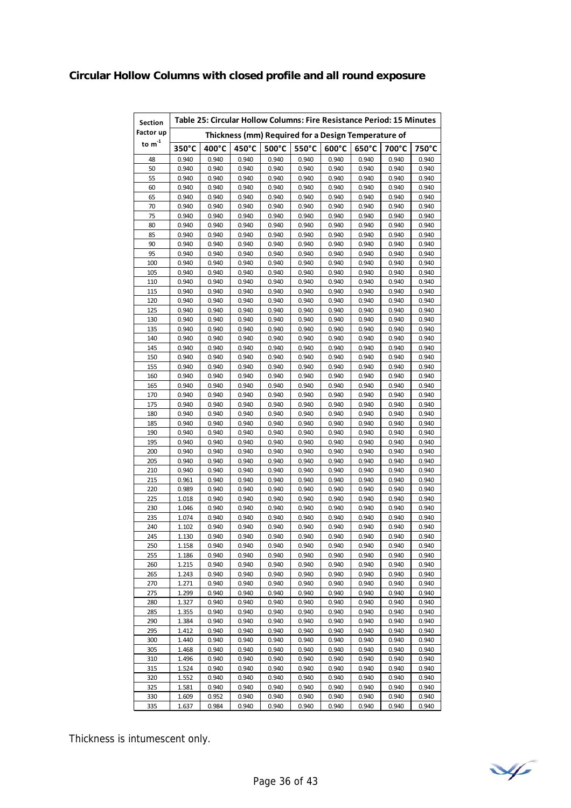# **Circular Hollow Columns with closed profile and all round exposure**

| Section                     | Table 25: Circular Hollow Columns: Fire Resistance Period: 15 Minutes |       |       |       |       |       |                                                     |       |       |  |
|-----------------------------|-----------------------------------------------------------------------|-------|-------|-------|-------|-------|-----------------------------------------------------|-------|-------|--|
| Factor up                   |                                                                       |       |       |       |       |       | Thickness (mm) Required for a Design Temperature of |       |       |  |
| to $\mathsf{m}^{\text{-}1}$ | 350°C                                                                 | 400°C | 450°C | 500°C | 550°C | 600°C | 650°C                                               | 700°C | 750°C |  |
| 48                          | 0.940                                                                 | 0.940 | 0.940 | 0.940 | 0.940 | 0.940 | 0.940                                               | 0.940 | 0.940 |  |
| 50                          | 0.940                                                                 | 0.940 | 0.940 | 0.940 | 0.940 | 0.940 | 0.940                                               | 0.940 | 0.940 |  |
| 55                          | 0.940                                                                 | 0.940 | 0.940 | 0.940 | 0.940 | 0.940 | 0.940                                               | 0.940 | 0.940 |  |
| 60                          | 0.940                                                                 | 0.940 | 0.940 | 0.940 | 0.940 | 0.940 | 0.940                                               | 0.940 | 0.940 |  |
| 65                          | 0.940                                                                 | 0.940 | 0.940 | 0.940 | 0.940 | 0.940 | 0.940                                               | 0.940 | 0.940 |  |
| 70                          | 0.940                                                                 | 0.940 | 0.940 | 0.940 | 0.940 | 0.940 | 0.940                                               | 0.940 | 0.940 |  |
| 75                          | 0.940                                                                 | 0.940 | 0.940 | 0.940 | 0.940 | 0.940 | 0.940                                               | 0.940 | 0.940 |  |
| 80                          | 0.940                                                                 | 0.940 | 0.940 | 0.940 | 0.940 | 0.940 | 0.940                                               | 0.940 | 0.940 |  |
| 85                          | 0.940                                                                 | 0.940 | 0.940 | 0.940 | 0.940 | 0.940 | 0.940                                               | 0.940 | 0.940 |  |
| 90                          | 0.940                                                                 | 0.940 | 0.940 | 0.940 | 0.940 | 0.940 | 0.940                                               | 0.940 | 0.940 |  |
| 95                          | 0.940                                                                 | 0.940 | 0.940 | 0.940 | 0.940 | 0.940 | 0.940                                               | 0.940 | 0.940 |  |
| 100                         | 0.940                                                                 | 0.940 | 0.940 | 0.940 | 0.940 | 0.940 | 0.940                                               | 0.940 | 0.940 |  |
| 105                         | 0.940                                                                 | 0.940 | 0.940 | 0.940 | 0.940 | 0.940 | 0.940                                               | 0.940 | 0.940 |  |
| 110                         | 0.940                                                                 | 0.940 | 0.940 | 0.940 | 0.940 | 0.940 | 0.940                                               | 0.940 | 0.940 |  |
| 115                         | 0.940                                                                 | 0.940 | 0.940 | 0.940 | 0.940 | 0.940 | 0.940                                               | 0.940 | 0.940 |  |
| 120                         | 0.940                                                                 | 0.940 | 0.940 | 0.940 | 0.940 | 0.940 | 0.940                                               | 0.940 | 0.940 |  |
| 125                         | 0.940                                                                 | 0.940 | 0.940 | 0.940 | 0.940 | 0.940 | 0.940                                               | 0.940 | 0.940 |  |
| 130                         | 0.940                                                                 | 0.940 | 0.940 | 0.940 | 0.940 | 0.940 | 0.940                                               | 0.940 | 0.940 |  |
| 135                         | 0.940                                                                 | 0.940 | 0.940 | 0.940 | 0.940 | 0.940 | 0.940                                               | 0.940 | 0.940 |  |
| 140                         | 0.940                                                                 | 0.940 | 0.940 | 0.940 | 0.940 | 0.940 | 0.940                                               | 0.940 | 0.940 |  |
| 145                         | 0.940                                                                 | 0.940 | 0.940 | 0.940 | 0.940 | 0.940 | 0.940                                               | 0.940 | 0.940 |  |
| 150                         | 0.940                                                                 | 0.940 | 0.940 | 0.940 | 0.940 | 0.940 | 0.940                                               | 0.940 | 0.940 |  |
| 155                         | 0.940                                                                 | 0.940 | 0.940 | 0.940 | 0.940 | 0.940 | 0.940                                               | 0.940 | 0.940 |  |
| 160                         | 0.940                                                                 | 0.940 | 0.940 | 0.940 | 0.940 | 0.940 | 0.940                                               | 0.940 | 0.940 |  |
| 165                         | 0.940                                                                 | 0.940 | 0.940 | 0.940 | 0.940 | 0.940 | 0.940                                               | 0.940 | 0.940 |  |
| 170                         | 0.940                                                                 | 0.940 | 0.940 | 0.940 | 0.940 | 0.940 | 0.940                                               | 0.940 | 0.940 |  |
| 175                         | 0.940                                                                 | 0.940 | 0.940 | 0.940 | 0.940 | 0.940 | 0.940                                               | 0.940 | 0.940 |  |
| 180                         | 0.940                                                                 | 0.940 | 0.940 | 0.940 | 0.940 | 0.940 | 0.940                                               | 0.940 | 0.940 |  |
| 185                         | 0.940                                                                 | 0.940 | 0.940 | 0.940 | 0.940 | 0.940 | 0.940                                               | 0.940 | 0.940 |  |
| 190                         | 0.940                                                                 | 0.940 | 0.940 | 0.940 | 0.940 | 0.940 | 0.940                                               | 0.940 | 0.940 |  |
| 195                         | 0.940                                                                 | 0.940 | 0.940 | 0.940 | 0.940 | 0.940 | 0.940                                               | 0.940 | 0.940 |  |
| 200                         | 0.940                                                                 | 0.940 | 0.940 | 0.940 | 0.940 | 0.940 | 0.940                                               | 0.940 | 0.940 |  |
| 205                         | 0.940                                                                 | 0.940 | 0.940 | 0.940 | 0.940 | 0.940 | 0.940                                               | 0.940 | 0.940 |  |
| 210                         | 0.940                                                                 | 0.940 | 0.940 | 0.940 | 0.940 | 0.940 | 0.940                                               | 0.940 | 0.940 |  |
| 215                         | 0.961                                                                 | 0.940 | 0.940 | 0.940 | 0.940 | 0.940 | 0.940                                               | 0.940 | 0.940 |  |
| 220                         | 0.989                                                                 | 0.940 | 0.940 | 0.940 | 0.940 | 0.940 | 0.940                                               | 0.940 | 0.940 |  |
| 225                         | 1.018                                                                 | 0.940 | 0.940 | 0.940 | 0.940 | 0.940 | 0.940                                               | 0.940 | 0.940 |  |
| 230                         | 1.046                                                                 | 0.940 | 0.940 | 0.940 | 0.940 | 0.940 | 0.940                                               | 0.940 | 0.940 |  |
| 235                         | 1.074                                                                 | 0.940 | 0.940 | 0.940 | 0.940 | 0.940 | 0.940                                               | 0.940 | 0.940 |  |
| 240                         | 1.102                                                                 | 0.940 | 0.940 | 0.940 | 0.940 | 0.940 | 0.940                                               | 0.940 | 0.940 |  |
| 245                         | 1.130                                                                 | 0.940 | 0.940 | 0.940 | 0.940 | 0.940 | 0.940                                               | 0.940 | 0.940 |  |
| 250                         | 1.158                                                                 | 0.940 | 0.940 | 0.940 | 0.940 | 0.940 | 0.940                                               | 0.940 | 0.940 |  |
| 255                         | 1.186                                                                 | 0.940 | 0.940 | 0.940 | 0.940 | 0.940 | 0.940                                               | 0.940 | 0.940 |  |
| 260                         | 1.215                                                                 | 0.940 | 0.940 | 0.940 | 0.940 | 0.940 | 0.940                                               | 0.940 | 0.940 |  |
| 265                         | 1.243                                                                 | 0.940 | 0.940 | 0.940 | 0.940 | 0.940 | 0.940                                               | 0.940 | 0.940 |  |
| 270                         | 1.271                                                                 | 0.940 | 0.940 | 0.940 | 0.940 | 0.940 | 0.940                                               | 0.940 | 0.940 |  |
| 275                         | 1.299                                                                 | 0.940 | 0.940 | 0.940 | 0.940 | 0.940 | 0.940                                               | 0.940 | 0.940 |  |
| 280                         | 1.327                                                                 | 0.940 | 0.940 | 0.940 | 0.940 | 0.940 | 0.940                                               | 0.940 | 0.940 |  |
| 285                         | 1.355                                                                 | 0.940 | 0.940 | 0.940 | 0.940 | 0.940 | 0.940                                               | 0.940 | 0.940 |  |
| 290                         | 1.384                                                                 | 0.940 | 0.940 | 0.940 | 0.940 | 0.940 | 0.940                                               | 0.940 | 0.940 |  |
| 295                         | 1.412                                                                 | 0.940 | 0.940 | 0.940 | 0.940 | 0.940 | 0.940                                               | 0.940 | 0.940 |  |
| 300                         | 1.440                                                                 | 0.940 | 0.940 | 0.940 | 0.940 | 0.940 | 0.940                                               | 0.940 | 0.940 |  |
| 305                         | 1.468                                                                 | 0.940 | 0.940 | 0.940 | 0.940 | 0.940 | 0.940                                               | 0.940 | 0.940 |  |
| 310                         | 1.496                                                                 | 0.940 | 0.940 | 0.940 | 0.940 | 0.940 | 0.940                                               | 0.940 | 0.940 |  |
| 315                         | 1.524                                                                 | 0.940 | 0.940 | 0.940 | 0.940 | 0.940 | 0.940                                               | 0.940 | 0.940 |  |
| 320                         | 1.552                                                                 | 0.940 | 0.940 | 0.940 | 0.940 | 0.940 | 0.940                                               | 0.940 | 0.940 |  |
| 325                         | 1.581                                                                 | 0.940 | 0.940 | 0.940 | 0.940 | 0.940 | 0.940                                               | 0.940 | 0.940 |  |
| 330                         | 1.609                                                                 | 0.952 | 0.940 | 0.940 | 0.940 | 0.940 | 0.940                                               | 0.940 | 0.940 |  |
| 335                         | 1.637                                                                 | 0.984 | 0.940 | 0.940 | 0.940 | 0.940 | 0.940                                               | 0.940 | 0.940 |  |

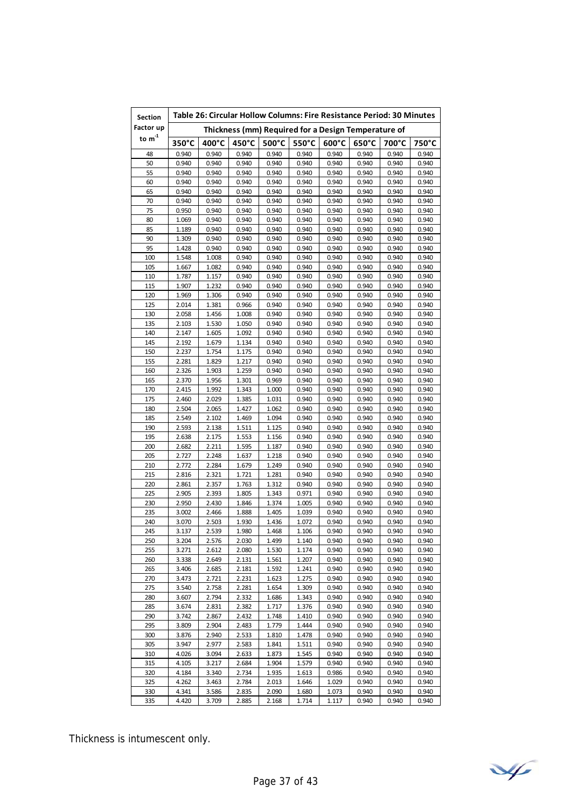| Factor up<br>Thickness (mm) Required for a Design Temperature of<br>to $\mathsf{m}^\text{-1}$<br>350°C<br>500°C<br>550°C<br>400°C<br>450°C<br>$600^{\circ}$ C<br>$650^{\circ}$ C<br>700°C<br>750°C<br>48<br>0.940<br>0.940<br>0.940<br>0.940<br>0.940<br>0.940<br>0.940<br>0.940<br>0.940<br>50<br>0.940<br>0.940<br>0.940<br>0.940<br>0.940<br>0.940<br>0.940<br>0.940<br>0.940<br>55<br>0.940<br>0.940<br>0.940<br>0.940<br>0.940<br>0.940<br>0.940<br>0.940<br>0.940<br>60<br>0.940<br>0.940<br>0.940<br>0.940<br>0.940<br>0.940<br>0.940<br>0.940<br>0.940<br>65<br>0.940<br>0.940<br>0.940<br>0.940<br>0.940<br>0.940<br>0.940<br>0.940<br>0.940<br>70<br>0.940<br>0.940<br>0.940<br>0.940<br>0.940<br>0.940<br>0.940<br>0.940<br>0.940<br>75<br>0.940<br>0.940<br>0.940<br>0.940<br>0.940<br>0.940<br>0.950<br>0.940<br>0.940<br>80<br>1.069<br>0.940<br>0.940<br>0.940<br>0.940<br>0.940<br>0.940<br>0.940<br>0.940<br>85<br>0.940<br>1.189<br>0.940<br>0.940<br>0.940<br>0.940<br>0.940<br>0.940<br>0.940<br>90<br>1.309<br>0.940<br>0.940<br>0.940<br>0.940<br>0.940<br>0.940<br>0.940<br>0.940<br>95<br>1.428<br>0.940<br>0.940<br>0.940<br>0.940<br>0.940<br>0.940<br>0.940<br>0.940<br>100<br>1.548<br>1.008<br>0.940<br>0.940<br>0.940<br>0.940<br>0.940<br>0.940<br>0.940<br>105<br>1.667<br>1.082<br>0.940<br>0.940<br>0.940<br>0.940<br>0.940<br>0.940<br>0.940<br>110<br>0.940<br>1.787<br>1.157<br>0.940<br>0.940<br>0.940<br>0.940<br>0.940<br>0.940<br>115<br>1.232<br>0.940<br>0.940<br>0.940<br>0.940<br>0.940<br>1.907<br>0.940<br>0.940<br>120<br>1.306<br>0.940<br>0.940<br>0.940<br>0.940<br>0.940<br>0.940<br>1.969<br>0.940<br>125<br>2.014<br>0.940<br>1.381<br>0.966<br>0.940<br>0.940<br>0.940<br>0.940<br>0.940<br>130<br>0.940<br>0.940<br>0.940<br>0.940<br>2.058<br>1.456<br>1.008<br>0.940<br>0.940<br>135<br>1.050<br>0.940<br>0.940<br>0.940<br>0.940<br>2.103<br>1.530<br>0.940<br>0.940<br>140<br>2.147<br>1.605<br>1.092<br>0.940<br>0.940<br>0.940<br>0.940<br>0.940<br>0.940<br>145<br>0.940<br>0.940<br>2.192<br>1.679<br>1.134<br>0.940<br>0.940<br>0.940<br>0.940<br>150<br>2.237<br>1.754<br>1.175<br>0.940<br>0.940<br>0.940<br>0.940<br>0.940<br>0.940<br>155<br>2.281<br>1.829<br>1.217<br>0.940<br>0.940<br>0.940<br>0.940<br>0.940<br>0.940<br>1.259<br>160<br>2.326<br>1.903<br>0.940<br>0.940<br>0.940<br>0.940<br>0.940<br>0.940<br>165<br>2.370<br>1.956<br>1.301<br>0.969<br>0.940<br>0.940<br>0.940<br>0.940<br>0.940<br>170<br>2.415<br>1.343<br>0.940<br>0.940<br>0.940<br>0.940<br>1.992<br>1.000<br>0.940<br>175<br>2.460<br>1.385<br>0.940<br>0.940<br>2.029<br>1.031<br>0.940<br>0.940<br>0.940<br>180<br>2.504<br>1.427<br>0.940<br>0.940<br>2.065<br>1.062<br>0.940<br>0.940<br>0.940<br>185<br>2.549<br>1.469<br>0.940<br>2.102<br>1.094<br>0.940<br>0.940<br>0.940<br>0.940<br>190<br>2.593<br>1.511<br>0.940<br>0.940<br>0.940<br>0.940<br>2.138<br>1.125<br>0.940<br>195<br>2.638<br>2.175<br>1.553<br>0.940<br>0.940<br>0.940<br>0.940<br>1.156<br>0.940<br>200<br>2.682<br>2.211<br>1.595<br>1.187<br>0.940<br>0.940<br>0.940<br>0.940<br>0.940<br>205<br>2.727<br>2.248<br>1.637<br>1.218<br>0.940<br>0.940<br>0.940<br>0.940<br>0.940<br>210<br>2.772<br>2.284<br>1.679<br>1.249<br>0.940<br>0.940<br>0.940<br>0.940<br>0.940<br>0.940<br>215<br>2.816<br>2.321<br>1.721<br>1.281<br>0.940<br>0.940<br>0.940<br>0.940<br>220<br>2.357<br>0.940<br>2.861<br>1.763<br>1.312<br>0.940<br>0.940<br>0.940<br>0.940<br>225<br>2.905<br>2.393<br>1.805<br>1.343<br>0.971<br>0.940<br>0.940<br>0.940<br>0.940<br>230<br>2.950<br>2.430<br>1.846<br>1.374<br>1.005<br>0.940<br>0.940<br>0.940<br>0.940<br>235<br>3.002<br>2.466<br>1.888<br>1.405<br>0.940<br>0.940<br>0.940<br>1.039<br>0.940<br>240<br>1.436<br>3.070<br>2.503<br>1.930<br>1.072<br>0.940<br>0.940<br>0.940<br>0.940<br>245<br>3.137<br>2.539<br>1.980<br>1.468<br>1.106<br>0.940<br>0.940<br>0.940<br>0.940<br>1.140<br>0.940<br>0.940<br>250<br>3.204<br>2.576<br>2.030<br>1.499<br>0.940<br>0.940<br>255<br>3.271<br>1.530<br>1.174<br>0.940<br>0.940<br>0.940<br>0.940<br>2.612<br>2.080<br>260<br>3.338<br>2.649<br>2.131<br>1.561<br>1.207<br>0.940<br>0.940<br>0.940<br>0.940<br>265<br>3.406<br>2.685<br>2.181<br>1.592<br>1.241<br>0.940<br>0.940<br>0.940<br>0.940<br>270<br>3.473<br>2.721<br>2.231<br>1.623<br>1.275<br>0.940<br>0.940<br>0.940<br>0.940<br>275<br>3.540<br>2.758<br>2.281<br>1.654<br>1.309<br>0.940<br>0.940<br>0.940<br>0.940<br>280<br>3.607<br>2.794<br>2.332<br>1.686<br>1.343<br>0.940<br>0.940<br>0.940<br>0.940<br>2.382<br>1.376<br>285<br>3.674<br>2.831<br>1.717<br>0.940<br>0.940<br>0.940<br>0.940<br>290<br>3.742<br>2.867<br>2.432<br>1.748<br>1.410<br>0.940<br>0.940<br>0.940<br>0.940<br>295<br>1.444<br>0.940<br>0.940<br>3.809<br>2.904<br>2.483<br>1.779<br>0.940<br>0.940<br>300<br>2.533<br>0.940<br>0.940<br>0.940<br>3.876<br>2.940<br>1.810<br>1.478<br>0.940<br>305<br>2.583<br>1.511<br>3.947<br>2.977<br>1.841<br>0.940<br>0.940<br>0.940<br>0.940<br>310<br>4.026<br>3.094<br>2.633<br>1.873<br>1.545<br>0.940<br>0.940<br>0.940<br>0.940<br>315<br>1.904<br>1.579<br>4.105<br>3.217<br>2.684<br>0.940<br>0.940<br>0.940<br>0.940<br>2.734<br>1.613<br>0.940<br>0.940<br>320<br>4.184<br>3.340<br>1.935<br>0.986<br>0.940<br>325<br>4.262<br>3.463<br>2.784<br>2.013<br>1.646<br>0.940<br>0.940<br>0.940<br>1.029<br>330<br>1.680<br>4.341<br>3.586<br>2.835<br>2.090<br>1.073<br>0.940<br>0.940<br>0.940 | <b>Section</b> | Table 26: Circular Hollow Columns: Fire Resistance Period: 30 Minutes |       |       |       |       |       |       |       |       |  |
|---------------------------------------------------------------------------------------------------------------------------------------------------------------------------------------------------------------------------------------------------------------------------------------------------------------------------------------------------------------------------------------------------------------------------------------------------------------------------------------------------------------------------------------------------------------------------------------------------------------------------------------------------------------------------------------------------------------------------------------------------------------------------------------------------------------------------------------------------------------------------------------------------------------------------------------------------------------------------------------------------------------------------------------------------------------------------------------------------------------------------------------------------------------------------------------------------------------------------------------------------------------------------------------------------------------------------------------------------------------------------------------------------------------------------------------------------------------------------------------------------------------------------------------------------------------------------------------------------------------------------------------------------------------------------------------------------------------------------------------------------------------------------------------------------------------------------------------------------------------------------------------------------------------------------------------------------------------------------------------------------------------------------------------------------------------------------------------------------------------------------------------------------------------------------------------------------------------------------------------------------------------------------------------------------------------------------------------------------------------------------------------------------------------------------------------------------------------------------------------------------------------------------------------------------------------------------------------------------------------------------------------------------------------------------------------------------------------------------------------------------------------------------------------------------------------------------------------------------------------------------------------------------------------------------------------------------------------------------------------------------------------------------------------------------------------------------------------------------------------------------------------------------------------------------------------------------------------------------------------------------------------------------------------------------------------------------------------------------------------------------------------------------------------------------------------------------------------------------------------------------------------------------------------------------------------------------------------------------------------------------------------------------------------------------------------------------------------------------------------------------------------------------------------------------------------------------------------------------------------------------------------------------------------------------------------------------------------------------------------------------------------------------------------------------------------------------------------------------------------------------------------------------------------------------------------------------------------------------------------------------------------------------------------------------------------------------------------------------------------------------------------------------------------------------------------------------------------------------------------------------------------------------------------------------------------------------------------------------------------------------------------------------------------------------------------------------------------------------------------------------------------------------------------------------------------------------------------------------------------------------------------------------------------------------------------------------------------------------------------------------------------------------------------------------------------------------------------------------------------------------------------------------------------------------------------------------------------------------------------------------------------------------------------------------------------------------------------------------------------------------------------------------------------------------------------------------------------------------------------------------------|----------------|-----------------------------------------------------------------------|-------|-------|-------|-------|-------|-------|-------|-------|--|
|                                                                                                                                                                                                                                                                                                                                                                                                                                                                                                                                                                                                                                                                                                                                                                                                                                                                                                                                                                                                                                                                                                                                                                                                                                                                                                                                                                                                                                                                                                                                                                                                                                                                                                                                                                                                                                                                                                                                                                                                                                                                                                                                                                                                                                                                                                                                                                                                                                                                                                                                                                                                                                                                                                                                                                                                                                                                                                                                                                                                                                                                                                                                                                                                                                                                                                                                                                                                                                                                                                                                                                                                                                                                                                                                                                                                                                                                                                                                                                                                                                                                                                                                                                                                                                                                                                                                                                                                                                                                                                                                                                                                                                                                                                                                                                                                                                                                                                                                                                                                                                                                                                                                                                                                                                                                                                                                                                                                                                                                                                         |                |                                                                       |       |       |       |       |       |       |       |       |  |
|                                                                                                                                                                                                                                                                                                                                                                                                                                                                                                                                                                                                                                                                                                                                                                                                                                                                                                                                                                                                                                                                                                                                                                                                                                                                                                                                                                                                                                                                                                                                                                                                                                                                                                                                                                                                                                                                                                                                                                                                                                                                                                                                                                                                                                                                                                                                                                                                                                                                                                                                                                                                                                                                                                                                                                                                                                                                                                                                                                                                                                                                                                                                                                                                                                                                                                                                                                                                                                                                                                                                                                                                                                                                                                                                                                                                                                                                                                                                                                                                                                                                                                                                                                                                                                                                                                                                                                                                                                                                                                                                                                                                                                                                                                                                                                                                                                                                                                                                                                                                                                                                                                                                                                                                                                                                                                                                                                                                                                                                                                         |                |                                                                       |       |       |       |       |       |       |       |       |  |
|                                                                                                                                                                                                                                                                                                                                                                                                                                                                                                                                                                                                                                                                                                                                                                                                                                                                                                                                                                                                                                                                                                                                                                                                                                                                                                                                                                                                                                                                                                                                                                                                                                                                                                                                                                                                                                                                                                                                                                                                                                                                                                                                                                                                                                                                                                                                                                                                                                                                                                                                                                                                                                                                                                                                                                                                                                                                                                                                                                                                                                                                                                                                                                                                                                                                                                                                                                                                                                                                                                                                                                                                                                                                                                                                                                                                                                                                                                                                                                                                                                                                                                                                                                                                                                                                                                                                                                                                                                                                                                                                                                                                                                                                                                                                                                                                                                                                                                                                                                                                                                                                                                                                                                                                                                                                                                                                                                                                                                                                                                         |                |                                                                       |       |       |       |       |       |       |       |       |  |
|                                                                                                                                                                                                                                                                                                                                                                                                                                                                                                                                                                                                                                                                                                                                                                                                                                                                                                                                                                                                                                                                                                                                                                                                                                                                                                                                                                                                                                                                                                                                                                                                                                                                                                                                                                                                                                                                                                                                                                                                                                                                                                                                                                                                                                                                                                                                                                                                                                                                                                                                                                                                                                                                                                                                                                                                                                                                                                                                                                                                                                                                                                                                                                                                                                                                                                                                                                                                                                                                                                                                                                                                                                                                                                                                                                                                                                                                                                                                                                                                                                                                                                                                                                                                                                                                                                                                                                                                                                                                                                                                                                                                                                                                                                                                                                                                                                                                                                                                                                                                                                                                                                                                                                                                                                                                                                                                                                                                                                                                                                         |                |                                                                       |       |       |       |       |       |       |       |       |  |
|                                                                                                                                                                                                                                                                                                                                                                                                                                                                                                                                                                                                                                                                                                                                                                                                                                                                                                                                                                                                                                                                                                                                                                                                                                                                                                                                                                                                                                                                                                                                                                                                                                                                                                                                                                                                                                                                                                                                                                                                                                                                                                                                                                                                                                                                                                                                                                                                                                                                                                                                                                                                                                                                                                                                                                                                                                                                                                                                                                                                                                                                                                                                                                                                                                                                                                                                                                                                                                                                                                                                                                                                                                                                                                                                                                                                                                                                                                                                                                                                                                                                                                                                                                                                                                                                                                                                                                                                                                                                                                                                                                                                                                                                                                                                                                                                                                                                                                                                                                                                                                                                                                                                                                                                                                                                                                                                                                                                                                                                                                         |                |                                                                       |       |       |       |       |       |       |       |       |  |
|                                                                                                                                                                                                                                                                                                                                                                                                                                                                                                                                                                                                                                                                                                                                                                                                                                                                                                                                                                                                                                                                                                                                                                                                                                                                                                                                                                                                                                                                                                                                                                                                                                                                                                                                                                                                                                                                                                                                                                                                                                                                                                                                                                                                                                                                                                                                                                                                                                                                                                                                                                                                                                                                                                                                                                                                                                                                                                                                                                                                                                                                                                                                                                                                                                                                                                                                                                                                                                                                                                                                                                                                                                                                                                                                                                                                                                                                                                                                                                                                                                                                                                                                                                                                                                                                                                                                                                                                                                                                                                                                                                                                                                                                                                                                                                                                                                                                                                                                                                                                                                                                                                                                                                                                                                                                                                                                                                                                                                                                                                         |                |                                                                       |       |       |       |       |       |       |       |       |  |
|                                                                                                                                                                                                                                                                                                                                                                                                                                                                                                                                                                                                                                                                                                                                                                                                                                                                                                                                                                                                                                                                                                                                                                                                                                                                                                                                                                                                                                                                                                                                                                                                                                                                                                                                                                                                                                                                                                                                                                                                                                                                                                                                                                                                                                                                                                                                                                                                                                                                                                                                                                                                                                                                                                                                                                                                                                                                                                                                                                                                                                                                                                                                                                                                                                                                                                                                                                                                                                                                                                                                                                                                                                                                                                                                                                                                                                                                                                                                                                                                                                                                                                                                                                                                                                                                                                                                                                                                                                                                                                                                                                                                                                                                                                                                                                                                                                                                                                                                                                                                                                                                                                                                                                                                                                                                                                                                                                                                                                                                                                         |                |                                                                       |       |       |       |       |       |       |       |       |  |
|                                                                                                                                                                                                                                                                                                                                                                                                                                                                                                                                                                                                                                                                                                                                                                                                                                                                                                                                                                                                                                                                                                                                                                                                                                                                                                                                                                                                                                                                                                                                                                                                                                                                                                                                                                                                                                                                                                                                                                                                                                                                                                                                                                                                                                                                                                                                                                                                                                                                                                                                                                                                                                                                                                                                                                                                                                                                                                                                                                                                                                                                                                                                                                                                                                                                                                                                                                                                                                                                                                                                                                                                                                                                                                                                                                                                                                                                                                                                                                                                                                                                                                                                                                                                                                                                                                                                                                                                                                                                                                                                                                                                                                                                                                                                                                                                                                                                                                                                                                                                                                                                                                                                                                                                                                                                                                                                                                                                                                                                                                         |                |                                                                       |       |       |       |       |       |       |       |       |  |
|                                                                                                                                                                                                                                                                                                                                                                                                                                                                                                                                                                                                                                                                                                                                                                                                                                                                                                                                                                                                                                                                                                                                                                                                                                                                                                                                                                                                                                                                                                                                                                                                                                                                                                                                                                                                                                                                                                                                                                                                                                                                                                                                                                                                                                                                                                                                                                                                                                                                                                                                                                                                                                                                                                                                                                                                                                                                                                                                                                                                                                                                                                                                                                                                                                                                                                                                                                                                                                                                                                                                                                                                                                                                                                                                                                                                                                                                                                                                                                                                                                                                                                                                                                                                                                                                                                                                                                                                                                                                                                                                                                                                                                                                                                                                                                                                                                                                                                                                                                                                                                                                                                                                                                                                                                                                                                                                                                                                                                                                                                         |                |                                                                       |       |       |       |       |       |       |       |       |  |
|                                                                                                                                                                                                                                                                                                                                                                                                                                                                                                                                                                                                                                                                                                                                                                                                                                                                                                                                                                                                                                                                                                                                                                                                                                                                                                                                                                                                                                                                                                                                                                                                                                                                                                                                                                                                                                                                                                                                                                                                                                                                                                                                                                                                                                                                                                                                                                                                                                                                                                                                                                                                                                                                                                                                                                                                                                                                                                                                                                                                                                                                                                                                                                                                                                                                                                                                                                                                                                                                                                                                                                                                                                                                                                                                                                                                                                                                                                                                                                                                                                                                                                                                                                                                                                                                                                                                                                                                                                                                                                                                                                                                                                                                                                                                                                                                                                                                                                                                                                                                                                                                                                                                                                                                                                                                                                                                                                                                                                                                                                         |                |                                                                       |       |       |       |       |       |       |       |       |  |
|                                                                                                                                                                                                                                                                                                                                                                                                                                                                                                                                                                                                                                                                                                                                                                                                                                                                                                                                                                                                                                                                                                                                                                                                                                                                                                                                                                                                                                                                                                                                                                                                                                                                                                                                                                                                                                                                                                                                                                                                                                                                                                                                                                                                                                                                                                                                                                                                                                                                                                                                                                                                                                                                                                                                                                                                                                                                                                                                                                                                                                                                                                                                                                                                                                                                                                                                                                                                                                                                                                                                                                                                                                                                                                                                                                                                                                                                                                                                                                                                                                                                                                                                                                                                                                                                                                                                                                                                                                                                                                                                                                                                                                                                                                                                                                                                                                                                                                                                                                                                                                                                                                                                                                                                                                                                                                                                                                                                                                                                                                         |                |                                                                       |       |       |       |       |       |       |       |       |  |
|                                                                                                                                                                                                                                                                                                                                                                                                                                                                                                                                                                                                                                                                                                                                                                                                                                                                                                                                                                                                                                                                                                                                                                                                                                                                                                                                                                                                                                                                                                                                                                                                                                                                                                                                                                                                                                                                                                                                                                                                                                                                                                                                                                                                                                                                                                                                                                                                                                                                                                                                                                                                                                                                                                                                                                                                                                                                                                                                                                                                                                                                                                                                                                                                                                                                                                                                                                                                                                                                                                                                                                                                                                                                                                                                                                                                                                                                                                                                                                                                                                                                                                                                                                                                                                                                                                                                                                                                                                                                                                                                                                                                                                                                                                                                                                                                                                                                                                                                                                                                                                                                                                                                                                                                                                                                                                                                                                                                                                                                                                         |                |                                                                       |       |       |       |       |       |       |       |       |  |
|                                                                                                                                                                                                                                                                                                                                                                                                                                                                                                                                                                                                                                                                                                                                                                                                                                                                                                                                                                                                                                                                                                                                                                                                                                                                                                                                                                                                                                                                                                                                                                                                                                                                                                                                                                                                                                                                                                                                                                                                                                                                                                                                                                                                                                                                                                                                                                                                                                                                                                                                                                                                                                                                                                                                                                                                                                                                                                                                                                                                                                                                                                                                                                                                                                                                                                                                                                                                                                                                                                                                                                                                                                                                                                                                                                                                                                                                                                                                                                                                                                                                                                                                                                                                                                                                                                                                                                                                                                                                                                                                                                                                                                                                                                                                                                                                                                                                                                                                                                                                                                                                                                                                                                                                                                                                                                                                                                                                                                                                                                         |                |                                                                       |       |       |       |       |       |       |       |       |  |
|                                                                                                                                                                                                                                                                                                                                                                                                                                                                                                                                                                                                                                                                                                                                                                                                                                                                                                                                                                                                                                                                                                                                                                                                                                                                                                                                                                                                                                                                                                                                                                                                                                                                                                                                                                                                                                                                                                                                                                                                                                                                                                                                                                                                                                                                                                                                                                                                                                                                                                                                                                                                                                                                                                                                                                                                                                                                                                                                                                                                                                                                                                                                                                                                                                                                                                                                                                                                                                                                                                                                                                                                                                                                                                                                                                                                                                                                                                                                                                                                                                                                                                                                                                                                                                                                                                                                                                                                                                                                                                                                                                                                                                                                                                                                                                                                                                                                                                                                                                                                                                                                                                                                                                                                                                                                                                                                                                                                                                                                                                         |                |                                                                       |       |       |       |       |       |       |       |       |  |
|                                                                                                                                                                                                                                                                                                                                                                                                                                                                                                                                                                                                                                                                                                                                                                                                                                                                                                                                                                                                                                                                                                                                                                                                                                                                                                                                                                                                                                                                                                                                                                                                                                                                                                                                                                                                                                                                                                                                                                                                                                                                                                                                                                                                                                                                                                                                                                                                                                                                                                                                                                                                                                                                                                                                                                                                                                                                                                                                                                                                                                                                                                                                                                                                                                                                                                                                                                                                                                                                                                                                                                                                                                                                                                                                                                                                                                                                                                                                                                                                                                                                                                                                                                                                                                                                                                                                                                                                                                                                                                                                                                                                                                                                                                                                                                                                                                                                                                                                                                                                                                                                                                                                                                                                                                                                                                                                                                                                                                                                                                         |                |                                                                       |       |       |       |       |       |       |       |       |  |
|                                                                                                                                                                                                                                                                                                                                                                                                                                                                                                                                                                                                                                                                                                                                                                                                                                                                                                                                                                                                                                                                                                                                                                                                                                                                                                                                                                                                                                                                                                                                                                                                                                                                                                                                                                                                                                                                                                                                                                                                                                                                                                                                                                                                                                                                                                                                                                                                                                                                                                                                                                                                                                                                                                                                                                                                                                                                                                                                                                                                                                                                                                                                                                                                                                                                                                                                                                                                                                                                                                                                                                                                                                                                                                                                                                                                                                                                                                                                                                                                                                                                                                                                                                                                                                                                                                                                                                                                                                                                                                                                                                                                                                                                                                                                                                                                                                                                                                                                                                                                                                                                                                                                                                                                                                                                                                                                                                                                                                                                                                         |                |                                                                       |       |       |       |       |       |       |       |       |  |
|                                                                                                                                                                                                                                                                                                                                                                                                                                                                                                                                                                                                                                                                                                                                                                                                                                                                                                                                                                                                                                                                                                                                                                                                                                                                                                                                                                                                                                                                                                                                                                                                                                                                                                                                                                                                                                                                                                                                                                                                                                                                                                                                                                                                                                                                                                                                                                                                                                                                                                                                                                                                                                                                                                                                                                                                                                                                                                                                                                                                                                                                                                                                                                                                                                                                                                                                                                                                                                                                                                                                                                                                                                                                                                                                                                                                                                                                                                                                                                                                                                                                                                                                                                                                                                                                                                                                                                                                                                                                                                                                                                                                                                                                                                                                                                                                                                                                                                                                                                                                                                                                                                                                                                                                                                                                                                                                                                                                                                                                                                         |                |                                                                       |       |       |       |       |       |       |       |       |  |
|                                                                                                                                                                                                                                                                                                                                                                                                                                                                                                                                                                                                                                                                                                                                                                                                                                                                                                                                                                                                                                                                                                                                                                                                                                                                                                                                                                                                                                                                                                                                                                                                                                                                                                                                                                                                                                                                                                                                                                                                                                                                                                                                                                                                                                                                                                                                                                                                                                                                                                                                                                                                                                                                                                                                                                                                                                                                                                                                                                                                                                                                                                                                                                                                                                                                                                                                                                                                                                                                                                                                                                                                                                                                                                                                                                                                                                                                                                                                                                                                                                                                                                                                                                                                                                                                                                                                                                                                                                                                                                                                                                                                                                                                                                                                                                                                                                                                                                                                                                                                                                                                                                                                                                                                                                                                                                                                                                                                                                                                                                         |                |                                                                       |       |       |       |       |       |       |       |       |  |
|                                                                                                                                                                                                                                                                                                                                                                                                                                                                                                                                                                                                                                                                                                                                                                                                                                                                                                                                                                                                                                                                                                                                                                                                                                                                                                                                                                                                                                                                                                                                                                                                                                                                                                                                                                                                                                                                                                                                                                                                                                                                                                                                                                                                                                                                                                                                                                                                                                                                                                                                                                                                                                                                                                                                                                                                                                                                                                                                                                                                                                                                                                                                                                                                                                                                                                                                                                                                                                                                                                                                                                                                                                                                                                                                                                                                                                                                                                                                                                                                                                                                                                                                                                                                                                                                                                                                                                                                                                                                                                                                                                                                                                                                                                                                                                                                                                                                                                                                                                                                                                                                                                                                                                                                                                                                                                                                                                                                                                                                                                         |                |                                                                       |       |       |       |       |       |       |       |       |  |
|                                                                                                                                                                                                                                                                                                                                                                                                                                                                                                                                                                                                                                                                                                                                                                                                                                                                                                                                                                                                                                                                                                                                                                                                                                                                                                                                                                                                                                                                                                                                                                                                                                                                                                                                                                                                                                                                                                                                                                                                                                                                                                                                                                                                                                                                                                                                                                                                                                                                                                                                                                                                                                                                                                                                                                                                                                                                                                                                                                                                                                                                                                                                                                                                                                                                                                                                                                                                                                                                                                                                                                                                                                                                                                                                                                                                                                                                                                                                                                                                                                                                                                                                                                                                                                                                                                                                                                                                                                                                                                                                                                                                                                                                                                                                                                                                                                                                                                                                                                                                                                                                                                                                                                                                                                                                                                                                                                                                                                                                                                         |                |                                                                       |       |       |       |       |       |       |       |       |  |
|                                                                                                                                                                                                                                                                                                                                                                                                                                                                                                                                                                                                                                                                                                                                                                                                                                                                                                                                                                                                                                                                                                                                                                                                                                                                                                                                                                                                                                                                                                                                                                                                                                                                                                                                                                                                                                                                                                                                                                                                                                                                                                                                                                                                                                                                                                                                                                                                                                                                                                                                                                                                                                                                                                                                                                                                                                                                                                                                                                                                                                                                                                                                                                                                                                                                                                                                                                                                                                                                                                                                                                                                                                                                                                                                                                                                                                                                                                                                                                                                                                                                                                                                                                                                                                                                                                                                                                                                                                                                                                                                                                                                                                                                                                                                                                                                                                                                                                                                                                                                                                                                                                                                                                                                                                                                                                                                                                                                                                                                                                         |                |                                                                       |       |       |       |       |       |       |       |       |  |
|                                                                                                                                                                                                                                                                                                                                                                                                                                                                                                                                                                                                                                                                                                                                                                                                                                                                                                                                                                                                                                                                                                                                                                                                                                                                                                                                                                                                                                                                                                                                                                                                                                                                                                                                                                                                                                                                                                                                                                                                                                                                                                                                                                                                                                                                                                                                                                                                                                                                                                                                                                                                                                                                                                                                                                                                                                                                                                                                                                                                                                                                                                                                                                                                                                                                                                                                                                                                                                                                                                                                                                                                                                                                                                                                                                                                                                                                                                                                                                                                                                                                                                                                                                                                                                                                                                                                                                                                                                                                                                                                                                                                                                                                                                                                                                                                                                                                                                                                                                                                                                                                                                                                                                                                                                                                                                                                                                                                                                                                                                         |                |                                                                       |       |       |       |       |       |       |       |       |  |
|                                                                                                                                                                                                                                                                                                                                                                                                                                                                                                                                                                                                                                                                                                                                                                                                                                                                                                                                                                                                                                                                                                                                                                                                                                                                                                                                                                                                                                                                                                                                                                                                                                                                                                                                                                                                                                                                                                                                                                                                                                                                                                                                                                                                                                                                                                                                                                                                                                                                                                                                                                                                                                                                                                                                                                                                                                                                                                                                                                                                                                                                                                                                                                                                                                                                                                                                                                                                                                                                                                                                                                                                                                                                                                                                                                                                                                                                                                                                                                                                                                                                                                                                                                                                                                                                                                                                                                                                                                                                                                                                                                                                                                                                                                                                                                                                                                                                                                                                                                                                                                                                                                                                                                                                                                                                                                                                                                                                                                                                                                         |                |                                                                       |       |       |       |       |       |       |       |       |  |
|                                                                                                                                                                                                                                                                                                                                                                                                                                                                                                                                                                                                                                                                                                                                                                                                                                                                                                                                                                                                                                                                                                                                                                                                                                                                                                                                                                                                                                                                                                                                                                                                                                                                                                                                                                                                                                                                                                                                                                                                                                                                                                                                                                                                                                                                                                                                                                                                                                                                                                                                                                                                                                                                                                                                                                                                                                                                                                                                                                                                                                                                                                                                                                                                                                                                                                                                                                                                                                                                                                                                                                                                                                                                                                                                                                                                                                                                                                                                                                                                                                                                                                                                                                                                                                                                                                                                                                                                                                                                                                                                                                                                                                                                                                                                                                                                                                                                                                                                                                                                                                                                                                                                                                                                                                                                                                                                                                                                                                                                                                         |                |                                                                       |       |       |       |       |       |       |       |       |  |
|                                                                                                                                                                                                                                                                                                                                                                                                                                                                                                                                                                                                                                                                                                                                                                                                                                                                                                                                                                                                                                                                                                                                                                                                                                                                                                                                                                                                                                                                                                                                                                                                                                                                                                                                                                                                                                                                                                                                                                                                                                                                                                                                                                                                                                                                                                                                                                                                                                                                                                                                                                                                                                                                                                                                                                                                                                                                                                                                                                                                                                                                                                                                                                                                                                                                                                                                                                                                                                                                                                                                                                                                                                                                                                                                                                                                                                                                                                                                                                                                                                                                                                                                                                                                                                                                                                                                                                                                                                                                                                                                                                                                                                                                                                                                                                                                                                                                                                                                                                                                                                                                                                                                                                                                                                                                                                                                                                                                                                                                                                         |                |                                                                       |       |       |       |       |       |       |       |       |  |
|                                                                                                                                                                                                                                                                                                                                                                                                                                                                                                                                                                                                                                                                                                                                                                                                                                                                                                                                                                                                                                                                                                                                                                                                                                                                                                                                                                                                                                                                                                                                                                                                                                                                                                                                                                                                                                                                                                                                                                                                                                                                                                                                                                                                                                                                                                                                                                                                                                                                                                                                                                                                                                                                                                                                                                                                                                                                                                                                                                                                                                                                                                                                                                                                                                                                                                                                                                                                                                                                                                                                                                                                                                                                                                                                                                                                                                                                                                                                                                                                                                                                                                                                                                                                                                                                                                                                                                                                                                                                                                                                                                                                                                                                                                                                                                                                                                                                                                                                                                                                                                                                                                                                                                                                                                                                                                                                                                                                                                                                                                         |                |                                                                       |       |       |       |       |       |       |       |       |  |
|                                                                                                                                                                                                                                                                                                                                                                                                                                                                                                                                                                                                                                                                                                                                                                                                                                                                                                                                                                                                                                                                                                                                                                                                                                                                                                                                                                                                                                                                                                                                                                                                                                                                                                                                                                                                                                                                                                                                                                                                                                                                                                                                                                                                                                                                                                                                                                                                                                                                                                                                                                                                                                                                                                                                                                                                                                                                                                                                                                                                                                                                                                                                                                                                                                                                                                                                                                                                                                                                                                                                                                                                                                                                                                                                                                                                                                                                                                                                                                                                                                                                                                                                                                                                                                                                                                                                                                                                                                                                                                                                                                                                                                                                                                                                                                                                                                                                                                                                                                                                                                                                                                                                                                                                                                                                                                                                                                                                                                                                                                         |                |                                                                       |       |       |       |       |       |       |       |       |  |
|                                                                                                                                                                                                                                                                                                                                                                                                                                                                                                                                                                                                                                                                                                                                                                                                                                                                                                                                                                                                                                                                                                                                                                                                                                                                                                                                                                                                                                                                                                                                                                                                                                                                                                                                                                                                                                                                                                                                                                                                                                                                                                                                                                                                                                                                                                                                                                                                                                                                                                                                                                                                                                                                                                                                                                                                                                                                                                                                                                                                                                                                                                                                                                                                                                                                                                                                                                                                                                                                                                                                                                                                                                                                                                                                                                                                                                                                                                                                                                                                                                                                                                                                                                                                                                                                                                                                                                                                                                                                                                                                                                                                                                                                                                                                                                                                                                                                                                                                                                                                                                                                                                                                                                                                                                                                                                                                                                                                                                                                                                         |                |                                                                       |       |       |       |       |       |       |       |       |  |
|                                                                                                                                                                                                                                                                                                                                                                                                                                                                                                                                                                                                                                                                                                                                                                                                                                                                                                                                                                                                                                                                                                                                                                                                                                                                                                                                                                                                                                                                                                                                                                                                                                                                                                                                                                                                                                                                                                                                                                                                                                                                                                                                                                                                                                                                                                                                                                                                                                                                                                                                                                                                                                                                                                                                                                                                                                                                                                                                                                                                                                                                                                                                                                                                                                                                                                                                                                                                                                                                                                                                                                                                                                                                                                                                                                                                                                                                                                                                                                                                                                                                                                                                                                                                                                                                                                                                                                                                                                                                                                                                                                                                                                                                                                                                                                                                                                                                                                                                                                                                                                                                                                                                                                                                                                                                                                                                                                                                                                                                                                         |                |                                                                       |       |       |       |       |       |       |       |       |  |
|                                                                                                                                                                                                                                                                                                                                                                                                                                                                                                                                                                                                                                                                                                                                                                                                                                                                                                                                                                                                                                                                                                                                                                                                                                                                                                                                                                                                                                                                                                                                                                                                                                                                                                                                                                                                                                                                                                                                                                                                                                                                                                                                                                                                                                                                                                                                                                                                                                                                                                                                                                                                                                                                                                                                                                                                                                                                                                                                                                                                                                                                                                                                                                                                                                                                                                                                                                                                                                                                                                                                                                                                                                                                                                                                                                                                                                                                                                                                                                                                                                                                                                                                                                                                                                                                                                                                                                                                                                                                                                                                                                                                                                                                                                                                                                                                                                                                                                                                                                                                                                                                                                                                                                                                                                                                                                                                                                                                                                                                                                         |                |                                                                       |       |       |       |       |       |       |       |       |  |
|                                                                                                                                                                                                                                                                                                                                                                                                                                                                                                                                                                                                                                                                                                                                                                                                                                                                                                                                                                                                                                                                                                                                                                                                                                                                                                                                                                                                                                                                                                                                                                                                                                                                                                                                                                                                                                                                                                                                                                                                                                                                                                                                                                                                                                                                                                                                                                                                                                                                                                                                                                                                                                                                                                                                                                                                                                                                                                                                                                                                                                                                                                                                                                                                                                                                                                                                                                                                                                                                                                                                                                                                                                                                                                                                                                                                                                                                                                                                                                                                                                                                                                                                                                                                                                                                                                                                                                                                                                                                                                                                                                                                                                                                                                                                                                                                                                                                                                                                                                                                                                                                                                                                                                                                                                                                                                                                                                                                                                                                                                         |                |                                                                       |       |       |       |       |       |       |       |       |  |
|                                                                                                                                                                                                                                                                                                                                                                                                                                                                                                                                                                                                                                                                                                                                                                                                                                                                                                                                                                                                                                                                                                                                                                                                                                                                                                                                                                                                                                                                                                                                                                                                                                                                                                                                                                                                                                                                                                                                                                                                                                                                                                                                                                                                                                                                                                                                                                                                                                                                                                                                                                                                                                                                                                                                                                                                                                                                                                                                                                                                                                                                                                                                                                                                                                                                                                                                                                                                                                                                                                                                                                                                                                                                                                                                                                                                                                                                                                                                                                                                                                                                                                                                                                                                                                                                                                                                                                                                                                                                                                                                                                                                                                                                                                                                                                                                                                                                                                                                                                                                                                                                                                                                                                                                                                                                                                                                                                                                                                                                                                         |                |                                                                       |       |       |       |       |       |       |       |       |  |
|                                                                                                                                                                                                                                                                                                                                                                                                                                                                                                                                                                                                                                                                                                                                                                                                                                                                                                                                                                                                                                                                                                                                                                                                                                                                                                                                                                                                                                                                                                                                                                                                                                                                                                                                                                                                                                                                                                                                                                                                                                                                                                                                                                                                                                                                                                                                                                                                                                                                                                                                                                                                                                                                                                                                                                                                                                                                                                                                                                                                                                                                                                                                                                                                                                                                                                                                                                                                                                                                                                                                                                                                                                                                                                                                                                                                                                                                                                                                                                                                                                                                                                                                                                                                                                                                                                                                                                                                                                                                                                                                                                                                                                                                                                                                                                                                                                                                                                                                                                                                                                                                                                                                                                                                                                                                                                                                                                                                                                                                                                         |                |                                                                       |       |       |       |       |       |       |       |       |  |
|                                                                                                                                                                                                                                                                                                                                                                                                                                                                                                                                                                                                                                                                                                                                                                                                                                                                                                                                                                                                                                                                                                                                                                                                                                                                                                                                                                                                                                                                                                                                                                                                                                                                                                                                                                                                                                                                                                                                                                                                                                                                                                                                                                                                                                                                                                                                                                                                                                                                                                                                                                                                                                                                                                                                                                                                                                                                                                                                                                                                                                                                                                                                                                                                                                                                                                                                                                                                                                                                                                                                                                                                                                                                                                                                                                                                                                                                                                                                                                                                                                                                                                                                                                                                                                                                                                                                                                                                                                                                                                                                                                                                                                                                                                                                                                                                                                                                                                                                                                                                                                                                                                                                                                                                                                                                                                                                                                                                                                                                                                         |                |                                                                       |       |       |       |       |       |       |       |       |  |
|                                                                                                                                                                                                                                                                                                                                                                                                                                                                                                                                                                                                                                                                                                                                                                                                                                                                                                                                                                                                                                                                                                                                                                                                                                                                                                                                                                                                                                                                                                                                                                                                                                                                                                                                                                                                                                                                                                                                                                                                                                                                                                                                                                                                                                                                                                                                                                                                                                                                                                                                                                                                                                                                                                                                                                                                                                                                                                                                                                                                                                                                                                                                                                                                                                                                                                                                                                                                                                                                                                                                                                                                                                                                                                                                                                                                                                                                                                                                                                                                                                                                                                                                                                                                                                                                                                                                                                                                                                                                                                                                                                                                                                                                                                                                                                                                                                                                                                                                                                                                                                                                                                                                                                                                                                                                                                                                                                                                                                                                                                         |                |                                                                       |       |       |       |       |       |       |       |       |  |
|                                                                                                                                                                                                                                                                                                                                                                                                                                                                                                                                                                                                                                                                                                                                                                                                                                                                                                                                                                                                                                                                                                                                                                                                                                                                                                                                                                                                                                                                                                                                                                                                                                                                                                                                                                                                                                                                                                                                                                                                                                                                                                                                                                                                                                                                                                                                                                                                                                                                                                                                                                                                                                                                                                                                                                                                                                                                                                                                                                                                                                                                                                                                                                                                                                                                                                                                                                                                                                                                                                                                                                                                                                                                                                                                                                                                                                                                                                                                                                                                                                                                                                                                                                                                                                                                                                                                                                                                                                                                                                                                                                                                                                                                                                                                                                                                                                                                                                                                                                                                                                                                                                                                                                                                                                                                                                                                                                                                                                                                                                         |                |                                                                       |       |       |       |       |       |       |       |       |  |
|                                                                                                                                                                                                                                                                                                                                                                                                                                                                                                                                                                                                                                                                                                                                                                                                                                                                                                                                                                                                                                                                                                                                                                                                                                                                                                                                                                                                                                                                                                                                                                                                                                                                                                                                                                                                                                                                                                                                                                                                                                                                                                                                                                                                                                                                                                                                                                                                                                                                                                                                                                                                                                                                                                                                                                                                                                                                                                                                                                                                                                                                                                                                                                                                                                                                                                                                                                                                                                                                                                                                                                                                                                                                                                                                                                                                                                                                                                                                                                                                                                                                                                                                                                                                                                                                                                                                                                                                                                                                                                                                                                                                                                                                                                                                                                                                                                                                                                                                                                                                                                                                                                                                                                                                                                                                                                                                                                                                                                                                                                         |                |                                                                       |       |       |       |       |       |       |       |       |  |
|                                                                                                                                                                                                                                                                                                                                                                                                                                                                                                                                                                                                                                                                                                                                                                                                                                                                                                                                                                                                                                                                                                                                                                                                                                                                                                                                                                                                                                                                                                                                                                                                                                                                                                                                                                                                                                                                                                                                                                                                                                                                                                                                                                                                                                                                                                                                                                                                                                                                                                                                                                                                                                                                                                                                                                                                                                                                                                                                                                                                                                                                                                                                                                                                                                                                                                                                                                                                                                                                                                                                                                                                                                                                                                                                                                                                                                                                                                                                                                                                                                                                                                                                                                                                                                                                                                                                                                                                                                                                                                                                                                                                                                                                                                                                                                                                                                                                                                                                                                                                                                                                                                                                                                                                                                                                                                                                                                                                                                                                                                         |                |                                                                       |       |       |       |       |       |       |       |       |  |
|                                                                                                                                                                                                                                                                                                                                                                                                                                                                                                                                                                                                                                                                                                                                                                                                                                                                                                                                                                                                                                                                                                                                                                                                                                                                                                                                                                                                                                                                                                                                                                                                                                                                                                                                                                                                                                                                                                                                                                                                                                                                                                                                                                                                                                                                                                                                                                                                                                                                                                                                                                                                                                                                                                                                                                                                                                                                                                                                                                                                                                                                                                                                                                                                                                                                                                                                                                                                                                                                                                                                                                                                                                                                                                                                                                                                                                                                                                                                                                                                                                                                                                                                                                                                                                                                                                                                                                                                                                                                                                                                                                                                                                                                                                                                                                                                                                                                                                                                                                                                                                                                                                                                                                                                                                                                                                                                                                                                                                                                                                         |                |                                                                       |       |       |       |       |       |       |       |       |  |
|                                                                                                                                                                                                                                                                                                                                                                                                                                                                                                                                                                                                                                                                                                                                                                                                                                                                                                                                                                                                                                                                                                                                                                                                                                                                                                                                                                                                                                                                                                                                                                                                                                                                                                                                                                                                                                                                                                                                                                                                                                                                                                                                                                                                                                                                                                                                                                                                                                                                                                                                                                                                                                                                                                                                                                                                                                                                                                                                                                                                                                                                                                                                                                                                                                                                                                                                                                                                                                                                                                                                                                                                                                                                                                                                                                                                                                                                                                                                                                                                                                                                                                                                                                                                                                                                                                                                                                                                                                                                                                                                                                                                                                                                                                                                                                                                                                                                                                                                                                                                                                                                                                                                                                                                                                                                                                                                                                                                                                                                                                         |                |                                                                       |       |       |       |       |       |       |       |       |  |
|                                                                                                                                                                                                                                                                                                                                                                                                                                                                                                                                                                                                                                                                                                                                                                                                                                                                                                                                                                                                                                                                                                                                                                                                                                                                                                                                                                                                                                                                                                                                                                                                                                                                                                                                                                                                                                                                                                                                                                                                                                                                                                                                                                                                                                                                                                                                                                                                                                                                                                                                                                                                                                                                                                                                                                                                                                                                                                                                                                                                                                                                                                                                                                                                                                                                                                                                                                                                                                                                                                                                                                                                                                                                                                                                                                                                                                                                                                                                                                                                                                                                                                                                                                                                                                                                                                                                                                                                                                                                                                                                                                                                                                                                                                                                                                                                                                                                                                                                                                                                                                                                                                                                                                                                                                                                                                                                                                                                                                                                                                         |                |                                                                       |       |       |       |       |       |       |       |       |  |
|                                                                                                                                                                                                                                                                                                                                                                                                                                                                                                                                                                                                                                                                                                                                                                                                                                                                                                                                                                                                                                                                                                                                                                                                                                                                                                                                                                                                                                                                                                                                                                                                                                                                                                                                                                                                                                                                                                                                                                                                                                                                                                                                                                                                                                                                                                                                                                                                                                                                                                                                                                                                                                                                                                                                                                                                                                                                                                                                                                                                                                                                                                                                                                                                                                                                                                                                                                                                                                                                                                                                                                                                                                                                                                                                                                                                                                                                                                                                                                                                                                                                                                                                                                                                                                                                                                                                                                                                                                                                                                                                                                                                                                                                                                                                                                                                                                                                                                                                                                                                                                                                                                                                                                                                                                                                                                                                                                                                                                                                                                         |                |                                                                       |       |       |       |       |       |       |       |       |  |
|                                                                                                                                                                                                                                                                                                                                                                                                                                                                                                                                                                                                                                                                                                                                                                                                                                                                                                                                                                                                                                                                                                                                                                                                                                                                                                                                                                                                                                                                                                                                                                                                                                                                                                                                                                                                                                                                                                                                                                                                                                                                                                                                                                                                                                                                                                                                                                                                                                                                                                                                                                                                                                                                                                                                                                                                                                                                                                                                                                                                                                                                                                                                                                                                                                                                                                                                                                                                                                                                                                                                                                                                                                                                                                                                                                                                                                                                                                                                                                                                                                                                                                                                                                                                                                                                                                                                                                                                                                                                                                                                                                                                                                                                                                                                                                                                                                                                                                                                                                                                                                                                                                                                                                                                                                                                                                                                                                                                                                                                                                         |                |                                                                       |       |       |       |       |       |       |       |       |  |
|                                                                                                                                                                                                                                                                                                                                                                                                                                                                                                                                                                                                                                                                                                                                                                                                                                                                                                                                                                                                                                                                                                                                                                                                                                                                                                                                                                                                                                                                                                                                                                                                                                                                                                                                                                                                                                                                                                                                                                                                                                                                                                                                                                                                                                                                                                                                                                                                                                                                                                                                                                                                                                                                                                                                                                                                                                                                                                                                                                                                                                                                                                                                                                                                                                                                                                                                                                                                                                                                                                                                                                                                                                                                                                                                                                                                                                                                                                                                                                                                                                                                                                                                                                                                                                                                                                                                                                                                                                                                                                                                                                                                                                                                                                                                                                                                                                                                                                                                                                                                                                                                                                                                                                                                                                                                                                                                                                                                                                                                                                         |                |                                                                       |       |       |       |       |       |       |       |       |  |
|                                                                                                                                                                                                                                                                                                                                                                                                                                                                                                                                                                                                                                                                                                                                                                                                                                                                                                                                                                                                                                                                                                                                                                                                                                                                                                                                                                                                                                                                                                                                                                                                                                                                                                                                                                                                                                                                                                                                                                                                                                                                                                                                                                                                                                                                                                                                                                                                                                                                                                                                                                                                                                                                                                                                                                                                                                                                                                                                                                                                                                                                                                                                                                                                                                                                                                                                                                                                                                                                                                                                                                                                                                                                                                                                                                                                                                                                                                                                                                                                                                                                                                                                                                                                                                                                                                                                                                                                                                                                                                                                                                                                                                                                                                                                                                                                                                                                                                                                                                                                                                                                                                                                                                                                                                                                                                                                                                                                                                                                                                         |                |                                                                       |       |       |       |       |       |       |       |       |  |
|                                                                                                                                                                                                                                                                                                                                                                                                                                                                                                                                                                                                                                                                                                                                                                                                                                                                                                                                                                                                                                                                                                                                                                                                                                                                                                                                                                                                                                                                                                                                                                                                                                                                                                                                                                                                                                                                                                                                                                                                                                                                                                                                                                                                                                                                                                                                                                                                                                                                                                                                                                                                                                                                                                                                                                                                                                                                                                                                                                                                                                                                                                                                                                                                                                                                                                                                                                                                                                                                                                                                                                                                                                                                                                                                                                                                                                                                                                                                                                                                                                                                                                                                                                                                                                                                                                                                                                                                                                                                                                                                                                                                                                                                                                                                                                                                                                                                                                                                                                                                                                                                                                                                                                                                                                                                                                                                                                                                                                                                                                         |                |                                                                       |       |       |       |       |       |       |       |       |  |
|                                                                                                                                                                                                                                                                                                                                                                                                                                                                                                                                                                                                                                                                                                                                                                                                                                                                                                                                                                                                                                                                                                                                                                                                                                                                                                                                                                                                                                                                                                                                                                                                                                                                                                                                                                                                                                                                                                                                                                                                                                                                                                                                                                                                                                                                                                                                                                                                                                                                                                                                                                                                                                                                                                                                                                                                                                                                                                                                                                                                                                                                                                                                                                                                                                                                                                                                                                                                                                                                                                                                                                                                                                                                                                                                                                                                                                                                                                                                                                                                                                                                                                                                                                                                                                                                                                                                                                                                                                                                                                                                                                                                                                                                                                                                                                                                                                                                                                                                                                                                                                                                                                                                                                                                                                                                                                                                                                                                                                                                                                         |                |                                                                       |       |       |       |       |       |       |       |       |  |
|                                                                                                                                                                                                                                                                                                                                                                                                                                                                                                                                                                                                                                                                                                                                                                                                                                                                                                                                                                                                                                                                                                                                                                                                                                                                                                                                                                                                                                                                                                                                                                                                                                                                                                                                                                                                                                                                                                                                                                                                                                                                                                                                                                                                                                                                                                                                                                                                                                                                                                                                                                                                                                                                                                                                                                                                                                                                                                                                                                                                                                                                                                                                                                                                                                                                                                                                                                                                                                                                                                                                                                                                                                                                                                                                                                                                                                                                                                                                                                                                                                                                                                                                                                                                                                                                                                                                                                                                                                                                                                                                                                                                                                                                                                                                                                                                                                                                                                                                                                                                                                                                                                                                                                                                                                                                                                                                                                                                                                                                                                         |                |                                                                       |       |       |       |       |       |       |       |       |  |
|                                                                                                                                                                                                                                                                                                                                                                                                                                                                                                                                                                                                                                                                                                                                                                                                                                                                                                                                                                                                                                                                                                                                                                                                                                                                                                                                                                                                                                                                                                                                                                                                                                                                                                                                                                                                                                                                                                                                                                                                                                                                                                                                                                                                                                                                                                                                                                                                                                                                                                                                                                                                                                                                                                                                                                                                                                                                                                                                                                                                                                                                                                                                                                                                                                                                                                                                                                                                                                                                                                                                                                                                                                                                                                                                                                                                                                                                                                                                                                                                                                                                                                                                                                                                                                                                                                                                                                                                                                                                                                                                                                                                                                                                                                                                                                                                                                                                                                                                                                                                                                                                                                                                                                                                                                                                                                                                                                                                                                                                                                         |                |                                                                       |       |       |       |       |       |       |       |       |  |
|                                                                                                                                                                                                                                                                                                                                                                                                                                                                                                                                                                                                                                                                                                                                                                                                                                                                                                                                                                                                                                                                                                                                                                                                                                                                                                                                                                                                                                                                                                                                                                                                                                                                                                                                                                                                                                                                                                                                                                                                                                                                                                                                                                                                                                                                                                                                                                                                                                                                                                                                                                                                                                                                                                                                                                                                                                                                                                                                                                                                                                                                                                                                                                                                                                                                                                                                                                                                                                                                                                                                                                                                                                                                                                                                                                                                                                                                                                                                                                                                                                                                                                                                                                                                                                                                                                                                                                                                                                                                                                                                                                                                                                                                                                                                                                                                                                                                                                                                                                                                                                                                                                                                                                                                                                                                                                                                                                                                                                                                                                         |                |                                                                       |       |       |       |       |       |       |       |       |  |
|                                                                                                                                                                                                                                                                                                                                                                                                                                                                                                                                                                                                                                                                                                                                                                                                                                                                                                                                                                                                                                                                                                                                                                                                                                                                                                                                                                                                                                                                                                                                                                                                                                                                                                                                                                                                                                                                                                                                                                                                                                                                                                                                                                                                                                                                                                                                                                                                                                                                                                                                                                                                                                                                                                                                                                                                                                                                                                                                                                                                                                                                                                                                                                                                                                                                                                                                                                                                                                                                                                                                                                                                                                                                                                                                                                                                                                                                                                                                                                                                                                                                                                                                                                                                                                                                                                                                                                                                                                                                                                                                                                                                                                                                                                                                                                                                                                                                                                                                                                                                                                                                                                                                                                                                                                                                                                                                                                                                                                                                                                         |                |                                                                       |       |       |       |       |       |       |       |       |  |
|                                                                                                                                                                                                                                                                                                                                                                                                                                                                                                                                                                                                                                                                                                                                                                                                                                                                                                                                                                                                                                                                                                                                                                                                                                                                                                                                                                                                                                                                                                                                                                                                                                                                                                                                                                                                                                                                                                                                                                                                                                                                                                                                                                                                                                                                                                                                                                                                                                                                                                                                                                                                                                                                                                                                                                                                                                                                                                                                                                                                                                                                                                                                                                                                                                                                                                                                                                                                                                                                                                                                                                                                                                                                                                                                                                                                                                                                                                                                                                                                                                                                                                                                                                                                                                                                                                                                                                                                                                                                                                                                                                                                                                                                                                                                                                                                                                                                                                                                                                                                                                                                                                                                                                                                                                                                                                                                                                                                                                                                                                         |                |                                                                       |       |       |       |       |       |       |       |       |  |
|                                                                                                                                                                                                                                                                                                                                                                                                                                                                                                                                                                                                                                                                                                                                                                                                                                                                                                                                                                                                                                                                                                                                                                                                                                                                                                                                                                                                                                                                                                                                                                                                                                                                                                                                                                                                                                                                                                                                                                                                                                                                                                                                                                                                                                                                                                                                                                                                                                                                                                                                                                                                                                                                                                                                                                                                                                                                                                                                                                                                                                                                                                                                                                                                                                                                                                                                                                                                                                                                                                                                                                                                                                                                                                                                                                                                                                                                                                                                                                                                                                                                                                                                                                                                                                                                                                                                                                                                                                                                                                                                                                                                                                                                                                                                                                                                                                                                                                                                                                                                                                                                                                                                                                                                                                                                                                                                                                                                                                                                                                         |                |                                                                       |       |       |       |       |       |       |       |       |  |
|                                                                                                                                                                                                                                                                                                                                                                                                                                                                                                                                                                                                                                                                                                                                                                                                                                                                                                                                                                                                                                                                                                                                                                                                                                                                                                                                                                                                                                                                                                                                                                                                                                                                                                                                                                                                                                                                                                                                                                                                                                                                                                                                                                                                                                                                                                                                                                                                                                                                                                                                                                                                                                                                                                                                                                                                                                                                                                                                                                                                                                                                                                                                                                                                                                                                                                                                                                                                                                                                                                                                                                                                                                                                                                                                                                                                                                                                                                                                                                                                                                                                                                                                                                                                                                                                                                                                                                                                                                                                                                                                                                                                                                                                                                                                                                                                                                                                                                                                                                                                                                                                                                                                                                                                                                                                                                                                                                                                                                                                                                         |                |                                                                       |       |       |       |       |       |       |       |       |  |
|                                                                                                                                                                                                                                                                                                                                                                                                                                                                                                                                                                                                                                                                                                                                                                                                                                                                                                                                                                                                                                                                                                                                                                                                                                                                                                                                                                                                                                                                                                                                                                                                                                                                                                                                                                                                                                                                                                                                                                                                                                                                                                                                                                                                                                                                                                                                                                                                                                                                                                                                                                                                                                                                                                                                                                                                                                                                                                                                                                                                                                                                                                                                                                                                                                                                                                                                                                                                                                                                                                                                                                                                                                                                                                                                                                                                                                                                                                                                                                                                                                                                                                                                                                                                                                                                                                                                                                                                                                                                                                                                                                                                                                                                                                                                                                                                                                                                                                                                                                                                                                                                                                                                                                                                                                                                                                                                                                                                                                                                                                         |                |                                                                       |       |       |       |       |       |       |       |       |  |
|                                                                                                                                                                                                                                                                                                                                                                                                                                                                                                                                                                                                                                                                                                                                                                                                                                                                                                                                                                                                                                                                                                                                                                                                                                                                                                                                                                                                                                                                                                                                                                                                                                                                                                                                                                                                                                                                                                                                                                                                                                                                                                                                                                                                                                                                                                                                                                                                                                                                                                                                                                                                                                                                                                                                                                                                                                                                                                                                                                                                                                                                                                                                                                                                                                                                                                                                                                                                                                                                                                                                                                                                                                                                                                                                                                                                                                                                                                                                                                                                                                                                                                                                                                                                                                                                                                                                                                                                                                                                                                                                                                                                                                                                                                                                                                                                                                                                                                                                                                                                                                                                                                                                                                                                                                                                                                                                                                                                                                                                                                         |                |                                                                       |       |       |       |       |       |       |       |       |  |
|                                                                                                                                                                                                                                                                                                                                                                                                                                                                                                                                                                                                                                                                                                                                                                                                                                                                                                                                                                                                                                                                                                                                                                                                                                                                                                                                                                                                                                                                                                                                                                                                                                                                                                                                                                                                                                                                                                                                                                                                                                                                                                                                                                                                                                                                                                                                                                                                                                                                                                                                                                                                                                                                                                                                                                                                                                                                                                                                                                                                                                                                                                                                                                                                                                                                                                                                                                                                                                                                                                                                                                                                                                                                                                                                                                                                                                                                                                                                                                                                                                                                                                                                                                                                                                                                                                                                                                                                                                                                                                                                                                                                                                                                                                                                                                                                                                                                                                                                                                                                                                                                                                                                                                                                                                                                                                                                                                                                                                                                                                         | 335            | 4.420                                                                 | 3.709 | 2.885 | 2.168 | 1.714 | 1.117 | 0.940 | 0.940 | 0.940 |  |

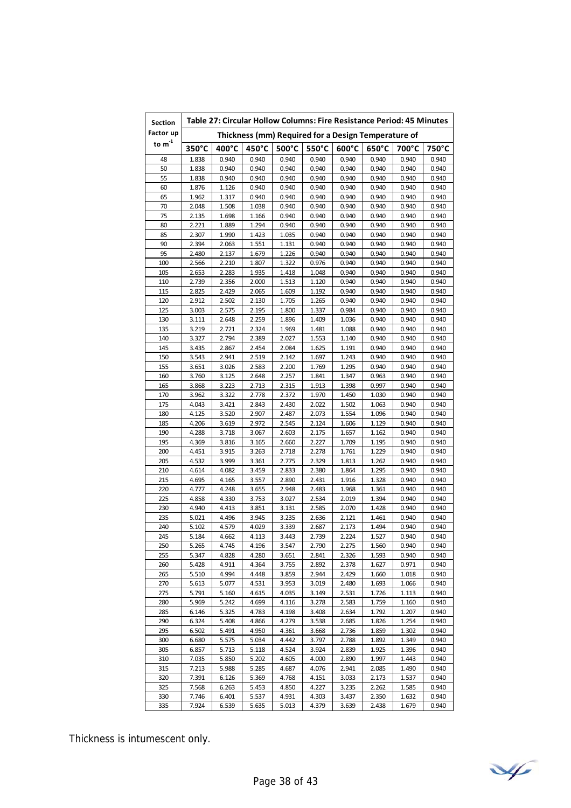| <b>Section</b>              | Table 27: Circular Hollow Columns: Fire Resistance Period: 45 Minutes |                |                |                |                 |                 |                                                     |                |                |  |
|-----------------------------|-----------------------------------------------------------------------|----------------|----------------|----------------|-----------------|-----------------|-----------------------------------------------------|----------------|----------------|--|
| Factor up                   |                                                                       |                |                |                |                 |                 | Thickness (mm) Required for a Design Temperature of |                |                |  |
| to $\mathsf{m}^{\text{-}1}$ | 350°C                                                                 | 400°C          | 450°C          | 500°C          | $550^{\circ}$ C | $600^{\circ}$ C | $650^{\circ}$ C                                     | 700°C          | 750°C          |  |
| 48                          | 1.838                                                                 | 0.940          | 0.940          | 0.940          | 0.940           | 0.940           | 0.940                                               | 0.940          | 0.940          |  |
| 50                          | 1.838                                                                 | 0.940          | 0.940          | 0.940          | 0.940           | 0.940           | 0.940                                               | 0.940          | 0.940          |  |
| 55                          | 1.838                                                                 | 0.940          | 0.940          | 0.940          | 0.940           | 0.940           | 0.940                                               | 0.940          | 0.940          |  |
| 60                          | 1.876                                                                 | 1.126          | 0.940          | 0.940          | 0.940           | 0.940           | 0.940                                               | 0.940          | 0.940          |  |
| 65                          | 1.962                                                                 | 1.317          | 0.940          | 0.940          | 0.940           | 0.940           | 0.940                                               | 0.940          | 0.940          |  |
| 70                          | 2.048                                                                 | 1.508          | 1.038          | 0.940          | 0.940           | 0.940           | 0.940                                               | 0.940          | 0.940          |  |
| 75                          | 2.135                                                                 | 1.698          | 1.166          | 0.940          | 0.940           | 0.940           | 0.940                                               | 0.940          | 0.940          |  |
| 80                          | 2.221                                                                 | 1.889          | 1.294<br>1.423 | 0.940          | 0.940           | 0.940           | 0.940<br>0.940                                      | 0.940          | 0.940          |  |
| 85<br>90                    | 2.307<br>2.394                                                        | 1.990<br>2.063 | 1.551          | 1.035<br>1.131 | 0.940<br>0.940  | 0.940<br>0.940  | 0.940                                               | 0.940<br>0.940 | 0.940<br>0.940 |  |
| 95                          | 2.480                                                                 | 2.137          | 1.679          | 1.226          | 0.940           | 0.940           | 0.940                                               | 0.940          | 0.940          |  |
| 100                         | 2.566                                                                 | 2.210          | 1.807          | 1.322          | 0.976           | 0.940           | 0.940                                               | 0.940          | 0.940          |  |
| 105                         | 2.653                                                                 | 2.283          | 1.935          | 1.418          | 1.048           | 0.940           | 0.940                                               | 0.940          | 0.940          |  |
| 110                         | 2.739                                                                 | 2.356          | 2.000          | 1.513          | 1.120           | 0.940           | 0.940                                               | 0.940          | 0.940          |  |
| 115                         | 2.825                                                                 | 2.429          | 2.065          | 1.609          | 1.192           | 0.940           | 0.940                                               | 0.940          | 0.940          |  |
| 120                         | 2.912                                                                 | 2.502          | 2.130          | 1.705          | 1.265           | 0.940           | 0.940                                               | 0.940          | 0.940          |  |
| 125                         | 3.003                                                                 | 2.575          | 2.195          | 1.800          | 1.337           | 0.984           | 0.940                                               | 0.940          | 0.940          |  |
| 130                         | 3.111                                                                 | 2.648          | 2.259          | 1.896          | 1.409           | 1.036           | 0.940                                               | 0.940          | 0.940          |  |
| 135                         | 3.219                                                                 | 2.721          | 2.324          | 1.969          | 1.481           | 1.088           | 0.940                                               | 0.940          | 0.940          |  |
| 140                         | 3.327                                                                 | 2.794          | 2.389          | 2.027          | 1.553           | 1.140           | 0.940                                               | 0.940          | 0.940          |  |
| 145                         | 3.435                                                                 | 2.867          | 2.454          | 2.084          | 1.625           | 1.191           | 0.940                                               | 0.940          | 0.940          |  |
| 150                         | 3.543                                                                 | 2.941          | 2.519          | 2.142          | 1.697           | 1.243           | 0.940                                               | 0.940          | 0.940          |  |
| 155                         | 3.651                                                                 | 3.026          | 2.583          | 2.200          | 1.769           | 1.295           | 0.940                                               | 0.940          | 0.940          |  |
| 160                         | 3.760                                                                 | 3.125          | 2.648          | 2.257          | 1.841           | 1.347           | 0.963                                               | 0.940          | 0.940          |  |
| 165                         | 3.868                                                                 | 3.223          | 2.713          | 2.315          | 1.913           | 1.398           | 0.997                                               | 0.940          | 0.940          |  |
| 170                         | 3.962                                                                 | 3.322          | 2.778          | 2.372          | 1.970           | 1.450           | 1.030                                               | 0.940          | 0.940          |  |
| 175                         | 4.043                                                                 | 3.421          | 2.843          | 2.430          | 2.022           | 1.502           | 1.063                                               | 0.940          | 0.940          |  |
| 180                         | 4.125                                                                 | 3.520          | 2.907          | 2.487          | 2.073           | 1.554           | 1.096                                               | 0.940          | 0.940          |  |
| 185                         | 4.206                                                                 | 3.619          | 2.972          | 2.545          | 2.124           | 1.606           | 1.129                                               | 0.940          | 0.940          |  |
| 190                         | 4.288                                                                 | 3.718          | 3.067          | 2.603          | 2.175           | 1.657           | 1.162                                               | 0.940          | 0.940          |  |
| 195                         | 4.369                                                                 | 3.816          | 3.165          | 2.660          | 2.227           | 1.709           | 1.195                                               | 0.940          | 0.940          |  |
| 200                         | 4.451                                                                 | 3.915          | 3.263          | 2.718          | 2.278           | 1.761           | 1.229                                               | 0.940          | 0.940          |  |
| 205                         | 4.532                                                                 | 3.999          | 3.361<br>3.459 | 2.775          | 2.329           | 1.813           | 1.262                                               | 0.940          | 0.940          |  |
| 210<br>215                  | 4.614<br>4.695                                                        | 4.082<br>4.165 | 3.557          | 2.833<br>2.890 | 2.380<br>2.431  | 1.864<br>1.916  | 1.295<br>1.328                                      | 0.940<br>0.940 | 0.940<br>0.940 |  |
| 220                         | 4.777                                                                 | 4.248          | 3.655          | 2.948          | 2.483           | 1.968           | 1.361                                               | 0.940          | 0.940          |  |
| 225                         | 4.858                                                                 | 4.330          | 3.753          | 3.027          | 2.534           | 2.019           | 1.394                                               | 0.940          | 0.940          |  |
| 230                         | 4.940                                                                 | 4.413          | 3.851          | 3.131          | 2.585           | 2.070           | 1.428                                               | 0.940          | 0.940          |  |
| 235                         | 5.021                                                                 | 4.496          | 3.945          | 3.235          | 2.636           | 2.121           | 1.461                                               | 0.940          | 0.940          |  |
| 240                         | 5.102                                                                 | 4.579          | 4.029          | 3.339          | 2.687           | 2.173           | 1.494                                               | 0.940          | 0.940          |  |
| 245                         | 5.184                                                                 | 4.662          | 4.113          | 3.443          | 2.739           | 2.224           | 1.527                                               | 0.940          | 0.940          |  |
| 250                         | 5.265                                                                 | 4.745          | 4.196          | 3.547          | 2.790           | 2.275           | 1.560                                               | 0.940          | 0.940          |  |
| 255                         | 5.347                                                                 | 4.828          | 4.280          | 3.651          | 2.841           | 2.326           | 1.593                                               | 0.940          | 0.940          |  |
| 260                         | 5.428                                                                 | 4.911          | 4.364          | 3.755          | 2.892           | 2.378           | 1.627                                               | 0.971          | 0.940          |  |
| 265                         | 5.510                                                                 | 4.994          | 4.448          | 3.859          | 2.944           | 2.429           | 1.660                                               | 1.018          | 0.940          |  |
| 270                         | 5.613                                                                 | 5.077          | 4.531          | 3.953          | 3.019           | 2.480           | 1.693                                               | 1.066          | 0.940          |  |
| 275                         | 5.791                                                                 | 5.160          | 4.615          | 4.035          | 3.149           | 2.531           | 1.726                                               | 1.113          | 0.940          |  |
| 280                         | 5.969                                                                 | 5.242          | 4.699          | 4.116          | 3.278           | 2.583           | 1.759                                               | 1.160          | 0.940          |  |
| 285                         | 6.146                                                                 | 5.325          | 4.783          | 4.198          | 3.408           | 2.634           | 1.792                                               | 1.207          | 0.940          |  |
| 290                         | 6.324                                                                 | 5.408          | 4.866          | 4.279          | 3.538           | 2.685           | 1.826                                               | 1.254          | 0.940          |  |
| 295                         | 6.502                                                                 | 5.491          | 4.950          | 4.361          | 3.668           | 2.736           | 1.859                                               | 1.302          | 0.940          |  |
| 300                         | 6.680                                                                 | 5.575          | 5.034          | 4.442          | 3.797           | 2.788           | 1.892                                               | 1.349          | 0.940          |  |
| 305                         | 6.857                                                                 | 5.713          | 5.118          | 4.524          | 3.924           | 2.839           | 1.925                                               | 1.396          | 0.940          |  |
| 310                         | 7.035                                                                 | 5.850          | 5.202          | 4.605          | 4.000           | 2.890           | 1.997                                               | 1.443          | 0.940          |  |
| 315<br>320                  | 7.213                                                                 | 5.988          | 5.285          | 4.687          | 4.076           | 2.941           | 2.085                                               | 1.490          | 0.940          |  |
| 325                         | 7.391<br>7.568                                                        | 6.126<br>6.263 | 5.369<br>5.453 | 4.768<br>4.850 | 4.151<br>4.227  | 3.033<br>3.235  | 2.173<br>2.262                                      | 1.537<br>1.585 | 0.940<br>0.940 |  |
| 330                         | 7.746                                                                 | 6.401          | 5.537          | 4.931          | 4.303           | 3.437           | 2.350                                               | 1.632          | 0.940          |  |
| 335                         | 7.924                                                                 | 6.539          | 5.635          | 5.013          | 4.379           | 3.639           | 2.438                                               | 1.679          | 0.940          |  |
|                             |                                                                       |                |                |                |                 |                 |                                                     |                |                |  |

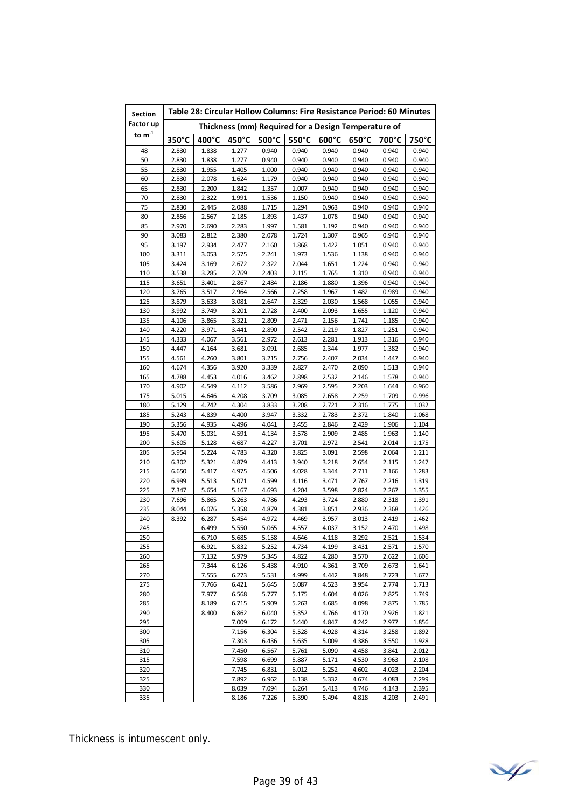| <b>Section</b> | Table 28: Circular Hollow Columns: Fire Resistance Period: 60 Minutes |                |                |                |                |                |                                                     |                |                |  |  |
|----------------|-----------------------------------------------------------------------|----------------|----------------|----------------|----------------|----------------|-----------------------------------------------------|----------------|----------------|--|--|
| Factor up      |                                                                       |                |                |                |                |                | Thickness (mm) Required for a Design Temperature of |                |                |  |  |
| to $m^{-1}$    | 350°C                                                                 | 400°C          | 450°C          | 500°C          | 550°C          | 600°C          | 650°C                                               | 700°C          | 750°C          |  |  |
| 48             | 2.830                                                                 | 1.838          | 1.277          | 0.940          | 0.940          | 0.940          | 0.940                                               | 0.940          | 0.940          |  |  |
| 50             | 2.830                                                                 | 1.838          | 1.277          | 0.940          | 0.940          | 0.940          | 0.940                                               | 0.940          | 0.940          |  |  |
| 55             | 2.830                                                                 | 1.955          | 1.405          | 1.000          | 0.940          | 0.940          | 0.940                                               | 0.940          | 0.940          |  |  |
| 60             | 2.830                                                                 | 2.078          | 1.624          | 1.179          | 0.940          | 0.940          | 0.940                                               | 0.940          | 0.940          |  |  |
| 65             | 2.830                                                                 | 2.200          | 1.842          | 1.357          | 1.007          | 0.940          | 0.940                                               | 0.940          | 0.940          |  |  |
| 70             | 2.830                                                                 | 2.322          | 1.991          | 1.536          | 1.150          | 0.940          | 0.940                                               | 0.940          | 0.940          |  |  |
| 75             | 2.830                                                                 | 2.445          | 2.088          | 1.715          | 1.294          | 0.963          | 0.940                                               | 0.940          | 0.940          |  |  |
| 80             | 2.856                                                                 | 2.567          | 2.185          | 1.893          | 1.437          | 1.078          | 0.940                                               | 0.940          | 0.940          |  |  |
| 85             | 2.970                                                                 | 2.690          | 2.283          | 1.997          | 1.581          | 1.192          | 0.940                                               | 0.940          | 0.940          |  |  |
| 90             | 3.083                                                                 | 2.812          | 2.380          | 2.078          | 1.724          | 1.307          | 0.965                                               | 0.940          | 0.940          |  |  |
| 95             | 3.197                                                                 | 2.934          | 2.477          | 2.160          | 1.868          | 1.422          | 1.051                                               | 0.940          | 0.940          |  |  |
| 100            | 3.311                                                                 | 3.053          | 2.575          | 2.241          | 1.973          | 1.536          | 1.138                                               | 0.940          | 0.940          |  |  |
| 105            | 3.424                                                                 | 3.169          | 2.672          | 2.322          | 2.044          | 1.651          | 1.224                                               | 0.940          | 0.940          |  |  |
| 110            | 3.538                                                                 | 3.285          | 2.769          | 2.403          | 2.115          | 1.765          | 1.310                                               | 0.940          | 0.940          |  |  |
| 115            | 3.651                                                                 | 3.401          | 2.867          | 2.484          | 2.186          | 1.880          | 1.396                                               | 0.940          | 0.940          |  |  |
| 120            | 3.765                                                                 | 3.517          | 2.964          | 2.566          | 2.258          | 1.967          | 1.482                                               | 0.989          | 0.940          |  |  |
| 125            | 3.879                                                                 | 3.633          | 3.081          | 2.647          | 2.329          | 2.030          | 1.568                                               | 1.055          | 0.940          |  |  |
| 130            | 3.992                                                                 | 3.749          | 3.201          | 2.728          | 2.400          | 2.093          | 1.655                                               | 1.120          | 0.940          |  |  |
| 135            | 4.106                                                                 | 3.865          | 3.321          | 2.809          | 2.471          | 2.156          | 1.741                                               | 1.185          | 0.940          |  |  |
| 140            | 4.220                                                                 | 3.971          | 3.441          | 2.890          | 2.542          | 2.219          | 1.827                                               | 1.251          | 0.940          |  |  |
| 145            | 4.333                                                                 | 4.067          | 3.561          | 2.972          | 2.613          | 2.281          | 1.913                                               | 1.316          | 0.940          |  |  |
| 150            | 4.447<br>4.561                                                        | 4.164          | 3.681          | 3.091          | 2.685          | 2.344          | 1.977                                               | 1.382          | 0.940          |  |  |
| 155            |                                                                       | 4.260          | 3.801          | 3.215          | 2.756          | 2.407          | 2.034                                               | 1.447          | 0.940          |  |  |
| 160            | 4.674<br>4.788                                                        | 4.356<br>4.453 | 3.920<br>4.016 | 3.339<br>3.462 | 2.827          | 2.470          | 2.090                                               | 1.513<br>1.578 | 0.940          |  |  |
| 165<br>170     | 4.902                                                                 | 4.549          | 4.112          | 3.586          | 2.898<br>2.969 | 2.532<br>2.595 | 2.146<br>2.203                                      | 1.644          | 0.940<br>0.960 |  |  |
| 175            | 5.015                                                                 | 4.646          | 4.208          | 3.709          | 3.085          | 2.658          | 2.259                                               | 1.709          | 0.996          |  |  |
| 180            | 5.129                                                                 | 4.742          | 4.304          | 3.833          | 3.208          | 2.721          | 2.316                                               | 1.775          | 1.032          |  |  |
| 185            | 5.243                                                                 | 4.839          | 4.400          | 3.947          | 3.332          | 2.783          | 2.372                                               | 1.840          | 1.068          |  |  |
| 190            | 5.356                                                                 | 4.935          | 4.496          | 4.041          | 3.455          | 2.846          | 2.429                                               | 1.906          | 1.104          |  |  |
| 195            | 5.470                                                                 | 5.031          | 4.591          | 4.134          | 3.578          | 2.909          | 2.485                                               | 1.963          | 1.140          |  |  |
| 200            | 5.605                                                                 | 5.128          | 4.687          | 4.227          | 3.701          | 2.972          | 2.541                                               | 2.014          | 1.175          |  |  |
| 205            | 5.954                                                                 | 5.224          | 4.783          | 4.320          | 3.825          | 3.091          | 2.598                                               | 2.064          | 1.211          |  |  |
| 210            | 6.302                                                                 | 5.321          | 4.879          | 4.413          | 3.940          | 3.218          | 2.654                                               | 2.115          | 1.247          |  |  |
| 215            | 6.650                                                                 | 5.417          | 4.975          | 4.506          | 4.028          | 3.344          | 2.711                                               | 2.166          | 1.283          |  |  |
| 220            | 6.999                                                                 | 5.513          | 5.071          | 4.599          | 4.116          | 3.471          | 2.767                                               | 2.216          | 1.319          |  |  |
| 225            | 7.347                                                                 | 5.654          | 5.167          | 4.693          | 4.204          | 3.598          | 2.824                                               | 2.267          | 1.355          |  |  |
| 230            | 7.696                                                                 | 5.865          | 5.263          | 4.786          | 4.293          | 3.724          | 2.880                                               | 2.318          | 1.391          |  |  |
| 235            | 8.044                                                                 | 6.076          | 5.358          | 4.879          | 4.381          | 3.851          | 2.936                                               | 2.368          | 1.426          |  |  |
| 240            | 8.392                                                                 | 6.287          | 5.454          | 4.972          | 4.469          | 3.957          | 3.013                                               | 2.419          | 1.462          |  |  |
| 245            |                                                                       | 6.499          | 5.550          | 5.065          | 4.557          | 4.037          | 3.152                                               | 2.470          | 1.498          |  |  |
| 250            |                                                                       | 6.710          | 5.685          | 5.158          | 4.646          | 4.118          | 3.292                                               | 2.521          | 1.534          |  |  |
| 255            |                                                                       | 6.921          | 5.832          | 5.252          | 4.734          | 4.199          | 3.431                                               | 2.571          | 1.570          |  |  |
| 260            |                                                                       | 7.132          | 5.979          | 5.345          | 4.822          | 4.280          | 3.570                                               | 2.622          | 1.606          |  |  |
| 265            |                                                                       | 7.344          | 6.126          | 5.438          | 4.910          | 4.361          | 3.709                                               | 2.673          | 1.641          |  |  |
| 270            |                                                                       | 7.555          | 6.273          | 5.531          | 4.999          | 4.442          | 3.848                                               | 2.723          | 1.677          |  |  |
| 275            |                                                                       | 7.766          | 6.421          | 5.645          | 5.087          | 4.523          | 3.954                                               | 2.774          | 1.713          |  |  |
| 280            |                                                                       | 7.977          | 6.568          | 5.777          | 5.175          | 4.604          | 4.026                                               | 2.825          | 1.749          |  |  |
| 285            |                                                                       | 8.189          | 6.715          | 5.909          | 5.263          | 4.685          | 4.098                                               | 2.875          | 1.785          |  |  |
| 290            |                                                                       | 8.400          | 6.862          | 6.040          | 5.352          | 4.766          | 4.170                                               | 2.926          | 1.821          |  |  |
| 295            |                                                                       |                | 7.009          | 6.172          | 5.440          | 4.847          | 4.242                                               | 2.977          | 1.856          |  |  |
| 300            |                                                                       |                | 7.156          | 6.304          | 5.528          | 4.928          | 4.314                                               | 3.258          | 1.892          |  |  |
| 305<br>310     |                                                                       |                | 7.303<br>7.450 | 6.436<br>6.567 | 5.635<br>5.761 | 5.009<br>5.090 | 4.386<br>4.458                                      | 3.550<br>3.841 | 1.928<br>2.012 |  |  |
| 315            |                                                                       |                | 7.598          | 6.699          | 5.887          | 5.171          | 4.530                                               | 3.963          | 2.108          |  |  |
| 320            |                                                                       |                | 7.745          | 6.831          | 6.012          | 5.252          | 4.602                                               | 4.023          | 2.204          |  |  |
| 325            |                                                                       |                | 7.892          | 6.962          | 6.138          | 5.332          | 4.674                                               | 4.083          | 2.299          |  |  |
| 330            |                                                                       |                | 8.039          | 7.094          | 6.264          | 5.413          | 4.746                                               | 4.143          | 2.395          |  |  |
| 335            |                                                                       |                | 8.186          | 7.226          | 6.390          | 5.494          | 4.818                                               | 4.203          | 2.491          |  |  |

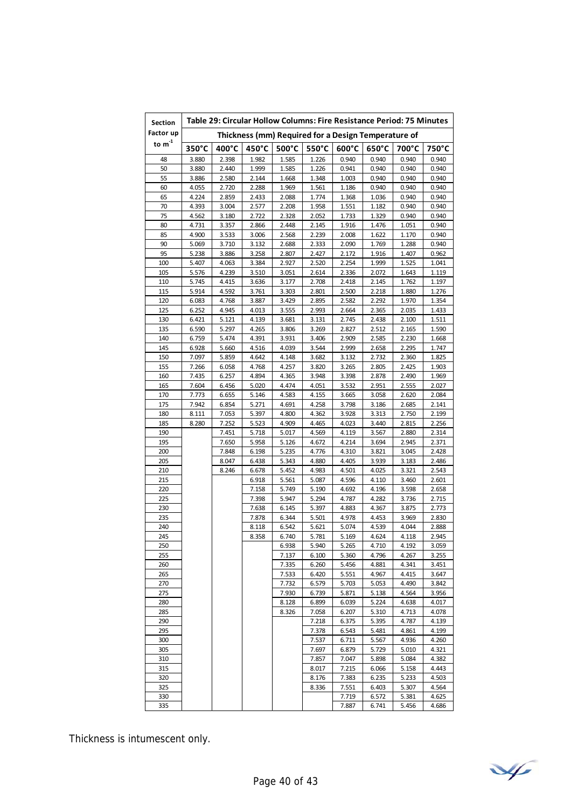| <b>Section</b>                                                   |                |                | Table 29: Circular Hollow Columns: Fire Resistance Period: 75 Minutes |                 |                |                 |                 |                |                |  |  |
|------------------------------------------------------------------|----------------|----------------|-----------------------------------------------------------------------|-----------------|----------------|-----------------|-----------------|----------------|----------------|--|--|
| Factor up<br>Thickness (mm) Required for a Design Temperature of |                |                |                                                                       |                 |                |                 |                 |                |                |  |  |
| to $\mathsf{m}^{\text{-}1}$                                      | 350°C          | 400°C          | 450°C                                                                 | $500^{\circ}$ C | 550°C          | $600^{\circ}$ C | $650^{\circ}$ C | 700°C          | 750°C          |  |  |
| 48                                                               | 3.880          | 2.398          | 1.982                                                                 | 1.585           | 1.226          | 0.940           | 0.940           | 0.940          | 0.940          |  |  |
| 50                                                               | 3.880          | 2.440          | 1.999                                                                 | 1.585           | 1.226          | 0.941           | 0.940           | 0.940          | 0.940          |  |  |
| 55                                                               | 3.886          | 2.580          | 2.144                                                                 | 1.668           | 1.348          | 1.003           | 0.940           | 0.940          | 0.940          |  |  |
| 60                                                               | 4.055          | 2.720          | 2.288                                                                 | 1.969           | 1.561          | 1.186           | 0.940           | 0.940          | 0.940          |  |  |
| 65                                                               | 4.224          | 2.859          | 2.433<br>2.577                                                        | 2.088           | 1.774          | 1.368           | 1.036           | 0.940          | 0.940          |  |  |
| 70<br>75                                                         | 4.393<br>4.562 | 3.004<br>3.180 | 2.722                                                                 | 2.208<br>2.328  | 1.958<br>2.052 | 1.551<br>1.733  | 1.182<br>1.329  | 0.940<br>0.940 | 0.940<br>0.940 |  |  |
| 80                                                               | 4.731          | 3.357          | 2.866                                                                 | 2.448           | 2.145          | 1.916           | 1.476           | 1.051          | 0.940          |  |  |
| 85                                                               | 4.900          | 3.533          | 3.006                                                                 | 2.568           | 2.239          | 2.008           | 1.622           | 1.170          | 0.940          |  |  |
| 90                                                               | 5.069          | 3.710          | 3.132                                                                 | 2.688           | 2.333          | 2.090           | 1.769           | 1.288          | 0.940          |  |  |
| 95                                                               | 5.238          | 3.886          | 3.258                                                                 | 2.807           | 2.427          | 2.172           | 1.916           | 1.407          | 0.962          |  |  |
| 100                                                              | 5.407          | 4.063          | 3.384                                                                 | 2.927           | 2.520          | 2.254           | 1.999           | 1.525          | 1.041          |  |  |
| 105                                                              | 5.576          | 4.239          | 3.510                                                                 | 3.051           | 2.614          | 2.336           | 2.072           | 1.643          | 1.119          |  |  |
| 110<br>115                                                       | 5.745<br>5.914 | 4.415<br>4.592 | 3.636<br>3.761                                                        | 3.177<br>3.303  | 2.708<br>2.801 | 2.418<br>2.500  | 2.145<br>2.218  | 1.762<br>1.880 | 1.197<br>1.276 |  |  |
| 120                                                              | 6.083          | 4.768          | 3.887                                                                 | 3.429           | 2.895          | 2.582           | 2.292           | 1.970          | 1.354          |  |  |
| 125                                                              | 6.252          | 4.945          | 4.013                                                                 | 3.555           | 2.993          | 2.664           | 2.365           | 2.035          | 1.433          |  |  |
| 130                                                              | 6.421          | 5.121          | 4.139                                                                 | 3.681           | 3.131          | 2.745           | 2.438           | 2.100          | 1.511          |  |  |
| 135                                                              | 6.590          | 5.297          | 4.265                                                                 | 3.806           | 3.269          | 2.827           | 2.512           | 2.165          | 1.590          |  |  |
| 140                                                              | 6.759          | 5.474          | 4.391                                                                 | 3.931           | 3.406          | 2.909           | 2.585           | 2.230          | 1.668          |  |  |
| 145                                                              | 6.928          | 5.660          | 4.516                                                                 | 4.039           | 3.544          | 2.999           | 2.658           | 2.295          | 1.747          |  |  |
| 150                                                              | 7.097          | 5.859          | 4.642                                                                 | 4.148           | 3.682          | 3.132           | 2.732           | 2.360          | 1.825          |  |  |
| 155<br>160                                                       | 7.266<br>7.435 | 6.058<br>6.257 | 4.768<br>4.894                                                        | 4.257<br>4.365  | 3.820<br>3.948 | 3.265<br>3.398  | 2.805<br>2.878  | 2.425<br>2.490 | 1.903<br>1.969 |  |  |
| 165                                                              | 7.604          | 6.456          | 5.020                                                                 | 4.474           | 4.051          | 3.532           | 2.951           | 2.555          | 2.027          |  |  |
| 170                                                              | 7.773          | 6.655          | 5.146                                                                 | 4.583           | 4.155          | 3.665           | 3.058           | 2.620          | 2.084          |  |  |
| 175                                                              | 7.942          | 6.854          | 5.271                                                                 | 4.691           | 4.258          | 3.798           | 3.186           | 2.685          | 2.141          |  |  |
| 180                                                              | 8.111          | 7.053          | 5.397                                                                 | 4.800           | 4.362          | 3.928           | 3.313           | 2.750          | 2.199          |  |  |
| 185                                                              | 8.280          | 7.252          | 5.523                                                                 | 4.909           | 4.465          | 4.023           | 3.440           | 2.815          | 2.256          |  |  |
| 190                                                              |                | 7.451          | 5.718                                                                 | 5.017           | 4.569          | 4.119           | 3.567           | 2.880          | 2.314          |  |  |
| 195                                                              |                | 7.650          | 5.958                                                                 | 5.126           | 4.672          | 4.214           | 3.694           | 2.945          | 2.371          |  |  |
| 200<br>205                                                       |                | 7.848<br>8.047 | 6.198<br>6.438                                                        | 5.235<br>5.343  | 4.776<br>4.880 | 4.310<br>4.405  | 3.821<br>3.939  | 3.045<br>3.183 | 2.428<br>2.486 |  |  |
| 210                                                              |                | 8.246          | 6.678                                                                 | 5.452           | 4.983          | 4.501           | 4.025           | 3.321          | 2.543          |  |  |
| 215                                                              |                |                | 6.918                                                                 | 5.561           | 5.087          | 4.596           | 4.110           | 3.460          | 2.601          |  |  |
| 220                                                              |                |                | 7.158                                                                 | 5.749           | 5.190          | 4.692           | 4.196           | 3.598          | 2.658          |  |  |
| 225                                                              |                |                | 7.398                                                                 | 5.947           | 5.294          | 4.787           | 4.282           | 3.736          | 2.715          |  |  |
| 230                                                              |                |                | 7.638                                                                 | 6.145           | 5.397          | 4.883           | 4.367           | 3.875          | 2.773          |  |  |
| 235                                                              |                |                | 7.878                                                                 | 6.344           | 5.501          | 4.978           | 4.453           | 3.969          | 2.830          |  |  |
| 240<br>245                                                       |                |                | 8.118<br>8.358                                                        | 6.542<br>6.740  | 5.621<br>5.781 | 5.074           | 4.539<br>4.624  | 4.044<br>4.118 | 2.888<br>2.945 |  |  |
| 250                                                              |                |                |                                                                       | 6.938           | 5.940          | 5.169<br>5.265  | 4.710           | 4.192          | 3.059          |  |  |
| 255                                                              |                |                |                                                                       | 7.137           | 6.100          | 5.360           | 4.796           | 4.267          | 3.255          |  |  |
| 260                                                              |                |                |                                                                       | 7.335           | 6.260          | 5.456           | 4.881           | 4.341          | 3.451          |  |  |
| 265                                                              |                |                |                                                                       | 7.533           | 6.420          | 5.551           | 4.967           | 4.415          | 3.647          |  |  |
| 270                                                              |                |                |                                                                       | 7.732           | 6.579          | 5.703           | 5.053           | 4.490          | 3.842          |  |  |
| 275                                                              |                |                |                                                                       | 7.930           | 6.739          | 5.871           | 5.138           | 4.564          | 3.956          |  |  |
| 280                                                              |                |                |                                                                       | 8.128           | 6.899          | 6.039           | 5.224           | 4.638          | 4.017          |  |  |
| 285                                                              |                |                |                                                                       | 8.326           | 7.058          | 6.207           | 5.310           | 4.713          | 4.078<br>4.139 |  |  |
| 290<br>295                                                       |                |                |                                                                       |                 | 7.218<br>7.378 | 6.375<br>6.543  | 5.395<br>5.481  | 4.787<br>4.861 | 4.199          |  |  |
| 300                                                              |                |                |                                                                       |                 | 7.537          | 6.711           | 5.567           | 4.936          | 4.260          |  |  |
| 305                                                              |                |                |                                                                       |                 | 7.697          | 6.879           | 5.729           | 5.010          | 4.321          |  |  |
| 310                                                              |                |                |                                                                       |                 | 7.857          | 7.047           | 5.898           | 5.084          | 4.382          |  |  |
| 315                                                              |                |                |                                                                       |                 | 8.017          | 7.215           | 6.066           | 5.158          | 4.443          |  |  |
| 320                                                              |                |                |                                                                       |                 | 8.176          | 7.383           | 6.235           | 5.233          | 4.503          |  |  |
| 325                                                              |                |                |                                                                       |                 | 8.336          | 7.551           | 6.403           | 5.307          | 4.564          |  |  |
| 330                                                              |                |                |                                                                       |                 |                | 7.719           | 6.572           | 5.381          | 4.625          |  |  |
| 335                                                              |                |                |                                                                       |                 |                | 7.887           | 6.741           | 5.456          | 4.686          |  |  |

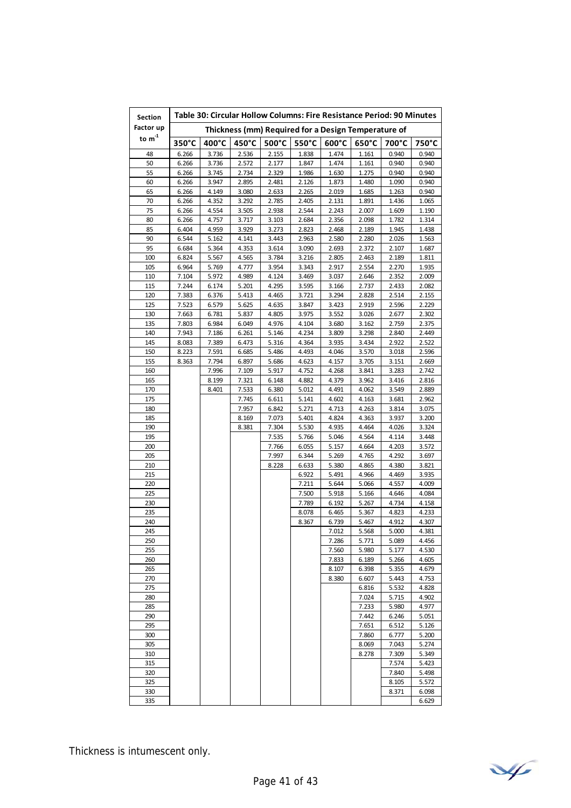| Factor up<br>Thickness (mm) Required for a Design Temperature of<br>to $\mathsf{m}^\text{-1}$<br>450°C<br>$500^{\circ}$ C<br>550°C<br>650°C<br>$350^{\circ}$ C<br>$400^{\circ}$ C<br>$600^{\circ}$ C<br>700°C<br>750°C<br>3.736<br>2.536<br>2.155<br>48<br>6.266<br>1.838<br>1.474<br>1.161<br>0.940<br>0.940<br>50<br>6.266<br>3.736<br>2.572<br>2.177<br>1.847<br>1.474<br>0.940<br>0.940<br>1.161<br>55<br>3.745<br>2.734<br>2.329<br>6.266<br>1.986<br>1.630<br>1.275<br>0.940<br>0.940<br>60<br>6.266<br>3.947<br>2.895<br>2.481<br>2.126<br>1.873<br>1.480<br>1.090<br>0.940<br>2.633<br>65<br>6.266<br>4.149<br>3.080<br>2.265<br>2.019<br>1.685<br>1.263<br>0.940<br>70<br>6.266<br>4.352<br>3.292<br>2.785<br>2.405<br>1.891<br>1.436<br>2.131<br>1.065<br>75<br>6.266<br>4.554<br>3.505<br>2.544<br>2.243<br>1.609<br>1.190<br>2.938<br>2.007<br>4.757<br>2.356<br>80<br>6.266<br>3.717<br>3.103<br>2.684<br>2.098<br>1.782<br>1.314<br>85<br>6.404<br>4.959<br>3.929<br>3.273<br>2.468<br>1.945<br>2.823<br>2.189<br>1.438<br>6.544<br>5.162<br>3.443<br>2.580<br>90<br>4.141<br>2.963<br>2.280<br>2.026<br>1.563<br>95<br>6.684<br>5.364<br>4.353<br>3.614<br>3.090<br>2.372<br>2.107<br>1.687<br>2.693<br>100<br>6.824<br>5.567<br>4.565<br>3.784<br>2.805<br>2.463<br>2.189<br>3.216<br>1.811<br>105<br>6.964<br>5.769<br>4.777<br>3.954<br>3.343<br>2.917<br>2.554<br>2.270<br>1.935<br>110<br>2.352<br>7.104<br>5.972<br>4.989<br>4.124<br>3.469<br>3.037<br>2.646<br>2.009<br>115<br>7.244<br>6.174<br>5.201<br>4.295<br>3.595<br>3.166<br>2.737<br>2.433<br>2.082<br>120<br>6.376<br>5.413<br>4.465<br>3.294<br>2.514<br>7.383<br>3.721<br>2.828<br>2.155<br>125<br>7.523<br>6.579<br>5.625<br>4.635<br>3.423<br>2.919<br>2.596<br>2.229<br>3.847<br>130<br>7.663<br>6.781<br>5.837<br>4.805<br>3.975<br>3.552<br>2.677<br>2.302<br>3.026<br>135<br>6.984<br>2.759<br>7.803<br>6.049<br>4.976<br>4.104<br>3.680<br>3.162<br>2.375<br>140<br>7.943<br>7.186<br>6.261<br>5.146<br>4.234<br>3.809<br>3.298<br>2.840<br>2.449<br>145<br>7.389<br>6.473<br>5.316<br>4.364<br>3.935<br>2.922<br>2.522<br>8.083<br>3.434<br>150<br>3.018<br>2.596<br>8.223<br>7.591<br>6.685<br>5.486<br>4.493<br>4.046<br>3.570<br>155<br>5.686<br>7.794<br>6.897<br>4.623<br>4.157<br>3.151<br>2.669<br>8.363<br>3.705<br>160<br>7.996<br>7.109<br>5.917<br>4.752<br>4.268<br>3.283<br>2.742<br>3.841<br>165<br>8.199<br>7.321<br>6.148<br>4.882<br>4.379<br>3.962<br>3.416<br>2.816<br>4.491<br>3.549<br>170<br>8.401<br>7.533<br>6.380<br>5.012<br>4.062<br>2.889<br>175<br>7.745<br>6.611<br>5.141<br>4.602<br>4.163<br>3.681<br>2.962<br>180<br>7.957<br>5.271<br>4.713<br>3.814<br>6.842<br>4.263<br>3.075<br>4.824<br>185<br>8.169<br>7.073<br>5.401<br>4.363<br>3.937<br>3.200<br>190<br>7.304<br>4.464<br>8.381<br>5.530<br>4.935<br>4.026<br>3.324<br>195<br>7.535<br>5.766<br>5.046<br>4.564<br>4.114<br>3.448<br>200<br>7.766<br>5.157<br>4.664<br>4.203<br>3.572<br>6.055<br>205<br>7.997<br>6.344<br>5.269<br>4.765<br>4.292<br>3.697<br>210<br>5.380<br>4.380<br>8.228<br>6.633<br>4.865<br>3.821<br>215<br>6.922<br>5.491<br>4.966<br>4.469<br>3.935<br>220<br>7.211<br>5.644<br>5.066<br>4.557<br>4.009<br>225<br>5.918<br>7.500<br>5.166<br>4.646<br>4.084<br>230<br>7.789<br>6.192<br>5.267<br>4.734<br>4.158<br>235<br>8.078<br>6.465<br>5.367<br>4.823<br>4.233<br>240<br>4.912<br>4.307<br>8.367<br>6.739<br>5.467<br>245<br>7.012<br>5.568<br>5.000<br>4.381<br>250<br>5.089<br>4.456<br>7.286<br>5.771<br>255<br>5.177<br>4.530<br>7.560<br>5.980<br>260<br>7.833<br>6.189<br>5.266<br>4.605<br>5.355<br>4.679<br>265<br>8.107<br>6.398<br>270<br>8.380<br>4.753<br>6.607<br>5.443<br>275<br>5.532<br>4.828<br>6.816<br>5.715<br>280<br>7.024<br>4.902<br>285<br>7.233<br>5.980<br>4.977<br>290<br>6.246<br>7.442<br>5.051<br>295<br>7.651<br>6.512<br>5.126<br>300<br>7.860<br>6.777<br>5.200<br>305<br>8.069<br>7.043<br>5.274<br>310<br>8.278<br>7.309<br>5.349<br>315<br>7.574<br>5.423<br>320<br>5.498<br>7.840<br>325<br>5.572<br>8.105<br>330<br>8.371<br>6.098 | Section | Table 30: Circular Hollow Columns: Fire Resistance Period: 90 Minutes |  |  |  |  |  |  |  |       |  |
|--------------------------------------------------------------------------------------------------------------------------------------------------------------------------------------------------------------------------------------------------------------------------------------------------------------------------------------------------------------------------------------------------------------------------------------------------------------------------------------------------------------------------------------------------------------------------------------------------------------------------------------------------------------------------------------------------------------------------------------------------------------------------------------------------------------------------------------------------------------------------------------------------------------------------------------------------------------------------------------------------------------------------------------------------------------------------------------------------------------------------------------------------------------------------------------------------------------------------------------------------------------------------------------------------------------------------------------------------------------------------------------------------------------------------------------------------------------------------------------------------------------------------------------------------------------------------------------------------------------------------------------------------------------------------------------------------------------------------------------------------------------------------------------------------------------------------------------------------------------------------------------------------------------------------------------------------------------------------------------------------------------------------------------------------------------------------------------------------------------------------------------------------------------------------------------------------------------------------------------------------------------------------------------------------------------------------------------------------------------------------------------------------------------------------------------------------------------------------------------------------------------------------------------------------------------------------------------------------------------------------------------------------------------------------------------------------------------------------------------------------------------------------------------------------------------------------------------------------------------------------------------------------------------------------------------------------------------------------------------------------------------------------------------------------------------------------------------------------------------------------------------------------------------------------------------------------------------------------------------------------------------------------------------------------------------------------------------------------------------------------------------------------------------------------------------------------------------------------------------------------------------------------------------------------------------------------------------------------------------------------------------------------------------------------------------------------------------------------------------------------------------------------------------------------------------------------------------------------------------------------------------------------------------------------------------------------------------------------------------------------------------------------------------------------------------------------------------------|---------|-----------------------------------------------------------------------|--|--|--|--|--|--|--|-------|--|
|                                                                                                                                                                                                                                                                                                                                                                                                                                                                                                                                                                                                                                                                                                                                                                                                                                                                                                                                                                                                                                                                                                                                                                                                                                                                                                                                                                                                                                                                                                                                                                                                                                                                                                                                                                                                                                                                                                                                                                                                                                                                                                                                                                                                                                                                                                                                                                                                                                                                                                                                                                                                                                                                                                                                                                                                                                                                                                                                                                                                                                                                                                                                                                                                                                                                                                                                                                                                                                                                                                                                                                                                                                                                                                                                                                                                                                                                                                                                                                                                                                                                                            |         |                                                                       |  |  |  |  |  |  |  |       |  |
|                                                                                                                                                                                                                                                                                                                                                                                                                                                                                                                                                                                                                                                                                                                                                                                                                                                                                                                                                                                                                                                                                                                                                                                                                                                                                                                                                                                                                                                                                                                                                                                                                                                                                                                                                                                                                                                                                                                                                                                                                                                                                                                                                                                                                                                                                                                                                                                                                                                                                                                                                                                                                                                                                                                                                                                                                                                                                                                                                                                                                                                                                                                                                                                                                                                                                                                                                                                                                                                                                                                                                                                                                                                                                                                                                                                                                                                                                                                                                                                                                                                                                            |         |                                                                       |  |  |  |  |  |  |  |       |  |
|                                                                                                                                                                                                                                                                                                                                                                                                                                                                                                                                                                                                                                                                                                                                                                                                                                                                                                                                                                                                                                                                                                                                                                                                                                                                                                                                                                                                                                                                                                                                                                                                                                                                                                                                                                                                                                                                                                                                                                                                                                                                                                                                                                                                                                                                                                                                                                                                                                                                                                                                                                                                                                                                                                                                                                                                                                                                                                                                                                                                                                                                                                                                                                                                                                                                                                                                                                                                                                                                                                                                                                                                                                                                                                                                                                                                                                                                                                                                                                                                                                                                                            |         |                                                                       |  |  |  |  |  |  |  |       |  |
|                                                                                                                                                                                                                                                                                                                                                                                                                                                                                                                                                                                                                                                                                                                                                                                                                                                                                                                                                                                                                                                                                                                                                                                                                                                                                                                                                                                                                                                                                                                                                                                                                                                                                                                                                                                                                                                                                                                                                                                                                                                                                                                                                                                                                                                                                                                                                                                                                                                                                                                                                                                                                                                                                                                                                                                                                                                                                                                                                                                                                                                                                                                                                                                                                                                                                                                                                                                                                                                                                                                                                                                                                                                                                                                                                                                                                                                                                                                                                                                                                                                                                            |         |                                                                       |  |  |  |  |  |  |  |       |  |
|                                                                                                                                                                                                                                                                                                                                                                                                                                                                                                                                                                                                                                                                                                                                                                                                                                                                                                                                                                                                                                                                                                                                                                                                                                                                                                                                                                                                                                                                                                                                                                                                                                                                                                                                                                                                                                                                                                                                                                                                                                                                                                                                                                                                                                                                                                                                                                                                                                                                                                                                                                                                                                                                                                                                                                                                                                                                                                                                                                                                                                                                                                                                                                                                                                                                                                                                                                                                                                                                                                                                                                                                                                                                                                                                                                                                                                                                                                                                                                                                                                                                                            |         |                                                                       |  |  |  |  |  |  |  |       |  |
|                                                                                                                                                                                                                                                                                                                                                                                                                                                                                                                                                                                                                                                                                                                                                                                                                                                                                                                                                                                                                                                                                                                                                                                                                                                                                                                                                                                                                                                                                                                                                                                                                                                                                                                                                                                                                                                                                                                                                                                                                                                                                                                                                                                                                                                                                                                                                                                                                                                                                                                                                                                                                                                                                                                                                                                                                                                                                                                                                                                                                                                                                                                                                                                                                                                                                                                                                                                                                                                                                                                                                                                                                                                                                                                                                                                                                                                                                                                                                                                                                                                                                            |         |                                                                       |  |  |  |  |  |  |  |       |  |
|                                                                                                                                                                                                                                                                                                                                                                                                                                                                                                                                                                                                                                                                                                                                                                                                                                                                                                                                                                                                                                                                                                                                                                                                                                                                                                                                                                                                                                                                                                                                                                                                                                                                                                                                                                                                                                                                                                                                                                                                                                                                                                                                                                                                                                                                                                                                                                                                                                                                                                                                                                                                                                                                                                                                                                                                                                                                                                                                                                                                                                                                                                                                                                                                                                                                                                                                                                                                                                                                                                                                                                                                                                                                                                                                                                                                                                                                                                                                                                                                                                                                                            |         |                                                                       |  |  |  |  |  |  |  |       |  |
|                                                                                                                                                                                                                                                                                                                                                                                                                                                                                                                                                                                                                                                                                                                                                                                                                                                                                                                                                                                                                                                                                                                                                                                                                                                                                                                                                                                                                                                                                                                                                                                                                                                                                                                                                                                                                                                                                                                                                                                                                                                                                                                                                                                                                                                                                                                                                                                                                                                                                                                                                                                                                                                                                                                                                                                                                                                                                                                                                                                                                                                                                                                                                                                                                                                                                                                                                                                                                                                                                                                                                                                                                                                                                                                                                                                                                                                                                                                                                                                                                                                                                            |         |                                                                       |  |  |  |  |  |  |  |       |  |
|                                                                                                                                                                                                                                                                                                                                                                                                                                                                                                                                                                                                                                                                                                                                                                                                                                                                                                                                                                                                                                                                                                                                                                                                                                                                                                                                                                                                                                                                                                                                                                                                                                                                                                                                                                                                                                                                                                                                                                                                                                                                                                                                                                                                                                                                                                                                                                                                                                                                                                                                                                                                                                                                                                                                                                                                                                                                                                                                                                                                                                                                                                                                                                                                                                                                                                                                                                                                                                                                                                                                                                                                                                                                                                                                                                                                                                                                                                                                                                                                                                                                                            |         |                                                                       |  |  |  |  |  |  |  |       |  |
|                                                                                                                                                                                                                                                                                                                                                                                                                                                                                                                                                                                                                                                                                                                                                                                                                                                                                                                                                                                                                                                                                                                                                                                                                                                                                                                                                                                                                                                                                                                                                                                                                                                                                                                                                                                                                                                                                                                                                                                                                                                                                                                                                                                                                                                                                                                                                                                                                                                                                                                                                                                                                                                                                                                                                                                                                                                                                                                                                                                                                                                                                                                                                                                                                                                                                                                                                                                                                                                                                                                                                                                                                                                                                                                                                                                                                                                                                                                                                                                                                                                                                            |         |                                                                       |  |  |  |  |  |  |  |       |  |
|                                                                                                                                                                                                                                                                                                                                                                                                                                                                                                                                                                                                                                                                                                                                                                                                                                                                                                                                                                                                                                                                                                                                                                                                                                                                                                                                                                                                                                                                                                                                                                                                                                                                                                                                                                                                                                                                                                                                                                                                                                                                                                                                                                                                                                                                                                                                                                                                                                                                                                                                                                                                                                                                                                                                                                                                                                                                                                                                                                                                                                                                                                                                                                                                                                                                                                                                                                                                                                                                                                                                                                                                                                                                                                                                                                                                                                                                                                                                                                                                                                                                                            |         |                                                                       |  |  |  |  |  |  |  |       |  |
|                                                                                                                                                                                                                                                                                                                                                                                                                                                                                                                                                                                                                                                                                                                                                                                                                                                                                                                                                                                                                                                                                                                                                                                                                                                                                                                                                                                                                                                                                                                                                                                                                                                                                                                                                                                                                                                                                                                                                                                                                                                                                                                                                                                                                                                                                                                                                                                                                                                                                                                                                                                                                                                                                                                                                                                                                                                                                                                                                                                                                                                                                                                                                                                                                                                                                                                                                                                                                                                                                                                                                                                                                                                                                                                                                                                                                                                                                                                                                                                                                                                                                            |         |                                                                       |  |  |  |  |  |  |  |       |  |
|                                                                                                                                                                                                                                                                                                                                                                                                                                                                                                                                                                                                                                                                                                                                                                                                                                                                                                                                                                                                                                                                                                                                                                                                                                                                                                                                                                                                                                                                                                                                                                                                                                                                                                                                                                                                                                                                                                                                                                                                                                                                                                                                                                                                                                                                                                                                                                                                                                                                                                                                                                                                                                                                                                                                                                                                                                                                                                                                                                                                                                                                                                                                                                                                                                                                                                                                                                                                                                                                                                                                                                                                                                                                                                                                                                                                                                                                                                                                                                                                                                                                                            |         |                                                                       |  |  |  |  |  |  |  |       |  |
|                                                                                                                                                                                                                                                                                                                                                                                                                                                                                                                                                                                                                                                                                                                                                                                                                                                                                                                                                                                                                                                                                                                                                                                                                                                                                                                                                                                                                                                                                                                                                                                                                                                                                                                                                                                                                                                                                                                                                                                                                                                                                                                                                                                                                                                                                                                                                                                                                                                                                                                                                                                                                                                                                                                                                                                                                                                                                                                                                                                                                                                                                                                                                                                                                                                                                                                                                                                                                                                                                                                                                                                                                                                                                                                                                                                                                                                                                                                                                                                                                                                                                            |         |                                                                       |  |  |  |  |  |  |  |       |  |
|                                                                                                                                                                                                                                                                                                                                                                                                                                                                                                                                                                                                                                                                                                                                                                                                                                                                                                                                                                                                                                                                                                                                                                                                                                                                                                                                                                                                                                                                                                                                                                                                                                                                                                                                                                                                                                                                                                                                                                                                                                                                                                                                                                                                                                                                                                                                                                                                                                                                                                                                                                                                                                                                                                                                                                                                                                                                                                                                                                                                                                                                                                                                                                                                                                                                                                                                                                                                                                                                                                                                                                                                                                                                                                                                                                                                                                                                                                                                                                                                                                                                                            |         |                                                                       |  |  |  |  |  |  |  |       |  |
|                                                                                                                                                                                                                                                                                                                                                                                                                                                                                                                                                                                                                                                                                                                                                                                                                                                                                                                                                                                                                                                                                                                                                                                                                                                                                                                                                                                                                                                                                                                                                                                                                                                                                                                                                                                                                                                                                                                                                                                                                                                                                                                                                                                                                                                                                                                                                                                                                                                                                                                                                                                                                                                                                                                                                                                                                                                                                                                                                                                                                                                                                                                                                                                                                                                                                                                                                                                                                                                                                                                                                                                                                                                                                                                                                                                                                                                                                                                                                                                                                                                                                            |         |                                                                       |  |  |  |  |  |  |  |       |  |
|                                                                                                                                                                                                                                                                                                                                                                                                                                                                                                                                                                                                                                                                                                                                                                                                                                                                                                                                                                                                                                                                                                                                                                                                                                                                                                                                                                                                                                                                                                                                                                                                                                                                                                                                                                                                                                                                                                                                                                                                                                                                                                                                                                                                                                                                                                                                                                                                                                                                                                                                                                                                                                                                                                                                                                                                                                                                                                                                                                                                                                                                                                                                                                                                                                                                                                                                                                                                                                                                                                                                                                                                                                                                                                                                                                                                                                                                                                                                                                                                                                                                                            |         |                                                                       |  |  |  |  |  |  |  |       |  |
|                                                                                                                                                                                                                                                                                                                                                                                                                                                                                                                                                                                                                                                                                                                                                                                                                                                                                                                                                                                                                                                                                                                                                                                                                                                                                                                                                                                                                                                                                                                                                                                                                                                                                                                                                                                                                                                                                                                                                                                                                                                                                                                                                                                                                                                                                                                                                                                                                                                                                                                                                                                                                                                                                                                                                                                                                                                                                                                                                                                                                                                                                                                                                                                                                                                                                                                                                                                                                                                                                                                                                                                                                                                                                                                                                                                                                                                                                                                                                                                                                                                                                            |         |                                                                       |  |  |  |  |  |  |  |       |  |
|                                                                                                                                                                                                                                                                                                                                                                                                                                                                                                                                                                                                                                                                                                                                                                                                                                                                                                                                                                                                                                                                                                                                                                                                                                                                                                                                                                                                                                                                                                                                                                                                                                                                                                                                                                                                                                                                                                                                                                                                                                                                                                                                                                                                                                                                                                                                                                                                                                                                                                                                                                                                                                                                                                                                                                                                                                                                                                                                                                                                                                                                                                                                                                                                                                                                                                                                                                                                                                                                                                                                                                                                                                                                                                                                                                                                                                                                                                                                                                                                                                                                                            |         |                                                                       |  |  |  |  |  |  |  |       |  |
|                                                                                                                                                                                                                                                                                                                                                                                                                                                                                                                                                                                                                                                                                                                                                                                                                                                                                                                                                                                                                                                                                                                                                                                                                                                                                                                                                                                                                                                                                                                                                                                                                                                                                                                                                                                                                                                                                                                                                                                                                                                                                                                                                                                                                                                                                                                                                                                                                                                                                                                                                                                                                                                                                                                                                                                                                                                                                                                                                                                                                                                                                                                                                                                                                                                                                                                                                                                                                                                                                                                                                                                                                                                                                                                                                                                                                                                                                                                                                                                                                                                                                            |         |                                                                       |  |  |  |  |  |  |  |       |  |
|                                                                                                                                                                                                                                                                                                                                                                                                                                                                                                                                                                                                                                                                                                                                                                                                                                                                                                                                                                                                                                                                                                                                                                                                                                                                                                                                                                                                                                                                                                                                                                                                                                                                                                                                                                                                                                                                                                                                                                                                                                                                                                                                                                                                                                                                                                                                                                                                                                                                                                                                                                                                                                                                                                                                                                                                                                                                                                                                                                                                                                                                                                                                                                                                                                                                                                                                                                                                                                                                                                                                                                                                                                                                                                                                                                                                                                                                                                                                                                                                                                                                                            |         |                                                                       |  |  |  |  |  |  |  |       |  |
|                                                                                                                                                                                                                                                                                                                                                                                                                                                                                                                                                                                                                                                                                                                                                                                                                                                                                                                                                                                                                                                                                                                                                                                                                                                                                                                                                                                                                                                                                                                                                                                                                                                                                                                                                                                                                                                                                                                                                                                                                                                                                                                                                                                                                                                                                                                                                                                                                                                                                                                                                                                                                                                                                                                                                                                                                                                                                                                                                                                                                                                                                                                                                                                                                                                                                                                                                                                                                                                                                                                                                                                                                                                                                                                                                                                                                                                                                                                                                                                                                                                                                            |         |                                                                       |  |  |  |  |  |  |  |       |  |
|                                                                                                                                                                                                                                                                                                                                                                                                                                                                                                                                                                                                                                                                                                                                                                                                                                                                                                                                                                                                                                                                                                                                                                                                                                                                                                                                                                                                                                                                                                                                                                                                                                                                                                                                                                                                                                                                                                                                                                                                                                                                                                                                                                                                                                                                                                                                                                                                                                                                                                                                                                                                                                                                                                                                                                                                                                                                                                                                                                                                                                                                                                                                                                                                                                                                                                                                                                                                                                                                                                                                                                                                                                                                                                                                                                                                                                                                                                                                                                                                                                                                                            |         |                                                                       |  |  |  |  |  |  |  |       |  |
|                                                                                                                                                                                                                                                                                                                                                                                                                                                                                                                                                                                                                                                                                                                                                                                                                                                                                                                                                                                                                                                                                                                                                                                                                                                                                                                                                                                                                                                                                                                                                                                                                                                                                                                                                                                                                                                                                                                                                                                                                                                                                                                                                                                                                                                                                                                                                                                                                                                                                                                                                                                                                                                                                                                                                                                                                                                                                                                                                                                                                                                                                                                                                                                                                                                                                                                                                                                                                                                                                                                                                                                                                                                                                                                                                                                                                                                                                                                                                                                                                                                                                            |         |                                                                       |  |  |  |  |  |  |  |       |  |
|                                                                                                                                                                                                                                                                                                                                                                                                                                                                                                                                                                                                                                                                                                                                                                                                                                                                                                                                                                                                                                                                                                                                                                                                                                                                                                                                                                                                                                                                                                                                                                                                                                                                                                                                                                                                                                                                                                                                                                                                                                                                                                                                                                                                                                                                                                                                                                                                                                                                                                                                                                                                                                                                                                                                                                                                                                                                                                                                                                                                                                                                                                                                                                                                                                                                                                                                                                                                                                                                                                                                                                                                                                                                                                                                                                                                                                                                                                                                                                                                                                                                                            |         |                                                                       |  |  |  |  |  |  |  |       |  |
|                                                                                                                                                                                                                                                                                                                                                                                                                                                                                                                                                                                                                                                                                                                                                                                                                                                                                                                                                                                                                                                                                                                                                                                                                                                                                                                                                                                                                                                                                                                                                                                                                                                                                                                                                                                                                                                                                                                                                                                                                                                                                                                                                                                                                                                                                                                                                                                                                                                                                                                                                                                                                                                                                                                                                                                                                                                                                                                                                                                                                                                                                                                                                                                                                                                                                                                                                                                                                                                                                                                                                                                                                                                                                                                                                                                                                                                                                                                                                                                                                                                                                            |         |                                                                       |  |  |  |  |  |  |  |       |  |
|                                                                                                                                                                                                                                                                                                                                                                                                                                                                                                                                                                                                                                                                                                                                                                                                                                                                                                                                                                                                                                                                                                                                                                                                                                                                                                                                                                                                                                                                                                                                                                                                                                                                                                                                                                                                                                                                                                                                                                                                                                                                                                                                                                                                                                                                                                                                                                                                                                                                                                                                                                                                                                                                                                                                                                                                                                                                                                                                                                                                                                                                                                                                                                                                                                                                                                                                                                                                                                                                                                                                                                                                                                                                                                                                                                                                                                                                                                                                                                                                                                                                                            |         |                                                                       |  |  |  |  |  |  |  |       |  |
|                                                                                                                                                                                                                                                                                                                                                                                                                                                                                                                                                                                                                                                                                                                                                                                                                                                                                                                                                                                                                                                                                                                                                                                                                                                                                                                                                                                                                                                                                                                                                                                                                                                                                                                                                                                                                                                                                                                                                                                                                                                                                                                                                                                                                                                                                                                                                                                                                                                                                                                                                                                                                                                                                                                                                                                                                                                                                                                                                                                                                                                                                                                                                                                                                                                                                                                                                                                                                                                                                                                                                                                                                                                                                                                                                                                                                                                                                                                                                                                                                                                                                            |         |                                                                       |  |  |  |  |  |  |  |       |  |
|                                                                                                                                                                                                                                                                                                                                                                                                                                                                                                                                                                                                                                                                                                                                                                                                                                                                                                                                                                                                                                                                                                                                                                                                                                                                                                                                                                                                                                                                                                                                                                                                                                                                                                                                                                                                                                                                                                                                                                                                                                                                                                                                                                                                                                                                                                                                                                                                                                                                                                                                                                                                                                                                                                                                                                                                                                                                                                                                                                                                                                                                                                                                                                                                                                                                                                                                                                                                                                                                                                                                                                                                                                                                                                                                                                                                                                                                                                                                                                                                                                                                                            |         |                                                                       |  |  |  |  |  |  |  |       |  |
|                                                                                                                                                                                                                                                                                                                                                                                                                                                                                                                                                                                                                                                                                                                                                                                                                                                                                                                                                                                                                                                                                                                                                                                                                                                                                                                                                                                                                                                                                                                                                                                                                                                                                                                                                                                                                                                                                                                                                                                                                                                                                                                                                                                                                                                                                                                                                                                                                                                                                                                                                                                                                                                                                                                                                                                                                                                                                                                                                                                                                                                                                                                                                                                                                                                                                                                                                                                                                                                                                                                                                                                                                                                                                                                                                                                                                                                                                                                                                                                                                                                                                            |         |                                                                       |  |  |  |  |  |  |  |       |  |
|                                                                                                                                                                                                                                                                                                                                                                                                                                                                                                                                                                                                                                                                                                                                                                                                                                                                                                                                                                                                                                                                                                                                                                                                                                                                                                                                                                                                                                                                                                                                                                                                                                                                                                                                                                                                                                                                                                                                                                                                                                                                                                                                                                                                                                                                                                                                                                                                                                                                                                                                                                                                                                                                                                                                                                                                                                                                                                                                                                                                                                                                                                                                                                                                                                                                                                                                                                                                                                                                                                                                                                                                                                                                                                                                                                                                                                                                                                                                                                                                                                                                                            |         |                                                                       |  |  |  |  |  |  |  |       |  |
|                                                                                                                                                                                                                                                                                                                                                                                                                                                                                                                                                                                                                                                                                                                                                                                                                                                                                                                                                                                                                                                                                                                                                                                                                                                                                                                                                                                                                                                                                                                                                                                                                                                                                                                                                                                                                                                                                                                                                                                                                                                                                                                                                                                                                                                                                                                                                                                                                                                                                                                                                                                                                                                                                                                                                                                                                                                                                                                                                                                                                                                                                                                                                                                                                                                                                                                                                                                                                                                                                                                                                                                                                                                                                                                                                                                                                                                                                                                                                                                                                                                                                            |         |                                                                       |  |  |  |  |  |  |  |       |  |
|                                                                                                                                                                                                                                                                                                                                                                                                                                                                                                                                                                                                                                                                                                                                                                                                                                                                                                                                                                                                                                                                                                                                                                                                                                                                                                                                                                                                                                                                                                                                                                                                                                                                                                                                                                                                                                                                                                                                                                                                                                                                                                                                                                                                                                                                                                                                                                                                                                                                                                                                                                                                                                                                                                                                                                                                                                                                                                                                                                                                                                                                                                                                                                                                                                                                                                                                                                                                                                                                                                                                                                                                                                                                                                                                                                                                                                                                                                                                                                                                                                                                                            |         |                                                                       |  |  |  |  |  |  |  |       |  |
|                                                                                                                                                                                                                                                                                                                                                                                                                                                                                                                                                                                                                                                                                                                                                                                                                                                                                                                                                                                                                                                                                                                                                                                                                                                                                                                                                                                                                                                                                                                                                                                                                                                                                                                                                                                                                                                                                                                                                                                                                                                                                                                                                                                                                                                                                                                                                                                                                                                                                                                                                                                                                                                                                                                                                                                                                                                                                                                                                                                                                                                                                                                                                                                                                                                                                                                                                                                                                                                                                                                                                                                                                                                                                                                                                                                                                                                                                                                                                                                                                                                                                            |         |                                                                       |  |  |  |  |  |  |  |       |  |
|                                                                                                                                                                                                                                                                                                                                                                                                                                                                                                                                                                                                                                                                                                                                                                                                                                                                                                                                                                                                                                                                                                                                                                                                                                                                                                                                                                                                                                                                                                                                                                                                                                                                                                                                                                                                                                                                                                                                                                                                                                                                                                                                                                                                                                                                                                                                                                                                                                                                                                                                                                                                                                                                                                                                                                                                                                                                                                                                                                                                                                                                                                                                                                                                                                                                                                                                                                                                                                                                                                                                                                                                                                                                                                                                                                                                                                                                                                                                                                                                                                                                                            |         |                                                                       |  |  |  |  |  |  |  |       |  |
|                                                                                                                                                                                                                                                                                                                                                                                                                                                                                                                                                                                                                                                                                                                                                                                                                                                                                                                                                                                                                                                                                                                                                                                                                                                                                                                                                                                                                                                                                                                                                                                                                                                                                                                                                                                                                                                                                                                                                                                                                                                                                                                                                                                                                                                                                                                                                                                                                                                                                                                                                                                                                                                                                                                                                                                                                                                                                                                                                                                                                                                                                                                                                                                                                                                                                                                                                                                                                                                                                                                                                                                                                                                                                                                                                                                                                                                                                                                                                                                                                                                                                            |         |                                                                       |  |  |  |  |  |  |  |       |  |
|                                                                                                                                                                                                                                                                                                                                                                                                                                                                                                                                                                                                                                                                                                                                                                                                                                                                                                                                                                                                                                                                                                                                                                                                                                                                                                                                                                                                                                                                                                                                                                                                                                                                                                                                                                                                                                                                                                                                                                                                                                                                                                                                                                                                                                                                                                                                                                                                                                                                                                                                                                                                                                                                                                                                                                                                                                                                                                                                                                                                                                                                                                                                                                                                                                                                                                                                                                                                                                                                                                                                                                                                                                                                                                                                                                                                                                                                                                                                                                                                                                                                                            |         |                                                                       |  |  |  |  |  |  |  |       |  |
|                                                                                                                                                                                                                                                                                                                                                                                                                                                                                                                                                                                                                                                                                                                                                                                                                                                                                                                                                                                                                                                                                                                                                                                                                                                                                                                                                                                                                                                                                                                                                                                                                                                                                                                                                                                                                                                                                                                                                                                                                                                                                                                                                                                                                                                                                                                                                                                                                                                                                                                                                                                                                                                                                                                                                                                                                                                                                                                                                                                                                                                                                                                                                                                                                                                                                                                                                                                                                                                                                                                                                                                                                                                                                                                                                                                                                                                                                                                                                                                                                                                                                            |         |                                                                       |  |  |  |  |  |  |  |       |  |
|                                                                                                                                                                                                                                                                                                                                                                                                                                                                                                                                                                                                                                                                                                                                                                                                                                                                                                                                                                                                                                                                                                                                                                                                                                                                                                                                                                                                                                                                                                                                                                                                                                                                                                                                                                                                                                                                                                                                                                                                                                                                                                                                                                                                                                                                                                                                                                                                                                                                                                                                                                                                                                                                                                                                                                                                                                                                                                                                                                                                                                                                                                                                                                                                                                                                                                                                                                                                                                                                                                                                                                                                                                                                                                                                                                                                                                                                                                                                                                                                                                                                                            |         |                                                                       |  |  |  |  |  |  |  |       |  |
|                                                                                                                                                                                                                                                                                                                                                                                                                                                                                                                                                                                                                                                                                                                                                                                                                                                                                                                                                                                                                                                                                                                                                                                                                                                                                                                                                                                                                                                                                                                                                                                                                                                                                                                                                                                                                                                                                                                                                                                                                                                                                                                                                                                                                                                                                                                                                                                                                                                                                                                                                                                                                                                                                                                                                                                                                                                                                                                                                                                                                                                                                                                                                                                                                                                                                                                                                                                                                                                                                                                                                                                                                                                                                                                                                                                                                                                                                                                                                                                                                                                                                            |         |                                                                       |  |  |  |  |  |  |  |       |  |
|                                                                                                                                                                                                                                                                                                                                                                                                                                                                                                                                                                                                                                                                                                                                                                                                                                                                                                                                                                                                                                                                                                                                                                                                                                                                                                                                                                                                                                                                                                                                                                                                                                                                                                                                                                                                                                                                                                                                                                                                                                                                                                                                                                                                                                                                                                                                                                                                                                                                                                                                                                                                                                                                                                                                                                                                                                                                                                                                                                                                                                                                                                                                                                                                                                                                                                                                                                                                                                                                                                                                                                                                                                                                                                                                                                                                                                                                                                                                                                                                                                                                                            |         |                                                                       |  |  |  |  |  |  |  |       |  |
|                                                                                                                                                                                                                                                                                                                                                                                                                                                                                                                                                                                                                                                                                                                                                                                                                                                                                                                                                                                                                                                                                                                                                                                                                                                                                                                                                                                                                                                                                                                                                                                                                                                                                                                                                                                                                                                                                                                                                                                                                                                                                                                                                                                                                                                                                                                                                                                                                                                                                                                                                                                                                                                                                                                                                                                                                                                                                                                                                                                                                                                                                                                                                                                                                                                                                                                                                                                                                                                                                                                                                                                                                                                                                                                                                                                                                                                                                                                                                                                                                                                                                            |         |                                                                       |  |  |  |  |  |  |  |       |  |
|                                                                                                                                                                                                                                                                                                                                                                                                                                                                                                                                                                                                                                                                                                                                                                                                                                                                                                                                                                                                                                                                                                                                                                                                                                                                                                                                                                                                                                                                                                                                                                                                                                                                                                                                                                                                                                                                                                                                                                                                                                                                                                                                                                                                                                                                                                                                                                                                                                                                                                                                                                                                                                                                                                                                                                                                                                                                                                                                                                                                                                                                                                                                                                                                                                                                                                                                                                                                                                                                                                                                                                                                                                                                                                                                                                                                                                                                                                                                                                                                                                                                                            |         |                                                                       |  |  |  |  |  |  |  |       |  |
|                                                                                                                                                                                                                                                                                                                                                                                                                                                                                                                                                                                                                                                                                                                                                                                                                                                                                                                                                                                                                                                                                                                                                                                                                                                                                                                                                                                                                                                                                                                                                                                                                                                                                                                                                                                                                                                                                                                                                                                                                                                                                                                                                                                                                                                                                                                                                                                                                                                                                                                                                                                                                                                                                                                                                                                                                                                                                                                                                                                                                                                                                                                                                                                                                                                                                                                                                                                                                                                                                                                                                                                                                                                                                                                                                                                                                                                                                                                                                                                                                                                                                            |         |                                                                       |  |  |  |  |  |  |  |       |  |
|                                                                                                                                                                                                                                                                                                                                                                                                                                                                                                                                                                                                                                                                                                                                                                                                                                                                                                                                                                                                                                                                                                                                                                                                                                                                                                                                                                                                                                                                                                                                                                                                                                                                                                                                                                                                                                                                                                                                                                                                                                                                                                                                                                                                                                                                                                                                                                                                                                                                                                                                                                                                                                                                                                                                                                                                                                                                                                                                                                                                                                                                                                                                                                                                                                                                                                                                                                                                                                                                                                                                                                                                                                                                                                                                                                                                                                                                                                                                                                                                                                                                                            |         |                                                                       |  |  |  |  |  |  |  |       |  |
|                                                                                                                                                                                                                                                                                                                                                                                                                                                                                                                                                                                                                                                                                                                                                                                                                                                                                                                                                                                                                                                                                                                                                                                                                                                                                                                                                                                                                                                                                                                                                                                                                                                                                                                                                                                                                                                                                                                                                                                                                                                                                                                                                                                                                                                                                                                                                                                                                                                                                                                                                                                                                                                                                                                                                                                                                                                                                                                                                                                                                                                                                                                                                                                                                                                                                                                                                                                                                                                                                                                                                                                                                                                                                                                                                                                                                                                                                                                                                                                                                                                                                            |         |                                                                       |  |  |  |  |  |  |  |       |  |
|                                                                                                                                                                                                                                                                                                                                                                                                                                                                                                                                                                                                                                                                                                                                                                                                                                                                                                                                                                                                                                                                                                                                                                                                                                                                                                                                                                                                                                                                                                                                                                                                                                                                                                                                                                                                                                                                                                                                                                                                                                                                                                                                                                                                                                                                                                                                                                                                                                                                                                                                                                                                                                                                                                                                                                                                                                                                                                                                                                                                                                                                                                                                                                                                                                                                                                                                                                                                                                                                                                                                                                                                                                                                                                                                                                                                                                                                                                                                                                                                                                                                                            |         |                                                                       |  |  |  |  |  |  |  |       |  |
|                                                                                                                                                                                                                                                                                                                                                                                                                                                                                                                                                                                                                                                                                                                                                                                                                                                                                                                                                                                                                                                                                                                                                                                                                                                                                                                                                                                                                                                                                                                                                                                                                                                                                                                                                                                                                                                                                                                                                                                                                                                                                                                                                                                                                                                                                                                                                                                                                                                                                                                                                                                                                                                                                                                                                                                                                                                                                                                                                                                                                                                                                                                                                                                                                                                                                                                                                                                                                                                                                                                                                                                                                                                                                                                                                                                                                                                                                                                                                                                                                                                                                            |         |                                                                       |  |  |  |  |  |  |  |       |  |
|                                                                                                                                                                                                                                                                                                                                                                                                                                                                                                                                                                                                                                                                                                                                                                                                                                                                                                                                                                                                                                                                                                                                                                                                                                                                                                                                                                                                                                                                                                                                                                                                                                                                                                                                                                                                                                                                                                                                                                                                                                                                                                                                                                                                                                                                                                                                                                                                                                                                                                                                                                                                                                                                                                                                                                                                                                                                                                                                                                                                                                                                                                                                                                                                                                                                                                                                                                                                                                                                                                                                                                                                                                                                                                                                                                                                                                                                                                                                                                                                                                                                                            |         |                                                                       |  |  |  |  |  |  |  |       |  |
|                                                                                                                                                                                                                                                                                                                                                                                                                                                                                                                                                                                                                                                                                                                                                                                                                                                                                                                                                                                                                                                                                                                                                                                                                                                                                                                                                                                                                                                                                                                                                                                                                                                                                                                                                                                                                                                                                                                                                                                                                                                                                                                                                                                                                                                                                                                                                                                                                                                                                                                                                                                                                                                                                                                                                                                                                                                                                                                                                                                                                                                                                                                                                                                                                                                                                                                                                                                                                                                                                                                                                                                                                                                                                                                                                                                                                                                                                                                                                                                                                                                                                            |         |                                                                       |  |  |  |  |  |  |  |       |  |
|                                                                                                                                                                                                                                                                                                                                                                                                                                                                                                                                                                                                                                                                                                                                                                                                                                                                                                                                                                                                                                                                                                                                                                                                                                                                                                                                                                                                                                                                                                                                                                                                                                                                                                                                                                                                                                                                                                                                                                                                                                                                                                                                                                                                                                                                                                                                                                                                                                                                                                                                                                                                                                                                                                                                                                                                                                                                                                                                                                                                                                                                                                                                                                                                                                                                                                                                                                                                                                                                                                                                                                                                                                                                                                                                                                                                                                                                                                                                                                                                                                                                                            |         |                                                                       |  |  |  |  |  |  |  |       |  |
|                                                                                                                                                                                                                                                                                                                                                                                                                                                                                                                                                                                                                                                                                                                                                                                                                                                                                                                                                                                                                                                                                                                                                                                                                                                                                                                                                                                                                                                                                                                                                                                                                                                                                                                                                                                                                                                                                                                                                                                                                                                                                                                                                                                                                                                                                                                                                                                                                                                                                                                                                                                                                                                                                                                                                                                                                                                                                                                                                                                                                                                                                                                                                                                                                                                                                                                                                                                                                                                                                                                                                                                                                                                                                                                                                                                                                                                                                                                                                                                                                                                                                            |         |                                                                       |  |  |  |  |  |  |  |       |  |
|                                                                                                                                                                                                                                                                                                                                                                                                                                                                                                                                                                                                                                                                                                                                                                                                                                                                                                                                                                                                                                                                                                                                                                                                                                                                                                                                                                                                                                                                                                                                                                                                                                                                                                                                                                                                                                                                                                                                                                                                                                                                                                                                                                                                                                                                                                                                                                                                                                                                                                                                                                                                                                                                                                                                                                                                                                                                                                                                                                                                                                                                                                                                                                                                                                                                                                                                                                                                                                                                                                                                                                                                                                                                                                                                                                                                                                                                                                                                                                                                                                                                                            |         |                                                                       |  |  |  |  |  |  |  |       |  |
|                                                                                                                                                                                                                                                                                                                                                                                                                                                                                                                                                                                                                                                                                                                                                                                                                                                                                                                                                                                                                                                                                                                                                                                                                                                                                                                                                                                                                                                                                                                                                                                                                                                                                                                                                                                                                                                                                                                                                                                                                                                                                                                                                                                                                                                                                                                                                                                                                                                                                                                                                                                                                                                                                                                                                                                                                                                                                                                                                                                                                                                                                                                                                                                                                                                                                                                                                                                                                                                                                                                                                                                                                                                                                                                                                                                                                                                                                                                                                                                                                                                                                            |         |                                                                       |  |  |  |  |  |  |  |       |  |
|                                                                                                                                                                                                                                                                                                                                                                                                                                                                                                                                                                                                                                                                                                                                                                                                                                                                                                                                                                                                                                                                                                                                                                                                                                                                                                                                                                                                                                                                                                                                                                                                                                                                                                                                                                                                                                                                                                                                                                                                                                                                                                                                                                                                                                                                                                                                                                                                                                                                                                                                                                                                                                                                                                                                                                                                                                                                                                                                                                                                                                                                                                                                                                                                                                                                                                                                                                                                                                                                                                                                                                                                                                                                                                                                                                                                                                                                                                                                                                                                                                                                                            |         |                                                                       |  |  |  |  |  |  |  |       |  |
|                                                                                                                                                                                                                                                                                                                                                                                                                                                                                                                                                                                                                                                                                                                                                                                                                                                                                                                                                                                                                                                                                                                                                                                                                                                                                                                                                                                                                                                                                                                                                                                                                                                                                                                                                                                                                                                                                                                                                                                                                                                                                                                                                                                                                                                                                                                                                                                                                                                                                                                                                                                                                                                                                                                                                                                                                                                                                                                                                                                                                                                                                                                                                                                                                                                                                                                                                                                                                                                                                                                                                                                                                                                                                                                                                                                                                                                                                                                                                                                                                                                                                            |         |                                                                       |  |  |  |  |  |  |  |       |  |
|                                                                                                                                                                                                                                                                                                                                                                                                                                                                                                                                                                                                                                                                                                                                                                                                                                                                                                                                                                                                                                                                                                                                                                                                                                                                                                                                                                                                                                                                                                                                                                                                                                                                                                                                                                                                                                                                                                                                                                                                                                                                                                                                                                                                                                                                                                                                                                                                                                                                                                                                                                                                                                                                                                                                                                                                                                                                                                                                                                                                                                                                                                                                                                                                                                                                                                                                                                                                                                                                                                                                                                                                                                                                                                                                                                                                                                                                                                                                                                                                                                                                                            |         |                                                                       |  |  |  |  |  |  |  |       |  |
|                                                                                                                                                                                                                                                                                                                                                                                                                                                                                                                                                                                                                                                                                                                                                                                                                                                                                                                                                                                                                                                                                                                                                                                                                                                                                                                                                                                                                                                                                                                                                                                                                                                                                                                                                                                                                                                                                                                                                                                                                                                                                                                                                                                                                                                                                                                                                                                                                                                                                                                                                                                                                                                                                                                                                                                                                                                                                                                                                                                                                                                                                                                                                                                                                                                                                                                                                                                                                                                                                                                                                                                                                                                                                                                                                                                                                                                                                                                                                                                                                                                                                            | 335     |                                                                       |  |  |  |  |  |  |  | 6.629 |  |

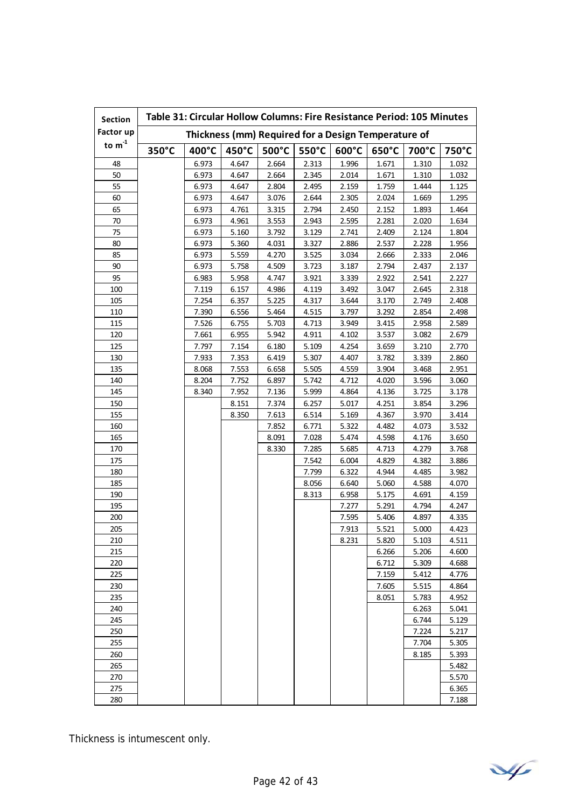| <b>Section</b> | Table 31: Circular Hollow Columns: Fire Resistance Period: 105 Minutes |                 |       |       |                 |                 |                 |       |       |
|----------------|------------------------------------------------------------------------|-----------------|-------|-------|-----------------|-----------------|-----------------|-------|-------|
| Factor up      | Thickness (mm) Required for a Design Temperature of                    |                 |       |       |                 |                 |                 |       |       |
| to $m^{-1}$    | 350°C                                                                  | $400^{\circ}$ C | 450°C | 500°C | $550^{\circ}$ C | $600^{\circ}$ C | $650^{\circ}$ C | 700°C | 750°C |
| 48             |                                                                        | 6.973           | 4.647 | 2.664 | 2.313           | 1.996           | 1.671           | 1.310 | 1.032 |
| 50             |                                                                        | 6.973           | 4.647 | 2.664 | 2.345           | 2.014           | 1.671           | 1.310 | 1.032 |
| 55             |                                                                        | 6.973           | 4.647 | 2.804 | 2.495           | 2.159           | 1.759           | 1.444 | 1.125 |
| 60             |                                                                        | 6.973           | 4.647 | 3.076 | 2.644           | 2.305           | 2.024           | 1.669 | 1.295 |
| 65             |                                                                        | 6.973           | 4.761 | 3.315 | 2.794           | 2.450           | 2.152           | 1.893 | 1.464 |
| 70             |                                                                        | 6.973           | 4.961 | 3.553 | 2.943           | 2.595           | 2.281           | 2.020 | 1.634 |
| 75             |                                                                        | 6.973           | 5.160 | 3.792 | 3.129           | 2.741           | 2.409           | 2.124 | 1.804 |
| 80             |                                                                        | 6.973           | 5.360 | 4.031 | 3.327           | 2.886           | 2.537           | 2.228 | 1.956 |
| 85             |                                                                        | 6.973           | 5.559 | 4.270 | 3.525           | 3.034           | 2.666           | 2.333 | 2.046 |
| 90             |                                                                        | 6.973           | 5.758 | 4.509 | 3.723           | 3.187           | 2.794           | 2.437 | 2.137 |
| 95             |                                                                        | 6.983           | 5.958 | 4.747 | 3.921           | 3.339           | 2.922           | 2.541 | 2.227 |
| 100            |                                                                        | 7.119           | 6.157 | 4.986 | 4.119           | 3.492           | 3.047           | 2.645 | 2.318 |
| 105            |                                                                        | 7.254           | 6.357 | 5.225 | 4.317           | 3.644           | 3.170           | 2.749 | 2.408 |
| 110            |                                                                        | 7.390           | 6.556 | 5.464 | 4.515           | 3.797           | 3.292           | 2.854 | 2.498 |
| 115            |                                                                        | 7.526           | 6.755 | 5.703 | 4.713           | 3.949           | 3.415           | 2.958 | 2.589 |
| 120            |                                                                        | 7.661           | 6.955 | 5.942 | 4.911           | 4.102           | 3.537           | 3.082 | 2.679 |
| 125            |                                                                        | 7.797           | 7.154 | 6.180 | 5.109           | 4.254           | 3.659           | 3.210 | 2.770 |
| 130            |                                                                        | 7.933           | 7.353 | 6.419 | 5.307           | 4.407           | 3.782           | 3.339 | 2.860 |
| 135            |                                                                        | 8.068           | 7.553 | 6.658 | 5.505           | 4.559           | 3.904           | 3.468 | 2.951 |
| 140            |                                                                        | 8.204           | 7.752 | 6.897 | 5.742           | 4.712           | 4.020           | 3.596 | 3.060 |
| 145            |                                                                        | 8.340           | 7.952 | 7.136 | 5.999           | 4.864           | 4.136           | 3.725 | 3.178 |
| 150            |                                                                        |                 | 8.151 | 7.374 | 6.257           | 5.017           | 4.251           | 3.854 | 3.296 |
| 155            |                                                                        |                 | 8.350 | 7.613 | 6.514           | 5.169           | 4.367           | 3.970 | 3.414 |
| 160            |                                                                        |                 |       | 7.852 | 6.771           | 5.322           | 4.482           | 4.073 | 3.532 |
| 165            |                                                                        |                 |       | 8.091 | 7.028           | 5.474           | 4.598           | 4.176 | 3.650 |
| 170            |                                                                        |                 |       | 8.330 | 7.285           | 5.685           | 4.713           | 4.279 | 3.768 |
| 175            |                                                                        |                 |       |       | 7.542           | 6.004           | 4.829           | 4.382 | 3.886 |
| 180            |                                                                        |                 |       |       | 7.799           | 6.322           | 4.944           | 4.485 | 3.982 |
| 185            |                                                                        |                 |       |       | 8.056           | 6.640           | 5.060           | 4.588 | 4.070 |
| 190            |                                                                        |                 |       |       | 8.313           | 6.958           | 5.175           | 4.691 | 4.159 |
| 195            |                                                                        |                 |       |       |                 | 7.277           | 5.291           | 4.794 | 4.247 |
| 200            |                                                                        |                 |       |       |                 | 7.595           | 5.406           | 4.897 | 4.335 |
| 205            |                                                                        |                 |       |       |                 | 7.913           | 5.521           | 5.000 | 4.423 |
| 210            |                                                                        |                 |       |       |                 | 8.231           | 5.820           | 5.103 | 4.511 |
| 215            |                                                                        |                 |       |       |                 |                 | 6.266           | 5.206 | 4.600 |
| 220            |                                                                        |                 |       |       |                 |                 | 6.712           | 5.309 | 4.688 |
| 225            |                                                                        |                 |       |       |                 |                 | 7.159           | 5.412 | 4.776 |
| 230            |                                                                        |                 |       |       |                 |                 | 7.605           | 5.515 | 4.864 |
| 235            |                                                                        |                 |       |       |                 |                 | 8.051           | 5.783 | 4.952 |
| 240            |                                                                        |                 |       |       |                 |                 |                 | 6.263 | 5.041 |
| 245            |                                                                        |                 |       |       |                 |                 |                 | 6.744 | 5.129 |
| 250            |                                                                        |                 |       |       |                 |                 |                 | 7.224 | 5.217 |
| 255            |                                                                        |                 |       |       |                 |                 |                 | 7.704 | 5.305 |
| 260            |                                                                        |                 |       |       |                 |                 |                 | 8.185 | 5.393 |
| 265            |                                                                        |                 |       |       |                 |                 |                 |       | 5.482 |
| 270            |                                                                        |                 |       |       |                 |                 |                 |       | 5.570 |
| 275            |                                                                        |                 |       |       |                 |                 |                 |       | 6.365 |
| 280            |                                                                        |                 |       |       |                 |                 |                 |       | 7.188 |